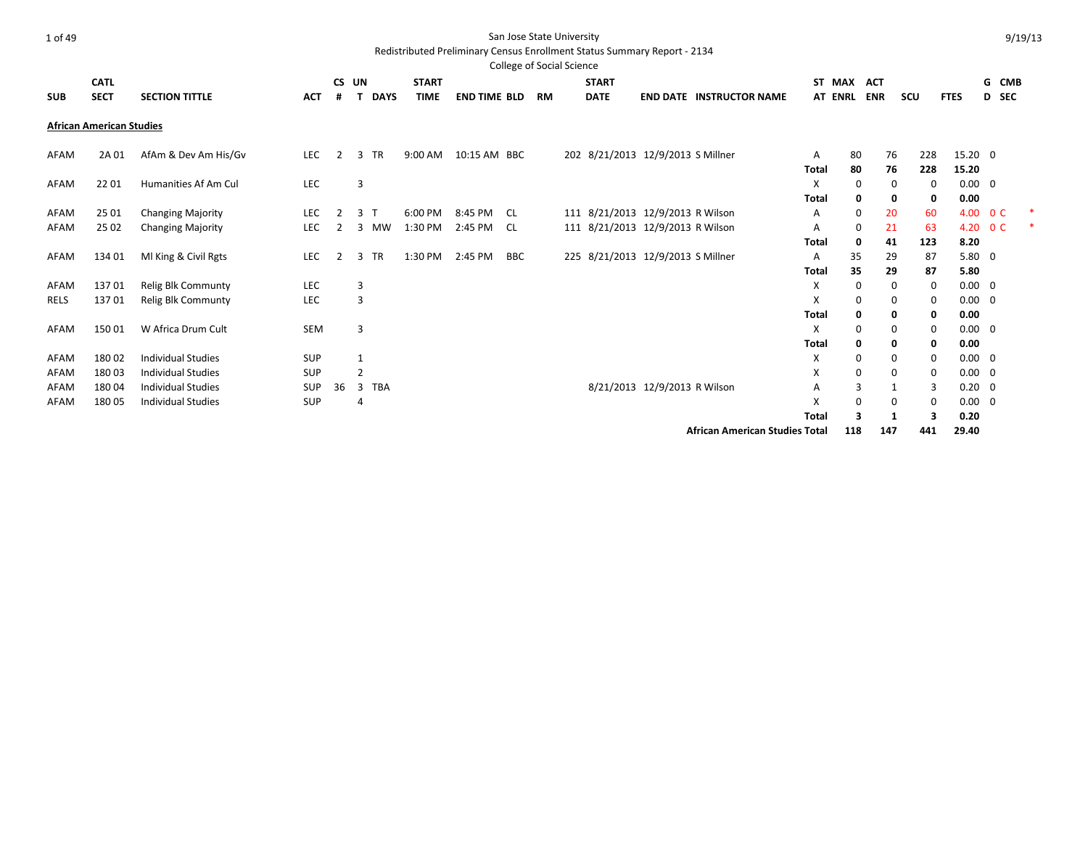#### Redistributed Preliminary Census Enrollment Status Summary Report - 2134

|             |                                 |                           |            |    |                 |              |                     |            | College of Social Science |                                   |                              |                                 |              |                |            |           |             |                |                 |  |
|-------------|---------------------------------|---------------------------|------------|----|-----------------|--------------|---------------------|------------|---------------------------|-----------------------------------|------------------------------|---------------------------------|--------------|----------------|------------|-----------|-------------|----------------|-----------------|--|
|             | <b>CATL</b>                     |                           |            |    | CS UN           | <b>START</b> |                     |            |                           | <b>START</b>                      |                              |                                 | <b>ST</b>    | MAX            | <b>ACT</b> |           |             |                | G<br><b>CMB</b> |  |
| <b>SUB</b>  | <b>SECT</b>                     | <b>SECTION TITTLE</b>     | <b>ACT</b> | #  | <b>DAYS</b>     | <b>TIME</b>  | <b>END TIME BLD</b> |            | <b>RM</b>                 | <b>DATE</b>                       |                              | <b>END DATE INSTRUCTOR NAME</b> |              | <b>AT ENRL</b> | <b>ENR</b> | scu       | <b>FTES</b> |                | D SEC           |  |
|             | <b>African American Studies</b> |                           |            |    |                 |              |                     |            |                           |                                   |                              |                                 |              |                |            |           |             |                |                 |  |
| AFAM        | 2A 01                           | AfAm & Dev Am His/Gv      | <b>LEC</b> | 2  | <b>TR</b><br>3  | 9:00 AM      | 10:15 AM BBC        |            |                           | 202 8/21/2013 12/9/2013 S Millner |                              |                                 | A            | 80             |            | 76<br>228 |             | 15.20 0        |                 |  |
|             |                                 |                           |            |    |                 |              |                     |            |                           |                                   |                              |                                 | <b>Total</b> | 80             |            | 76        | 228         | 15.20          |                 |  |
| AFAM        | 22 01                           | Humanities Af Am Cul      | LEC        |    | 3               |              |                     |            |                           |                                   |                              |                                 | X            | 0              |            | 0         | 0           | $0.00 \quad 0$ |                 |  |
|             |                                 |                           |            |    |                 |              |                     |            |                           |                                   |                              |                                 | <b>Total</b> | 0              |            | 0         | 0           | 0.00           |                 |  |
| AFAM        | 25 01                           | <b>Changing Majority</b>  | LEC        |    | 3               | 6:00 PM      | 8:45 PM             | - CL       |                           | 111 8/21/2013 12/9/2013 R Wilson  |                              |                                 | Α            | 0              | 20         |           | 60          | 4.00 0 C       |                 |  |
| AFAM        | 25 02                           | <b>Changing Majority</b>  | LEC        |    | <b>MW</b><br>3  | 1:30 PM      | 2:45 PM             | CL.        |                           | 111 8/21/2013 12/9/2013 R Wilson  |                              |                                 | Α            | 0              | 21         |           | 63          | 4.20 OC        |                 |  |
|             |                                 |                           |            |    |                 |              |                     |            |                           |                                   |                              |                                 | Total        | 0              | 41         | 123       |             | 8.20           |                 |  |
| AFAM        | 134 01                          | MI King & Civil Rgts      | LEC        | 2  | <b>TR</b><br>3  | 1:30 PM      | 2:45 PM             | <b>BBC</b> |                           | 225 8/21/2013 12/9/2013 S Millner |                              |                                 | Α            | 35             | 29         |           | 87          | $5.80 \quad 0$ |                 |  |
|             |                                 |                           |            |    |                 |              |                     |            |                           |                                   |                              |                                 | <b>Total</b> | 35             |            | 29        | 87          | 5.80           |                 |  |
| AFAM        | 13701                           | Relig Blk Communty        | LEC        |    | 3               |              |                     |            |                           |                                   |                              |                                 | X            | 0              |            | 0         | 0           | $0.00 \quad 0$ |                 |  |
| <b>RELS</b> | 13701                           | Relig Blk Communty        | LEC        |    | 3               |              |                     |            |                           |                                   |                              |                                 | X            | 0              |            | 0         | 0           | $0.00 \quad 0$ |                 |  |
|             |                                 |                           |            |    |                 |              |                     |            |                           |                                   |                              |                                 | <b>Total</b> | 0              |            | 0         | 0           | 0.00           |                 |  |
| AFAM        | 15001                           | W Africa Drum Cult        | SEM        |    | 3               |              |                     |            |                           |                                   |                              |                                 | X            | 0              |            | 0         | 0           | $0.00 \quad 0$ |                 |  |
|             |                                 |                           |            |    |                 |              |                     |            |                           |                                   |                              |                                 | <b>Total</b> | 0              |            | 0         | 0           | 0.00           |                 |  |
| AFAM        | 18002                           | <b>Individual Studies</b> | <b>SUP</b> |    |                 |              |                     |            |                           |                                   |                              |                                 | х            | 0              |            | 0         | 0           | $0.00 \quad 0$ |                 |  |
| AFAM        | 18003                           | <b>Individual Studies</b> | SUP        |    | $\overline{2}$  |              |                     |            |                           |                                   |                              |                                 | x            | 0              |            | 0         | 0           | $0.00 \quad 0$ |                 |  |
| AFAM        | 18004                           | <b>Individual Studies</b> | <b>SUP</b> | 36 | 3<br><b>TBA</b> |              |                     |            |                           |                                   | 8/21/2013 12/9/2013 R Wilson |                                 | Α            | 3              |            | 1         | 3           | $0.20 \quad 0$ |                 |  |
| AFAM        | 18005                           | <b>Individual Studies</b> | SUP        |    | 4               |              |                     |            |                           |                                   |                              |                                 | X            | $\Omega$       |            | 0         | $\Omega$    | $0.00 \quad 0$ |                 |  |
|             |                                 |                           |            |    |                 |              |                     |            |                           |                                   |                              |                                 | <b>Total</b> | 3              |            | 1         | 3           | 0.20           |                 |  |
|             |                                 |                           |            |    |                 |              |                     |            |                           |                                   |                              |                                 |              |                |            |           |             |                |                 |  |

**African American Studies Total 118 147 441 29.40**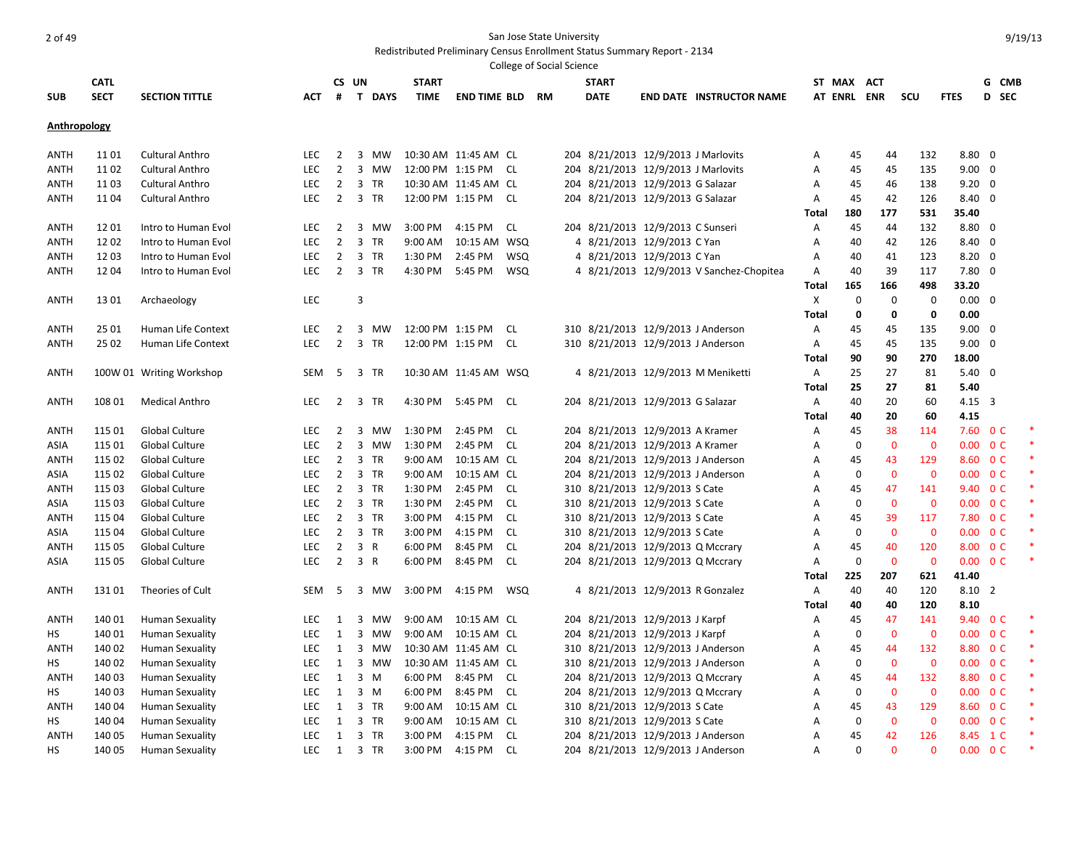|              |             |                          |            |                |                               |                  |                        |            | College of Social Science |                                     |                                          |              |             |                |                |                          |       |       |
|--------------|-------------|--------------------------|------------|----------------|-------------------------------|------------------|------------------------|------------|---------------------------|-------------------------------------|------------------------------------------|--------------|-------------|----------------|----------------|--------------------------|-------|-------|
|              | <b>CATL</b> |                          |            | CS UN          |                               | <b>START</b>     |                        |            |                           | <b>START</b>                        |                                          |              | ST MAX ACT  |                |                |                          |       | G CMB |
| <b>SUB</b>   | <b>SECT</b> | <b>SECTION TITTLE</b>    | <b>ACT</b> | #              | T DAYS                        | <b>TIME</b>      | <b>END TIME BLD RM</b> |            |                           | <b>DATE</b>                         | <b>END DATE INSTRUCTOR NAME</b>          |              | AT ENRL ENR |                | SCU            | <b>FTES</b>              | D SEC |       |
|              |             |                          |            |                |                               |                  |                        |            |                           |                                     |                                          |              |             |                |                |                          |       |       |
| Anthropology |             |                          |            |                |                               |                  |                        |            |                           |                                     |                                          |              |             |                |                |                          |       |       |
|              |             |                          |            |                |                               |                  |                        |            |                           |                                     |                                          |              |             |                |                |                          |       |       |
| ANTH         | 11 01       | <b>Cultural Anthro</b>   | <b>LEC</b> | $\overline{2}$ | $\overline{3}$<br>MW          |                  | 10:30 AM 11:45 AM CL   |            |                           | 204 8/21/2013 12/9/2013 J Marlovits |                                          | Α            | 45          | 44             | 132            | $8.80\quad 0$            |       |       |
| ANTH         | 1102        | <b>Cultural Anthro</b>   | LEC        | $\overline{2}$ | $\overline{3}$<br>MW          | 12:00 PM 1:15 PM |                        | CL.        |                           | 204 8/21/2013 12/9/2013 J Marlovits |                                          | Α            | 45          | 45             | 135            | $9.00 \quad 0$           |       |       |
| ANTH         | 1103        | <b>Cultural Anthro</b>   | <b>LEC</b> | $\overline{2}$ | $\overline{\mathbf{3}}$<br>TR |                  | 10:30 AM 11:45 AM CL   |            |                           | 204 8/21/2013 12/9/2013 G Salazar   |                                          | Α            | 45          | 46             | 138            | $9.20 \quad 0$           |       |       |
| ANTH         | 1104        | <b>Cultural Anthro</b>   | <b>LEC</b> | $\overline{2}$ | $\overline{3}$<br>TR          | 12:00 PM 1:15 PM |                        | CL         |                           | 204 8/21/2013 12/9/2013 G Salazar   |                                          | Α            | 45          | 42             | 126            | 8.40 0                   |       |       |
|              |             |                          |            |                |                               |                  |                        |            |                           |                                     |                                          | Total        | 180         | 177            | 531            | 35.40                    |       |       |
| ANTH         | 1201        | Intro to Human Evol      | <b>LEC</b> | 2              | 3<br>MW                       | 3:00 PM          | 4:15 PM                | <b>CL</b>  |                           | 204 8/21/2013 12/9/2013 C Sunseri   |                                          | Α            | 45          | 44             | 132            | $8.80\ 0$                |       |       |
| ANTH         | 1202        | Intro to Human Evol      | LEC        | $\overline{2}$ | $\overline{3}$<br><b>TR</b>   | 9:00 AM          | 10:15 AM WSQ           |            |                           | 4 8/21/2013 12/9/2013 C Yan         |                                          | Α            | 40          | 42             | 126            | 8.40 0                   |       |       |
| ANTH         | 1203        | Intro to Human Evol      | <b>LEC</b> | $\overline{2}$ | $\overline{\mathbf{3}}$<br>TR | 1:30 PM          | 2:45 PM                | <b>WSQ</b> |                           | 4 8/21/2013 12/9/2013 C Yan         |                                          | Α            | 40          | 41             | 123            | $8.20 \quad 0$           |       |       |
| ANTH         | 1204        | Intro to Human Evol      | <b>LEC</b> | $\overline{2}$ | 3 TR                          | 4:30 PM          | 5:45 PM                | <b>WSQ</b> |                           |                                     | 4 8/21/2013 12/9/2013 V Sanchez-Chopitea | Α            | 40          | 39             | 117            | $7.80$ 0                 |       |       |
|              |             |                          |            |                |                               |                  |                        |            |                           |                                     |                                          | Total        | 165         | 166            | 498            | 33.20                    |       |       |
| ANTH         | 1301        | Archaeology              | LEC        |                | 3                             |                  |                        |            |                           |                                     |                                          | Χ            | $\mathbf 0$ | 0              | 0              | $0.00 \quad 0$           |       |       |
|              |             |                          |            |                |                               |                  |                        |            |                           |                                     |                                          | <b>Total</b> | 0           | 0              | 0              | 0.00                     |       |       |
| ANTH         | 25 01       | Human Life Context       | LEC        | 2              | 3<br><b>MW</b>                | 12:00 PM 1:15 PM |                        | CL         |                           | 310 8/21/2013 12/9/2013 J Anderson  |                                          | Α            | 45          | 45             | 135            | $9.00 \quad 0$           |       |       |
| <b>ANTH</b>  | 25 02       | Human Life Context       | <b>LEC</b> | $\overline{2}$ | 3 TR                          | 12:00 PM 1:15 PM |                        | CL         |                           | 310 8/21/2013 12/9/2013 J Anderson  |                                          | Α            | 45          | 45             | 135            | $9.00 \quad 0$           |       |       |
|              |             |                          |            |                |                               |                  |                        |            |                           |                                     |                                          | Total        | 90          | 90             | 270            | 18.00                    |       |       |
| ANTH         |             | 100W 01 Writing Workshop | SEM        | - 5            | 3 TR                          |                  | 10:30 AM 11:45 AM WSQ  |            |                           |                                     | 4 8/21/2013 12/9/2013 M Meniketti        | A            | 25          | 27             | 81             | $5.40 \quad 0$           |       |       |
|              |             |                          |            |                |                               |                  |                        |            |                           |                                     |                                          | Total        | 25          | 27             | 81             | 5.40                     |       |       |
| ANTH         | 108 01      | <b>Medical Anthro</b>    | <b>LEC</b> | 2              | $\overline{\mathbf{3}}$<br>TR | 4:30 PM          | 5:45 PM                | CL.        |                           | 204 8/21/2013 12/9/2013 G Salazar   |                                          | Α            | 40          | 20             | 60             | $4.15 \quad 3$           |       |       |
|              |             |                          |            |                |                               |                  |                        |            |                           |                                     |                                          | Total        | 40          | 20             | 60             | 4.15                     |       |       |
| <b>ANTH</b>  | 115 01      | Global Culture           | LEC        | 2              | 3<br><b>MW</b>                | 1:30 PM          | 2:45 PM                | CL         |                           | 204 8/21/2013 12/9/2013 A Kramer    |                                          | Α            | 45          | 38             | 114            | $7.60 \t 0 C$            |       |       |
| ASIA         | 115 01      | Global Culture           | LEC        | $\overline{2}$ | $\overline{3}$<br><b>MW</b>   | 1:30 PM          | 2:45 PM                | CL         |                           | 204 8/21/2013 12/9/2013 A Kramer    |                                          | A            | $\mathbf 0$ | $\mathbf 0$    | $\mathbf 0$    | $0.00 \quad 0 \text{ C}$ |       |       |
| <b>ANTH</b>  | 115 02      | Global Culture           | <b>LEC</b> | $\overline{2}$ | $\overline{3}$<br>TR          | 9:00 AM          | 10:15 AM CL            |            |                           | 204 8/21/2013 12/9/2013 J Anderson  |                                          | Α            | 45          | 43             | 129            | 8.60 0 C                 |       |       |
| <b>ASIA</b>  | 115 02      | Global Culture           | <b>LEC</b> | $\overline{2}$ | 3 TR                          | 9:00 AM          | 10:15 AM CL            |            |                           | 204 8/21/2013 12/9/2013 J Anderson  |                                          | Α            | 0           | $\mathbf 0$    | $\mathbf 0$    | $0.00 \quad 0 \text{ C}$ |       |       |
| <b>ANTH</b>  | 115 03      | Global Culture           | <b>LEC</b> | $\overline{2}$ | $\overline{3}$<br><b>TR</b>   | 1:30 PM          | 2:45 PM                | <b>CL</b>  |                           | 310 8/21/2013 12/9/2013 S Cate      |                                          | Α            | 45          | 47             | 141            | 9.40 0 C                 |       |       |
| ASIA         | 115 03      | Global Culture           | <b>LEC</b> | 2              | $\overline{3}$<br><b>TR</b>   | 1:30 PM          | 2:45 PM                | <b>CL</b>  |                           | 310 8/21/2013 12/9/2013 S Cate      |                                          | A            | $\mathbf 0$ | $\mathbf{0}$   | $\mathbf 0$    | $0.00 \quad 0 \text{ C}$ |       |       |
| ANTH         | 115 04      | Global Culture           | <b>LEC</b> | $\overline{2}$ | 3 TR                          | 3:00 PM          | 4:15 PM                | <b>CL</b>  |                           | 310 8/21/2013 12/9/2013 S Cate      |                                          | A            | 45          | 39             | 117            | 7.80 0 C                 |       |       |
| ASIA         | 115 04      | Global Culture           | LEC        | $\overline{2}$ | $\overline{\mathbf{3}}$<br>TR | 3:00 PM          | 4:15 PM                | <b>CL</b>  |                           | 310 8/21/2013 12/9/2013 S Cate      |                                          | A            | $\mathbf 0$ | $\mathbf{0}$   | $\overline{0}$ | $0.00 \quad 0 \text{ C}$ |       |       |
| ANTH         | 115 05      | Global Culture           | LEC        | $\overline{2}$ | 3 R                           | 6:00 PM          | 8:45 PM                | CL         |                           | 204 8/21/2013 12/9/2013 Q Mccrary   |                                          | Α            | 45          | 40             | 120            | 8.00 0 C                 |       |       |
| ASIA         | 115 05      | Global Culture           | <b>LEC</b> | $\overline{2}$ | 3 R                           | 6:00 PM          | 8:45 PM                | CL         |                           | 204 8/21/2013 12/9/2013 Q Mccrary   |                                          | Α            | $\mathbf 0$ | $\mathbf 0$    | $\mathbf 0$    | $0.00 \t 0 C$            |       |       |
|              |             |                          |            |                |                               |                  |                        |            |                           |                                     |                                          | Total        | 225         | 207            | 621            | 41.40                    |       |       |
| ANTH         | 13101       | Theories of Cult         | SEM        | -5             | $\overline{\mathbf{3}}$<br>MW | 3:00 PM          | 4:15 PM                | WSQ        |                           | 4 8/21/2013 12/9/2013 R Gonzalez    |                                          | Α            | 40          | 40             | 120            | 8.10 2                   |       |       |
|              |             |                          |            |                |                               |                  |                        |            |                           |                                     |                                          | Total        | 40          | 40             | 120            | 8.10                     |       |       |
| ANTH         | 140 01      | <b>Human Sexuality</b>   | <b>LEC</b> | 1              | 3<br>МW                       | 9:00 AM          | 10:15 AM CL            |            |                           | 204 8/21/2013 12/9/2013 J Karpf     |                                          | Α            | 45          | 47             | 141            | 9.40 OC                  |       |       |
| HS           | 14001       | <b>Human Sexuality</b>   | LEC        | 1              | 3<br>MW                       |                  | 9:00 AM  10:15 AM  CL  |            |                           | 204 8/21/2013 12/9/2013 J Karpf     |                                          | Α            | $\mathbf 0$ | $\mathbf{0}$   | $\mathbf{0}$   | $0.00 \quad 0 \text{ C}$ |       |       |
| ANTH         | 140 02      | Human Sexuality          | LEC        | 1              | 3<br>MW                       |                  | 10:30 AM 11:45 AM CL   |            |                           | 310 8/21/2013 12/9/2013 J Anderson  |                                          | Α            | 45          | 44             | 132            | 8.80 0 C                 |       |       |
| HS.          | 140 02      | <b>Human Sexuality</b>   | <b>LEC</b> | 1              | 3<br>MW                       |                  | 10:30 AM 11:45 AM CL   |            |                           | 310 8/21/2013 12/9/2013 J Anderson  |                                          | A            | $\mathbf 0$ | $\overline{0}$ | $\overline{0}$ | $0.00 \quad 0 \text{ C}$ |       |       |
| <b>ANTH</b>  | 140 03      | <b>Human Sexuality</b>   | <b>LEC</b> | $\mathbf{1}$   | $\overline{3}$<br>M           | 6:00 PM          | 8:45 PM                | CL CL      |                           | 204 8/21/2013 12/9/2013 Q Mccrary   |                                          | A            | 45          | 44             | 132            | 8.80 0 C                 |       |       |
| НS           | 140 03      | <b>Human Sexuality</b>   | <b>LEC</b> | 1              | 3<br>M                        | 6:00 PM          | 8:45 PM                | CL         |                           | 204 8/21/2013 12/9/2013 Q Mccrary   |                                          | Α            | 0           | $\mathbf 0$    | $\mathbf 0$    | $0.00 \t 0 C$            |       |       |
| ANTH         | 14004       | <b>Human Sexuality</b>   | LEC        | $\mathbf{1}$   | 3 TR                          | 9:00 AM          | 10:15 AM CL            |            |                           | 310 8/21/2013 12/9/2013 S Cate      |                                          | Α            | 45          | 43             | 129            | 8.60 0 C                 |       |       |
| НS           | 140 04      | <b>Human Sexuality</b>   | <b>LEC</b> | 1              | 3<br>TR                       | 9:00 AM          | 10:15 AM CL            |            |                           | 310 8/21/2013 12/9/2013 S Cate      |                                          | A            | $\mathbf 0$ | $\mathbf 0$    | $\mathbf 0$    | $0.00 \quad 0 \text{ C}$ |       |       |
| <b>ANTH</b>  | 140 05      | <b>Human Sexuality</b>   | <b>LEC</b> | $\mathbf{1}$   | 3 TR                          | 3:00 PM          | 4:15 PM                | <b>CL</b>  |                           | 204 8/21/2013 12/9/2013 J Anderson  |                                          | Α            | 45          | 42             | 126            | 8.45 1 C                 |       |       |
| НS           | 140 05      | <b>Human Sexuality</b>   | <b>LEC</b> | 1              | 3 TR                          | 3:00 PM          | 4:15 PM                | <b>CL</b>  |                           | 204 8/21/2013 12/9/2013 J Anderson  |                                          | A            | $\Omega$    | $\Omega$       | $\Omega$       | $0.00 \quad 0 \text{ C}$ |       |       |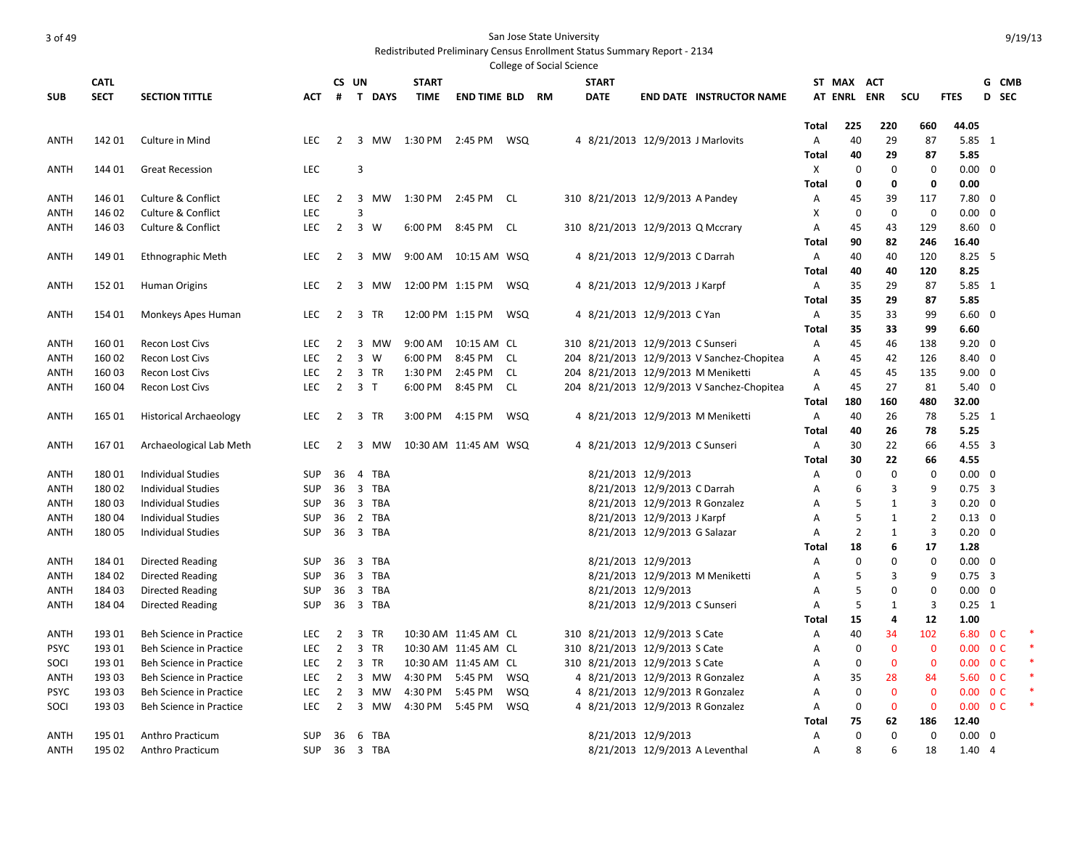|             |             |                                |            |                |                             |                      |                        |            | College of Social Science |              |                                   |                                            |       |                |                |                |                |                          |  |
|-------------|-------------|--------------------------------|------------|----------------|-----------------------------|----------------------|------------------------|------------|---------------------------|--------------|-----------------------------------|--------------------------------------------|-------|----------------|----------------|----------------|----------------|--------------------------|--|
|             | <b>CATL</b> |                                |            | CS UN          |                             | <b>START</b>         |                        |            |                           | <b>START</b> |                                   |                                            |       | ST MAX ACT     |                |                |                | G CMB                    |  |
| <b>SUB</b>  | <b>SECT</b> | <b>SECTION TITTLE</b>          | <b>ACT</b> | #              | T DAYS                      | <b>TIME</b>          | <b>END TIME BLD RM</b> |            |                           | <b>DATE</b>  |                                   | <b>END DATE INSTRUCTOR NAME</b>            |       | <b>AT ENRL</b> | <b>ENR</b>     | scu            | <b>FTES</b>    | D SEC                    |  |
|             |             |                                |            |                |                             |                      |                        |            |                           |              |                                   |                                            |       |                |                |                |                |                          |  |
|             |             |                                |            |                |                             |                      |                        |            |                           |              |                                   |                                            | Total | 225            | 220            | 660            | 44.05          |                          |  |
| ANTH        | 142 01      | Culture in Mind                | <b>LEC</b> | $\overline{2}$ |                             | 3 MW 1:30 PM 2:45 PM |                        | WSQ        |                           |              | 4 8/21/2013 12/9/2013 J Marlovits |                                            | Α     | 40             | 29             | 87             | $5.85$ 1       |                          |  |
|             |             |                                |            |                |                             |                      |                        |            |                           |              |                                   |                                            | Total | 40             | 29             | 87             | 5.85           |                          |  |
| ANTH        | 144 01      | <b>Great Recession</b>         | LEC        |                | 3                           |                      |                        |            |                           |              |                                   |                                            | Χ     | $\mathbf 0$    | $\mathbf 0$    | $\mathbf 0$    | $0.00 \quad 0$ |                          |  |
|             |             |                                |            |                |                             |                      |                        |            |                           |              |                                   |                                            | Total | 0              | $\mathbf 0$    | 0              | 0.00           |                          |  |
| ANTH        | 146 01      | <b>Culture &amp; Conflict</b>  | LEC        | $\overline{2}$ | $\overline{3}$<br>MW        | 1:30 PM              | 2:45 PM                | CL         |                           |              | 310 8/21/2013 12/9/2013 A Pandey  |                                            | Α     | 45             | 39             | 117            | $7.80$ 0       |                          |  |
| ANTH        | 146 02      | Culture & Conflict             | LEC        |                | 3                           |                      |                        |            |                           |              |                                   |                                            | x     | $\mathbf 0$    | $\mathbf 0$    | $\mathbf 0$    | $0.00 \quad 0$ |                          |  |
| ANTH        | 14603       | Culture & Conflict             | <b>LEC</b> | 2              | $\overline{3}$<br>W         | 6:00 PM              | 8:45 PM                | CL         |                           |              | 310 8/21/2013 12/9/2013 Q Mccrary |                                            | Α     | 45             | 43             | 129            | $8.60 \quad 0$ |                          |  |
|             |             |                                |            |                |                             |                      |                        |            |                           |              |                                   |                                            | Total | 90             | 82             | 246            | 16.40          |                          |  |
| ANTH        | 149 01      | Ethnographic Meth              | <b>LEC</b> | 2              | 3<br>MW                     |                      | 9:00 AM  10:15 AM  WSQ |            |                           |              | 4 8/21/2013 12/9/2013 C Darrah    |                                            | Α     | 40             | 40             | 120            | $8.25$ 5       |                          |  |
|             |             |                                |            |                |                             |                      |                        |            |                           |              |                                   |                                            | Total | 40             | 40             | 120            | 8.25           |                          |  |
| <b>ANTH</b> | 152 01      | Human Origins                  | LEC.       | $\overline{2}$ | 3<br>MW                     | 12:00 PM 1:15 PM     |                        | WSQ        |                           |              | 4 8/21/2013 12/9/2013 J Karpf     |                                            | Α     | 35             | 29             | 87             | $5.85$ 1       |                          |  |
|             |             |                                |            |                |                             |                      |                        |            |                           |              |                                   |                                            | Total | 35             | 29             | 87             | 5.85           |                          |  |
| ANTH        | 154 01      | Monkeys Apes Human             | LEC        | $\overline{2}$ | 3 TR                        |                      | 12:00 PM 1:15 PM WSQ   |            |                           |              | 4 8/21/2013 12/9/2013 C Yan       |                                            | Α     | 35             | 33             | 99             | $6.60 \quad 0$ |                          |  |
|             |             |                                |            |                |                             |                      |                        |            |                           |              |                                   |                                            | Total | 35             | 33             | 99             | 6.60           |                          |  |
| ANTH        | 16001       | Recon Lost Civs                | <b>LEC</b> | $\overline{2}$ | $\overline{3}$<br><b>MW</b> | 9:00 AM              | 10:15 AM CL            |            |                           |              | 310 8/21/2013 12/9/2013 C Sunseri |                                            | Α     | 45             | 46             | 138            | $9.20 \quad 0$ |                          |  |
| ANTH        | 160 02      | Recon Lost Civs                | <b>LEC</b> | $\overline{2}$ | $\overline{3}$<br>W         | 6:00 PM              | 8:45 PM                | CL.        |                           |              |                                   | 204 8/21/2013 12/9/2013 V Sanchez-Chopitea | Α     | 45             | 42             | 126            | $8.40 \quad 0$ |                          |  |
| ANTH        | 16003       | <b>Recon Lost Civs</b>         | <b>LEC</b> | 2              | 3 TR                        | 1:30 PM              | 2:45 PM                | CL         |                           |              |                                   | 204 8/21/2013 12/9/2013 M Meniketti        | Α     | 45             | 45             | 135            | $9.00 \quad 0$ |                          |  |
| ANTH        | 16004       | Recon Lost Civs                | <b>LEC</b> | 2              | 3 <sub>1</sub>              | 6:00 PM              | 8:45 PM                | CL.        |                           |              |                                   | 204 8/21/2013 12/9/2013 V Sanchez-Chopitea | Α     | 45             | 27             | 81             | $5.40 \quad 0$ |                          |  |
|             |             |                                |            |                |                             |                      |                        |            |                           |              |                                   |                                            | Total | 180            | 160            | 480            | 32.00          |                          |  |
| ANTH        | 165 01      | <b>Historical Archaeology</b>  | <b>LEC</b> | $\overline{2}$ | 3 TR                        | 3:00 PM              | 4:15 PM                | WSQ        |                           |              |                                   | 4 8/21/2013 12/9/2013 M Meniketti          | Α     | 40             | 26             | 78             | $5.25 \quad 1$ |                          |  |
|             |             |                                |            |                |                             |                      |                        |            |                           |              |                                   |                                            | Total | 40             | 26             | 78             | 5.25           |                          |  |
| ANTH        | 16701       | Archaeological Lab Meth        | <b>LEC</b> | 2              | 3 MW                        |                      | 10:30 AM 11:45 AM WSQ  |            |                           |              | 4 8/21/2013 12/9/2013 C Sunseri   |                                            | Α     | 30             | 22             | 66             | $4.55 \quad 3$ |                          |  |
|             |             |                                |            |                |                             |                      |                        |            |                           |              |                                   |                                            | Total | 30             | 22             | 66             | 4.55           |                          |  |
| ANTH        | 18001       | <b>Individual Studies</b>      | <b>SUP</b> | 36             | $\overline{4}$<br>TBA       |                      |                        |            |                           |              | 8/21/2013 12/9/2013               |                                            | Α     | $\mathbf 0$    | $\mathbf 0$    | $\mathbf 0$    | $0.00 \quad 0$ |                          |  |
| ANTH        | 18002       | <b>Individual Studies</b>      | <b>SUP</b> |                | 36 3 TBA                    |                      |                        |            |                           |              | 8/21/2013 12/9/2013 C Darrah      |                                            | Α     | 6              | 3              | 9              | $0.75 - 3$     |                          |  |
| ANTH        | 18003       | <b>Individual Studies</b>      | <b>SUP</b> | 36             | $\overline{3}$<br>TBA       |                      |                        |            |                           |              | 8/21/2013 12/9/2013 R Gonzalez    |                                            | A     | 5              | $\mathbf{1}$   | 3              | $0.20 \quad 0$ |                          |  |
| ANTH        | 18004       | <b>Individual Studies</b>      | <b>SUP</b> | 36             | 2 TBA                       |                      |                        |            |                           |              | 8/21/2013 12/9/2013 J Karpf       |                                            | A     | 5              | 1              | $\overline{2}$ | $0.13 \quad 0$ |                          |  |
| ANTH        | 18005       | Individual Studies             | <b>SUP</b> | 36             | 3 TBA                       |                      |                        |            |                           |              | 8/21/2013 12/9/2013 G Salazar     |                                            | A     | $\overline{2}$ | $\mathbf{1}$   | 3              | $0.20 \ 0$     |                          |  |
|             |             |                                |            |                |                             |                      |                        |            |                           |              |                                   |                                            | Total | 18             | 6              | 17             | 1.28           |                          |  |
| ANTH        | 184 01      | Directed Reading               | <b>SUP</b> | 36             | 3<br>TBA                    |                      |                        |            |                           |              | 8/21/2013 12/9/2013               |                                            | A     | $\Omega$       | $\mathbf 0$    | $\mathbf 0$    | $0.00 \quad 0$ |                          |  |
| ANTH        | 184 02      | Directed Reading               | <b>SUP</b> | 36             | $\overline{3}$<br>TBA       |                      |                        |            |                           |              |                                   | 8/21/2013 12/9/2013 M Meniketti            | Α     | 5              | 3              | 9              | $0.75$ 3       |                          |  |
| ANTH        | 18403       | <b>Directed Reading</b>        | <b>SUP</b> | 36             | 3 TBA                       |                      |                        |            |                           |              | 8/21/2013 12/9/2013               |                                            | Α     | 5              | $\mathbf 0$    | 0              | $0.00 \quad 0$ |                          |  |
| ANTH        | 184 04      | Directed Reading               | <b>SUP</b> | 36             | 3 TBA                       |                      |                        |            |                           |              | 8/21/2013 12/9/2013 C Sunseri     |                                            | A     | 5              | 1              | 3              | $0.25 \quad 1$ |                          |  |
|             |             |                                |            |                |                             |                      |                        |            |                           |              |                                   |                                            | Total | 15             | 4              | 12             | 1.00           |                          |  |
| ANTH        | 19301       | Beh Science in Practice        | <b>LEC</b> | 2              | 3<br>TR                     |                      | 10:30 AM 11:45 AM CL   |            |                           |              | 310 8/21/2013 12/9/2013 S Cate    |                                            | Α     | 40             | 34             | 102            |                | 6.80 0 C                 |  |
| <b>PSYC</b> | 193 01      | Beh Science in Practice        | <b>LEC</b> | $\overline{2}$ | $\overline{3}$<br><b>TR</b> |                      | 10:30 AM 11:45 AM CL   |            |                           |              | 310 8/21/2013 12/9/2013 S Cate    |                                            | Α     | $\mathbf 0$    | $\overline{0}$ | $\mathbf{0}$   |                | $0.00 \t 0 C$            |  |
| SOCI        | 193 01      | Beh Science in Practice        | <b>LEC</b> | 2              | 3<br><b>TR</b>              |                      | 10:30 AM 11:45 AM CL   |            |                           |              | 310 8/21/2013 12/9/2013 S Cate    |                                            | A     | $\mathbf 0$    | $\mathbf{0}$   | $\mathbf{0}$   |                | $0.00 \quad 0 \text{ C}$ |  |
| ANTH        | 19303       | <b>Beh Science in Practice</b> | <b>LEC</b> | 2              | $\overline{3}$<br>MW        | 4:30 PM              | 5:45 PM                | WSQ        |                           |              | 4 8/21/2013 12/9/2013 R Gonzalez  |                                            | A     | 35             | 28             | 84             |                | 5.60 O C                 |  |
| <b>PSYC</b> | 193 03      | Beh Science in Practice        | LEC        | $\overline{2}$ | 3<br>MW                     | 4:30 PM              | 5:45 PM                | <b>WSQ</b> |                           |              | 4 8/21/2013 12/9/2013 R Gonzalez  |                                            | Α     | $\mathbf 0$    | $\mathbf 0$    | $\mathbf 0$    |                | $0.00 \t 0 C$            |  |
| SOCI        | 193 03      | Beh Science in Practice        | LEC        | $\overline{2}$ | $\overline{3}$<br>MW        | 4:30 PM              | 5:45 PM                | <b>WSQ</b> |                           |              | 4 8/21/2013 12/9/2013 R Gonzalez  |                                            | Α     | $\mathbf 0$    | $\mathbf 0$    | $\mathbf 0$    |                | $0.00 \t 0 C$            |  |
|             |             |                                |            |                |                             |                      |                        |            |                           |              |                                   |                                            | Total | 75             | 62             | 186            | 12.40          |                          |  |
| ANTH        | 195 01      | Anthro Practicum               | <b>SUP</b> | 36             | 6<br>TBA                    |                      |                        |            |                           |              | 8/21/2013 12/9/2013               |                                            | Α     | $\Omega$       | $\mathbf 0$    | $\mathbf 0$    | $0.00 \quad 0$ |                          |  |
| ANTH        | 195 02      | Anthro Practicum               | <b>SUP</b> |                | 36 3 TBA                    |                      |                        |            |                           |              |                                   | 8/21/2013 12/9/2013 A Leventhal            | A     | $\mathbf{8}$   | 6              | 18             | $1.40 \quad 4$ |                          |  |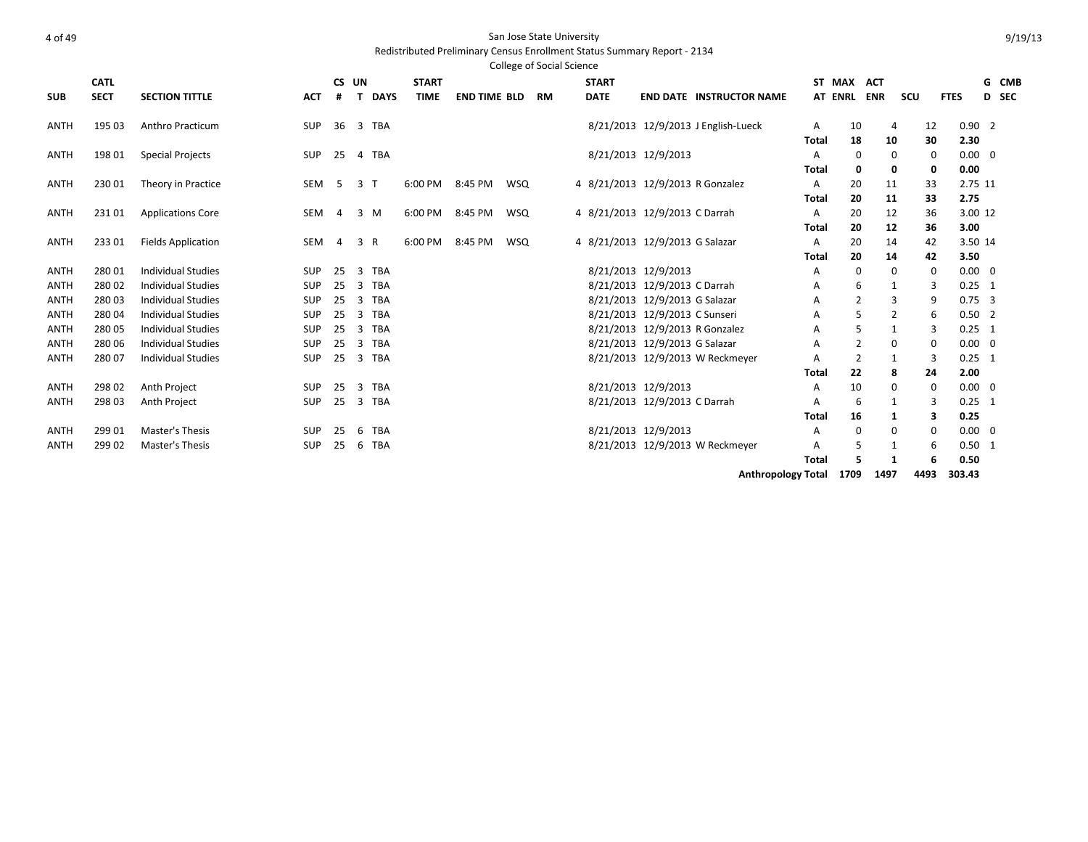#### Redistributed Preliminary Census Enrollment Status Summary Report - 2134

|             |             |                           |            |    |                 |              |                     |            | <b>College of Social Science</b> |              |                                     |              |                |            |                |             |                |       |
|-------------|-------------|---------------------------|------------|----|-----------------|--------------|---------------------|------------|----------------------------------|--------------|-------------------------------------|--------------|----------------|------------|----------------|-------------|----------------|-------|
|             | <b>CATL</b> |                           |            |    | CS UN           | <b>START</b> |                     |            |                                  | <b>START</b> |                                     |              | ST MAX         | <b>ACT</b> |                |             |                | G CMB |
| <b>SUB</b>  | <b>SECT</b> | <b>SECTION TITTLE</b>     | <b>ACT</b> | #  | <b>DAYS</b>     | <b>TIME</b>  | <b>END TIME BLD</b> |            | <b>RM</b>                        | <b>DATE</b>  | <b>END DATE INSTRUCTOR NAME</b>     |              | <b>AT ENRL</b> | <b>ENR</b> | scu            | <b>FTES</b> |                | D SEC |
| ANTH        | 195 03      | Anthro Practicum          | SUP        | 36 | 3 TBA           |              |                     |            |                                  |              | 8/21/2013 12/9/2013 J English-Lueck | A            | 10             |            | 4              | 12          | 0.902          |       |
|             |             |                           |            |    |                 |              |                     |            |                                  |              |                                     | <b>Total</b> | 18             |            | 10             | 30          | 2.30           |       |
| ANTH        | 198 01      | <b>Special Projects</b>   | <b>SUP</b> | 25 | 4 TBA           |              |                     |            |                                  |              | 8/21/2013 12/9/2013                 | A            | $\mathbf 0$    |            | 0              | 0           | $0.00 \quad 0$ |       |
|             |             |                           |            |    |                 |              |                     |            |                                  |              |                                     | Total        | 0              |            | 0              | 0           | 0.00           |       |
| <b>ANTH</b> | 23001       | Theory in Practice        | SEM        | -5 | 3 <sub>1</sub>  | 6:00 PM      | 8:45 PM             | <b>WSQ</b> |                                  |              | 4 8/21/2013 12/9/2013 R Gonzalez    | A            | 20             |            | 11             | 33          | 2.75 11        |       |
|             |             |                           |            |    |                 |              |                     |            |                                  |              |                                     | Total        | 20             |            | 11             | 33          | 2.75           |       |
| ANTH        | 23101       | <b>Applications Core</b>  | SEM        | 4  | 3 M             | 6:00 PM      | 8:45 PM             | <b>WSQ</b> |                                  |              | 4 8/21/2013 12/9/2013 C Darrah      | Α            | 20             |            | 12             | 36          | 3.00 12        |       |
|             |             |                           |            |    |                 |              |                     |            |                                  |              |                                     | Total        | 20             |            | 12             | 36          | 3.00           |       |
| <b>ANTH</b> | 23301       | <b>Fields Application</b> | SEM        | 4  | 3<br>R          | 6:00 PM      | 8:45 PM             | <b>WSQ</b> |                                  |              | 4 8/21/2013 12/9/2013 G Salazar     | A            | 20             |            | 14             | 42          | 3.50 14        |       |
|             |             |                           |            |    |                 |              |                     |            |                                  |              |                                     | Total        | 20             |            | 14             | 42          | 3.50           |       |
| ANTH        | 28001       | <b>Individual Studies</b> | <b>SUP</b> | 25 | <b>TBA</b><br>3 |              |                     |            |                                  |              | 8/21/2013 12/9/2013                 | Α            | 0              |            | 0              | 0           | $0.00 \quad 0$ |       |
| ANTH        | 28002       | <b>Individual Studies</b> | SUP        | 25 | 3<br><b>TBA</b> |              |                     |            |                                  |              | 8/21/2013 12/9/2013 C Darrah        | Α            | 6              |            |                | 3           | $0.25 \quad 1$ |       |
| <b>ANTH</b> | 28003       | <b>Individual Studies</b> | <b>SUP</b> | 25 | <b>TBA</b><br>3 |              |                     |            |                                  |              | 8/21/2013 12/9/2013 G Salazar       | Α            | $\overline{2}$ |            | 3              | 9           | $0.75 - 3$     |       |
| ANTH        | 28004       | <b>Individual Studies</b> | <b>SUP</b> | 25 | <b>TBA</b><br>3 |              |                     |            |                                  |              | 8/21/2013 12/9/2013 C Sunseri       | A            | 5              |            | $\overline{2}$ | 6           | $0.50$ 2       |       |
| ANTH        | 28005       | <b>Individual Studies</b> | <b>SUP</b> | 25 | <b>TBA</b><br>3 |              |                     |            |                                  |              | 8/21/2013 12/9/2013 R Gonzalez      | Α            | 5              |            |                | 3           | $0.25$ 1       |       |
| ANTH        | 280 06      | <b>Individual Studies</b> | SUP        | 25 | 3 TBA           |              |                     |            |                                  |              | 8/21/2013 12/9/2013 G Salazar       | A            | $\overline{2}$ |            | 0              | 0           | $0.00 \quad 0$ |       |
| <b>ANTH</b> | 28007       | <b>Individual Studies</b> | <b>SUP</b> | 25 | 3<br>TBA        |              |                     |            |                                  |              | 8/21/2013 12/9/2013 W Reckmeyer     | Α            | $\overline{2}$ |            |                | 3           | $0.25 \quad 1$ |       |
|             |             |                           |            |    |                 |              |                     |            |                                  |              |                                     | Total        | 22             |            | 8              | 24          | 2.00           |       |
| <b>ANTH</b> | 298 02      | Anth Project              | SUP        | 25 | TBA<br>3        |              |                     |            |                                  |              | 8/21/2013 12/9/2013                 | Α            | 10             |            | 0              | 0           | $0.00 \quad 0$ |       |
| <b>ANTH</b> | 29803       | Anth Project              | <b>SUP</b> | 25 | 3<br>TBA        |              |                     |            |                                  |              | 8/21/2013 12/9/2013 C Darrah        | Α            | 6              |            |                | 3           | $0.25 \quad 1$ |       |
|             |             |                           |            |    |                 |              |                     |            |                                  |              |                                     | <b>Total</b> | 16             |            |                | з           | 0.25           |       |
| <b>ANTH</b> | 299 01      | <b>Master's Thesis</b>    | <b>SUP</b> | 25 | <b>TBA</b><br>6 |              |                     |            |                                  |              | 8/21/2013 12/9/2013                 | Α            | $\mathbf 0$    |            | 0              | 0           | $0.00 \quad 0$ |       |
| ANTH        | 299 02      | Master's Thesis           | SUP        | 25 | <b>TBA</b><br>6 |              |                     |            |                                  |              | 8/21/2013 12/9/2013 W Reckmeyer     | Α            | 5              |            |                | 6           | $0.50$ 1       |       |
|             |             |                           |            |    |                 |              |                     |            |                                  |              |                                     | <b>Total</b> | 5              |            | 1              | 6           | 0.50           |       |
|             |             |                           |            |    |                 |              |                     |            |                                  |              |                                     |              |                |            |                |             |                |       |

**Anthropology Total 1709 1497 4493 303.43**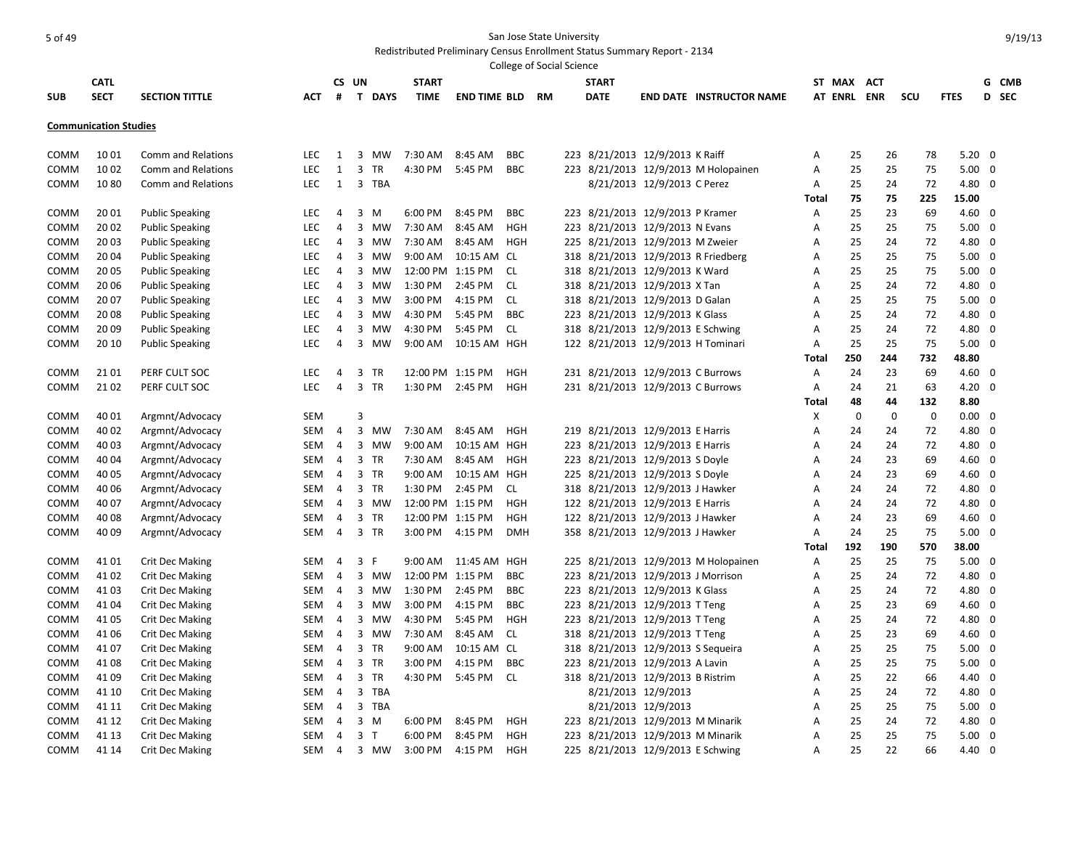|            |                              |                        |            |                |                               |                   |                     |            | College of Social Science |              |                                     |                                      |              |                |     |             |                |                         |       |
|------------|------------------------------|------------------------|------------|----------------|-------------------------------|-------------------|---------------------|------------|---------------------------|--------------|-------------------------------------|--------------------------------------|--------------|----------------|-----|-------------|----------------|-------------------------|-------|
|            | <b>CATL</b>                  |                        |            | CS UN          |                               | <b>START</b>      |                     |            |                           | <b>START</b> |                                     |                                      |              | ST MAX ACT     |     |             |                |                         | G CMB |
| <b>SUB</b> | <b>SECT</b>                  | <b>SECTION TITTLE</b>  | АСТ        | #              | T DAYS                        | TIME              | <b>END TIME BLD</b> |            | <b>RM</b>                 | <b>DATE</b>  |                                     | <b>END DATE INSTRUCTOR NAME</b>      |              | <b>AT ENRL</b> | ENR | scu         | <b>FTES</b>    |                         | D SEC |
|            |                              |                        |            |                |                               |                   |                     |            |                           |              |                                     |                                      |              |                |     |             |                |                         |       |
|            | <b>Communication Studies</b> |                        |            |                |                               |                   |                     |            |                           |              |                                     |                                      |              |                |     |             |                |                         |       |
|            |                              |                        |            |                |                               |                   |                     |            |                           |              |                                     |                                      |              |                |     |             |                |                         |       |
| COMM       | 1001                         | Comm and Relations     | <b>LEC</b> | 1              | 3<br>MW                       | 7:30 AM           | 8:45 AM             | <b>BBC</b> |                           |              | 223 8/21/2013 12/9/2013 K Raiff     |                                      | Α            | 25             | 26  | 78          | $5.20 \ 0$     |                         |       |
| COMM       | 10 02                        | Comm and Relations     | LEC        | $\mathbf{1}$   | 3<br>TR                       | 4:30 PM           | 5:45 PM             | <b>BBC</b> |                           |              |                                     | 223 8/21/2013 12/9/2013 M Holopainen | Α            | 25             | 25  | 75          | $5.00 \quad 0$ |                         |       |
| COMM       | 1080                         | Comm and Relations     | <b>LEC</b> | 1              | 3 TBA                         |                   |                     |            |                           |              | 8/21/2013 12/9/2013 C Perez         |                                      | Α            | 25             | 24  | 72          | 4.80 0         |                         |       |
|            |                              |                        |            |                |                               |                   |                     |            |                           |              |                                     |                                      | Total        | 75             | 75  | 225         | 15.00          |                         |       |
| COMM       | 20 01                        | <b>Public Speaking</b> | <b>LEC</b> | 4              | 3<br>M                        | 6:00 PM           | 8:45 PM             | BBC        |                           |              | 223 8/21/2013 12/9/2013 P Kramer    |                                      | Α            | 25             | 23  | 69          | $4.60 \quad 0$ |                         |       |
| COMM       | 20 02                        | <b>Public Speaking</b> | <b>LEC</b> | $\overline{4}$ | 3<br>MW                       | 7:30 AM           | 8:45 AM             | HGH        |                           |              | 223 8/21/2013 12/9/2013 N Evans     |                                      | A            | 25             | 25  | 75          | $5.00 \quad 0$ |                         |       |
| COMM       | 20 03                        | <b>Public Speaking</b> | <b>LEC</b> | 4              | $\overline{\mathbf{3}}$<br>MW | 7:30 AM           | 8:45 AM             | HGH        |                           |              | 225 8/21/2013 12/9/2013 M Zweier    |                                      | Α            | 25             | 24  | 72          | 4.80 0         |                         |       |
| COMM       | 20 04                        | <b>Public Speaking</b> | LEC        | 4              | 3<br>MW                       | 9:00 AM           | 10:15 AM CL         |            |                           |              | 318 8/21/2013 12/9/2013 R Friedberg |                                      | Α            | 25             | 25  | 75          | $5.00 \quad 0$ |                         |       |
| COMM       | 2005                         | <b>Public Speaking</b> | LEC        | 4              | 3<br>MW                       | 12:00 PM 1:15 PM  |                     | CL         |                           |              | 318 8/21/2013 12/9/2013 K Ward      |                                      | Α            | 25             | 25  | 75          | $5.00 \quad 0$ |                         |       |
| COMM       | 20 06                        | <b>Public Speaking</b> | LEC        | 4              | 3<br>MW                       | 1:30 PM           | 2:45 PM             | <b>CL</b>  |                           |              | 318 8/21/2013 12/9/2013 X Tan       |                                      | A            | 25             | 24  | 72          | 4.80 0         |                         |       |
| COMM       | 20 07                        | <b>Public Speaking</b> | LEC        | 4              | 3<br><b>MW</b>                | 3:00 PM           | 4:15 PM             | <b>CL</b>  |                           |              | 318 8/21/2013 12/9/2013 D Galan     |                                      | Α            | 25             | 25  | 75          | 5.00           | $\overline{\mathbf{0}}$ |       |
| COMM       | 2008                         | <b>Public Speaking</b> | LEC        | $\overline{4}$ | 3<br><b>MW</b>                | 4:30 PM           | 5:45 PM             | <b>BBC</b> |                           |              | 223 8/21/2013 12/9/2013 K Glass     |                                      | A            | 25             | 24  | 72          | 4.80 0         |                         |       |
| COMM       | 20 09                        | <b>Public Speaking</b> | <b>LEC</b> | $\overline{4}$ | 3<br>MW                       | 4:30 PM           | 5:45 PM             | CL.        |                           |              | 318 8/21/2013 12/9/2013 E Schwing   |                                      | A            | 25             | 24  | 72          | 4.80           | - 0                     |       |
| COMM       | 20 10                        | <b>Public Speaking</b> | <b>LEC</b> | 4              | 3 MW                          | $9:00 \text{ AM}$ | 10:15 AM HGH        |            |                           |              | 122 8/21/2013 12/9/2013 H Tominari  |                                      | A            | 25             | 25  | 75          | $5.00 \quad 0$ |                         |       |
|            |                              |                        |            |                |                               |                   |                     |            |                           |              |                                     |                                      | Total        | 250            | 244 | 732         | 48.80          |                         |       |
| COMM       | 2101                         | PERF CULT SOC          | LEC        | $\overline{4}$ | 3<br>TR                       | 12:00 PM 1:15 PM  |                     | <b>HGH</b> |                           |              | 231 8/21/2013 12/9/2013 C Burrows   |                                      | Α            | 24             | 23  | 69          | $4.60 \quad 0$ |                         |       |
| COMM       | 2102                         | PERF CULT SOC          | LEC        | $\overline{4}$ | 3<br><b>TR</b>                | 1:30 PM           | 2:45 PM             | <b>HGH</b> |                           |              | 231 8/21/2013 12/9/2013 C Burrows   |                                      | Α            | 24             | 21  | 63          | $4.20 \ 0$     |                         |       |
|            |                              |                        |            |                |                               |                   |                     |            |                           |              |                                     |                                      | Total        | 48             | 44  | 132         | 8.80           |                         |       |
| COMM       | 40 01                        | Argmnt/Advocacy        | <b>SEM</b> |                | 3                             |                   |                     |            |                           |              |                                     |                                      | Х            | $\mathbf 0$    | 0   | $\mathbf 0$ | $0.00 \quad 0$ |                         |       |
| COMM       | 40 02                        | Argmnt/Advocacy        | <b>SEM</b> | $\overline{4}$ | 3<br>MW                       | 7:30 AM           | 8:45 AM             | HGH        |                           |              | 219 8/21/2013 12/9/2013 E Harris    |                                      | A            | 24             | 24  | 72          | 4.80           | - 0                     |       |
| COMM       | 40 03                        | Argmnt/Advocacy        | <b>SEM</b> | $\overline{4}$ | 3<br>MW                       | $9:00$ AM         | 10:15 AM HGH        |            |                           |              | 223 8/21/2013 12/9/2013 E Harris    |                                      | Α            | 24             | 24  | 72          | 4.80 0         |                         |       |
| COMM       | 40 04                        | Argmnt/Advocacy        | <b>SEM</b> | $\overline{4}$ | 3<br>TR                       | 7:30 AM           | 8:45 AM             | HGH        |                           |              | 223 8/21/2013 12/9/2013 S Doyle     |                                      | A            | 24             | 23  | 69          | $4.60 \quad 0$ |                         |       |
| COMM       | 40 05                        | Argmnt/Advocacy        | <b>SEM</b> | $\overline{4}$ | 3 TR                          | $9:00$ AM         | 10:15 AM HGH        |            |                           |              | 225 8/21/2013 12/9/2013 S Doyle     |                                      | Α            | 24             | 23  | 69          | $4.60$ 0       |                         |       |
| COMM       | 40 06                        | Argmnt/Advocacy        | <b>SEM</b> | 4              | 3<br>TR                       | 1:30 PM           | 2:45 PM             | CL         |                           |              | 318 8/21/2013 12/9/2013 J Hawker    |                                      | Α            | 24             | 24  | 72          | 4.80 0         |                         |       |
| COMM       | 40 07                        | Argmnt/Advocacy        | <b>SEM</b> | 4              | 3<br>MW                       | 12:00 PM 1:15 PM  |                     | <b>HGH</b> |                           |              | 122 8/21/2013 12/9/2013 E Harris    |                                      | A            | 24             | 24  | 72          | 4.80 0         |                         |       |
| COMM       | 40 08                        | Argmnt/Advocacy        | <b>SEM</b> | 4              | 3<br>TR                       | 12:00 PM 1:15 PM  |                     | <b>HGH</b> |                           |              | 122 8/21/2013 12/9/2013 J Hawker    |                                      | A            | 24             | 23  | 69          | $4.60 \quad 0$ |                         |       |
| COMM       | 40 09                        | Argmnt/Advocacy        | <b>SEM</b> | $\overline{4}$ | 3 TR                          | 3:00 PM           | 4:15 PM             | <b>DMH</b> |                           |              | 358 8/21/2013 12/9/2013 J Hawker    |                                      | Α            | 24             | 25  | 75          | $5.00 \quad 0$ |                         |       |
|            |                              |                        |            |                |                               |                   |                     |            |                           |              |                                     |                                      | <b>Total</b> | 192            | 190 | 570         | 38.00          |                         |       |
| COMM       | 4101                         | <b>Crit Dec Making</b> | <b>SEM</b> | 4              | 3<br>F                        | 9:00 AM           | 11:45 AM            | HGH        |                           |              |                                     | 225 8/21/2013 12/9/2013 M Holopainen | A            | 25             | 25  | 75          | $5.00 \quad 0$ |                         |       |
| COMM       | 41 02                        | <b>Crit Dec Making</b> | <b>SEM</b> | $\overline{4}$ | $\overline{\mathbf{3}}$<br>MW | 12:00 PM 1:15 PM  |                     | <b>BBC</b> |                           |              | 223 8/21/2013 12/9/2013 J Morrison  |                                      | A            | 25             | 24  | 72          | 4.80 0         |                         |       |
| COMM       | 4103                         | <b>Crit Dec Making</b> | <b>SEM</b> | 4              | 3<br>MW                       | 1:30 PM           | 2:45 PM             | <b>BBC</b> |                           |              | 223 8/21/2013 12/9/2013 K Glass     |                                      | Α            | 25             | 24  | 72          | 4.80 0         |                         |       |
| COMM       | 41 04                        | <b>Crit Dec Making</b> | <b>SEM</b> | 4              | 3 MW                          | 3:00 PM           | 4:15 PM             | <b>BBC</b> |                           |              | 223 8/21/2013 12/9/2013 T Teng      |                                      | Α            | 25             | 23  | 69          | $4.60$ 0       |                         |       |
| COMM       | 41 05                        | <b>Crit Dec Making</b> | <b>SEM</b> | 4              | 3<br>MW                       | 4:30 PM           | 5:45 PM             | <b>HGH</b> |                           |              | 223 8/21/2013 12/9/2013 T Teng      |                                      | A            | 25             | 24  | 72          | 4.80 0         |                         |       |
| COMM       | 41 06                        | <b>Crit Dec Making</b> | <b>SEM</b> | $\overline{4}$ | 3<br>MW                       | 7:30 AM           | 8:45 AM             | CL.        |                           |              | 318 8/21/2013 12/9/2013 T Teng      |                                      | A            | 25             | 23  | 69          | 4.60           | $\overline{\mathbf{0}}$ |       |
| COMM       | 41 07                        | <b>Crit Dec Making</b> | <b>SEM</b> | $\overline{4}$ | 3<br>TR                       | 9:00 AM           | 10:15 AM CL         |            |                           |              | 318 8/21/2013 12/9/2013 S Sequeira  |                                      | Α            | 25             | 25  | 75          | $5.00 \quad 0$ |                         |       |
| COMM       | 41 08                        | <b>Crit Dec Making</b> | <b>SEM</b> | $\overline{4}$ | 3<br>TR                       | 3:00 PM           | 4:15 PM             | <b>BBC</b> |                           |              | 223 8/21/2013 12/9/2013 A Lavin     |                                      | A            | 25             | 25  | 75          | 5.00           | - 0                     |       |
| COMM       | 41 09                        | <b>Crit Dec Making</b> | <b>SEM</b> | $\overline{4}$ | 3<br>TR                       | 4:30 PM           | 5:45 PM             | -CL        |                           |              | 318 8/21/2013 12/9/2013 B Ristrim   |                                      | A            | 25             | 22  | 66          | $4.40 \quad 0$ |                         |       |
| COMM       | 41 10                        | <b>Crit Dec Making</b> | <b>SEM</b> | 4              | 3<br>TBA                      |                   |                     |            |                           |              | 8/21/2013 12/9/2013                 |                                      | A            | 25             | 24  | 72          | 4.80 0         |                         |       |
| COMM       | 41 11                        | <b>Crit Dec Making</b> | <b>SEM</b> | 4              | 3 TBA                         |                   |                     |            |                           |              | 8/21/2013 12/9/2013                 |                                      | Α            | 25             | 25  | 75          | $5.00 \quad 0$ |                         |       |
| COMM       | 41 12                        | <b>Crit Dec Making</b> | <b>SEM</b> | 4              | 3<br>M                        | 6:00 PM           | 8:45 PM             | <b>HGH</b> |                           |              | 223 8/21/2013 12/9/2013 M Minarik   |                                      | A            | 25             | 24  | 72          | 4.80 0         |                         |       |
| COMM       | 41 13                        | <b>Crit Dec Making</b> | <b>SEM</b> | 4              | 3<br>T                        | 6:00 PM           | 8:45 PM             | <b>HGH</b> |                           |              | 223 8/21/2013 12/9/2013 M Minarik   |                                      | A            | 25             | 25  | 75          | 5.00           | $\overline{\mathbf{0}}$ |       |
| COMM       | 41 14                        | <b>Crit Dec Making</b> | <b>SEM</b> | 4              | 3 MW                          | 3:00 PM           | 4:15 PM             | <b>HGH</b> |                           |              | 225 8/21/2013 12/9/2013 E Schwing   |                                      | A            | 25             | 22  | 66          | 4.40           | $\overline{0}$          |       |
|            |                              |                        |            |                |                               |                   |                     |            |                           |              |                                     |                                      |              |                |     |             |                |                         |       |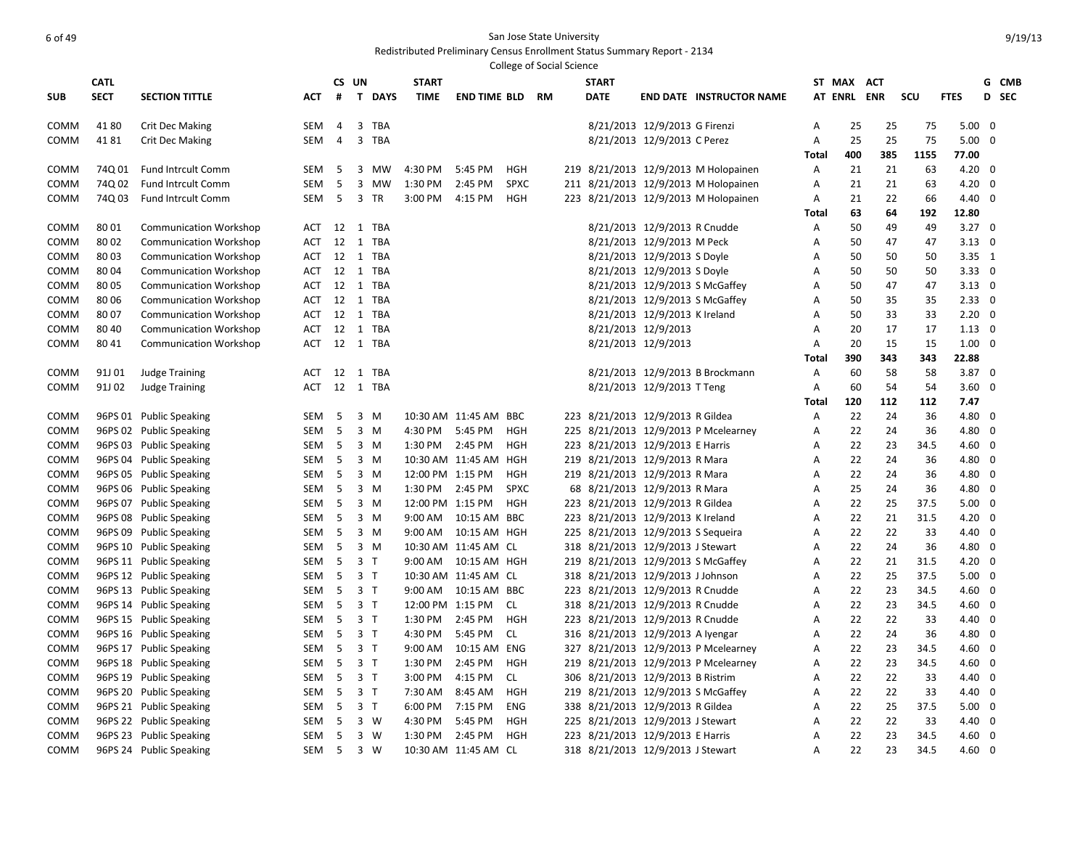# of 49 San Jose State University and the San Jose State University of the San Jose State University

|             |             |                               |            |                |                             |                  |                       | <b>College of Social Science</b> |    |              |                                    |                                      |              |             |            |      |                |                         |       |
|-------------|-------------|-------------------------------|------------|----------------|-----------------------------|------------------|-----------------------|----------------------------------|----|--------------|------------------------------------|--------------------------------------|--------------|-------------|------------|------|----------------|-------------------------|-------|
|             | <b>CATL</b> |                               |            |                | CS UN                       | <b>START</b>     |                       |                                  |    | <b>START</b> |                                    |                                      |              | ST MAX      | <b>ACT</b> |      |                |                         | G CMB |
| <b>SUB</b>  | <b>SECT</b> | <b>SECTION TITTLE</b>         | АСТ        | #              | $\mathbf{T}$<br><b>DAYS</b> | <b>TIME</b>      | <b>END TIME BLD</b>   |                                  | RM | <b>DATE</b>  |                                    | <b>END DATE INSTRUCTOR NAME</b>      |              | AT ENRL ENR |            | SCU  | <b>FTES</b>    | D SEC                   |       |
| COMM        | 4180        | Crit Dec Making               | SEM        | 4              | 3<br>TBA                    |                  |                       |                                  |    |              | 8/21/2013 12/9/2013 G Firenzi      |                                      | Α            | 25          | 25         | 75   | $5.00 \quad 0$ |                         |       |
| COMM        | 4181        | <b>Crit Dec Making</b>        | SEM        | $\overline{4}$ | 3<br>TBA                    |                  |                       |                                  |    |              | 8/21/2013 12/9/2013 C Perez        |                                      | Α            | 25          | 25         | 75   | 5.00           | $\overline{0}$          |       |
|             |             |                               |            |                |                             |                  |                       |                                  |    |              |                                    |                                      | Total        | 400         | 385        | 1155 | 77.00          |                         |       |
| COMM        | 74Q 01      | <b>Fund Intrcult Comm</b>     | SEM        | -5             | 3<br>MW                     | 4:30 PM          | 5:45 PM               | HGH                              |    |              |                                    | 219 8/21/2013 12/9/2013 M Holopainen | A            | 21          | 21         | 63   | $4.20 \ 0$     |                         |       |
| <b>COMM</b> | 74Q 02      | Fund Intrcult Comm            | <b>SEM</b> | - 5            | 3 MW                        | 1:30 PM          | 2:45 PM               | <b>SPXC</b>                      |    |              |                                    | 211 8/21/2013 12/9/2013 M Holopainen | Α            | 21          | 21         | 63   | 4.20           | - 0                     |       |
| <b>COMM</b> | 74Q 03      | <b>Fund Intrcult Comm</b>     | SEM        | - 5            | 3 TR                        | 3:00 PM          | 4:15 PM               | HGH                              |    |              |                                    | 223 8/21/2013 12/9/2013 M Holopainen | Α            | 21          | 22         | 66   | $4.40 \quad 0$ |                         |       |
|             |             |                               |            |                |                             |                  |                       |                                  |    |              |                                    |                                      | Total        | 63          | 64         | 192  | 12.80          |                         |       |
| COMM        | 8001        | <b>Communication Workshop</b> | ACT        | 12             | 1 TBA                       |                  |                       |                                  |    |              | 8/21/2013 12/9/2013 R Cnudde       |                                      | A            | 50          | 49         | 49   | $3.27 \quad 0$ |                         |       |
| COMM        | 8002        | <b>Communication Workshop</b> | ACT        | 12             | 1 TBA                       |                  |                       |                                  |    |              | 8/21/2013 12/9/2013 M Peck         |                                      | Α            | 50          | 47         | 47   | $3.13 \quad 0$ |                         |       |
| <b>COMM</b> | 8003        | <b>Communication Workshop</b> | ACT        |                | 12 1 TBA                    |                  |                       |                                  |    |              | 8/21/2013 12/9/2013 S Doyle        |                                      | Α            | 50          | 50         | 50   | $3.35 \quad 1$ |                         |       |
| COMM        | 8004        | <b>Communication Workshop</b> | ACT        |                | 12 1 TBA                    |                  |                       |                                  |    |              | 8/21/2013 12/9/2013 S Doyle        |                                      | Α            | 50          | 50         | 50   | $3.33 \ 0$     |                         |       |
| COMM        | 8005        | <b>Communication Workshop</b> | ACT        |                | 12 1 TBA                    |                  |                       |                                  |    |              | 8/21/2013 12/9/2013 S McGaffey     |                                      | A            | 50          | 47         | 47   | $3.13 \quad 0$ |                         |       |
| COMM        | 8006        | <b>Communication Workshop</b> | ACT        | 12             | $\mathbf{1}$<br><b>TBA</b>  |                  |                       |                                  |    |              | 8/21/2013 12/9/2013 S McGaffey     |                                      | A            | 50          | 35         | 35   | $2.33 \ 0$     |                         |       |
| COMM        | 8007        | <b>Communication Workshop</b> | ACT        |                | 12 1 TBA                    |                  |                       |                                  |    |              | 8/21/2013 12/9/2013 K Ireland      |                                      | A            | 50          | 33         | 33   | $2.20 \ 0$     |                         |       |
| COMM        | 80 40       | <b>Communication Workshop</b> | ACT        |                | 12 1 TBA                    |                  |                       |                                  |    |              | 8/21/2013 12/9/2013                |                                      | Α            | 20          | 17         | 17   | $1.13 \quad 0$ |                         |       |
| COMM        | 80 41       | <b>Communication Workshop</b> | <b>ACT</b> |                | 12 1 TBA                    |                  |                       |                                  |    |              | 8/21/2013 12/9/2013                |                                      | A            | 20          | 15         | 15   | 1.00           | $\overline{\mathbf{0}}$ |       |
|             |             |                               |            |                |                             |                  |                       |                                  |    |              |                                    |                                      | <b>Total</b> | 390         | 343        | 343  | 22.88          |                         |       |
| COMM        | 91J 01      | <b>Judge Training</b>         | ACT        | 12             | 1 TBA                       |                  |                       |                                  |    |              |                                    | 8/21/2013 12/9/2013 B Brockmann      | Α            | 60          | 58         | 58   | $3.87$ 0       |                         |       |
| COMM        | 91J 02      | <b>Judge Training</b>         | ACT        |                | 12 1 TBA                    |                  |                       |                                  |    |              | 8/21/2013 12/9/2013 T Teng         |                                      | Α            | 60          | 54         | 54   | $3.60 \quad 0$ |                         |       |
|             |             |                               |            |                |                             |                  |                       |                                  |    |              |                                    |                                      | Total        | 120         | 112        | 112  | 7.47           |                         |       |
| COMM        |             | 96PS 01 Public Speaking       | SEM        | - 5            | $3 \, M$                    |                  | 10:30 AM 11:45 AM BBC |                                  |    |              | 223 8/21/2013 12/9/2013 R Gildea   |                                      | Α            | 22          | 24         | 36   | 4.80 0         |                         |       |
| COMM        |             | 96PS 02 Public Speaking       | SEM        | - 5            | 3 M                         | 4:30 PM 5:45 PM  |                       | HGH                              |    |              |                                    | 225 8/21/2013 12/9/2013 P Mcelearney | A            | 22          | 24         | 36   | 4.80 0         |                         |       |
| COMM        |             | 96PS 03 Public Speaking       | SEM        | 5              | 3 M                         | 1:30 PM 2:45 PM  |                       | HGH                              |    |              | 223 8/21/2013 12/9/2013 E Harris   |                                      | A            | 22          | 23         | 34.5 | $4.60 \quad 0$ |                         |       |
| COMM        |             | 96PS 04 Public Speaking       | SEM        | - 5            | $3 \, M$                    |                  | 10:30 AM 11:45 AM HGH |                                  |    |              | 219 8/21/2013 12/9/2013 R Mara     |                                      | Α            | 22          | 24         | 36   | 4.80 0         |                         |       |
| COMM        |             | 96PS 05 Public Speaking       | SEM        | - 5            | $3 \, M$                    | 12:00 PM 1:15 PM |                       | HGH                              |    |              | 219 8/21/2013 12/9/2013 R Mara     |                                      | Α            | 22          | 24         | 36   | 4.80           | $\overline{\mathbf{0}}$ |       |
| COMM        |             | 96PS 06 Public Speaking       | SEM        | - 5            | $3 \, M$                    | 1:30 PM          | 2:45 PM               | <b>SPXC</b>                      |    |              | 68 8/21/2013 12/9/2013 R Mara      |                                      | A            | 25          | 24         | 36   | 4.80 0         |                         |       |
| COMM        |             | 96PS 07 Public Speaking       | SEM        | - 5            | $3 \, M$                    | 12:00 PM 1:15 PM |                       | <b>HGH</b>                       |    |              | 223 8/21/2013 12/9/2013 R Gildea   |                                      | A            | 22          | 25         | 37.5 | $5.00 \quad 0$ |                         |       |
| COMM        |             | 96PS 08 Public Speaking       | SEM        | - 5            | $3 \, M$                    | 9:00 AM          | 10:15 AM BBC          |                                  |    |              | 223 8/21/2013 12/9/2013 K Ireland  |                                      | Α            | 22          | 21         | 31.5 | $4.20 \ 0$     |                         |       |
| COMM        |             | 96PS 09 Public Speaking       | SEM        | 5              | $3 \, M$                    | 9:00 AM          | 10:15 AM HGH          |                                  |    |              | 225 8/21/2013 12/9/2013 S Sequeira |                                      | A            | 22          | 22         | 33   | 4.40           | - 0                     |       |
| COMM        |             | 96PS 10 Public Speaking       | SEM        | - 5            | 3 M                         |                  | 10:30 AM 11:45 AM CL  |                                  |    |              | 318 8/21/2013 12/9/2013 J Stewart  |                                      | A            | 22          | 24         | 36   | 4.80 0         |                         |       |
| COMM        |             | 96PS 11 Public Speaking       | SEM        | - 5            | 3T                          | 9:00 AM          | 10:15 AM HGH          |                                  |    |              | 219 8/21/2013 12/9/2013 S McGaffey |                                      | A            | 22          | 21         | 31.5 | $4.20 \ 0$     |                         |       |
| COMM        |             | 96PS 12 Public Speaking       | SEM        | - 5            | 3 T                         |                  | 10:30 AM 11:45 AM CL  |                                  |    |              | 318 8/21/2013 12/9/2013 J Johnson  |                                      | A            | 22          | 25         | 37.5 | $5.00 \quad 0$ |                         |       |
| COMM        |             | 96PS 13 Public Speaking       | SEM        | - 5            | 3 <sub>1</sub>              | 9:00 AM          | 10:15 AM BBC          |                                  |    |              | 223 8/21/2013 12/9/2013 R Cnudde   |                                      | A            | 22          | 23         | 34.5 | $4.60 \quad 0$ |                         |       |
| COMM        |             | 96PS 14 Public Speaking       | SEM        | - 5            | 3 <sub>1</sub>              | 12:00 PM 1:15 PM |                       | CL                               |    |              | 318 8/21/2013 12/9/2013 R Cnudde   |                                      | Α            | 22          | 23         | 34.5 | $4.60$ 0       |                         |       |
| COMM        |             | 96PS 15 Public Speaking       | SEM        | - 5            | 3T                          | 1:30 PM          | 2:45 PM               | HGH                              |    |              | 223 8/21/2013 12/9/2013 R Cnudde   |                                      | Α            | 22          | 22         | 33   | 4.40 0         |                         |       |
| COMM        |             | 96PS 16 Public Speaking       | SEM        | 5              | 3 <sub>1</sub>              | 4:30 PM          | 5:45 PM               | <b>CL</b>                        |    |              | 316 8/21/2013 12/9/2013 A Iyengar  |                                      | A            | 22          | 24         | 36   | 4.80 0         |                         |       |
| COMM        |             | 96PS 17 Public Speaking       | SEM        | - 5            | 3 T                         | 9:00 AM          | 10:15 AM ENG          |                                  |    |              |                                    | 327 8/21/2013 12/9/2013 P Mcelearney | Α            | 22          | 23         | 34.5 | $4.60 \quad 0$ |                         |       |
| COMM        |             | 96PS 18 Public Speaking       | SEM        | 5              | 3 <sub>1</sub>              | 1:30 PM          | 2:45 PM               | HGH                              |    |              |                                    | 219 8/21/2013 12/9/2013 P Mcelearney | A            | 22          | 23         | 34.5 | 4.60           | - 0                     |       |
| COMM        |             | 96PS 19 Public Speaking       | SEM        | - 5            | 3T                          | 3:00 PM          | 4:15 PM               | CL                               |    |              | 306 8/21/2013 12/9/2013 B Ristrim  |                                      | A            | 22          | 22         | 33   | 4.40 0         |                         |       |
| COMM        |             | 96PS 20 Public Speaking       | SEM        | - 5            | 3 <sub>1</sub>              | 7:30 AM          | 8:45 AM               | HGH                              |    |              | 219 8/21/2013 12/9/2013 S McGaffey |                                      | A            | 22          | 22         | 33   | 4.40 0         |                         |       |
| COMM        |             | 96PS 21 Public Speaking       | <b>SEM</b> | 5              | 3 <sub>1</sub>              | 6:00 PM          | 7:15 PM               | <b>ENG</b>                       |    |              | 338 8/21/2013 12/9/2013 R Gildea   |                                      | A            | 22          | 25         | 37.5 | $5.00 \quad 0$ |                         |       |
| COMM        |             | 96PS 22 Public Speaking       | SEM        | - 5            | 3 W                         | 4:30 PM          | 5:45 PM               | HGH                              |    |              | 225 8/21/2013 12/9/2013 J Stewart  |                                      | A            | 22          | 22         | 33   | 4.40 0         |                         |       |
| COMM        |             | 96PS 23 Public Speaking       | SEM        | - 5            | 3 W                         | 1:30 PM          | 2:45 PM               | <b>HGH</b>                       |    |              | 223 8/21/2013 12/9/2013 E Harris   |                                      | A            | 22          | 23         | 34.5 | 4.60           | 0                       |       |
| COMM        |             | 96PS 24 Public Speaking       | SEM        | - 5            | 3 W                         |                  | 10:30 AM 11:45 AM CL  |                                  |    |              | 318 8/21/2013 12/9/2013 J Stewart  |                                      | A            | 22          | 23         | 34.5 | 4.60           | $\Omega$                |       |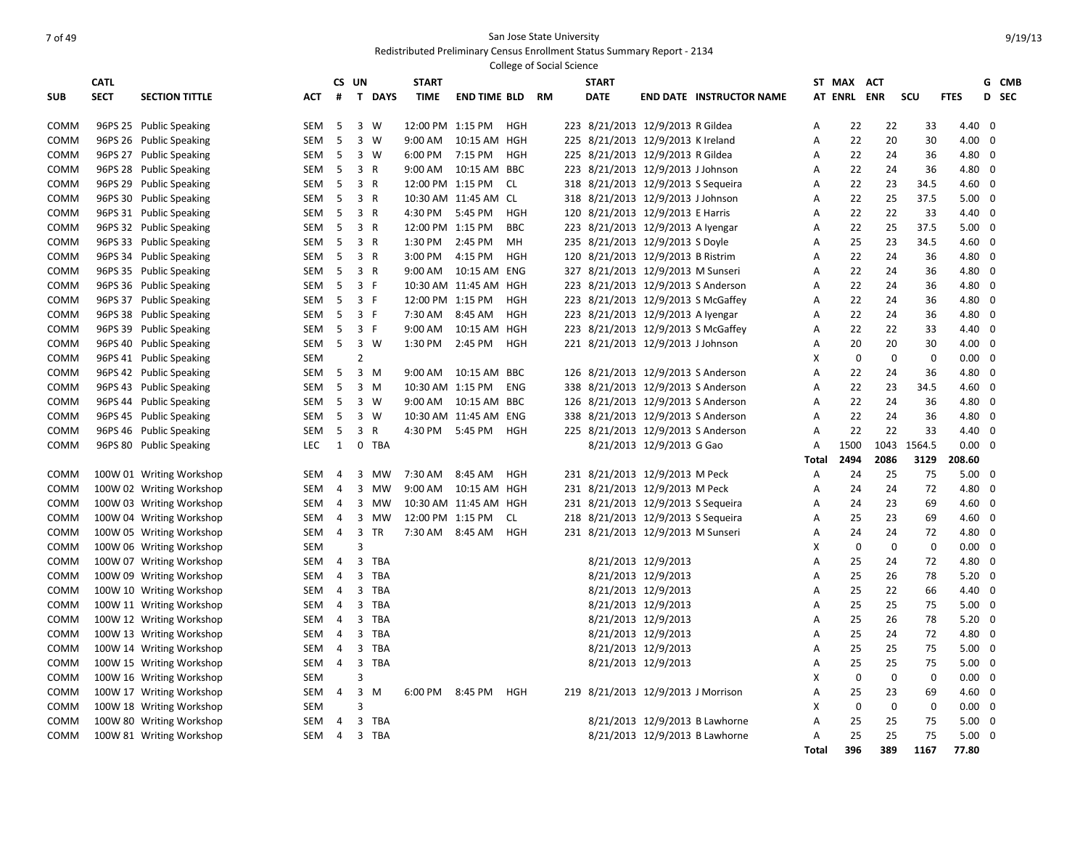# The State University of 49 San Jose State University

|             |             |                          |            |                |                             |                  |                        |            | College of Social Science |              |                                    |                                    |              |                |             |                |                |                         |       |
|-------------|-------------|--------------------------|------------|----------------|-----------------------------|------------------|------------------------|------------|---------------------------|--------------|------------------------------------|------------------------------------|--------------|----------------|-------------|----------------|----------------|-------------------------|-------|
|             | <b>CATL</b> |                          |            |                | CS UN                       | <b>START</b>     |                        |            |                           | <b>START</b> |                                    |                                    |              | ST MAX         | <b>ACT</b>  |                |                |                         | G CMB |
| <b>SUB</b>  | <b>SECT</b> | <b>SECTION TITTLE</b>    | АСТ        | #              | $\mathbf{T}$<br><b>DAYS</b> | <b>TIME</b>      | <b>END TIME BLD</b>    |            | <b>RM</b>                 | <b>DATE</b>  |                                    | <b>END DATE INSTRUCTOR NAME</b>    |              | <b>AT ENRL</b> | <b>ENR</b>  | scu            | <b>FTES</b>    |                         | D SEC |
| COMM        |             | 96PS 25 Public Speaking  | SEM        | -5             | 3 W                         |                  | 12:00 PM 1:15 PM       | HGH        |                           |              | 223 8/21/2013 12/9/2013 R Gildea   |                                    | A            | 22             | 22          | 33             | 4.40           | - 0                     |       |
| COMM        |             | 96PS 26 Public Speaking  | SEM        | 5              | 3<br>W                      | 9:00 AM          | 10:15 AM HGH           |            |                           |              | 225 8/21/2013 12/9/2013 K Ireland  |                                    | Α            | 22             | 20          | 30             | $4.00 \t 0$    |                         |       |
| COMM        |             | 96PS 27 Public Speaking  | SEM        | 5              | 3 W                         | 6:00 PM          | 7:15 PM                | HGH        |                           |              | 225 8/21/2013 12/9/2013 R Gildea   |                                    | Α            | 22             | 24          | 36             | 4.80 0         |                         |       |
| COMM        |             | 96PS 28 Public Speaking  | SEM        | 5              | 3<br>$\overline{R}$         | 9:00 AM          | 10:15 AM BBC           |            |                           |              | 223 8/21/2013 12/9/2013 J Johnson  |                                    | Α            | 22             | 24          | 36             | 4.80 0         |                         |       |
| COMM        |             | 96PS 29 Public Speaking  | SEM        | 5              | 3 R                         |                  | 12:00 PM 1:15 PM       | CL.        |                           |              | 318 8/21/2013 12/9/2013 S Sequeira |                                    | A            | 22             | 23          | 34.5           | $4.60$ 0       |                         |       |
| COMM        |             | 96PS 30 Public Speaking  | SEM        | 5              | 3 R                         |                  | 10:30 AM 11:45 AM CL   |            |                           |              | 318 8/21/2013 12/9/2013 J Johnson  |                                    | Α            | 22             | 25          | 37.5           | $5.00 \quad 0$ |                         |       |
| COMM        |             | 96PS 31 Public Speaking  | SEM        | 5              | 3<br>$\mathsf{R}$           | 4:30 PM          | 5:45 PM                | HGH        |                           |              | 120 8/21/2013 12/9/2013 E Harris   |                                    | Α            | 22             | 22          | 33             | 4.40           | $\overline{\mathbf{0}}$ |       |
| COMM        |             | 96PS 32 Public Speaking  | SEM        | -5             | 3 R                         | 12:00 PM 1:15 PM |                        | <b>BBC</b> |                           |              | 223 8/21/2013 12/9/2013 A Iyengar  |                                    | Α            | 22             | 25          | 37.5           | $5.00 \quad 0$ |                         |       |
| COMM        |             | 96PS 33 Public Speaking  | SEM        | 5              | 3<br>$\mathsf{R}$           | 1:30 PM          | 2:45 PM                | MН         |                           |              | 235 8/21/2013 12/9/2013 S Doyle    |                                    | A            | 25             | 23          | 34.5           | 4.60           | $\mathbf 0$             |       |
| COMM        |             | 96PS 34 Public Speaking  | SEM        | 5              | 3 R                         | 3:00 PM          | 4:15 PM                | <b>HGH</b> |                           |              | 120 8/21/2013 12/9/2013 B Ristrim  |                                    | Α            | 22             | 24          | 36             | 4.80 0         |                         |       |
| COMM        |             | 96PS 35 Public Speaking  | SEM        | 5              | 3 R                         | 9:00 AM          | 10:15 AM ENG           |            |                           |              | 327 8/21/2013 12/9/2013 M Sunseri  |                                    | Α            | 22             | 24          | 36             | 4.80 0         |                         |       |
| COMM        |             | 96PS 36 Public Speaking  | SEM        | -5             | 3 F                         |                  | 10:30 AM 11:45 AM HGH  |            |                           |              |                                    | 223 8/21/2013 12/9/2013 S Anderson | Α            | 22             | 24          | 36             | 4.80 0         |                         |       |
| COMM        |             | 96PS 37 Public Speaking  | SEM        | -5             | 3 F                         |                  | 12:00 PM 1:15 PM       | HGH        |                           |              |                                    | 223 8/21/2013 12/9/2013 S McGaffey | Α            | 22             | 24          | 36             | 4.80 0         |                         |       |
| COMM        |             | 96PS 38 Public Speaking  | SEM        | 5              | 3 F                         | 7:30 AM          | 8:45 AM                | <b>HGH</b> |                           |              | 223 8/21/2013 12/9/2013 A Iyengar  |                                    | Α            | 22             | 24          | 36             | 4.80           | $\overline{0}$          |       |
| COMM        |             | 96PS 39 Public Speaking  | SEM        | 5              | 3 F                         | 9:00 AM          | 10:15 AM HGH           |            |                           |              |                                    | 223 8/21/2013 12/9/2013 S McGaffey | Α            | 22             | 22          | 33             | 4.40 0         |                         |       |
| COMM        |             | 96PS 40 Public Speaking  | SEM        | 5              | 3<br>W                      | 1:30 PM          | 2:45 PM                | <b>HGH</b> |                           |              | 221 8/21/2013 12/9/2013 J Johnson  |                                    | A            | 20             | 20          | 30             | 4.00           | $\overline{0}$          |       |
| COMM        |             | 96PS 41 Public Speaking  | SEM        |                | $\overline{2}$              |                  |                        |            |                           |              |                                    |                                    | X            | 0              | $\mathbf 0$ | $\mathbf 0$    | 0.00           | $\overline{0}$          |       |
| COMM        |             | 96PS 42 Public Speaking  | <b>SEM</b> | 5              | 3<br>M                      | $9:00$ AM        | 10:15 AM               | BBC        |                           |              |                                    | 126 8/21/2013 12/9/2013 S Anderson | A            | 22             | 24          | 36             | 4.80           | $\overline{0}$          |       |
| COMM        |             | 96PS 43 Public Speaking  | <b>SEM</b> | 5              | $3 \, M$                    |                  | 10:30 AM 1:15 PM       | <b>ENG</b> |                           |              |                                    | 338 8/21/2013 12/9/2013 S Anderson | Α            | 22             | 23          | 34.5           | $4.60 \quad 0$ |                         |       |
| COMM        |             | 96PS 44 Public Speaking  | SEM        | 5              | 3<br>w                      |                  | 9:00 AM  10:15 AM  BBC |            |                           |              |                                    | 126 8/21/2013 12/9/2013 S Anderson | Α            | 22             | 24          | 36             | 4.80 0         |                         |       |
| COMM        |             | 96PS 45 Public Speaking  | SEM        | 5              | 3 W                         |                  | 10:30 AM 11:45 AM ENG  |            |                           |              |                                    | 338 8/21/2013 12/9/2013 S Anderson | Α            | 22             | 24          | 36             | 4.80 0         |                         |       |
| COMM        |             | 96PS 46 Public Speaking  | <b>SEM</b> | 5              | 3<br>$\mathsf{R}$           | 4:30 PM          | 5:45 PM                | <b>HGH</b> |                           |              |                                    | 225 8/21/2013 12/9/2013 S Anderson | Α            | 22             | 22          | 33             | 4.40 0         |                         |       |
| COMM        |             | 96PS 80 Public Speaking  | <b>LEC</b> | $\mathbf{1}$   | $\mathbf 0$<br>TBA          |                  |                        |            |                           |              | 8/21/2013 12/9/2013 G Gao          |                                    | Α            | 1500           | 1043        | 1564.5         | $0.00 \quad 0$ |                         |       |
|             |             |                          |            |                |                             |                  |                        |            |                           |              |                                    |                                    | Total        | 2494           | 2086        | 3129           | 208.60         |                         |       |
| COMM        |             | 100W 01 Writing Workshop | SEM        | $\overline{4}$ | 3<br>MW                     | 7:30 AM          | 8:45 AM                | HGH        |                           |              | 231 8/21/2013 12/9/2013 M Peck     |                                    | Α            | 24             | 25          | 75             | 5.00           | $\overline{0}$          |       |
| COMM        |             | 100W 02 Writing Workshop | SEM        | $\overline{4}$ | 3<br><b>MW</b>              | 9:00 AM          | 10:15 AM HGH           |            |                           |              | 231 8/21/2013 12/9/2013 M Peck     |                                    | A            | 24             | 24          | 72             | 4.80           | $\overline{0}$          |       |
| COMM        |             | 100W 03 Writing Workshop | SEM        | $\overline{4}$ | 3<br>MW                     |                  | 10:30 AM 11:45 AM HGH  |            |                           |              | 231 8/21/2013 12/9/2013 S Sequeira |                                    | A            | 24             | 23          | 69             | $4.60 \quad 0$ |                         |       |
| <b>COMM</b> |             | 100W 04 Writing Workshop | SEM        | $\overline{4}$ | 3<br>MW                     |                  | 12:00 PM 1:15 PM       | <b>CL</b>  |                           |              | 218 8/21/2013 12/9/2013 S Sequeira |                                    | Α            | 25             | 23          | 69             | $4.60 \quad 0$ |                         |       |
| COMM        |             | 100W 05 Writing Workshop | SEM        | $\overline{4}$ | 3<br><b>TR</b>              |                  | 7:30 AM 8:45 AM        | HGH        |                           |              | 231 8/21/2013 12/9/2013 M Sunseri  |                                    | Α            | 24             | 24          | 72             | 4.80 0         |                         |       |
| COMM        |             | 100W 06 Writing Workshop | SEM        |                | 3                           |                  |                        |            |                           |              |                                    |                                    | X            | $\mathbf 0$    | $\mathbf 0$ | 0              | $0.00 \quad 0$ |                         |       |
| COMM        |             | 100W 07 Writing Workshop | SEM        | 4              | 3<br><b>TBA</b>             |                  |                        |            |                           |              | 8/21/2013 12/9/2013                |                                    | Α            | 25             | 24          | 72             | 4.80           | $\overline{0}$          |       |
| COMM        |             | 100W 09 Writing Workshop | SEM        | 4              | 3<br><b>TBA</b>             |                  |                        |            |                           |              | 8/21/2013 12/9/2013                |                                    | Α            | 25             | 26          | 78             | $5.20 \quad 0$ |                         |       |
| COMM        |             | 100W 10 Writing Workshop | SEM        | $\overline{4}$ | 3<br><b>TBA</b>             |                  |                        |            |                           |              | 8/21/2013 12/9/2013                |                                    | Α            | 25             | 22          | 66             | 4.40 0         |                         |       |
| COMM        |             | 100W 11 Writing Workshop | SEM        | $\overline{a}$ | 3<br><b>TBA</b>             |                  |                        |            |                           |              | 8/21/2013 12/9/2013                |                                    | A            | 25             | 25          | 75             | $5.00 \quad 0$ |                         |       |
| COMM        |             | 100W 12 Writing Workshop | SEM        | 4              | 3<br><b>TBA</b>             |                  |                        |            |                           |              | 8/21/2013 12/9/2013                |                                    | Α            | 25             | 26          | 78             | $5.20 \quad 0$ |                         |       |
| COMM        |             | 100W 13 Writing Workshop | SEM        | $\overline{4}$ | 3<br><b>TBA</b>             |                  |                        |            |                           |              | 8/21/2013 12/9/2013                |                                    | A            | 25             | 24          | 72             | 4.80           | $\overline{0}$          |       |
| COMM        |             | 100W 14 Writing Workshop | SEM        | $\overline{4}$ | 3<br><b>TBA</b>             |                  |                        |            |                           |              | 8/21/2013 12/9/2013                |                                    | Α            | 25             | 25          | 75             | $5.00 \quad 0$ |                         |       |
| COMM        |             | 100W 15 Writing Workshop | SEM        | $\overline{4}$ | 3<br><b>TBA</b>             |                  |                        |            |                           |              | 8/21/2013 12/9/2013                |                                    | A            | 25             | 25          | 75             | $5.00 \quad 0$ |                         |       |
| COMM        |             | 100W 16 Writing Workshop | SEM        |                | 3                           |                  |                        |            |                           |              |                                    |                                    | X            | 0              | 0           | $\overline{0}$ | $0.00 \quad 0$ |                         |       |
| COMM        |             | 100W 17 Writing Workshop | SEM        | $\overline{4}$ | 3<br>M                      | 6:00 PM          | 8:45 PM                | <b>HGH</b> |                           |              | 219 8/21/2013 12/9/2013 J Morrison |                                    | A            | 25             | 23          | 69             | $4.60 \quad 0$ |                         |       |
| COMM        |             | 100W 18 Writing Workshop | SEM        |                | 3                           |                  |                        |            |                           |              |                                    |                                    | X            | 0              | $\mathbf 0$ | $\mathbf{0}$   | $0.00 \quad 0$ |                         |       |
| <b>COMM</b> |             | 100W 80 Writing Workshop | SEM        | 4              | 3<br><b>TBA</b>             |                  |                        |            |                           |              |                                    | 8/21/2013 12/9/2013 B Lawhorne     | A            | 25             | 25          | 75             | 5.00           | $\overline{\mathbf{0}}$ |       |
| COMM        |             | 100W 81 Writing Workshop | SEM        | $\overline{4}$ | 3 TBA                       |                  |                        |            |                           |              |                                    | 8/21/2013 12/9/2013 B Lawhorne     | Α            | 25             | 25          | 75             | 5.00           | $\overline{0}$          |       |
|             |             |                          |            |                |                             |                  |                        |            |                           |              |                                    |                                    | <b>Total</b> | 396            | 389         | 1167           | 77.80          |                         |       |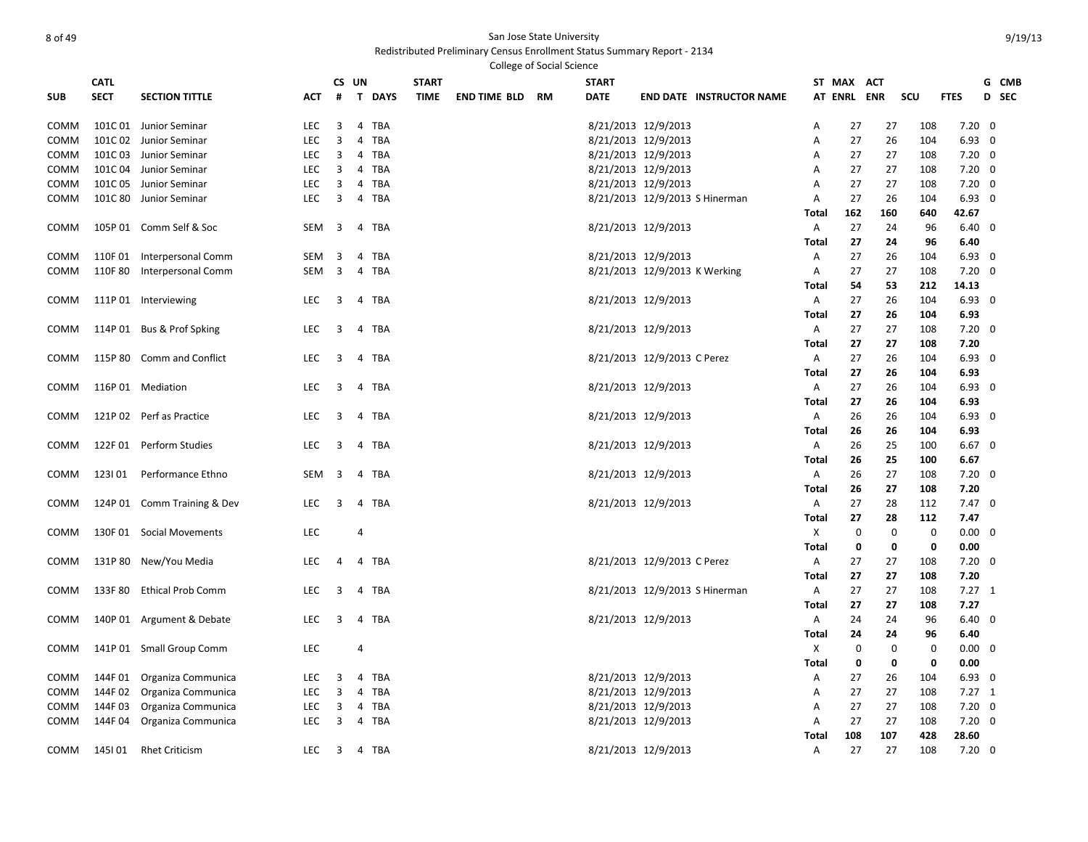Redistributed Preliminary Census Enrollment Status Summary Report - 2134 .<br>College of Social Science

|             |             |                             |            |                         |                       |              |                     | COMERG OF SOCIAL SCIENCE |              |                               |                                 |              |             |             |             |                |       |
|-------------|-------------|-----------------------------|------------|-------------------------|-----------------------|--------------|---------------------|--------------------------|--------------|-------------------------------|---------------------------------|--------------|-------------|-------------|-------------|----------------|-------|
|             | <b>CATL</b> |                             |            |                         | CS UN                 | <b>START</b> |                     |                          | <b>START</b> |                               |                                 |              | ST MAX ACT  |             |             |                | G CMB |
| <b>SUB</b>  | <b>SECT</b> | <b>SECTION TITTLE</b>       | АСТ        | #                       | <b>T DAYS</b>         | <b>TIME</b>  | <b>END TIME BLD</b> | RM                       | <b>DATE</b>  |                               | <b>END DATE INSTRUCTOR NAME</b> |              | AT ENRL ENR |             | scu         | <b>FTES</b>    | D SEC |
| <b>COMM</b> |             | 101C 01 Junior Seminar      | LEC        | 3                       | 4 TBA                 |              |                     |                          |              | 8/21/2013 12/9/2013           |                                 | Α            | 27          | 27          | 108         | $7.20 \ 0$     |       |
| COMM        |             | 101C 02 Junior Seminar      | LEC        | 3                       | 4 TBA                 |              |                     |                          |              | 8/21/2013 12/9/2013           |                                 | Α            | 27          | 26          | 104         | $6.93$ 0       |       |
| COMM        |             | 101C 03 Junior Seminar      | LEC        | 3                       | 4 TBA                 |              |                     |                          |              | 8/21/2013 12/9/2013           |                                 | Α            | 27          | 27          | 108         | $7.20 \ 0$     |       |
| <b>COMM</b> |             | 101C 04 Junior Seminar      | LEC        | 3                       | 4 TBA                 |              |                     |                          |              | 8/21/2013 12/9/2013           |                                 | A            | 27          | 27          | 108         | $7.20 \ 0$     |       |
| COMM        |             | 101C 05 Junior Seminar      | <b>LEC</b> | 3                       | $\overline{4}$<br>TBA |              |                     |                          |              | 8/21/2013 12/9/2013           |                                 | A            | 27          | 27          | 108         | $7.20 \ 0$     |       |
| COMM        |             | 101C 80 Junior Seminar      | <b>LEC</b> | 3                       | 4 TBA                 |              |                     |                          |              |                               | 8/21/2013 12/9/2013 S Hinerman  | A            | 27          | 26          | 104         | $6.93$ 0       |       |
|             |             |                             |            |                         |                       |              |                     |                          |              |                               |                                 | Total        | 162         | 160         | 640         | 42.67          |       |
| COMM        |             | 105P 01 Comm Self & Soc     | SEM        | $\overline{3}$          | 4 TBA                 |              |                     |                          |              | 8/21/2013 12/9/2013           |                                 | A            | 27          | 24          | 96          | $6.40 \quad 0$ |       |
|             |             |                             |            |                         |                       |              |                     |                          |              |                               |                                 | Total        | 27          | 24          | 96          | 6.40           |       |
| COMM        |             | 110F 01 Interpersonal Comm  | SEM        | 3                       | 4<br>TBA              |              |                     |                          |              | 8/21/2013 12/9/2013           |                                 | Α            | 27          | 26          | 104         | $6.93$ 0       |       |
| COMM        |             | 110F 80 Interpersonal Comm  | SEM        | $\overline{\mathbf{3}}$ | 4 TBA                 |              |                     |                          |              | 8/21/2013 12/9/2013 K Werking |                                 | Α            | 27          | 27          | 108         | $7.20 \ 0$     |       |
|             |             |                             |            |                         |                       |              |                     |                          |              |                               |                                 | Total        | 54          | 53          | 212         | 14.13          |       |
| COMM        |             | 111P 01 Interviewing        | LEC        | 3                       | 4 TBA                 |              |                     |                          |              | 8/21/2013 12/9/2013           |                                 | A            | 27          | 26          | 104         | $6.93$ 0       |       |
|             |             |                             |            |                         |                       |              |                     |                          |              |                               |                                 | Total        | 27          | 26          | 104         | 6.93           |       |
| COMM        |             | 114P 01 Bus & Prof Spking   | LEC        | 3                       | 4 TBA                 |              |                     |                          |              | 8/21/2013 12/9/2013           |                                 | A            | 27          | 27          | 108         | $7.20 \ 0$     |       |
|             |             |                             |            |                         |                       |              |                     |                          |              |                               |                                 | Total        | 27          | 27          | 108         | 7.20           |       |
| COMM        |             | 115P 80 Comm and Conflict   | LEC        | 3                       | 4 TBA                 |              |                     |                          |              | 8/21/2013 12/9/2013 C Perez   |                                 | A            | 27          | 26          | 104         | $6.93$ 0       |       |
|             |             |                             |            |                         |                       |              |                     |                          |              |                               |                                 | Total        | 27          | 26          | 104         | 6.93           |       |
| COMM        |             | 116P 01 Mediation           | LEC        | 3                       | TBA<br>4              |              |                     |                          |              | 8/21/2013 12/9/2013           |                                 | A            | 27          | 26          | 104         | $6.93$ 0       |       |
|             |             |                             |            |                         |                       |              |                     |                          |              |                               |                                 | Total        | 27          | 26          | 104         | 6.93           |       |
| <b>COMM</b> |             | 121P 02 Perf as Practice    | LEC        | 3                       | 4 TBA                 |              |                     |                          |              | 8/21/2013 12/9/2013           |                                 | A            | 26          | 26          | 104         | $6.93$ 0       |       |
|             |             |                             |            |                         |                       |              |                     |                          |              |                               |                                 | Total        | 26          | 26          | 104         | 6.93           |       |
| COMM        |             | 122F 01 Perform Studies     | <b>LEC</b> | 3                       | 4 TBA                 |              |                     |                          |              | 8/21/2013 12/9/2013           |                                 | A            | 26          | 25          | 100         | $6.67$ 0       |       |
|             |             |                             |            |                         |                       |              |                     |                          |              |                               |                                 | Total        | 26          | 25          | 100         | 6.67           |       |
| COMM        | 1231 01     | Performance Ethno           | SEM        | 3                       | 4 TBA                 |              |                     |                          |              | 8/21/2013 12/9/2013           |                                 | A            | 26          | 27          | 108         | $7.20 \ 0$     |       |
|             |             |                             |            |                         |                       |              |                     |                          |              |                               |                                 | Total        | 26          | 27          | 108         | 7.20           |       |
| COMM        |             | 124P 01 Comm Training & Dev | LEC        | 3                       | 4 TBA                 |              |                     |                          |              | 8/21/2013 12/9/2013           |                                 | A            | 27          | 28          | 112         | $7.47 \quad 0$ |       |
|             |             |                             |            |                         |                       |              |                     |                          |              |                               |                                 | Total        | 27          | 28          | 112         | 7.47           |       |
| COMM        |             | 130F 01 Social Movements    | <b>LEC</b> |                         | $\overline{4}$        |              |                     |                          |              |                               |                                 | X            | $\mathbf 0$ | $\mathbf 0$ | $\mathbf 0$ | $0.00 \quad 0$ |       |
|             |             |                             |            |                         |                       |              |                     |                          |              |                               |                                 | <b>Total</b> | 0           | 0           | $\mathbf 0$ | 0.00           |       |
| COMM        |             | 131P 80 New/You Media       | LEC        | 4                       | 4 TBA                 |              |                     |                          |              | 8/21/2013 12/9/2013 C Perez   |                                 | Α            | 27          | 27          | 108         | $7.20 \quad 0$ |       |
|             |             |                             |            |                         |                       |              |                     |                          |              |                               |                                 | Total        | 27          | 27          | 108         | 7.20           |       |
| COMM        |             | 133F 80 Ethical Prob Comm   | LEC        | 3                       | TBA<br>$\overline{4}$ |              |                     |                          |              |                               | 8/21/2013 12/9/2013 S Hinerman  | A            | 27          | 27          | 108         | $7.27$ 1       |       |
|             |             |                             |            |                         |                       |              |                     |                          |              |                               |                                 | Total        | 27          | 27          | 108         | 7.27           |       |
| COMM        |             | 140P 01 Argument & Debate   | LEC        | 3                       | TBA<br>$\overline{4}$ |              |                     |                          |              | 8/21/2013 12/9/2013           |                                 | Α            | 24          | 24          | 96          | $6.40 \quad 0$ |       |
|             |             |                             |            |                         |                       |              |                     |                          |              |                               |                                 | Total        | 24          | 24          | 96          | 6.40           |       |
| COMM        |             | 141P 01 Small Group Comm    | LEC        |                         | 4                     |              |                     |                          |              |                               |                                 | Х            | 0           | 0           | 0           | $0.00 \quad 0$ |       |
|             |             |                             |            |                         |                       |              |                     |                          |              |                               |                                 | <b>Total</b> | 0           | 0           | 0           | 0.00           |       |
| COMM        |             | 144F 01 Organiza Communica  | <b>LEC</b> | 3                       | 4 TBA                 |              |                     |                          |              | 8/21/2013 12/9/2013           |                                 | Α            | 27          | 26          | 104         | $6.93$ 0       |       |
| COMM        |             | 144F 02 Organiza Communica  | <b>LEC</b> | 3                       | 4 TBA                 |              |                     |                          |              | 8/21/2013 12/9/2013           |                                 | A            | 27          | 27          | 108         | $7.27$ 1       |       |
| COMM        | 144F03      | Organiza Communica          | LEC        | 3                       | 4 TBA                 |              |                     |                          |              | 8/21/2013 12/9/2013           |                                 | Α            | 27          | 27          | 108         | $7.20 \ 0$     |       |
| COMM        |             | 144F 04 Organiza Communica  | <b>LEC</b> | 3                       | 4 TBA                 |              |                     |                          |              | 8/21/2013 12/9/2013           |                                 | A            | 27          | 27          | 108         | $7.20 \quad 0$ |       |
|             |             |                             |            |                         |                       |              |                     |                          |              |                               |                                 | Total        | 108         | 107         | 428         | 28.60          |       |
| COMM        | 145I 01     | <b>Rhet Criticism</b>       | <b>LEC</b> |                         | 3 4 TBA               |              |                     |                          |              | 8/21/2013 12/9/2013           |                                 | A            | 27          | 27          | 108         | $7.20 \ 0$     |       |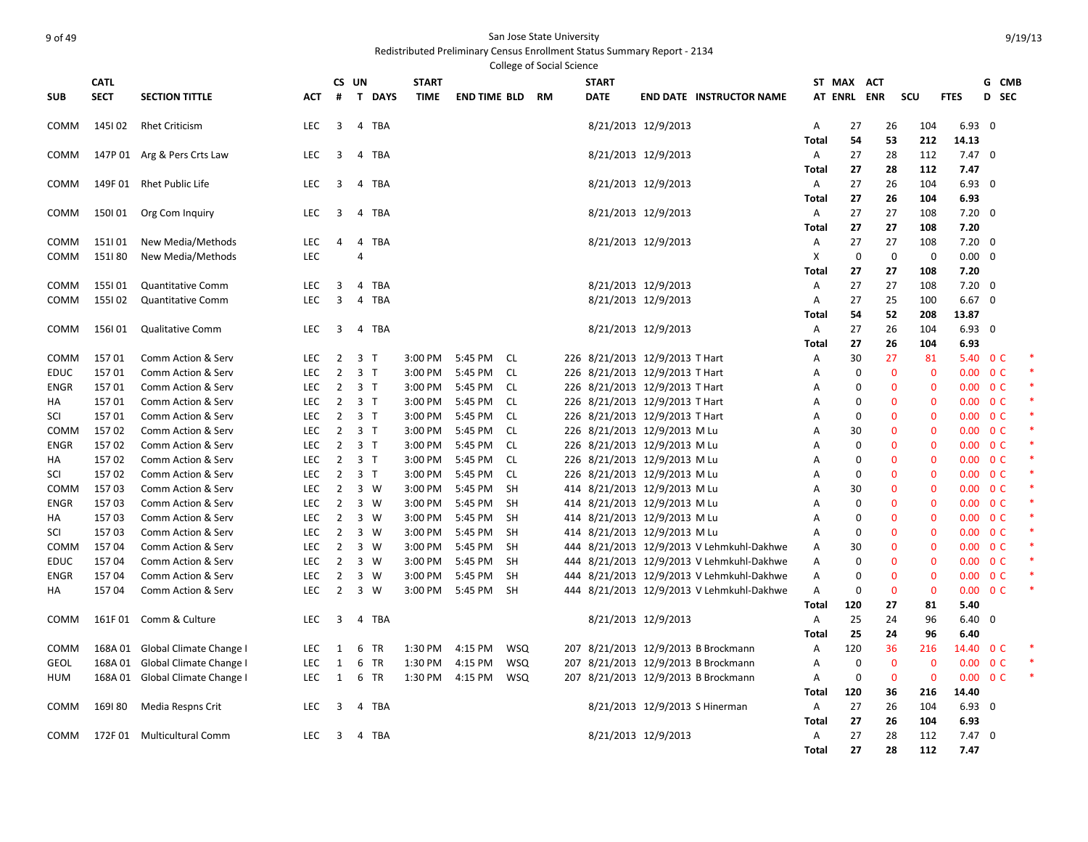# example of 49 San Jose State University and the San Jose State University

|             |             |                                 |            |                |                              |              |                     |            | College of Social Science |                                |                     |                                           |              |             |              |              |                          |                          |  |
|-------------|-------------|---------------------------------|------------|----------------|------------------------------|--------------|---------------------|------------|---------------------------|--------------------------------|---------------------|-------------------------------------------|--------------|-------------|--------------|--------------|--------------------------|--------------------------|--|
|             | <b>CATL</b> |                                 |            | CS UN          |                              | <b>START</b> |                     |            |                           | <b>START</b>                   |                     |                                           |              | ST MAX ACT  |              |              |                          | G CMB                    |  |
| <b>SUB</b>  | <b>SECT</b> | <b>SECTION TITTLE</b>           | <b>ACT</b> | #              | T.<br><b>DAYS</b>            | <b>TIME</b>  | <b>END TIME BLD</b> |            | <b>RM</b>                 | <b>DATE</b>                    |                     | <b>END DATE INSTRUCTOR NAME</b>           |              | AT ENRL ENR |              | SCU          | <b>FTES</b>              | D<br><b>SEC</b>          |  |
| COMM        | 145102      | <b>Rhet Criticism</b>           | <b>LEC</b> | 3              | 4 TBA                        |              |                     |            |                           |                                | 8/21/2013 12/9/2013 |                                           | Α            | 27          | 26           | 104          | $6.93$ 0                 |                          |  |
|             |             |                                 |            |                |                              |              |                     |            |                           |                                |                     |                                           | Total        | 54          | 53           | 212          | 14.13                    |                          |  |
| COMM        |             | 147P 01 Arg & Pers Crts Law     | LEC        | 3              | 4 TBA                        |              |                     |            |                           |                                | 8/21/2013 12/9/2013 |                                           | Α            | 27          | 28           | 112          | $7.47\quad0$             |                          |  |
|             |             |                                 |            |                |                              |              |                     |            |                           |                                |                     |                                           | <b>Total</b> | 27          | 28           | 112          | 7.47                     |                          |  |
| <b>COMM</b> |             | 149F 01 Rhet Public Life        | <b>LEC</b> | 3              | 4 TBA                        |              |                     |            |                           |                                | 8/21/2013 12/9/2013 |                                           | Α            | 27          | 26           | 104          | $6.93$ 0                 |                          |  |
|             |             |                                 |            |                |                              |              |                     |            |                           |                                |                     |                                           | Total        | 27          | 26           | 104          | 6.93                     |                          |  |
| <b>COMM</b> | 150101      | Org Com Inquiry                 | LEC        | 3              | 4 TBA                        |              |                     |            |                           |                                | 8/21/2013 12/9/2013 |                                           | Α            | 27          | 27           | 108          | $7.20 \ 0$               |                          |  |
|             |             |                                 |            |                |                              |              |                     |            |                           |                                |                     |                                           | <b>Total</b> | 27          | 27           | 108          | 7.20                     |                          |  |
| COMM        | 151101      | New Media/Methods               | LEC        | $\overline{a}$ | $\overline{4}$<br><b>TBA</b> |              |                     |            |                           |                                | 8/21/2013 12/9/2013 |                                           | Α            | 27          | 27           | 108          | $7.20 \quad 0$           |                          |  |
| <b>COMM</b> | 151180      | New Media/Methods               | LEC        |                | 4                            |              |                     |            |                           |                                |                     |                                           | X            | $\mathbf 0$ | $\mathbf 0$  | $\mathbf 0$  | $0.00 \quad 0$           |                          |  |
|             |             |                                 |            |                |                              |              |                     |            |                           |                                |                     |                                           | Total        | 27          | 27           | 108          | 7.20                     |                          |  |
| COMM        | 155101      | <b>Quantitative Comm</b>        | <b>LEC</b> | 3              | 4<br>TBA                     |              |                     |            |                           |                                | 8/21/2013 12/9/2013 |                                           | Α            | 27          | 27           | 108          | $7.20 \quad 0$           |                          |  |
| <b>COMM</b> | 155102      | <b>Quantitative Comm</b>        | LEC        | 3              | $\overline{4}$<br><b>TBA</b> |              |                     |            |                           |                                | 8/21/2013 12/9/2013 |                                           | Α            | 27          | 25           | 100          | $6.67$ 0                 |                          |  |
|             |             |                                 |            |                |                              |              |                     |            |                           |                                |                     |                                           | <b>Total</b> | 54          | 52           | 208          | 13.87                    |                          |  |
| COMM        | 156101      | <b>Qualitative Comm</b>         | <b>LEC</b> | 3              | 4 TBA                        |              |                     |            |                           |                                | 8/21/2013 12/9/2013 |                                           | A            | 27          | 26           | 104          | $6.93$ 0                 |                          |  |
|             |             |                                 |            |                |                              |              |                     |            |                           |                                |                     |                                           | Total        | 27          | 26           | 104          | 6.93                     |                          |  |
| <b>COMM</b> | 15701       | Comm Action & Serv              | LEC        | $\overline{2}$ | 3 <sub>1</sub>               | 3:00 PM      | 5:45 PM             | CL         |                           | 226 8/21/2013 12/9/2013 T Hart |                     |                                           | Α            | 30          | 27           | 81           |                          | 5.40 OC                  |  |
| <b>EDUC</b> | 15701       | Comm Action & Serv              | LEC        | $\overline{2}$ | 3 <sub>1</sub>               | 3:00 PM      | 5:45 PM             | CL         |                           | 226 8/21/2013 12/9/2013 T Hart |                     |                                           | Α            | $\mathbf 0$ | $\mathbf{0}$ | $\mathbf{0}$ | 0.00                     | 0 <sup>C</sup>           |  |
| <b>ENGR</b> | 15701       | Comm Action & Serv              | <b>LEC</b> | $2^{\circ}$    | 3 <sub>1</sub>               | 3:00 PM      | 5:45 PM             | CL         |                           | 226 8/21/2013 12/9/2013 T Hart |                     |                                           | Α            | 0           | $\Omega$     | $\Omega$     | $0.00 \quad 0 \text{ C}$ |                          |  |
| HA          | 15701       | Comm Action & Serv              | <b>LEC</b> | $\overline{2}$ | 3 <sub>1</sub>               | 3:00 PM      | 5:45 PM             | CL.        |                           | 226 8/21/2013 12/9/2013 T Hart |                     |                                           | A            | $\Omega$    | $\Omega$     | $\Omega$     | 0.00 <sub>1</sub>        | 0 <sup>C</sup>           |  |
| SCI         | 15701       | Comm Action & Serv              | LEC        | $2^{\circ}$    | 3 T                          | 3:00 PM      | 5:45 PM             | <b>CL</b>  |                           | 226 8/21/2013 12/9/2013 T Hart |                     |                                           | Α            | $\Omega$    | $\Omega$     | $\Omega$     |                          | $0.00 \t 0 C$            |  |
| COMM        | 15702       | Comm Action & Serv              | LEC        | $\overline{2}$ | 3 <sub>1</sub>               | 3:00 PM      | 5:45 PM             | CL         |                           | 226 8/21/2013 12/9/2013 M Lu   |                     |                                           | Α            | 30          | $\mathbf 0$  | $\mathbf{0}$ |                          | $0.00 \quad 0 \text{ C}$ |  |
| <b>ENGR</b> | 15702       | Comm Action & Serv              | LEC        | $2^{\circ}$    | 3 <sub>1</sub>               | 3:00 PM      | 5:45 PM             | <b>CL</b>  |                           | 226 8/21/2013 12/9/2013 M Lu   |                     |                                           | A            | $\mathbf 0$ | $\mathbf{0}$ | $\Omega$     |                          | $0.00 \quad 0 \text{ C}$ |  |
| HA          | 15702       | Comm Action & Serv              | <b>LEC</b> | $\overline{2}$ | 3 <sub>1</sub>               | 3:00 PM      | 5:45 PM             | <b>CL</b>  |                           | 226 8/21/2013 12/9/2013 M Lu   |                     |                                           | A            | $\mathbf 0$ | $\mathbf{0}$ | $\Omega$     | 0.00                     | 0 <sup>C</sup>           |  |
| SCI         | 15702       | Comm Action & Serv              | <b>LEC</b> | $\overline{2}$ | 3 <sub>1</sub>               | 3:00 PM      | 5:45 PM             | <b>CL</b>  |                           | 226 8/21/2013 12/9/2013 M Lu   |                     |                                           | A            | $\Omega$    | $\mathbf{0}$ | $\Omega$     | 0.00 <sub>1</sub>        | 0 <sup>C</sup>           |  |
| <b>COMM</b> | 15703       | Comm Action & Serv              | LEC        | $\overline{2}$ | 3 W                          | 3:00 PM      | 5:45 PM             | <b>SH</b>  |                           | 414 8/21/2013 12/9/2013 M Lu   |                     |                                           | Α            | 30          | $\mathbf{0}$ | $\Omega$     |                          | $0.00 \t 0 C$            |  |
| <b>ENGR</b> | 15703       | Comm Action & Serv              | <b>LEC</b> | $\overline{2}$ | 3 W                          | 3:00 PM      | 5:45 PM             | <b>SH</b>  |                           | 414 8/21/2013 12/9/2013 M Lu   |                     |                                           | Α            | $\mathbf 0$ | $\Omega$     | $\Omega$     | 0.00                     | 0 <sup>C</sup>           |  |
| HA          | 15703       | Comm Action & Serv              | <b>LEC</b> | $\overline{2}$ | 3 W                          | 3:00 PM      | 5:45 PM             | <b>SH</b>  |                           | 414 8/21/2013 12/9/2013 M Lu   |                     |                                           | A            | $\mathbf 0$ | $\Omega$     | $\Omega$     |                          | $0.00 \quad 0 \text{ C}$ |  |
| SCI         | 15703       | Comm Action & Serv              | <b>LEC</b> | $\overline{2}$ | 3 W                          | 3:00 PM      | 5:45 PM             | <b>SH</b>  |                           | 414 8/21/2013 12/9/2013 M Lu   |                     |                                           | A            | $\Omega$    | $\Omega$     | $\Omega$     | 0.00                     | 0 <sup>C</sup>           |  |
| <b>COMM</b> | 15704       | Comm Action & Serv              | LEC        | $\overline{2}$ | 3 W                          | 3:00 PM      | 5:45 PM             | <b>SH</b>  |                           |                                |                     | 444 8/21/2013 12/9/2013 V Lehmkuhl-Dakhwe | Α            | 30          | $\mathbf{0}$ | $\Omega$     |                          | $0.00 \quad 0 \text{ C}$ |  |
| <b>EDUC</b> | 15704       | Comm Action & Serv              | LEC        | $\overline{2}$ | 3 W                          | 3:00 PM      | 5:45 PM             | SH         |                           |                                |                     | 444 8/21/2013 12/9/2013 V Lehmkuhl-Dakhwe | Α            | 0           | $\mathbf 0$  | 0            |                          | $0.00 \t 0 C$            |  |
| <b>ENGR</b> | 15704       | Comm Action & Serv              | <b>LEC</b> | $\overline{2}$ | 3 W                          | 3:00 PM      | 5:45 PM             | <b>SH</b>  |                           |                                |                     | 444 8/21/2013 12/9/2013 V Lehmkuhl-Dakhwe | Α            | $\mathbf 0$ | $\bf{0}$     | $\mathbf 0$  |                          | $0.00 \quad 0 \text{ C}$ |  |
| HA          | 15704       | Comm Action & Serv              | <b>LEC</b> | $\overline{2}$ | $3 \quad W$                  | 3:00 PM      | 5:45 PM             | <b>SH</b>  |                           |                                |                     | 444 8/21/2013 12/9/2013 V Lehmkuhl-Dakhwe | Α            | $\mathbf 0$ | $\mathbf 0$  | $\mathbf 0$  |                          | $0.00 \t 0 C$            |  |
|             |             |                                 |            |                |                              |              |                     |            |                           |                                |                     |                                           | <b>Total</b> | 120         | 27           | 81           | 5.40                     |                          |  |
| COMM        |             | 161F 01 Comm & Culture          | <b>LEC</b> | 3              | 4 TBA                        |              |                     |            |                           |                                | 8/21/2013 12/9/2013 |                                           | Α            | 25          | 24           | 96           | $6.40 \quad 0$           |                          |  |
|             |             |                                 |            |                |                              |              |                     |            |                           |                                |                     |                                           | Total        | 25          | 24           | 96           | 6.40                     |                          |  |
| COMM        |             | 168A 01 Global Climate Change I | LEC        | 1              | 6<br><b>TR</b>               | 1:30 PM      | 4:15 PM             | <b>WSQ</b> |                           |                                |                     | 207 8/21/2013 12/9/2013 B Brockmann       | Α            | 120         | 36           | 216          | 14.40 0 C                |                          |  |
| <b>GEOL</b> | 168A 01     | Global Climate Change I         | <b>LEC</b> | $\mathbf{1}$   | 6<br><b>TR</b>               | 1:30 PM      | 4:15 PM             | <b>WSQ</b> |                           |                                |                     | 207 8/21/2013 12/9/2013 B Brockmann       | A            | $\mathbf 0$ | $\mathbf 0$  | $\mathbf 0$  | 0.00                     | 0 <sup>C</sup>           |  |
| HUM         |             | 168A 01 Global Climate Change I | LEC        | 1              | 6 TR                         | 1:30 PM      | 4:15 PM             | <b>WSQ</b> |                           |                                |                     | 207 8/21/2013 12/9/2013 B Brockmann       | Α            | $\mathbf 0$ | $\mathbf 0$  | $\mathbf{0}$ | $0.00 \quad 0 \text{ C}$ |                          |  |
|             |             |                                 |            |                |                              |              |                     |            |                           |                                |                     |                                           | Total        | 120         | 36           | 216          | 14.40                    |                          |  |
| <b>COMM</b> | 169180      | Media Respns Crit               | LEC        | 3              | TBA<br>4                     |              |                     |            |                           |                                |                     | 8/21/2013 12/9/2013 S Hinerman            | A            | 27          | 26           | 104          | $6.93$ 0                 |                          |  |
|             |             |                                 |            |                |                              |              |                     |            |                           |                                |                     |                                           | <b>Total</b> | 27          | 26           | 104          | 6.93                     |                          |  |
| COMM        |             | 172F 01 Multicultural Comm      | <b>LEC</b> | 3              | 4 TBA                        |              |                     |            |                           |                                | 8/21/2013 12/9/2013 |                                           | Α            | 27          | 28           | 112          | $7.47\quad0$             |                          |  |
|             |             |                                 |            |                |                              |              |                     |            |                           |                                |                     |                                           | <b>Total</b> | 27          | 28           | 112          | 7.47                     |                          |  |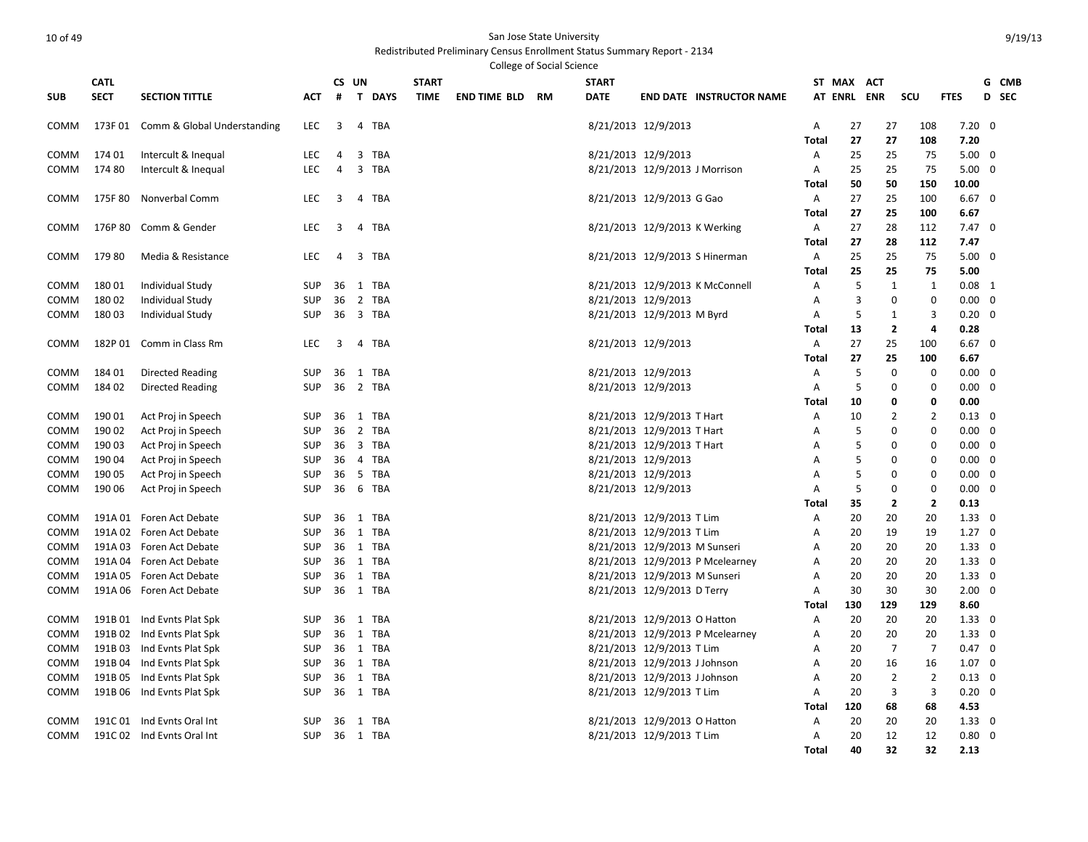Redistributed Preliminary Census Enrollment Status Summary Report - 2134 .<br>College of Social Science

|            | <b>CATL</b> |                                     |            |    | CS UN         | <b>START</b> |             |                        | <b>START</b> |                                |                                  |                   | ST MAX ACT  |                            |                            |                         |                | G CMB        |
|------------|-------------|-------------------------------------|------------|----|---------------|--------------|-------------|------------------------|--------------|--------------------------------|----------------------------------|-------------------|-------------|----------------------------|----------------------------|-------------------------|----------------|--------------|
| <b>SUB</b> | <b>SECT</b> | <b>SECTION TITTLE</b>               | АСТ        | #  | <b>T DAYS</b> |              | <b>TIME</b> | <b>END TIME BLD RM</b> | <b>DATE</b>  |                                | <b>END DATE INSTRUCTOR NAME</b>  |                   | AT ENRL ENR |                            | scu                        | <b>FTES</b>             |                | <b>D</b> SEC |
|            |             |                                     |            |    |               |              |             |                        |              |                                |                                  |                   |             |                            |                            |                         |                |              |
| COMM       |             | 173F 01 Comm & Global Understanding | LEC        | 3  | 4 TBA         |              |             |                        |              | 8/21/2013 12/9/2013            |                                  | Α                 | 27          | 27                         | 108                        | $7.20 \ 0$              |                |              |
|            |             |                                     |            |    |               |              |             |                        |              |                                |                                  | Total             | 27          | 27                         | 108                        | 7.20                    |                |              |
| COMM       | 174 01      | Intercult & Inequal                 | LEC        | 4  | 3<br>TBA      |              |             |                        |              | 8/21/2013 12/9/2013            |                                  | Α                 | 25          | 25                         | 75                         | 5.00                    | $\overline{0}$ |              |
| COMM       | 17480       | Intercult & Inequal                 | LEC        | 4  | 3 TBA         |              |             |                        |              | 8/21/2013 12/9/2013 J Morrison |                                  | Α                 | 25          | 25                         | 75                         | $5.00 \quad 0$          |                |              |
| COMM       | 175F 80     | <b>Nonverbal Comm</b>               | <b>LEC</b> | 3  | 4 TBA         |              |             |                        |              |                                |                                  | Total             | 50          | 50<br>25                   | 150<br>100                 | 10.00<br>$6.67 \quad 0$ |                |              |
|            |             |                                     |            |    |               |              |             |                        |              | 8/21/2013 12/9/2013 G Gao      |                                  | A<br><b>Total</b> | 27<br>27    | 25                         | 100                        | 6.67                    |                |              |
| COMM       |             | 176P 80 Comm & Gender               | <b>LEC</b> | 3  | 4 TBA         |              |             |                        |              | 8/21/2013 12/9/2013 K Werking  |                                  | A                 | 27          | 28                         | 112                        | $7.47 \quad 0$          |                |              |
|            |             |                                     |            |    |               |              |             |                        |              |                                |                                  | Total             | 27          | 28                         | 112                        | 7.47                    |                |              |
| COMM       | 179 80      | Media & Resistance                  | LEC        | 4  | 3 TBA         |              |             |                        |              |                                | 8/21/2013 12/9/2013 S Hinerman   | Α                 | 25          | 25                         | 75                         | 5.00                    | 0              |              |
|            |             |                                     |            |    |               |              |             |                        |              |                                |                                  | Total             | 25          | 25                         | 75                         | 5.00                    |                |              |
| COMM       | 18001       | Individual Study                    | <b>SUP</b> | 36 | 1 TBA         |              |             |                        |              |                                | 8/21/2013 12/9/2013 K McConnell  | A                 | 5           | $\mathbf{1}$               | $\mathbf{1}$               | $0.08$ 1                |                |              |
| COMM       | 18002       | Individual Study                    | <b>SUP</b> | 36 | 2 TBA         |              |             |                        |              | 8/21/2013 12/9/2013            |                                  | Α                 | 3           | $\mathbf 0$                | $\mathbf 0$                | 0.00                    | $\overline{0}$ |              |
| COMM       | 18003       | Individual Study                    | <b>SUP</b> | 36 | 3 TBA         |              |             |                        |              | 8/21/2013 12/9/2013 M Byrd     |                                  | Α                 | 5           | $\mathbf{1}$               | 3                          | $0.20 \ 0$              |                |              |
|            |             |                                     |            |    |               |              |             |                        |              |                                |                                  | <b>Total</b>      | 13          | $\overline{2}$             | 4                          | 0.28                    |                |              |
| COMM       |             | 182P 01 Comm in Class Rm            | LEC        | 3  | 4 TBA         |              |             |                        |              | 8/21/2013 12/9/2013            |                                  | Α                 | 27          | 25                         | 100                        | $6.67$ 0                |                |              |
|            |             |                                     |            |    |               |              |             |                        |              |                                |                                  | Total             | 27          | 25                         | 100                        | 6.67                    |                |              |
| COMM       | 184 01      | Directed Reading                    | <b>SUP</b> | 36 | 1 TBA         |              |             |                        |              | 8/21/2013 12/9/2013            |                                  | Α                 | 5           | 0                          | 0                          | $0.00 \quad 0$          |                |              |
| COMM       | 184 02      | Directed Reading                    | <b>SUP</b> | 36 | 2 TBA         |              |             |                        |              | 8/21/2013 12/9/2013            |                                  | A                 | 5           | $\mathbf 0$                | $\mathbf 0$                | 0.00                    | 0              |              |
|            |             |                                     |            |    |               |              |             |                        |              |                                |                                  | Total             | 10          | 0                          | 0                          | 0.00                    |                |              |
| COMM       | 190 01      | Act Proj in Speech                  | <b>SUP</b> | 36 | 1 TBA         |              |             |                        |              | 8/21/2013 12/9/2013 T Hart     |                                  | Α                 | 10          | $\overline{2}$             | $\overline{2}$             | $0.13 \quad 0$          |                |              |
| COMM       | 190 02      | Act Proj in Speech                  | <b>SUP</b> | 36 | 2 TBA         |              |             |                        |              | 8/21/2013 12/9/2013 T Hart     |                                  | Α                 | 5           | 0                          | $\mathbf 0$                | 0.00                    | $\Omega$       |              |
| COMM       | 19003       | Act Proj in Speech                  | <b>SUP</b> | 36 | 3 TBA         |              |             |                        |              | 8/21/2013 12/9/2013 T Hart     |                                  | A                 | 5           | 0                          | $\mathbf 0$                | $0.00 \quad 0$          |                |              |
| COMM       | 19004       | Act Proj in Speech                  | <b>SUP</b> | 36 | 4 TBA         |              |             |                        |              | 8/21/2013 12/9/2013            |                                  | А                 | 5           | 0                          | 0                          | 0.00                    | 0              |              |
| COMM       | 190 05      | Act Proj in Speech                  | <b>SUP</b> | 36 | 5 TBA         |              |             |                        |              | 8/21/2013 12/9/2013            |                                  | A                 | 5<br>5      | $\mathbf 0$<br>$\mathbf 0$ | $\mathbf 0$<br>$\mathbf 0$ | 0.00                    | 0              |              |
| COMM       | 190 06      | Act Proj in Speech                  | SUP        | 36 | 6 TBA         |              |             |                        |              | 8/21/2013 12/9/2013            |                                  | A<br>Total        | 35          | $\overline{2}$             | $\overline{2}$             | $0.00 \quad 0$<br>0.13  |                |              |
| COMM       |             | 191A 01 Foren Act Debate            | <b>SUP</b> | 36 | 1 TBA         |              |             |                        |              | 8/21/2013 12/9/2013 T Lim      |                                  | A                 | 20          | 20                         | 20                         | $1.33 \quad 0$          |                |              |
| COMM       |             | 191A 02 Foren Act Debate            | <b>SUP</b> | 36 | 1 TBA         |              |             |                        |              | 8/21/2013 12/9/2013 T Lim      |                                  | Α                 | 20          | 19                         | 19                         | 1.27                    | 0              |              |
| COMM       |             | 191A 03 Foren Act Debate            | <b>SUP</b> | 36 | 1 TBA         |              |             |                        |              | 8/21/2013 12/9/2013 M Sunseri  |                                  | Α                 | 20          | 20                         | 20                         | $1.33 \ 0$              |                |              |
| COMM       |             | 191A 04 Foren Act Debate            | <b>SUP</b> | 36 | 1 TBA         |              |             |                        |              |                                | 8/21/2013 12/9/2013 P Mcelearney | Α                 | 20          | 20                         | 20                         | $1.33 \ 0$              |                |              |
| COMM       |             | 191A 05 Foren Act Debate            | <b>SUP</b> | 36 | 1 TBA         |              |             |                        |              | 8/21/2013 12/9/2013 M Sunseri  |                                  | Α                 | 20          | 20                         | 20                         | $1.33 \ 0$              |                |              |
| COMM       |             | 191A 06 Foren Act Debate            | <b>SUP</b> | 36 | 1 TBA         |              |             |                        |              | 8/21/2013 12/9/2013 D Terry    |                                  | Α                 | 30          | 30                         | 30                         | $2.00 \quad 0$          |                |              |
|            |             |                                     |            |    |               |              |             |                        |              |                                |                                  | Total             | 130         | 129                        | 129                        | 8.60                    |                |              |
| COMM       |             | 191B 01 Ind Evnts Plat Spk          | <b>SUP</b> | 36 | 1 TBA         |              |             |                        |              | 8/21/2013 12/9/2013 O Hatton   |                                  | Α                 | 20          | 20                         | 20                         | $1.33 \ 0$              |                |              |
| COMM       |             | 191B 02 Ind Evnts Plat Spk          | <b>SUP</b> | 36 | 1 TBA         |              |             |                        |              |                                | 8/21/2013 12/9/2013 P Mcelearney | Α                 | 20          | 20                         | 20                         | 1.33                    | 0              |              |
| COMM       |             | 191B 03 Ind Evnts Plat Spk          | SUP        | 36 | 1 TBA         |              |             |                        |              | 8/21/2013 12/9/2013 T Lim      |                                  | Α                 | 20          | $\overline{7}$             | $\overline{7}$             | $0.47 \quad 0$          |                |              |
| COMM       |             | 191B 04 Ind Evnts Plat Spk          | <b>SUP</b> | 36 | 1 TBA         |              |             |                        |              | 8/21/2013 12/9/2013 J Johnson  |                                  | Α                 | 20          | 16                         | 16                         | $1.07 \quad 0$          |                |              |
| COMM       |             | 191B 05 Ind Evnts Plat Spk          | <b>SUP</b> | 36 | 1 TBA         |              |             |                        |              | 8/21/2013 12/9/2013 J Johnson  |                                  | A                 | 20          | $\overline{2}$             | $\overline{2}$             | $0.13 \quad 0$          |                |              |
| COMM       |             | 191B 06 Ind Evnts Plat Spk          | SUP        | 36 | 1 TBA         |              |             |                        |              | 8/21/2013 12/9/2013 T Lim      |                                  | A                 | 20          | 3                          | 3                          | $0.20 \ 0$              |                |              |
|            |             |                                     |            |    |               |              |             |                        |              |                                |                                  | Total             | 120         | 68                         | 68                         | 4.53                    |                |              |
| COMM       |             | 191C 01 Ind Evnts Oral Int          | <b>SUP</b> | 36 | 1 TBA         |              |             |                        |              | 8/21/2013 12/9/2013 O Hatton   |                                  | A                 | 20          | 20                         | 20                         | $1.33 \ 0$              |                |              |
| COMM       |             | 191C 02 Ind Evnts Oral Int          | SUP 36     |    | 1 TBA         |              |             |                        |              | 8/21/2013 12/9/2013 T Lim      |                                  | Α                 | 20          | 12                         | 12                         | 0.80                    | 0              |              |
|            |             |                                     |            |    |               |              |             |                        |              |                                |                                  | <b>Total</b>      | 40          | 32                         | 32                         | 2.13                    |                |              |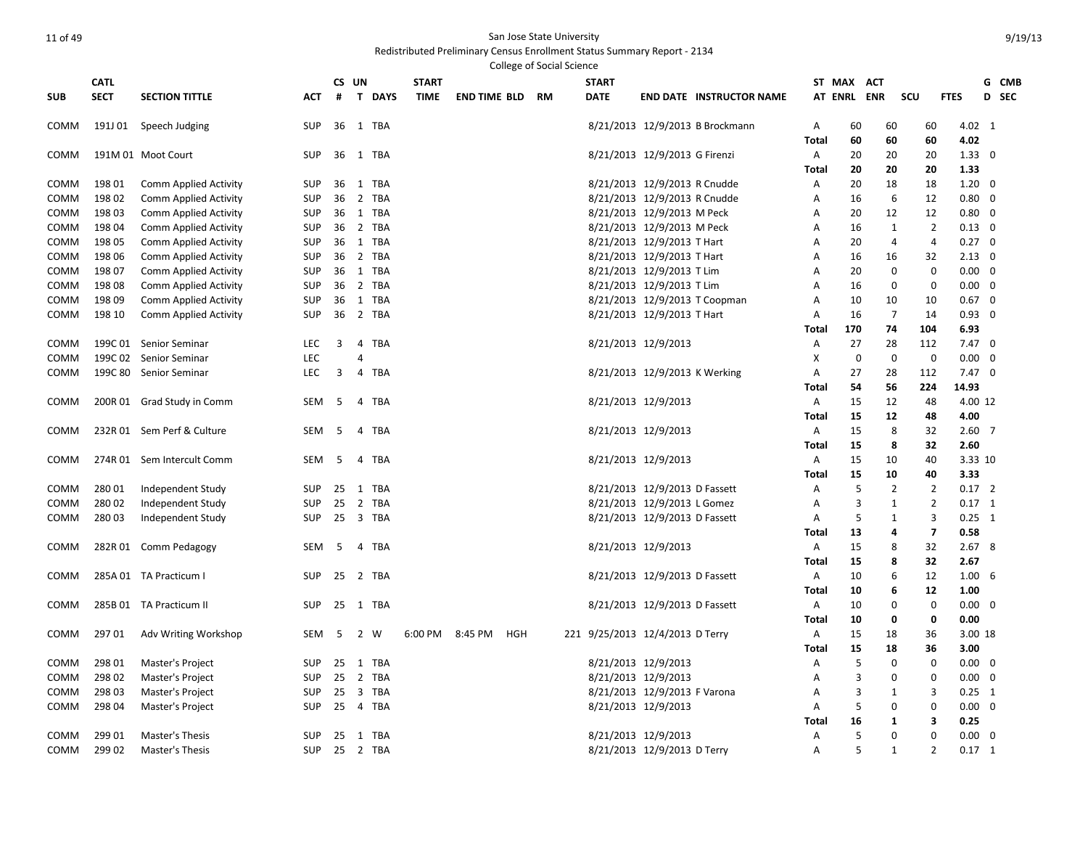### Redistributed Preliminary Census Enrollment Status Summary Report - 2134 College of Social Science

|            | <b>CATL</b> |                              |            |    | CS UN                        | <b>START</b> |                     |     |    | <b>START</b>                    |                               |                                 |              | ST MAX<br><b>ACT</b> |                |                         |                | G CMB    |  |
|------------|-------------|------------------------------|------------|----|------------------------------|--------------|---------------------|-----|----|---------------------------------|-------------------------------|---------------------------------|--------------|----------------------|----------------|-------------------------|----------------|----------|--|
| <b>SUB</b> | <b>SECT</b> | <b>SECTION TITTLE</b>        | <b>ACT</b> | #  | T DAYS                       | <b>TIME</b>  | <b>END TIME BLD</b> |     | RM | <b>DATE</b>                     |                               | <b>END DATE INSTRUCTOR NAME</b> |              | AT ENRL ENR          |                | scu                     | <b>FTES</b>    | D SEC    |  |
| COMM       |             | 191J 01 Speech Judging       | <b>SUP</b> |    | 36 1 TBA                     |              |                     |     |    |                                 |                               | 8/21/2013 12/9/2013 B Brockmann | A            | 60                   | 60             | 60                      | 4.02 1         |          |  |
|            |             |                              |            |    |                              |              |                     |     |    |                                 |                               |                                 | Total        | 60                   | 60             | 60                      | 4.02           |          |  |
| COMM       |             | 191M 01 Moot Court           | <b>SUP</b> | 36 | 1 TBA                        |              |                     |     |    |                                 | 8/21/2013 12/9/2013 G Firenzi |                                 | A            | 20                   | 20             | 20                      | $1.33 \ 0$     |          |  |
|            |             |                              |            |    |                              |              |                     |     |    |                                 |                               |                                 | <b>Total</b> | 20                   | 20             | 20                      | 1.33           |          |  |
| COMM       | 198 01      | Comm Applied Activity        | <b>SUP</b> | 36 | 1 TBA                        |              |                     |     |    |                                 | 8/21/2013 12/9/2013 R Cnudde  |                                 | A            | 20                   | 18             | 18                      | $1.20 \ 0$     |          |  |
| COMM       | 198 02      | Comm Applied Activity        | SUP        | 36 | 2 TBA                        |              |                     |     |    |                                 | 8/21/2013 12/9/2013 R Cnudde  |                                 | Α            | 16                   | 6              | 12                      | $0.80 \quad 0$ |          |  |
| COMM       | 198 03      | <b>Comm Applied Activity</b> | <b>SUP</b> |    | 36 1 TBA                     |              |                     |     |    |                                 | 8/21/2013 12/9/2013 M Peck    |                                 | Α            | 20                   | 12             | 12                      | $0.80 \ 0$     |          |  |
| COMM       | 198 04      | Comm Applied Activity        | <b>SUP</b> | 36 | 2 TBA                        |              |                     |     |    |                                 | 8/21/2013 12/9/2013 M Peck    |                                 | A            | 16                   | $\mathbf{1}$   | $\overline{2}$          | $0.13 \quad 0$ |          |  |
| COMM       | 198 05      | <b>Comm Applied Activity</b> | <b>SUP</b> | 36 | 1 TBA                        |              |                     |     |    |                                 | 8/21/2013 12/9/2013 T Hart    |                                 | A            | 20                   | 4              | 4                       | $0.27 \quad 0$ |          |  |
| COMM       | 198 06      | <b>Comm Applied Activity</b> | <b>SUP</b> | 36 | 2 TBA                        |              |                     |     |    |                                 | 8/21/2013 12/9/2013 T Hart    |                                 | Α            | 16                   | 16             | 32                      | $2.13 \quad 0$ |          |  |
| COMM       | 198 07      | Comm Applied Activity        | SUP        | 36 | 1 TBA                        |              |                     |     |    |                                 | 8/21/2013 12/9/2013 T Lim     |                                 | A            | 20                   | $\mathbf 0$    | $\mathbf 0$             | $0.00 \quad 0$ |          |  |
| COMM       | 198 08      | Comm Applied Activity        | <b>SUP</b> | 36 | 2 TBA                        |              |                     |     |    |                                 | 8/21/2013 12/9/2013 T Lim     |                                 | A            | 16                   | 0              | 0                       | $0.00 \quad 0$ |          |  |
| COMM       | 198 09      | <b>Comm Applied Activity</b> | <b>SUP</b> | 36 | 1 TBA                        |              |                     |     |    |                                 |                               | 8/21/2013 12/9/2013 T Coopman   | Α            | 10                   | 10             | 10                      | $0.67$ 0       |          |  |
| COMM       | 198 10      | Comm Applied Activity        | <b>SUP</b> | 36 | 2 TBA                        |              |                     |     |    |                                 | 8/21/2013 12/9/2013 T Hart    |                                 | A            | 16                   | $\overline{7}$ | 14                      | $0.93 \quad 0$ |          |  |
|            |             |                              |            |    |                              |              |                     |     |    |                                 |                               |                                 | Total        | 170                  | 74             | 104                     | 6.93           |          |  |
| COMM       |             | 199C 01 Senior Seminar       | LEC        | 3  | 4 TBA                        |              |                     |     |    |                                 | 8/21/2013 12/9/2013           |                                 | Α            | 27                   | 28             | 112                     | $7.47 \quad 0$ |          |  |
| COMM       |             | 199C 02 Senior Seminar       | LEC        |    | 4                            |              |                     |     |    |                                 |                               |                                 | X            | 0                    | $\mathbf 0$    | $\mathbf 0$             | 0.00           | $\Omega$ |  |
| COMM       |             | 199C 80 Senior Seminar       | <b>LEC</b> | 3  | 4 TBA                        |              |                     |     |    |                                 | 8/21/2013 12/9/2013 K Werking |                                 | Α            | 27                   | 28             | 112                     | $7.47\quad0$   |          |  |
|            |             |                              |            |    |                              |              |                     |     |    |                                 |                               |                                 | Total        | 54                   | 56             | 224                     | 14.93          |          |  |
| COMM       |             | 200R 01 Grad Study in Comm   | SEM        | -5 | <b>TBA</b><br>$\overline{4}$ |              |                     |     |    |                                 | 8/21/2013 12/9/2013           |                                 | Α            | 15                   | 12             | 48                      | 4.00 12        |          |  |
|            |             |                              |            |    |                              |              |                     |     |    |                                 |                               |                                 | Total        | 15                   | 12             | 48                      | 4.00           |          |  |
| COMM       |             | 232R 01 Sem Perf & Culture   | SEM        | -5 | TBA<br>$\overline{4}$        |              |                     |     |    |                                 | 8/21/2013 12/9/2013           |                                 | $\mathsf{A}$ | 15                   | 8              | 32                      | $2.60$ 7       |          |  |
|            |             |                              |            |    |                              |              |                     |     |    |                                 |                               |                                 | Total        | 15                   | 8              | 32                      | 2.60           |          |  |
| COMM       |             | 274R 01 Sem Intercult Comm   | <b>SEM</b> | 5  | TBA<br>4                     |              |                     |     |    |                                 | 8/21/2013 12/9/2013           |                                 | A            | 15                   | 10             | 40                      | 3.33 10        |          |  |
|            |             |                              |            |    |                              |              |                     |     |    |                                 |                               |                                 | <b>Total</b> | 15                   | 10             | 40                      | 3.33           |          |  |
| COMM       | 280 01      | Independent Study            | <b>SUP</b> | 25 | 1 TBA                        |              |                     |     |    |                                 | 8/21/2013 12/9/2013 D Fassett |                                 | A            | 5                    | $\overline{2}$ | $\overline{2}$          | $0.17$ 2       |          |  |
| COMM       | 28002       | Independent Study            | <b>SUP</b> | 25 | 2<br><b>TBA</b>              |              |                     |     |    |                                 | 8/21/2013 12/9/2013 L Gomez   |                                 | A            | 3                    | 1              | $\overline{2}$          | $0.17 \quad 1$ |          |  |
| COMM       | 280 03      | Independent Study            | <b>SUP</b> |    | 25 3 TBA                     |              |                     |     |    |                                 | 8/21/2013 12/9/2013 D Fassett |                                 | Α            | 5                    | $\mathbf{1}$   | 3                       | $0.25$ 1       |          |  |
|            |             |                              |            |    |                              |              |                     |     |    |                                 |                               |                                 | Total        | 13                   | 4              | $\overline{\mathbf{z}}$ | 0.58           |          |  |
| COMM       |             | 282R 01 Comm Pedagogy        | SEM        | 5  | 4<br>TBA                     |              |                     |     |    |                                 | 8/21/2013 12/9/2013           |                                 | Α            | 15                   | 8              | 32                      | 2.678          |          |  |
|            |             |                              |            |    |                              |              |                     |     |    |                                 |                               |                                 | <b>Total</b> | 15                   | 8              | 32                      | 2.67           |          |  |
| COMM       |             | 285A 01 TA Practicum I       | <b>SUP</b> | 25 | 2 TBA                        |              |                     |     |    |                                 | 8/21/2013 12/9/2013 D Fassett |                                 | Α            | 10                   | 6              | 12                      | $1.00\quad 6$  |          |  |
|            |             |                              |            |    |                              |              |                     |     |    |                                 |                               |                                 | Total        | 10                   | 6              | 12                      | 1.00           |          |  |
| COMM       |             | 285B 01 TA Practicum II      | <b>SUP</b> | 25 | 1 TBA                        |              |                     |     |    |                                 | 8/21/2013 12/9/2013 D Fassett |                                 | Α            | 10                   | 0              | 0                       | $0.00 \quad 0$ |          |  |
|            |             |                              |            |    |                              |              |                     |     |    |                                 |                               |                                 | Total        | 10                   | 0              | 0                       | 0.00           |          |  |
| COMM       | 29701       | Adv Writing Workshop         | SEM        | -5 | 2 W                          | 6:00 PM      | 8:45 PM             | HGH |    | 221 9/25/2013 12/4/2013 D Terry |                               |                                 | Α            | 15                   | 18             | 36                      | 3.00 18        |          |  |
|            |             |                              |            |    |                              |              |                     |     |    |                                 |                               |                                 | Total        | 15                   | 18             | 36                      | 3.00           |          |  |
| COMM       | 298 01      | Master's Project             | <b>SUP</b> | 25 | 1 TBA                        |              |                     |     |    |                                 | 8/21/2013 12/9/2013           |                                 | Α            | 5                    | $\Omega$       | 0                       | $0.00 \quad 0$ |          |  |
| COMM       | 298 02      | Master's Project             | <b>SUP</b> | 25 | 2 TBA                        |              |                     |     |    |                                 | 8/21/2013 12/9/2013           |                                 | A            | 3                    | $\mathbf 0$    | $\mathbf 0$             | $0.00 \quad 0$ |          |  |
| сомм       | 298 03      | Master's Project             | <b>SUP</b> | 25 | 3 TBA                        |              |                     |     |    |                                 | 8/21/2013 12/9/2013 F Varona  |                                 | A            | $\overline{3}$       | 1              | 3                       | $0.25 \quad 1$ |          |  |
| COMM       | 298 04      | Master's Project             | <b>SUP</b> |    | 25 4 TBA                     |              |                     |     |    |                                 | 8/21/2013 12/9/2013           |                                 | Α            | 5                    | 0              | 0                       | $0.00 \quad 0$ |          |  |
|            |             |                              |            |    |                              |              |                     |     |    |                                 |                               |                                 | <b>Total</b> | 16                   | 1              | 3                       | 0.25           |          |  |
| COMM       | 299 01      | Master's Thesis              | <b>SUP</b> |    | 25 1 TBA                     |              |                     |     |    |                                 | 8/21/2013 12/9/2013           |                                 | A            | 5                    | $\mathbf 0$    | $\Omega$                | $0.00 \quad 0$ |          |  |
| COMM       | 299 02      | Master's Thesis              | <b>SUP</b> |    | 25 2 TBA                     |              |                     |     |    |                                 | 8/21/2013 12/9/2013 D Terry   |                                 | A            | 5                    | $\mathbf{1}$   | $\overline{2}$          | $0.17$ 1       |          |  |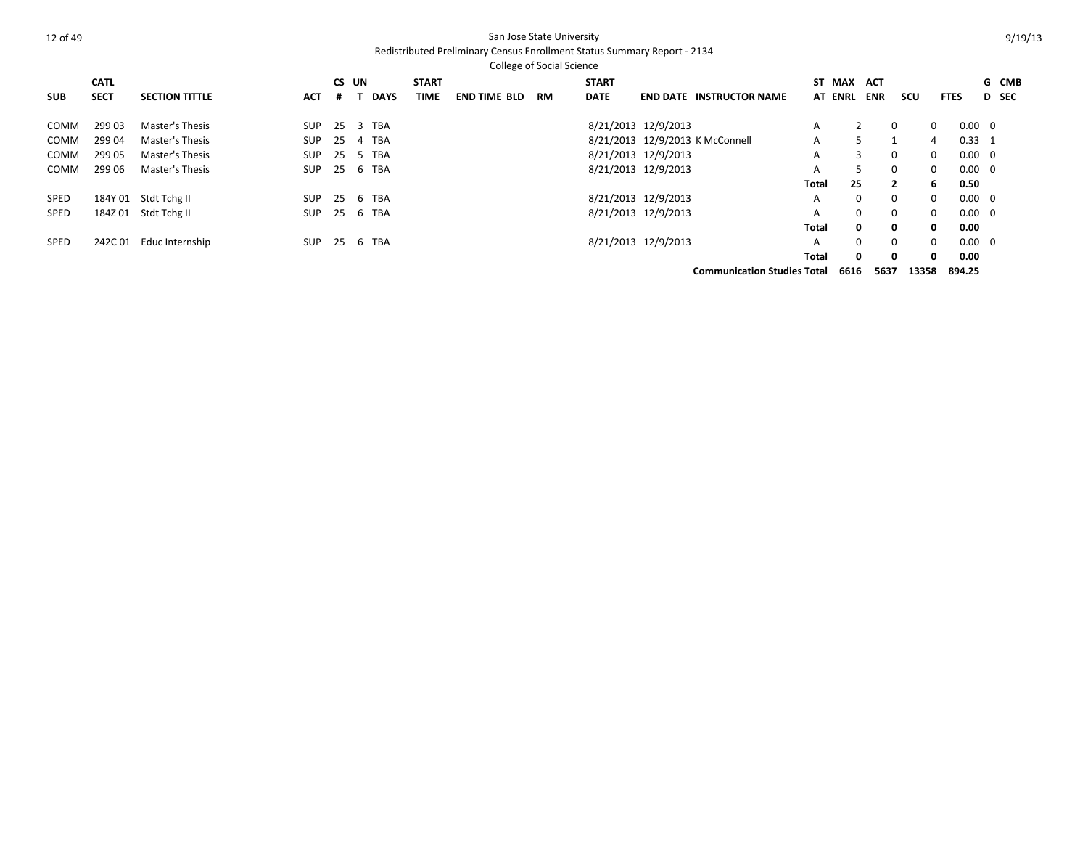|             |             |                       |            |       |             |              |                     | <b>College of Social Science</b> |              |                     |                                    |       |                |            |                |              |                |              |       |
|-------------|-------------|-----------------------|------------|-------|-------------|--------------|---------------------|----------------------------------|--------------|---------------------|------------------------------------|-------|----------------|------------|----------------|--------------|----------------|--------------|-------|
|             | <b>CATL</b> |                       |            | CS UN |             | <b>START</b> |                     |                                  | <b>START</b> |                     |                                    |       | ST MAX         | <b>ACT</b> |                |              |                |              | G CMB |
| <b>SUB</b>  | <b>SECT</b> | <b>SECTION TITTLE</b> | <b>ACT</b> | #     | <b>DAYS</b> | TIME         | <b>END TIME BLD</b> | <b>RM</b>                        | <b>DATE</b>  |                     | <b>END DATE INSTRUCTOR NAME</b>    |       | <b>AT ENRL</b> | <b>ENR</b> | scu            | <b>FTES</b>  |                | <b>D</b> SEC |       |
| COMM        | 29903       | Master's Thesis       | <b>SUP</b> | 25    | 3 TBA       |              |                     |                                  |              | 8/21/2013 12/9/2013 |                                    | A     |                |            | $\Omega$       | $\Omega$     | $0.00 \quad 0$ |              |       |
| COMM        | 29904       | Master's Thesis       | <b>SUP</b> | 25    | TBA<br>4    |              |                     |                                  |              |                     | 8/21/2013 12/9/2013 K McConnell    | A     | 5.             |            |                | 4            | $0.33 \quad 1$ |              |       |
| COMM        | 299 05      | Master's Thesis       | <b>SUP</b> | 25    | TBA<br>5.   |              |                     |                                  |              | 8/21/2013 12/9/2013 |                                    | A     | 3              |            | $\Omega$       | $\Omega$     | $0.00 \quad 0$ |              |       |
| COMM        | 299 06      | Master's Thesis       | <b>SUP</b> | 25    | TBA<br>6    |              |                     |                                  |              | 8/21/2013 12/9/2013 |                                    | A     | 5              |            | $\Omega$       | $\Omega$     | $0.00 \quad 0$ |              |       |
|             |             |                       |            |       |             |              |                     |                                  |              |                     |                                    | Total | 25             |            | $\overline{2}$ | 6.           | 0.50           |              |       |
| <b>SPED</b> | 184Y 01     | Stdt Tchg II          | <b>SUP</b> | 25    | 6 TBA       |              |                     |                                  |              | 8/21/2013 12/9/2013 |                                    | A     | $\Omega$       |            | $\Omega$       | $\Omega$     | $0.00 \quad 0$ |              |       |
| <b>SPED</b> | 184Z 01     | Stdt Tchg II          | SUP        | 25    | 6 TBA       |              |                     |                                  |              | 8/21/2013 12/9/2013 |                                    | A     | $\mathbf{0}$   |            | $\Omega$       | $\Omega$     | $0.00 \quad 0$ |              |       |
|             |             |                       |            |       |             |              |                     |                                  |              |                     |                                    | Total | $\mathbf{0}$   |            | $\Omega$       | $\mathbf{0}$ | 0.00           |              |       |
| <b>SPED</b> | 242C01      | Educ Internship       | SUP        | 25    | TBA<br>6    |              |                     |                                  |              | 8/21/2013 12/9/2013 |                                    | A     | $\Omega$       |            | $\Omega$       | $\Omega$     | $0.00 \quad 0$ |              |       |
|             |             |                       |            |       |             |              |                     |                                  |              |                     |                                    | Total | $\mathbf{0}$   |            | $\Omega$       | $\mathbf{0}$ | 0.00           |              |       |
|             |             |                       |            |       |             |              |                     |                                  |              |                     | <b>Communication Studies Total</b> |       | 6616           | 5637       | 13358          |              | 894.25         |              |       |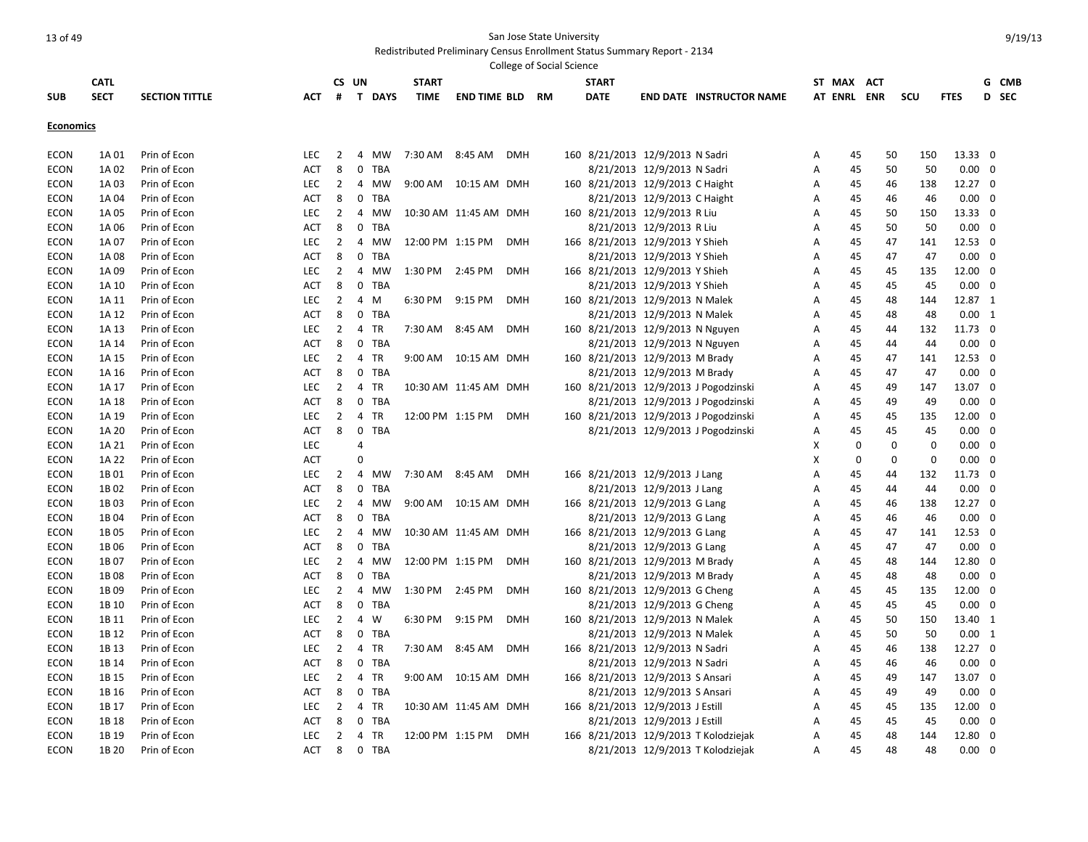|                  |             |                       |            |                |                |               |                  |                        | College of Social Science |    |              |                                  |                                       |   |             |            |             |             |                 |     |       |
|------------------|-------------|-----------------------|------------|----------------|----------------|---------------|------------------|------------------------|---------------------------|----|--------------|----------------------------------|---------------------------------------|---|-------------|------------|-------------|-------------|-----------------|-----|-------|
|                  | <b>CATL</b> |                       |            |                | CS UN          |               | <b>START</b>     |                        |                           |    | <b>START</b> |                                  |                                       |   | ST MAX      | <b>ACT</b> |             |             |                 |     | G CMB |
| <b>SUB</b>       | <b>SECT</b> | <b>SECTION TITTLE</b> | АСТ        | #              |                | <b>T DAYS</b> | <b>TIME</b>      | <b>END TIME BLD</b>    |                           | RM | <b>DATE</b>  |                                  | <b>END DATE INSTRUCTOR NAME</b>       |   | AT ENRL ENR |            | scu         |             | <b>FTES</b>     |     | D SEC |
|                  |             |                       |            |                |                |               |                  |                        |                           |    |              |                                  |                                       |   |             |            |             |             |                 |     |       |
| <b>Economics</b> |             |                       |            |                |                |               |                  |                        |                           |    |              |                                  |                                       |   |             |            |             |             |                 |     |       |
| <b>ECON</b>      | 1A 01       | Prin of Econ          | <b>LEC</b> | $\overline{2}$ | 4              | MW            | 7:30 AM 8:45 AM  |                        | DMH                       |    |              | 160 8/21/2013 12/9/2013 N Sadri  |                                       | Α | 45          |            | 50          | 150         | 13.33 0         |     |       |
| <b>ECON</b>      | 1A 02       | Prin of Econ          | <b>ACT</b> | 8              | $\mathbf 0$    | <b>TBA</b>    |                  |                        |                           |    |              | 8/21/2013 12/9/2013 N Sadri      |                                       | Α | 45          |            | 50          | 50          | $0.00 \quad 0$  |     |       |
| <b>ECON</b>      | 1A 03       | Prin of Econ          | LEC        | $\overline{2}$ |                | 4 MW          |                  | 9:00 AM  10:15 AM  DMH |                           |    |              | 160 8/21/2013 12/9/2013 C Haight |                                       | Α | 45          |            | 46          | 138         | 12.27 0         |     |       |
| <b>ECON</b>      | 1A 04       | Prin of Econ          | <b>ACT</b> | 8              | $\mathbf 0$    | <b>TBA</b>    |                  |                        |                           |    |              | 8/21/2013 12/9/2013 C Haight     |                                       | A | 45          |            | 46          | 46          | $0.00 \quad 0$  |     |       |
| ECON             | 1A 05       | Prin of Econ          | <b>LEC</b> | $\overline{2}$ |                | 4 MW          |                  | 10:30 AM 11:45 AM DMH  |                           |    |              | 160 8/21/2013 12/9/2013 R Liu    |                                       | A | 45          |            | 50          | 150         | 13.33 0         |     |       |
| <b>ECON</b>      | 1A 06       | Prin of Econ          | <b>ACT</b> | 8              | $\mathbf 0$    | TBA           |                  |                        |                           |    |              | 8/21/2013 12/9/2013 R Liu        |                                       | Α | 45          |            | 50          | 50          | $0.00 \quad 0$  |     |       |
| <b>ECON</b>      | 1A 07       | Prin of Econ          | LEC        | $\overline{2}$ | $\overline{4}$ | MW            | 12:00 PM 1:15 PM |                        | <b>DMH</b>                |    |              | 166 8/21/2013 12/9/2013 Y Shieh  |                                       | Α | 45          |            | 47          | 141         | 12.53 0         |     |       |
| <b>ECON</b>      | 1A 08       | Prin of Econ          | <b>ACT</b> | 8              | $\mathbf 0$    | <b>TBA</b>    |                  |                        |                           |    |              | 8/21/2013 12/9/2013 Y Shieh      |                                       | A | 45          |            | 47          | 47          | $0.00 \quad 0$  |     |       |
| <b>ECON</b>      | 1A 09       | Prin of Econ          | <b>LEC</b> | $\overline{2}$ |                | 4 MW          | 1:30 PM          | 2:45 PM                | <b>DMH</b>                |    |              | 166 8/21/2013 12/9/2013 Y Shieh  |                                       | A | 45          |            | 45          | 135         | 12.00 0         |     |       |
| <b>ECON</b>      | 1A 10       | Prin of Econ          | ACT        | 8              | 0              | <b>TBA</b>    |                  |                        |                           |    |              | 8/21/2013 12/9/2013 Y Shieh      |                                       | A | 45          |            | 45          | 45          | $0.00 \quad 0$  |     |       |
| <b>ECON</b>      | 1A 11       | Prin of Econ          | LEC        | $\overline{2}$ | 4              | M             | 6:30 PM          | 9:15 PM                | <b>DMH</b>                |    |              | 160 8/21/2013 12/9/2013 N Malek  |                                       | А | 45          |            | 48          | 144         | 12.87 1         |     |       |
| <b>ECON</b>      | 1A 12       | Prin of Econ          | ACT        | 8              | $\mathbf 0$    | <b>TBA</b>    |                  |                        |                           |    |              | 8/21/2013 12/9/2013 N Malek      |                                       | Α | 45          |            | 48          | 48          | $0.00 \quad 1$  |     |       |
| <b>ECON</b>      | 1A 13       | Prin of Econ          | <b>LEC</b> | $\overline{2}$ | $\overline{4}$ | <b>TR</b>     | 7:30 AM 8:45 AM  |                        | <b>DMH</b>                |    |              | 160 8/21/2013 12/9/2013 N Nguyen |                                       | A | 45          |            | 44          | 132         | 11.73 0         |     |       |
| <b>ECON</b>      | 1A 14       | Prin of Econ          | <b>ACT</b> | 8              |                | 0 TBA         |                  |                        |                           |    |              | 8/21/2013 12/9/2013 N Nguyen     |                                       | Α | 45          |            | 44          | 44          | $0.00 \quad 0$  |     |       |
| <b>ECON</b>      | 1A 15       | Prin of Econ          | <b>LEC</b> | $\overline{2}$ | $\overline{4}$ | <b>TR</b>     |                  | 9:00 AM  10:15 AM  DMH |                           |    |              | 160 8/21/2013 12/9/2013 M Brady  |                                       | A | 45          |            | 47          | 141         | 12.53 0         |     |       |
| <b>ECON</b>      | 1A 16       | Prin of Econ          | <b>ACT</b> | 8              | $\mathbf 0$    | <b>TBA</b>    |                  |                        |                           |    |              | 8/21/2013 12/9/2013 M Brady      |                                       | Α | 45          |            | 47          | 47          | $0.00 \quad 0$  |     |       |
| <b>ECON</b>      | 1A 17       | Prin of Econ          | LEC        | $\overline{2}$ | 4              | <b>TR</b>     |                  | 10:30 AM 11:45 AM DMH  |                           |    |              |                                  | 160 8/21/2013 12/9/2013 J Pogodzinski | A | 45          |            | 49          | 147         | 13.07 0         |     |       |
| <b>ECON</b>      | 1A 18       | Prin of Econ          | <b>ACT</b> | 8              | $\mathbf 0$    | <b>TBA</b>    |                  |                        |                           |    |              |                                  | 8/21/2013 12/9/2013 J Pogodzinski     | Α | 45          |            | 49          | 49          | $0.00 \quad 0$  |     |       |
| <b>ECON</b>      | 1A 19       | Prin of Econ          | LEC        | $\overline{2}$ | $\overline{4}$ | <b>TR</b>     | 12:00 PM 1:15 PM |                        | <b>DMH</b>                |    |              |                                  | 160 8/21/2013 12/9/2013 J Pogodzinski | Α | 45          |            | 45          | 135         | 12.00 0         |     |       |
| <b>ECON</b>      | 1A 20       | Prin of Econ          | <b>ACT</b> | 8              | $\mathbf 0$    | <b>TBA</b>    |                  |                        |                           |    |              |                                  | 8/21/2013 12/9/2013 J Pogodzinski     | A | 45          |            | 45          | 45          | $0.00 \quad 0$  |     |       |
| <b>ECON</b>      | 1A 21       | Prin of Econ          | LEC        |                | $\overline{4}$ |               |                  |                        |                           |    |              |                                  |                                       | X | $\Omega$    |            | $\Omega$    | $\Omega$    | $0.00 \quad 0$  |     |       |
| <b>ECON</b>      | 1A 22       | Prin of Econ          | <b>ACT</b> |                | $\Omega$       |               |                  |                        |                           |    |              |                                  |                                       | Χ | 0           |            | $\mathbf 0$ | $\mathbf 0$ | $0.00 \quad 0$  |     |       |
| <b>ECON</b>      | 1B01        | Prin of Econ          | <b>LEC</b> | 2              |                | 4 MW          | 7:30 AM 8:45 AM  |                        | <b>DMH</b>                |    |              | 166 8/21/2013 12/9/2013 J Lang   |                                       | А | 45          |            | 44          | 132         | 11.73 0         |     |       |
| <b>ECON</b>      | 1B02        | Prin of Econ          | <b>ACT</b> | 8              | $\mathbf 0$    | <b>TBA</b>    |                  |                        |                           |    |              | 8/21/2013 12/9/2013 J Lang       |                                       | Α | 45          |            | 44          | 44          | $0.00 \quad 0$  |     |       |
| <b>ECON</b>      | 1B03        | Prin of Econ          | <b>LEC</b> | $\overline{2}$ | $\overline{4}$ | <b>MW</b>     |                  | 9:00 AM  10:15 AM  DMH |                           |    |              | 166 8/21/2013 12/9/2013 G Lang   |                                       | A | 45          |            | 46          | 138         | $12.27 \quad 0$ |     |       |
| <b>ECON</b>      | 1B04        | Prin of Econ          | <b>ACT</b> | 8              | $\mathbf 0$    | TBA           |                  |                        |                           |    |              | 8/21/2013 12/9/2013 G Lang       |                                       | Α | 45          |            | 46          | 46          | $0.00 \quad 0$  |     |       |
| <b>ECON</b>      | 1B05        | Prin of Econ          | LEC        | $\overline{2}$ |                | 4 MW          |                  | 10:30 AM 11:45 AM DMH  |                           |    |              | 166 8/21/2013 12/9/2013 G Lang   |                                       | Α | 45          |            | 47          | 141         | 12.53 0         |     |       |
| <b>ECON</b>      | 1B06        | Prin of Econ          | <b>ACT</b> | 8              | $\mathbf 0$    | <b>TBA</b>    |                  |                        |                           |    |              | 8/21/2013 12/9/2013 G Lang       |                                       | Α | 45          |            | 47          | 47          | $0.00 \quad 0$  |     |       |
| <b>ECON</b>      | 1B07        | Prin of Econ          | <b>LEC</b> | $\overline{2}$ | $\overline{4}$ | <b>MW</b>     | 12:00 PM 1:15 PM |                        | <b>DMH</b>                |    |              | 160 8/21/2013 12/9/2013 M Brady  |                                       | A | 45          |            | 48          | 144         | 12.80 0         |     |       |
| <b>ECON</b>      | 1B08        | Prin of Econ          | ACT        | 8              |                | 0 TBA         |                  |                        |                           |    |              | 8/21/2013 12/9/2013 M Brady      |                                       | A | 45          |            | 48          | 48          | $0.00 \quad 0$  |     |       |
| <b>ECON</b>      | 1B09        | Prin of Econ          | LEC        | $\overline{2}$ |                | 4 MW          | 1:30 PM          | 2:45 PM                | <b>DMH</b>                |    |              | 160 8/21/2013 12/9/2013 G Cheng  |                                       | Α | 45          |            | 45          | 135         | 12.00 0         |     |       |
| <b>ECON</b>      | 1B 10       | Prin of Econ          | <b>ACT</b> | 8              |                | 0 TBA         |                  |                        |                           |    |              | 8/21/2013 12/9/2013 G Cheng      |                                       | Α | 45          |            | 45          | 45          | $0.00 \quad 0$  |     |       |
| <b>ECON</b>      | 1B 11       | Prin of Econ          | <b>LEC</b> | $\overline{2}$ | $\overline{4}$ | W             | 6:30 PM          | 9:15 PM                | <b>DMH</b>                |    |              | 160 8/21/2013 12/9/2013 N Malek  |                                       | A | 45          |            | 50          | 150         | 13.40 1         |     |       |
| <b>ECON</b>      | 1B 12       | Prin of Econ          | ACT        | 8              | $\mathbf 0$    | <b>TBA</b>    |                  |                        |                           |    |              | 8/21/2013 12/9/2013 N Malek      |                                       | A | 45          |            | 50          | -50         | $0.00 \quad 1$  |     |       |
| ECON             | 1B 13       | Prin of Econ          | LEC        | $\overline{2}$ | 4 TR           |               | 7:30 AM 8:45 AM  |                        | <b>DMH</b>                |    |              | 166 8/21/2013 12/9/2013 N Sadri  |                                       | A | 45          |            | 46          | 138         | 12.27 0         |     |       |
| <b>ECON</b>      | 1B 14       | Prin of Econ          | <b>ACT</b> | 8              | $\mathbf 0$    | TBA           |                  |                        |                           |    |              | 8/21/2013 12/9/2013 N Sadri      |                                       | Α | 45          |            | 46          | 46          | $0.00 \quad 0$  |     |       |
| <b>ECON</b>      | 1B 15       | Prin of Econ          | LEC        | $\overline{2}$ | 4 TR           |               |                  | 9:00 AM  10:15 AM  DMH |                           |    |              | 166 8/21/2013 12/9/2013 S Ansari |                                       | Α | 45          |            | 49          | 147         | 13.07 0         |     |       |
| <b>ECON</b>      | 1B 16       | Prin of Econ          | <b>ACT</b> | 8              | $\mathbf 0$    | <b>TBA</b>    |                  |                        |                           |    |              | 8/21/2013 12/9/2013 S Ansari     |                                       | A | 45          |            | 49          | 49          | $0.00 \quad 0$  |     |       |
| <b>ECON</b>      | 1B 17       | Prin of Econ          | <b>LEC</b> | $\overline{2}$ | 4 TR           |               |                  | 10:30 AM 11:45 AM DMH  |                           |    |              | 166 8/21/2013 12/9/2013 J Estill |                                       | A | 45          |            | 45          | 135         | 12.00 0         |     |       |
| <b>ECON</b>      | 1B 18       | Prin of Econ          | <b>ACT</b> | 8              | $\mathbf{0}$   | <b>TBA</b>    |                  |                        |                           |    |              | 8/21/2013 12/9/2013 J Estill     |                                       | A | 45          |            | 45          | 45          | $0.00 \quad 0$  |     |       |
| <b>ECON</b>      | 1B 19       | Prin of Econ          | LEC        | $\overline{2}$ | 4 TR           |               | 12:00 PM 1:15 PM |                        | <b>DMH</b>                |    |              |                                  | 166 8/21/2013 12/9/2013 T Kolodziejak | Α | 45          |            | 48          | 144         | 12.80           | - 0 |       |
| <b>ECON</b>      | 1B 20       | Prin of Econ          | <b>ACT</b> | 8              |                | 0 TBA         |                  |                        |                           |    |              |                                  | 8/21/2013 12/9/2013 T Kolodziejak     | A | 45          |            | 48          | 48          | 0.00            | - 0 |       |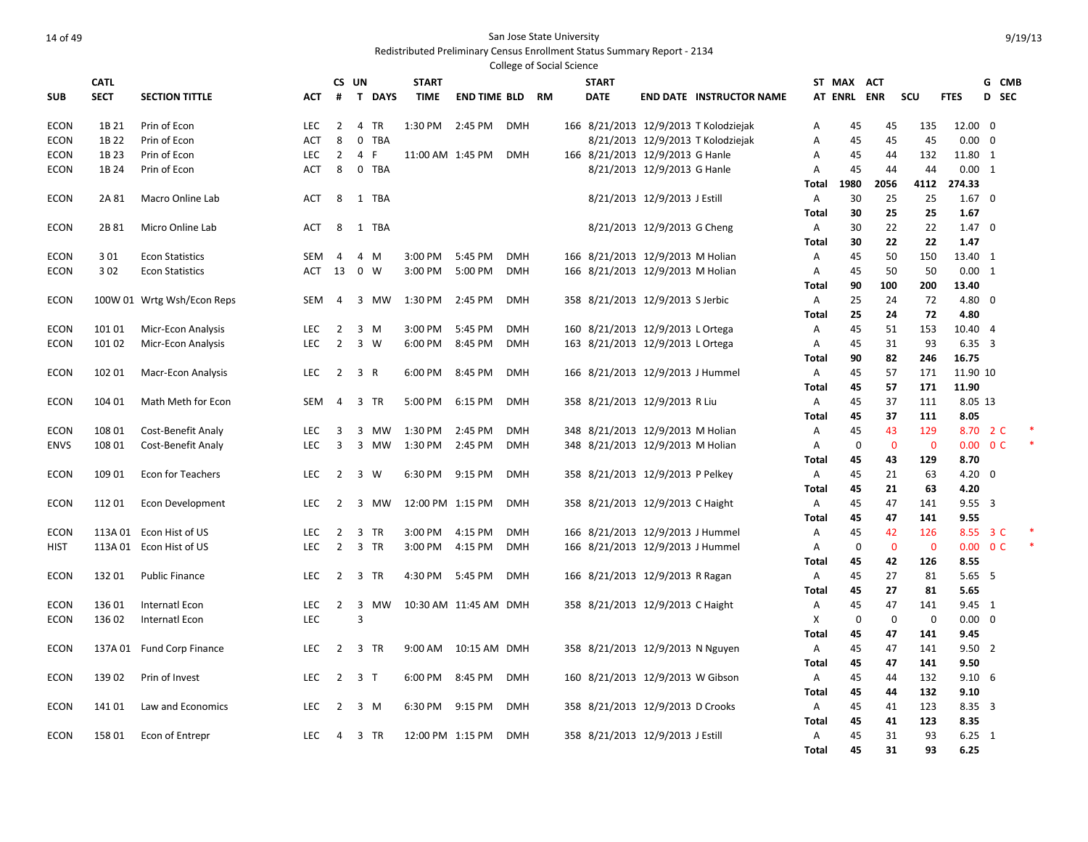Redistributed Preliminary Census Enrollment Status Summary Report - 2134 .<br>College of Social Science

|             | <b>CATL</b> |                            |            |                | CS UN                       | <b>START</b>     |                        | College of Social Science |  | <b>START</b> |                                  |                                       |              | ST MAX ACT  |             |             |                         | G CMB                    |  |
|-------------|-------------|----------------------------|------------|----------------|-----------------------------|------------------|------------------------|---------------------------|--|--------------|----------------------------------|---------------------------------------|--------------|-------------|-------------|-------------|-------------------------|--------------------------|--|
| <b>SUB</b>  | <b>SECT</b> | <b>SECTION TITTLE</b>      | <b>ACT</b> | #              | T DAYS                      | <b>TIME</b>      | <b>END TIME BLD RM</b> |                           |  | <b>DATE</b>  |                                  | <b>END DATE INSTRUCTOR NAME</b>       |              | AT ENRL ENR |             | scu         | <b>FTES</b>             | D SEC                    |  |
|             |             |                            |            |                |                             |                  |                        |                           |  |              |                                  |                                       |              |             |             |             |                         |                          |  |
| <b>ECON</b> | 1B 21       | Prin of Econ               | LEC        | 2              | $\overline{4}$<br>TR        | 1:30 PM          | 2:45 PM                | <b>DMH</b>                |  |              |                                  | 166 8/21/2013 12/9/2013 T Kolodziejak | Α            | 45          | 45          | 135         | 12.00 0                 |                          |  |
| <b>ECON</b> | 1B 22       | Prin of Econ               | ACT        | 8              | $\mathbf 0$<br>TBA          |                  |                        |                           |  |              |                                  | 8/21/2013 12/9/2013 T Kolodziejak     | Α            | 45          | 45          | 45          | $0.00 \quad 0$          |                          |  |
| <b>ECON</b> | 1B 23       | Prin of Econ               | <b>LEC</b> | $\overline{2}$ | 4<br>F.                     | 11:00 AM 1:45 PM |                        | <b>DMH</b>                |  |              | 166 8/21/2013 12/9/2013 G Hanle  |                                       | Α            | 45          | 44          | 132         | 11.80 1                 |                          |  |
| <b>ECON</b> | 1B 24       | Prin of Econ               | ACT        | 8              | 0 TBA                       |                  |                        |                           |  |              | 8/21/2013 12/9/2013 G Hanle      |                                       | Α            | 45          | 44          | 44          | 0.00 1                  |                          |  |
|             |             |                            |            |                |                             |                  |                        |                           |  |              |                                  |                                       | Total        | 1980        | 2056        | 4112        | 274.33                  |                          |  |
| <b>ECON</b> | 2A 81       | Macro Online Lab           | ACT        | 8              | 1 TBA                       |                  |                        |                           |  |              | 8/21/2013 12/9/2013 J Estill     |                                       | Α            | 30          | 25          | 25          | $1.67 \quad 0$          |                          |  |
|             |             |                            |            |                |                             |                  |                        |                           |  |              |                                  |                                       | Total        | 30          | 25          | 25          | 1.67                    |                          |  |
| ECON        | 2B 81       | Micro Online Lab           | ACT        | 8              | 1 TBA                       |                  |                        |                           |  |              | 8/21/2013 12/9/2013 G Cheng      |                                       | A            | 30          | 22          | 22          | $1.47 \quad 0$          |                          |  |
|             |             |                            |            |                |                             |                  |                        |                           |  |              |                                  |                                       | Total        | 30          | 22          | 22          | 1.47                    |                          |  |
| <b>ECON</b> | 3 0 1       | <b>Econ Statistics</b>     | <b>SEM</b> | 4              | 4<br>M                      | 3:00 PM          | 5:45 PM                | <b>DMH</b>                |  |              | 166 8/21/2013 12/9/2013 M Holian |                                       | Α            | 45          | 50          | 150         | 13.40 1                 |                          |  |
| ECON        | 302         | <b>Econ Statistics</b>     | ACT        | 13             | $\mathbf 0$<br>W            | 3:00 PM          | 5:00 PM                | <b>DMH</b>                |  |              | 166 8/21/2013 12/9/2013 M Holian |                                       | Α            | 45          | 50          | 50          | 0.00 1                  |                          |  |
|             |             |                            |            |                |                             |                  |                        |                           |  |              |                                  |                                       | <b>Total</b> | 90          | 100         | 200         | 13.40                   |                          |  |
| <b>ECON</b> |             | 100W 01 Wrtg Wsh/Econ Reps | <b>SEM</b> | 4              | 3 MW                        | 1:30 PM          | 2:45 PM                | <b>DMH</b>                |  |              | 358 8/21/2013 12/9/2013 S Jerbic |                                       | Α            | 25          | 24          | 72          | 4.80 0                  |                          |  |
|             |             |                            |            |                |                             |                  |                        |                           |  |              |                                  |                                       | Total        | 25          | 24          | 72          | 4.80                    |                          |  |
| <b>ECON</b> | 101 01      | Micr-Econ Analysis         | <b>LEC</b> | 2              | 3 M                         | 3:00 PM          | 5:45 PM                | <b>DMH</b>                |  |              | 160 8/21/2013 12/9/2013 L Ortega |                                       | A            | 45          | 51          | 153         | 10.40 4                 |                          |  |
| <b>ECON</b> | 101 02      | Micr-Econ Analysis         | <b>LEC</b> | $\overline{2}$ | $\overline{3}$<br>W         | 6:00 PM          | 8:45 PM                | <b>DMH</b>                |  |              | 163 8/21/2013 12/9/2013 L Ortega |                                       | Α            | 45<br>90    | 31<br>82    | 93<br>246   | $6.35 \quad 3$<br>16.75 |                          |  |
| <b>ECON</b> | 102 01      | <b>Macr-Econ Analysis</b>  | <b>LEC</b> | 2              | 3 R                         | 6:00 PM          | 8:45 PM                | <b>DMH</b>                |  |              | 166 8/21/2013 12/9/2013 J Hummel |                                       | Total<br>A   | 45          | 57          | 171         | 11.90 10                |                          |  |
|             |             |                            |            |                |                             |                  |                        |                           |  |              |                                  |                                       | Total        | 45          | 57          | 171         | 11.90                   |                          |  |
| <b>ECON</b> | 104 01      | Math Meth for Econ         | <b>SEM</b> | 4              | $\overline{3}$<br><b>TR</b> | 5:00 PM          | 6:15 PM                | <b>DMH</b>                |  |              | 358 8/21/2013 12/9/2013 R Liu    |                                       | A            | 45          | 37          | 111         | 8.05 13                 |                          |  |
|             |             |                            |            |                |                             |                  |                        |                           |  |              |                                  |                                       | Total        | 45          | 37          | 111         | 8.05                    |                          |  |
| <b>ECON</b> | 108 01      | Cost-Benefit Analy         | LEC        | 3              | 3<br>MW                     | 1:30 PM          | 2:45 PM                | <b>DMH</b>                |  |              | 348 8/21/2013 12/9/2013 M Holian |                                       | Α            | 45          | 43          | 129         |                         | 8.70 2 C                 |  |
| <b>ENVS</b> | 108 01      | <b>Cost-Benefit Analy</b>  | <b>LEC</b> | 3              | 3 MW                        | 1:30 PM 2:45 PM  |                        | <b>DMH</b>                |  |              | 348 8/21/2013 12/9/2013 M Holian |                                       | Α            | $\mathbf 0$ | $\mathbf 0$ | $\mathbf 0$ |                         | $0.00 \quad 0 \text{ C}$ |  |
|             |             |                            |            |                |                             |                  |                        |                           |  |              |                                  |                                       | Total        | 45          | 43          | 129         | 8.70                    |                          |  |
| <b>ECON</b> | 109 01      | <b>Econ for Teachers</b>   | <b>LEC</b> | $\overline{2}$ | 3 W                         | 6:30 PM          | 9:15 PM                | <b>DMH</b>                |  |              | 358 8/21/2013 12/9/2013 P Pelkey |                                       | A            | 45          | 21          | 63          | $4.20 \ 0$              |                          |  |
|             |             |                            |            |                |                             |                  |                        |                           |  |              |                                  |                                       | <b>Total</b> | 45          | 21          | 63          | 4.20                    |                          |  |
| <b>ECON</b> | 11201       | Econ Development           | LEC        | $\overline{2}$ | 3 MW                        | 12:00 PM 1:15 PM |                        | <b>DMH</b>                |  |              | 358 8/21/2013 12/9/2013 C Haight |                                       | Α            | 45          | 47          | 141         | $9.55 \quad 3$          |                          |  |
|             |             |                            |            |                |                             |                  |                        |                           |  |              |                                  |                                       | Total        | 45          | 47          | 141         | 9.55                    |                          |  |
| <b>ECON</b> |             | 113A 01 Econ Hist of US    | LEC        | $\overline{2}$ | $\overline{3}$<br>TR        | 3:00 PM          | 4:15 PM                | <b>DMH</b>                |  |              | 166 8/21/2013 12/9/2013 J Hummel |                                       | A            | 45          | 42          | 126         |                         | 8.55 3 C                 |  |
| <b>HIST</b> |             | 113A 01 Econ Hist of US    | LEC        | $\overline{2}$ | 3 TR                        | 3:00 PM          | 4:15 PM                | <b>DMH</b>                |  |              | 166 8/21/2013 12/9/2013 J Hummel |                                       | Α            | 0           | $\mathbf 0$ | $\mathbf 0$ |                         | $0.00 \quad 0 \text{ C}$ |  |
|             |             |                            |            |                |                             |                  |                        |                           |  |              |                                  |                                       | Total        | 45          | 42          | 126         | 8.55                    |                          |  |
| <b>ECON</b> | 13201       | <b>Public Finance</b>      | <b>LEC</b> | $\overline{2}$ | 3 TR                        | 4:30 PM 5:45 PM  |                        | DMH                       |  |              | 166 8/21/2013 12/9/2013 R Ragan  |                                       | Α            | 45          | 27          | 81          | $5.65$ 5                |                          |  |
|             |             |                            |            |                |                             |                  |                        |                           |  |              |                                  |                                       | Total        | 45          | 27          | 81          | 5.65                    |                          |  |
| <b>ECON</b> | 136 01      | Internatl Econ             | LEC        | $\overline{2}$ | $\overline{3}$<br>MW        |                  | 10:30 AM 11:45 AM DMH  |                           |  |              | 358 8/21/2013 12/9/2013 C Haight |                                       | Α            | 45          | 47          | 141         | 9.45 1                  |                          |  |
| <b>ECON</b> | 136 02      | Internatl Econ             | <b>LEC</b> |                | 3                           |                  |                        |                           |  |              |                                  |                                       | х            | 0           | $\mathbf 0$ | $\mathbf 0$ | $0.00 \quad 0$          |                          |  |
|             |             |                            |            |                |                             |                  |                        |                           |  |              |                                  |                                       | <b>Total</b> | 45          | 47          | 141         | 9.45                    |                          |  |
| <b>ECON</b> |             | 137A 01 Fund Corp Finance  | <b>LEC</b> | $\overline{2}$ | 3 TR                        |                  | 9:00 AM  10:15 AM  DMH |                           |  |              | 358 8/21/2013 12/9/2013 N Nguyen |                                       | Α            | 45          | 47          | 141         | $9.50$ 2                |                          |  |
|             |             |                            |            |                |                             |                  |                        |                           |  |              |                                  |                                       | <b>Total</b> | 45          | 47          | 141         | 9.50                    |                          |  |
| <b>ECON</b> | 13902       | Prin of Invest             | <b>LEC</b> |                | $2 \t3 \tT$                 | 6:00 PM          | 8:45 PM                | DMH                       |  |              | 160 8/21/2013 12/9/2013 W Gibson |                                       | A            | 45          | 44          | 132         | $9.10\t6$               |                          |  |
|             |             |                            |            |                |                             |                  |                        |                           |  |              |                                  |                                       | Total        | 45          | 44          | 132         | 9.10                    |                          |  |
| <b>ECON</b> | 14101       | Law and Economics          | <b>LEC</b> | 2              | 3 M                         | 6:30 PM 9:15 PM  |                        | <b>DMH</b>                |  |              | 358 8/21/2013 12/9/2013 D Crooks |                                       | A            | 45          | 41          | 123         | $8.35 \quad 3$          |                          |  |
|             |             |                            |            |                |                             | 12:00 PM 1:15 PM |                        | DMH                       |  |              |                                  |                                       | Total        | 45          | 41          | 123<br>93   | 8.35                    |                          |  |
| <b>ECON</b> | 15801       | Econ of Entrepr            | LEC        | 4              | 3 TR                        |                  |                        |                           |  |              | 358 8/21/2013 12/9/2013 J Estill |                                       | Α            | 45<br>45    | 31<br>31    | 93          | $6.25 \quad 1$<br>6.25  |                          |  |
|             |             |                            |            |                |                             |                  |                        |                           |  |              |                                  |                                       | Total        |             |             |             |                         |                          |  |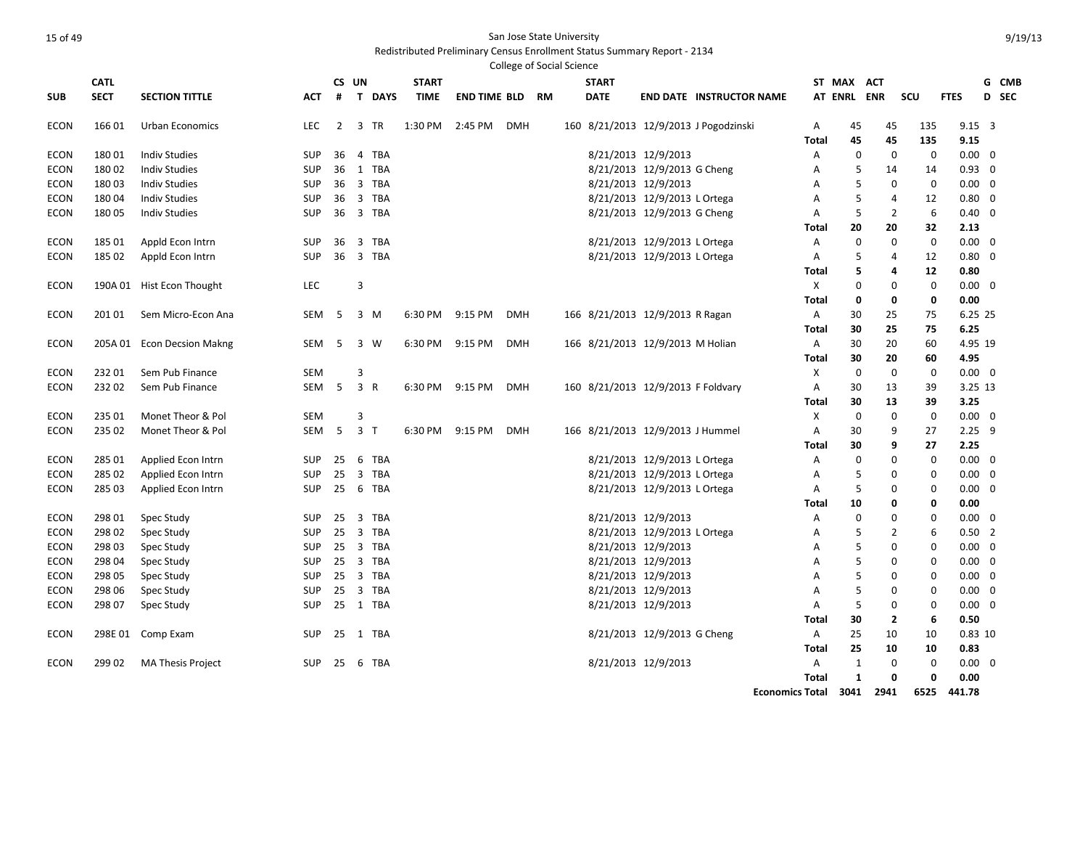### Redistributed Preliminary Census Enrollment Status Summary Report - 2134

|             |             |                            |            |                |                               |              |                     |            | <b>College of Social Science</b> |              |                                    |                                       |              |              |                         |             |             |                |       |
|-------------|-------------|----------------------------|------------|----------------|-------------------------------|--------------|---------------------|------------|----------------------------------|--------------|------------------------------------|---------------------------------------|--------------|--------------|-------------------------|-------------|-------------|----------------|-------|
|             | <b>CATL</b> |                            |            |                | CS UN                         | <b>START</b> |                     |            |                                  | <b>START</b> |                                    |                                       |              | ST MAX       | <b>ACT</b>              |             |             |                | G CMB |
| <b>SUB</b>  | <b>SECT</b> | <b>SECTION TITTLE</b>      | <b>ACT</b> | #              | T DAYS                        | <b>TIME</b>  | <b>END TIME BLD</b> |            | RM                               | <b>DATE</b>  |                                    | <b>END DATE INSTRUCTOR NAME</b>       |              | AT ENRL ENR  |                         | scu         | <b>FTES</b> |                | D SEC |
| <b>ECON</b> | 166 01      | Urban Economics            | <b>LEC</b> | $\overline{2}$ | $\overline{\mathbf{3}}$<br>TR | 1:30 PM      | 2:45 PM             | <b>DMH</b> |                                  |              |                                    | 160 8/21/2013 12/9/2013 J Pogodzinski | Α            | 45           | 45                      | 135         |             | $9.15 \quad 3$ |       |
|             |             |                            |            |                |                               |              |                     |            |                                  |              |                                    |                                       | Total        | 45           | 45                      | 135         |             | 9.15           |       |
| <b>ECON</b> | 18001       | <b>Indiv Studies</b>       | <b>SUP</b> | 36             | 4 TBA                         |              |                     |            |                                  |              | 8/21/2013 12/9/2013                |                                       | Α            | $\mathbf 0$  | 0                       |             | 0           | $0.00 \quad 0$ |       |
| <b>ECON</b> | 18002       | <b>Indiv Studies</b>       | <b>SUP</b> | 36             | 1 TBA                         |              |                     |            |                                  |              | 8/21/2013 12/9/2013 G Cheng        |                                       | A            | 5            | 14                      | 14          |             | $0.93 \quad 0$ |       |
| <b>ECON</b> | 18003       | <b>Indiv Studies</b>       | <b>SUP</b> | 36             | 3 TBA                         |              |                     |            |                                  |              | 8/21/2013 12/9/2013                |                                       | A            | 5            | $\mathbf 0$             |             | $\mathbf 0$ | $0.00 \quad 0$ |       |
| <b>ECON</b> | 18004       | <b>Indiv Studies</b>       | <b>SUP</b> | 36             | 3 TBA                         |              |                     |            |                                  |              | 8/21/2013 12/9/2013 L Ortega       |                                       | A            | 5            | 4                       | 12          |             | $0.80 \quad 0$ |       |
| <b>ECON</b> | 18005       | <b>Indiv Studies</b>       | <b>SUP</b> | 36             | 3 TBA                         |              |                     |            |                                  |              | 8/21/2013 12/9/2013 G Cheng        |                                       | A            | 5            | $\overline{2}$          |             | 6           | $0.40 \quad 0$ |       |
|             |             |                            |            |                |                               |              |                     |            |                                  |              |                                    |                                       | Total        | 20           | 20                      | 32          |             | 2.13           |       |
| <b>ECON</b> | 185 01      | Appld Econ Intrn           | <b>SUP</b> | 36             | 3 TBA                         |              |                     |            |                                  |              | 8/21/2013 12/9/2013 L Ortega       |                                       | Α            | $\mathbf 0$  | $\Omega$                |             | $\mathbf 0$ | $0.00 \quad 0$ |       |
| <b>ECON</b> | 185 02      | Appld Econ Intrn           | <b>SUP</b> | 36             | 3 TBA                         |              |                     |            |                                  |              | 8/21/2013 12/9/2013 L Ortega       |                                       | Α            | 5            | 4                       | 12          |             | $0.80 \quad 0$ |       |
|             |             |                            |            |                |                               |              |                     |            |                                  |              |                                    |                                       | Total        | 5            | 4                       | 12          |             | 0.80           |       |
| <b>ECON</b> |             | 190A 01 Hist Econ Thought  | <b>LEC</b> |                | 3                             |              |                     |            |                                  |              |                                    |                                       | X            | 0            | $\mathbf 0$             |             | $\mathbf 0$ | $0.00 \quad 0$ |       |
|             |             |                            |            |                |                               |              |                     |            |                                  |              |                                    |                                       | <b>Total</b> | 0            | 0                       |             | 0           | 0.00           |       |
| <b>ECON</b> | 201 01      | Sem Micro-Econ Ana         | SEM        | 5              | 3 M                           | 6:30 PM      | 9:15 PM             | <b>DMH</b> |                                  |              | 166 8/21/2013 12/9/2013 R Ragan    |                                       | Α            | 30           | 25                      | 75          |             | 6.25 25        |       |
|             |             |                            |            |                |                               |              |                     |            |                                  |              |                                    |                                       | Total        | 30           | 25                      | 75          |             | 6.25           |       |
| <b>ECON</b> |             | 205A 01 Econ Decsion Makng | SEM        | 5              | 3<br>W                        | 6:30 PM      | 9:15 PM             | <b>DMH</b> |                                  |              | 166 8/21/2013 12/9/2013 M Holian   |                                       | Α            | 30           | 20                      | 60          |             | 4.95 19        |       |
|             |             |                            |            |                |                               |              |                     |            |                                  |              |                                    |                                       | Total        | 30           | 20                      | 60          |             | 4.95           |       |
| <b>ECON</b> | 23201       | Sem Pub Finance            | <b>SEM</b> |                | 3                             |              |                     |            |                                  |              |                                    |                                       | Χ            | $\mathbf 0$  | $\mathbf 0$             | $\mathbf 0$ |             | $0.00 \quad 0$ |       |
| <b>ECON</b> | 23202       | Sem Pub Finance            | SEM        | 5              | 3 R                           | 6:30 PM      | 9:15 PM             | <b>DMH</b> |                                  |              | 160 8/21/2013 12/9/2013 F Foldvary |                                       | A            | 30           | 13                      | 39          |             | 3.25 13        |       |
|             |             |                            |            |                |                               |              |                     |            |                                  |              |                                    |                                       | Total        | 30           | 13                      | 39          |             | 3.25           |       |
| <b>ECON</b> | 235 01      | Monet Theor & Pol          | <b>SEM</b> |                | 3                             |              |                     |            |                                  |              |                                    |                                       | Χ            | 0            | $\mathbf 0$             |             | $\mathbf 0$ | $0.00 \quad 0$ |       |
| <b>ECON</b> | 235 02      | Monet Theor & Pol          | SEM        | 5              | 3 T                           | 6:30 PM      | 9:15 PM             | <b>DMH</b> |                                  |              | 166 8/21/2013 12/9/2013 J Hummel   |                                       | Α            | 30           | 9                       | 27          |             | $2.25$ 9       |       |
|             |             |                            |            |                |                               |              |                     |            |                                  |              |                                    |                                       | Total        | 30           | 9                       | 27          |             | 2.25           |       |
| <b>ECON</b> | 285 01      | Applied Econ Intrn         | <b>SUP</b> | 25             | 6<br><b>TBA</b>               |              |                     |            |                                  |              | 8/21/2013 12/9/2013 L Ortega       |                                       | A            | $\Omega$     | $\Omega$                |             | $\mathbf 0$ | $0.00 \quad 0$ |       |
| <b>ECON</b> | 285 02      | Applied Econ Intrn         | <b>SUP</b> | 25             | 3 TBA                         |              |                     |            |                                  |              | 8/21/2013 12/9/2013 L Ortega       |                                       | A            | 5            | 0                       |             | 0           | $0.00 \quad 0$ |       |
| <b>ECON</b> | 285 03      | Applied Econ Intrn         | <b>SUP</b> | 25             | 6 TBA                         |              |                     |            |                                  |              | 8/21/2013 12/9/2013 L Ortega       |                                       | A            | 5            | $\Omega$                |             | $\Omega$    | $0.00 \quad 0$ |       |
|             |             |                            |            |                |                               |              |                     |            |                                  |              |                                    |                                       | Total        | 10           | 0                       |             | 0           | 0.00           |       |
| <b>ECON</b> | 298 01      | Spec Study                 | <b>SUP</b> | 25             | $\overline{3}$<br><b>TBA</b>  |              |                     |            |                                  |              | 8/21/2013 12/9/2013                |                                       | A            | $\mathbf 0$  | $\Omega$                |             | 0           | $0.00 \quad 0$ |       |
| <b>ECON</b> | 298 02      | Spec Study                 | <b>SUP</b> | 25             | 3 TBA                         |              |                     |            |                                  |              | 8/21/2013 12/9/2013 L Ortega       |                                       | Α            | 5            | $\overline{2}$          |             | 6           | $0.50$ 2       |       |
| <b>ECON</b> | 298 03      | Spec Study                 | <b>SUP</b> | 25             | 3 TBA                         |              |                     |            |                                  |              | 8/21/2013 12/9/2013                |                                       | A            | 5            | $\Omega$                |             | $\mathbf 0$ | $0.00 \quad 0$ |       |
| <b>ECON</b> | 298 04      | Spec Study                 | <b>SUP</b> | 25             | 3 TBA                         |              |                     |            |                                  |              | 8/21/2013 12/9/2013                |                                       | A            | 5            | $\Omega$                |             | $\mathbf 0$ | $0.00 \quad 0$ |       |
| <b>ECON</b> | 298 05      | Spec Study                 | <b>SUP</b> | 25             | 3 TBA                         |              |                     |            |                                  |              | 8/21/2013 12/9/2013                |                                       | A            | 5            | $\Omega$                |             | 0           | $0.00 \quad 0$ |       |
| <b>ECON</b> | 298 06      | Spec Study                 | <b>SUP</b> | 25             | 3 TBA                         |              |                     |            |                                  |              | 8/21/2013 12/9/2013                |                                       | A            | 5            | $\mathbf 0$             |             | $\mathbf 0$ | $0.00 \quad 0$ |       |
| <b>ECON</b> | 298 07      | Spec Study                 | <b>SUP</b> |                | 25 1 TBA                      |              |                     |            |                                  |              | 8/21/2013 12/9/2013                |                                       | A            | 5            | $\mathbf 0$             |             | $\mathbf 0$ | $0.00 \quad 0$ |       |
|             |             |                            |            |                |                               |              |                     |            |                                  |              |                                    |                                       | Total        | 30           | $\overline{\mathbf{2}}$ |             | 6           | 0.50           |       |
| <b>ECON</b> | 298E 01     | Comp Exam                  | <b>SUP</b> | 25             | 1 TBA                         |              |                     |            |                                  |              | 8/21/2013 12/9/2013 G Cheng        |                                       | Α            | 25           | 10                      | 10          |             | $0.83$ 10      |       |
|             |             |                            |            |                |                               |              |                     |            |                                  |              |                                    |                                       | <b>Total</b> | 25           | 10                      | 10          |             | 0.83           |       |
| <b>ECON</b> | 299 02      | <b>MA Thesis Project</b>   | <b>SUP</b> | 25             | 6<br>TBA                      |              |                     |            |                                  |              | 8/21/2013 12/9/2013                |                                       | Α            | 1            | $\mathbf 0$             |             | $\mathbf 0$ | $0.00 \quad 0$ |       |
|             |             |                            |            |                |                               |              |                     |            |                                  |              |                                    |                                       | <b>Total</b> | $\mathbf{1}$ | $\Omega$                |             | 0           | 0.00           |       |
|             |             |                            |            |                |                               |              |                     |            |                                  |              |                                    |                                       |              |              |                         |             |             |                |       |

**Economics Total 3041 2941 6525 441.78**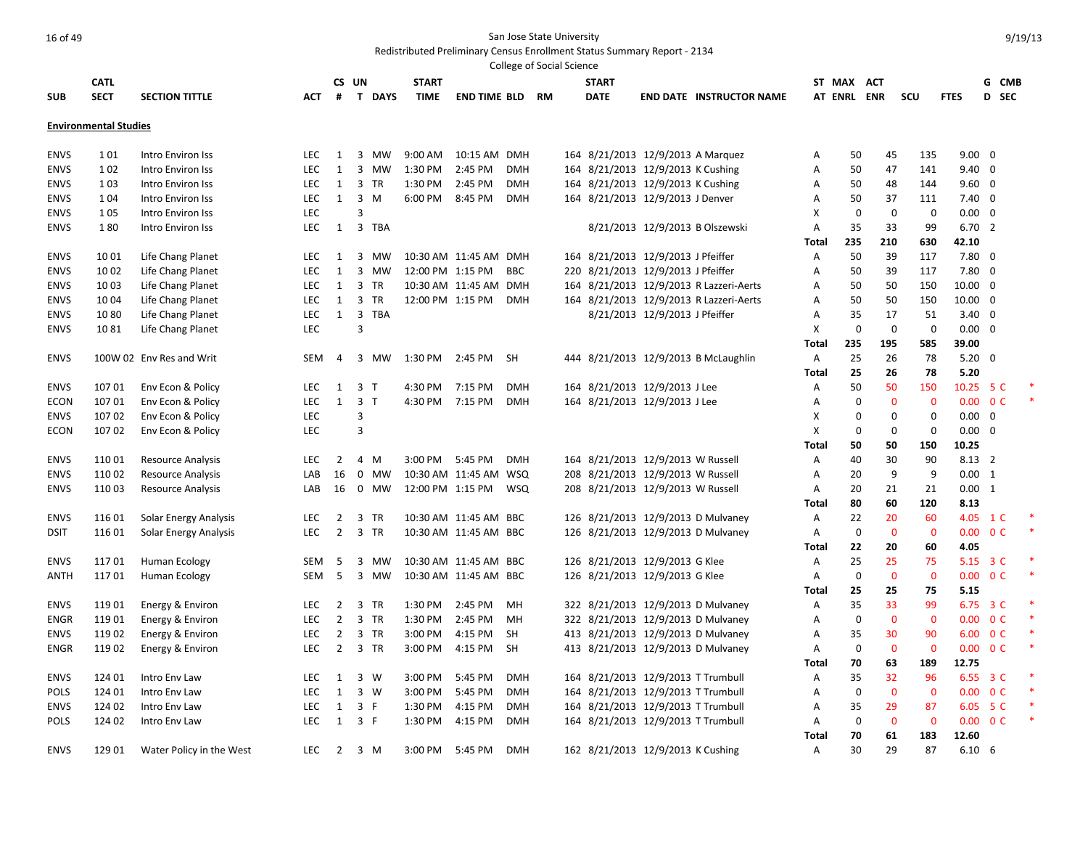|                            |                              |                                        |            |                   |                                |                  |                       |            | College of Social Science |                                                                        |                                |                                         |                |             |              |                         |                 |                          |  |
|----------------------------|------------------------------|----------------------------------------|------------|-------------------|--------------------------------|------------------|-----------------------|------------|---------------------------|------------------------------------------------------------------------|--------------------------------|-----------------------------------------|----------------|-------------|--------------|-------------------------|-----------------|--------------------------|--|
|                            | <b>CATL</b>                  |                                        |            |                   | CS UN                          | <b>START</b>     |                       |            |                           | <b>START</b>                                                           |                                |                                         | ST MAX         |             | <b>ACT</b>   |                         |                 | G CMB                    |  |
| <b>SUB</b>                 | <b>SECT</b>                  | <b>SECTION TITTLE</b>                  | АСТ        | #                 | T DAYS                         | <b>TIME</b>      | <b>END TIME BLD</b>   |            | <b>RM</b>                 | <b>DATE</b>                                                            |                                | <b>END DATE INSTRUCTOR NAME</b>         |                | AT ENRL ENR |              | SCU                     | <b>FTES</b>     | D SEC                    |  |
|                            |                              |                                        |            |                   |                                |                  |                       |            |                           |                                                                        |                                |                                         |                |             |              |                         |                 |                          |  |
|                            | <b>Environmental Studies</b> |                                        |            |                   |                                |                  |                       |            |                           |                                                                        |                                |                                         |                |             |              |                         |                 |                          |  |
|                            | 101                          |                                        | LEC        |                   | MW                             | 9:00 AM          | 10:15 AM DMH          |            |                           |                                                                        |                                |                                         |                |             |              | 135                     | $9.00 \quad 0$  |                          |  |
| <b>ENVS</b><br><b>ENVS</b> | 1 0 2                        | Intro Environ Iss<br>Intro Environ Iss | <b>LEC</b> | 1<br>$\mathbf{1}$ | 3<br>$\overline{3}$<br>MW      | 1:30 PM          | 2:45 PM               | <b>DMH</b> |                           | 164 8/21/2013 12/9/2013 A Marquez<br>164 8/21/2013 12/9/2013 K Cushing |                                |                                         | Α<br>Α         | 50<br>50    | 45<br>47     | 141                     | $9.40 \quad 0$  |                          |  |
| <b>ENVS</b>                | 1 0 3                        | Intro Environ Iss                      | LEC        | 1                 | $\overline{3}$<br><b>TR</b>    | 1:30 PM          | 2:45 PM               | <b>DMH</b> |                           | 164 8/21/2013 12/9/2013 K Cushing                                      |                                |                                         | Α              | 50          | 48           | 144                     | $9.60 \quad 0$  |                          |  |
| <b>ENVS</b>                | 1 0 4                        | Intro Environ Iss                      | LEC        | 1                 | 3<br>M                         | 6:00 PM          | 8:45 PM               | <b>DMH</b> |                           | 164 8/21/2013 12/9/2013 J Denver                                       |                                |                                         | Α              | 50          | 37           | 111                     | $7.40 \quad 0$  |                          |  |
| <b>ENVS</b>                | 105                          | Intro Environ Iss                      | LEC        |                   | 3                              |                  |                       |            |                           |                                                                        |                                |                                         | X              | $\mathbf 0$ | 0            | 0                       | 0.00            | 0                        |  |
| <b>ENVS</b>                | 180                          | Intro Environ Iss                      | <b>LEC</b> | 1                 | $\overline{3}$<br>TBA          |                  |                       |            |                           |                                                                        |                                | 8/21/2013 12/9/2013 B Olszewski         | Α              | 35          | 33           | 99                      | 6.702           |                          |  |
|                            |                              |                                        |            |                   |                                |                  |                       |            |                           |                                                                        |                                |                                         | Total          | 235         | 210          | 630                     | 42.10           |                          |  |
| <b>ENVS</b>                | 1001                         | Life Chang Planet                      | <b>LEC</b> | 1                 | 3<br>MW                        |                  | 10:30 AM 11:45 AM DMH |            |                           | 164 8/21/2013 12/9/2013 J Pfeiffer                                     |                                |                                         | Α              | 50          | 39           | 117                     | $7.80$ 0        |                          |  |
| <b>ENVS</b>                | 1002                         | Life Chang Planet                      | <b>LEC</b> | $\mathbf{1}$      | 3 MW                           | 12:00 PM 1:15 PM |                       | <b>BBC</b> |                           | 220 8/21/2013 12/9/2013 J Pfeiffer                                     |                                |                                         | $\overline{A}$ | 50          | 39           | 117                     | 7.80            | $\overline{0}$           |  |
| <b>ENVS</b>                |                              | Life Chang Planet                      | LEC.       | 1                 | $\overline{3}$<br><b>TR</b>    |                  | 10:30 AM 11:45 AM DMH |            |                           |                                                                        |                                | 164 8/21/2013 12/9/2013 R Lazzeri-Aerts | Α              | 50          | 50           | 150                     | $10.00 \quad 0$ |                          |  |
|                            | 1003<br>1004                 |                                        | LEC        |                   | 3<br>TR                        | 12:00 PM 1:15 PM |                       | <b>DMH</b> |                           |                                                                        |                                |                                         |                | 50          | 50           | 150                     |                 |                          |  |
| <b>ENVS</b>                |                              | Life Chang Planet                      | LEC        | 1<br>1            | $\overline{3}$<br>TBA          |                  |                       |            |                           |                                                                        | 8/21/2013 12/9/2013 J Pfeiffer | 164 8/21/2013 12/9/2013 R Lazzeri-Aerts | Α<br>Α         | 35          | 17           | 51                      | $10.00 \quad 0$ |                          |  |
| <b>ENVS</b>                | 1080                         | Life Chang Planet                      |            |                   | $\overline{3}$                 |                  |                       |            |                           |                                                                        |                                |                                         | X              | $\mathbf 0$ | $\mathbf 0$  | $\mathbf 0$             | $3.40 \quad 0$  |                          |  |
| <b>ENVS</b>                | 1081                         | Life Chang Planet                      | LEC        |                   |                                |                  |                       |            |                           |                                                                        |                                |                                         |                |             |              |                         | 0.00            | $\overline{0}$           |  |
|                            |                              |                                        |            |                   |                                |                  |                       |            |                           |                                                                        |                                |                                         | Total          | 235<br>25   | 195          | 585                     | 39.00           |                          |  |
| <b>ENVS</b>                |                              | 100W 02 Env Res and Writ               | SEM        | $\overline{4}$    | $\overline{3}$<br>MW           | 1:30 PM          | 2:45 PM               | <b>SH</b>  |                           |                                                                        |                                | 444 8/21/2013 12/9/2013 B McLaughlin    | Α              |             | 26<br>26     | 78<br>78                | $5.20 \ 0$      |                          |  |
|                            |                              |                                        |            |                   |                                |                  |                       |            |                           |                                                                        |                                |                                         | Total          | 25          | 50           |                         | 5.20            |                          |  |
| <b>ENVS</b>                | 107 01                       | Env Econ & Policy                      | <b>LEC</b> | 1                 | 3 <sub>T</sub>                 | 4:30 PM          | 7:15 PM               | <b>DMH</b> |                           | 164 8/21/2013 12/9/2013 J Lee                                          |                                |                                         | Α              | 50          |              | 150                     | 10.25 5 C       |                          |  |
| <b>ECON</b>                | 10701                        | Env Econ & Policy                      | <b>LEC</b> | $\mathbf{1}$      | $\overline{3}$<br>$\mathsf{T}$ | 4:30 PM          | 7:15 PM               | <b>DMH</b> |                           | 164 8/21/2013 12/9/2013 J Lee                                          |                                |                                         | Α              | $\mathbf 0$ | 0            | $\mathbf{0}$            |                 | $0.00 \t 0 C$            |  |
| <b>ENVS</b>                | 10702                        | Env Econ & Policy                      | LEC        |                   | 3                              |                  |                       |            |                           |                                                                        |                                |                                         | х              | $\Omega$    | 0            | $\Omega$                | $0.00 \quad 0$  |                          |  |
| <b>ECON</b>                | 107 02                       | Env Econ & Policy                      | LEC        |                   | 3                              |                  |                       |            |                           |                                                                        |                                |                                         | X              | $\Omega$    | 0            | 0                       | 0.00            | $\overline{0}$           |  |
|                            |                              |                                        |            |                   |                                |                  |                       |            |                           |                                                                        |                                |                                         | Total          | 50          | 50           | 150                     | 10.25           |                          |  |
| <b>ENVS</b>                | 11001                        | <b>Resource Analysis</b>               | <b>LEC</b> | $\overline{2}$    | $\overline{4}$<br>M            | 3:00 PM          | 5:45 PM               | <b>DMH</b> |                           | 164 8/21/2013 12/9/2013 W Russell                                      |                                |                                         | Α              | 40          | 30           | 90                      | 8.13 2          |                          |  |
| <b>ENVS</b>                | 11002                        | <b>Resource Analysis</b>               | LAB        | 16                | $\mathbf{0}$<br>MW             |                  | 10:30 AM 11:45 AM WSQ |            |                           | 208 8/21/2013 12/9/2013 W Russell                                      |                                |                                         | Α              | 20          | 9            | 9                       | $0.00 \quad 1$  |                          |  |
| <b>ENVS</b>                | 110 03                       | <b>Resource Analysis</b>               | LAB        | 16                | $\mathbf 0$<br>MW              | 12:00 PM 1:15 PM |                       | <b>WSQ</b> |                           | 208 8/21/2013 12/9/2013 W Russell                                      |                                |                                         | Α              | 20          | 21           | 21                      | 0.00 1          |                          |  |
|                            |                              |                                        |            |                   |                                |                  |                       |            |                           |                                                                        |                                |                                         | Total          | 80          | 60           | 120                     | 8.13            |                          |  |
| <b>ENVS</b>                | 116 01                       | Solar Energy Analysis                  | <b>LEC</b> | $\overline{2}$    | 3<br>TR                        |                  | 10:30 AM 11:45 AM BBC |            |                           |                                                                        |                                | 126 8/21/2013 12/9/2013 D Mulvaney      | Α              | 22          | 20           | 60                      |                 | 4.05 1 C                 |  |
| <b>DSIT</b>                | 11601                        | Solar Energy Analysis                  | <b>LEC</b> | $\overline{2}$    | 3<br><b>TR</b>                 |                  | 10:30 AM 11:45 AM BBC |            |                           |                                                                        |                                | 126 8/21/2013 12/9/2013 D Mulvaney      | Α              | $\mathbf 0$ | $\mathbf{0}$ | $\mathbf{0}$            |                 | $0.00 \quad 0 \text{ C}$ |  |
|                            |                              |                                        |            |                   |                                |                  |                       |            |                           |                                                                        |                                |                                         | Total          | 22          | 20           | 60                      | 4.05            |                          |  |
| <b>ENVS</b>                | 11701                        | Human Ecology                          | SEM        | 5                 | 3<br>MW                        |                  | 10:30 AM 11:45 AM BBC |            |                           | 126 8/21/2013 12/9/2013 G Klee                                         |                                |                                         | Α              | 25          | 25           | 75                      |                 | 5.15 3 C                 |  |
| <b>ANTH</b>                | 11701                        | Human Ecology                          | SEM        | 5                 | 3 MW                           |                  | 10:30 AM 11:45 AM BBC |            |                           | 126 8/21/2013 12/9/2013 G Klee                                         |                                |                                         | Α              | $\mathbf 0$ | $\mathbf 0$  | $\mathbf 0$             |                 | $0.00 \t 0 C$            |  |
|                            |                              |                                        |            |                   |                                |                  |                       |            |                           |                                                                        |                                |                                         | Total          | 25          | 25           | 75                      | 5.15            |                          |  |
| <b>ENVS</b>                | 11901                        | Energy & Environ                       | <b>LEC</b> | $\overline{2}$    | 3 TR                           | 1:30 PM          | 2:45 PM               | MH         |                           |                                                                        |                                | 322 8/21/2013 12/9/2013 D Mulvaney      | Α              | 35          | 33           | 99                      |                 | 6.75 3 C                 |  |
| <b>ENGR</b>                | 11901                        | Energy & Environ                       | <b>LEC</b> | $\overline{2}$    | 3 TR                           | 1:30 PM          | 2:45 PM               | MH         |                           |                                                                        |                                | 322 8/21/2013 12/9/2013 D Mulvaney      | Α              | $\mathbf 0$ | $\mathbf 0$  | $\mathbf{0}$            |                 | $0.00 \t 0 C$            |  |
| <b>ENVS</b>                | 11902                        | Energy & Environ                       | LEC        | 2                 | $\overline{3}$<br>TR           | 3:00 PM          | 4:15 PM               | SH         |                           |                                                                        |                                | 413 8/21/2013 12/9/2013 D Mulvaney      | Α              | 35          | 30           | 90                      |                 | 6.00 0 C                 |  |
| <b>ENGR</b>                | 11902                        | Energy & Environ                       | <b>LEC</b> | 2                 | 3 TR                           | 3:00 PM          | 4:15 PM               | SH         |                           |                                                                        |                                | 413 8/21/2013 12/9/2013 D Mulvaney      | Α              | 0           | $\mathbf{0}$ | $\mathbf{0}$            |                 | $0.00 \t 0 C$            |  |
|                            |                              |                                        |            |                   |                                |                  |                       |            |                           |                                                                        |                                |                                         | Total          | 70          | 63           | 189                     | 12.75           |                          |  |
| <b>ENVS</b>                | 124 01                       | Intro Env Law                          | <b>LEC</b> | 1                 | 3<br>w                         | 3:00 PM          | 5:45 PM               | <b>DMH</b> |                           | 164 8/21/2013 12/9/2013 T Trumbull                                     |                                |                                         | Α              | 35          | 32           | 96                      |                 | 6.55 3 C                 |  |
| <b>POLS</b>                | 124 01                       | Intro Env Law                          | LEC        | 1                 | 3 W                            | 3:00 PM          | 5:45 PM               | <b>DMH</b> |                           | 164 8/21/2013 12/9/2013 T Trumbull                                     |                                |                                         | Α              | 0           | $\mathbf 0$  | $\overline{\mathbf{0}}$ |                 | $0.00 \t 0 C$            |  |
| <b>ENVS</b>                | 124 02                       | Intro Env Law                          | LEC        | $\mathbf{1}$      | 3 F                            | 1:30 PM          | 4:15 PM               | <b>DMH</b> |                           | 164 8/21/2013 12/9/2013 T Trumbull                                     |                                |                                         | Α              | 35          | 29           | 87                      |                 | 6.05 5 C                 |  |
| POLS                       | 124 02                       | Intro Env Law                          | <b>LEC</b> | $\mathbf{1}$      | 3 F                            | 1:30 PM          | 4:15 PM               | <b>DMH</b> |                           | 164 8/21/2013 12/9/2013 T Trumbull                                     |                                |                                         | A              | $\mathbf 0$ | $\mathbf 0$  | $\mathbf 0$             |                 | $0.00 \quad 0 \text{ C}$ |  |
|                            |                              |                                        |            |                   |                                |                  |                       |            |                           |                                                                        |                                |                                         | <b>Total</b>   | 70          | 61           | 183                     | 12.60           |                          |  |
| <b>ENVS</b>                | 129 01                       | Water Policy in the West               | <b>LEC</b> | $\overline{2}$    | 3 M                            | 3:00 PM          | 5:45 PM               | <b>DMH</b> |                           | 162 8/21/2013 12/9/2013 K Cushing                                      |                                |                                         | $\overline{A}$ | 30          | 29           | 87                      | $6.10\quad 6$   |                          |  |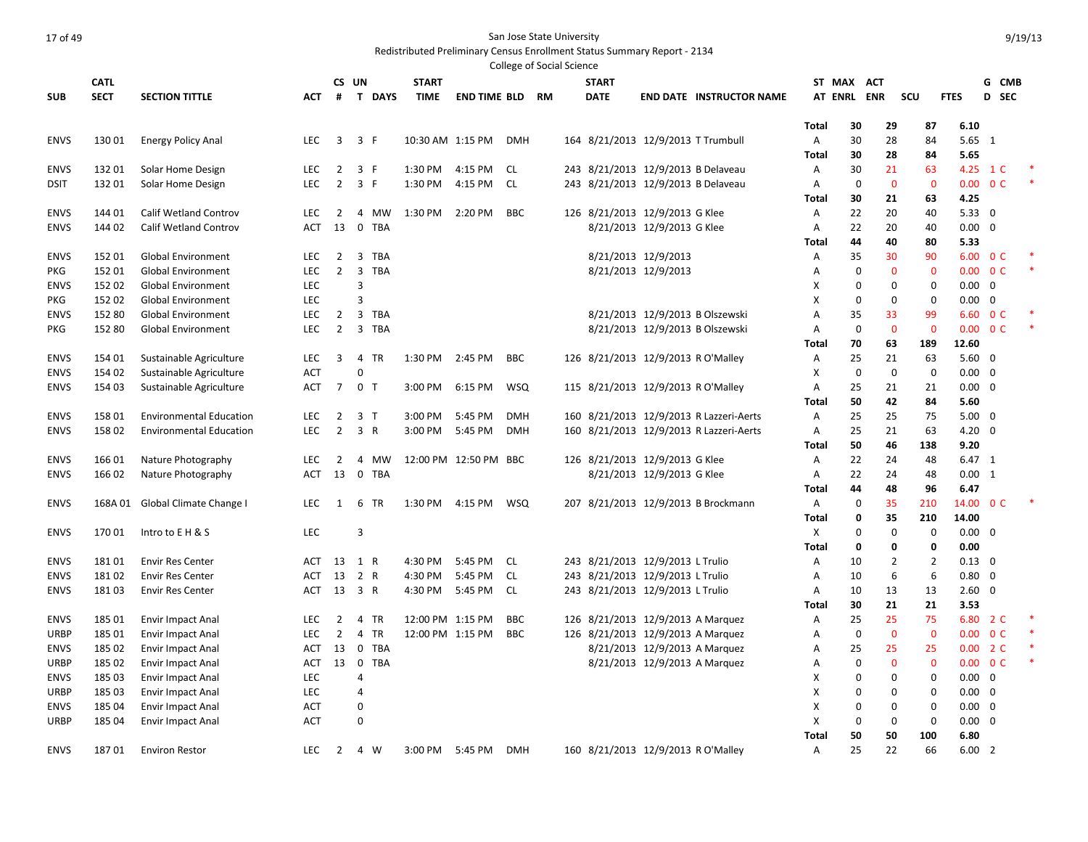#### Redistributed Preliminary Census Enrollment Status Summary Report - 2134 .<br>College of Social Science

|             |             |                                 |            |                |                                       |                  |                        | סטוופצב הו אחרופו ארובוורב |  |                                    |                            |                                         |              |             |                   |          |                                         |                |       |  |
|-------------|-------------|---------------------------------|------------|----------------|---------------------------------------|------------------|------------------------|----------------------------|--|------------------------------------|----------------------------|-----------------------------------------|--------------|-------------|-------------------|----------|-----------------------------------------|----------------|-------|--|
|             | <b>CATL</b> |                                 |            |                | CS UN                                 | <b>START</b>     |                        |                            |  | <b>START</b>                       |                            |                                         |              | ST MAX ACT  |                   |          |                                         |                | G CMB |  |
| <b>SUB</b>  | <b>SECT</b> | <b>SECTION TITTLE</b>           | АСТ        | #              | T DAYS                                | <b>TIME</b>      | <b>END TIME BLD RM</b> |                            |  | <b>DATE</b>                        |                            | <b>END DATE INSTRUCTOR NAME</b>         |              |             | AT ENRL ENR       | scu      | <b>FTES</b>                             |                | D SEC |  |
|             |             |                                 |            |                |                                       |                  |                        |                            |  |                                    |                            |                                         |              |             |                   |          |                                         |                |       |  |
|             |             |                                 |            |                |                                       |                  |                        |                            |  |                                    |                            |                                         | Total        | 30          | 29                | 87       | 6.10                                    |                |       |  |
| <b>ENVS</b> | 13001       | <b>Energy Policy Anal</b>       | <b>LEC</b> | 3              | 3 F                                   | 10:30 AM 1:15 PM |                        | <b>DMH</b>                 |  | 164 8/21/2013 12/9/2013 T Trumbull |                            |                                         | Α            | 30          | 28                | 84       | $5.65$ 1                                |                |       |  |
|             |             |                                 |            |                |                                       |                  |                        |                            |  |                                    |                            |                                         | Total        | 30          | 28                | 84       | 5.65                                    |                |       |  |
| <b>ENVS</b> | 13201       | Solar Home Design               | <b>LEC</b> | 2              | 3 F                                   | 1:30 PM          | 4:15 PM                | CL.                        |  |                                    |                            | 243 8/21/2013 12/9/2013 B Delaveau      | A            | 30          | 21                | 63       | 4.25 1 C                                |                |       |  |
| <b>DSIT</b> | 13201       | Solar Home Design               | <b>LEC</b> | $\overline{2}$ | 3 F                                   | 1:30 PM          | 4:15 PM                | <b>CL</b>                  |  |                                    |                            | 243 8/21/2013 12/9/2013 B Delaveau      | Α            | $\mathbf 0$ | $\mathbf 0$<br>21 |          | $\mathbf 0$<br>0.00<br>4.25             | 0 <sup>C</sup> |       |  |
| <b>ENVS</b> | 144 01      | <b>Calif Wetland Controv</b>    | <b>LEC</b> | $\overline{2}$ | 4<br>MW                               | 1:30 PM          | 2:20 PM                | <b>BBC</b>                 |  | 126 8/21/2013 12/9/2013 G Klee     |                            |                                         | Total<br>Α   | 30<br>22    | 20                | 63<br>40 | 5.33                                    | $\overline{0}$ |       |  |
| <b>ENVS</b> | 144 02      | <b>Calif Wetland Controv</b>    | <b>ACT</b> | 13             | $\overline{0}$<br><b>TBA</b>          |                  |                        |                            |  |                                    | 8/21/2013 12/9/2013 G Klee |                                         | Α            | 22          | 20                | 40       | 0.00                                    | $\overline{0}$ |       |  |
|             |             |                                 |            |                |                                       |                  |                        |                            |  |                                    |                            |                                         | Total        | 44          | 40                | 80       | 5.33                                    |                |       |  |
| <b>ENVS</b> | 152 01      | <b>Global Environment</b>       | <b>LEC</b> | $\overline{2}$ | $\overline{3}$<br><b>TBA</b>          |                  |                        |                            |  | 8/21/2013 12/9/2013                |                            |                                         | Α            | 35          | 30                | 90       | 6.00                                    | 0 <sup>C</sup> |       |  |
| PKG         | 152 01      | <b>Global Environment</b>       | LEC        | $\overline{2}$ | 3<br><b>TBA</b>                       |                  |                        |                            |  | 8/21/2013 12/9/2013                |                            |                                         | Α            | 0           | $\mathbf 0$       |          | 0.00<br>$\mathbf 0$                     | 0 <sup>C</sup> |       |  |
| <b>ENVS</b> | 152 02      | <b>Global Environment</b>       | LEC        |                | 3                                     |                  |                        |                            |  |                                    |                            |                                         | Х            | 0           | 0                 |          | 0<br>0.00                               | $\mathbf 0$    |       |  |
| <b>PKG</b>  | 152 02      | <b>Global Environment</b>       | <b>LEC</b> |                | 3                                     |                  |                        |                            |  |                                    |                            |                                         | X            | $\mathbf 0$ | $\mathbf{0}$      |          | $\mathbf 0$<br>0.00                     | $\mathbf 0$    |       |  |
| <b>ENVS</b> | 152 80      | <b>Global Environment</b>       | <b>LEC</b> | $\overline{2}$ | $\overline{3}$<br><b>TBA</b>          |                  |                        |                            |  |                                    |                            | 8/21/2013 12/9/2013 B Olszewski         | A            | 35          | 33                | 99       | 6.60                                    | 0 <sup>C</sup> |       |  |
| PKG         | 152 80      | <b>Global Environment</b>       | <b>LEC</b> | 2              | 3 TBA                                 |                  |                        |                            |  |                                    |                            | 8/21/2013 12/9/2013 B Olszewski         | Α            | $\mathbf 0$ | $\overline{0}$    |          | 0.00<br>$\overline{0}$                  | 0 <sup>C</sup> |       |  |
|             |             |                                 |            |                |                                       |                  |                        |                            |  |                                    |                            |                                         | Total        | 70          | 63                | 189      | 12.60                                   |                |       |  |
| <b>ENVS</b> | 154 01      | Sustainable Agriculture         | LEC        | 3              | 4<br>TR                               | 1:30 PM          | 2:45 PM                | <b>BBC</b>                 |  | 126 8/21/2013 12/9/2013 R O'Malley |                            |                                         | Α            | 25          | 21                | 63       | 5.60                                    | 0              |       |  |
| <b>ENVS</b> | 154 02      | Sustainable Agriculture         | <b>ACT</b> |                | $\Omega$                              |                  |                        |                            |  |                                    |                            |                                         | Χ            | $\mathbf 0$ | $\mathbf 0$       |          | $\mathbf 0$<br>0.00                     | $\overline{0}$ |       |  |
| <b>ENVS</b> | 154 03      | Sustainable Agriculture         | <b>ACT</b> | $\overline{7}$ | 0 <sub>T</sub>                        | 3:00 PM          | 6:15 PM                | <b>WSQ</b>                 |  | 115 8/21/2013 12/9/2013 R O'Malley |                            |                                         | Α            | 25          | 21                | 21       | 0.00                                    | $\mathbf 0$    |       |  |
|             |             |                                 |            |                |                                       |                  |                        |                            |  |                                    |                            |                                         | Total        | 50          | 42                | 84       | 5.60                                    |                |       |  |
| <b>ENVS</b> | 158 01      | <b>Environmental Education</b>  | LEC        | $\overline{2}$ | 3 <sub>7</sub>                        | 3:00 PM          | 5:45 PM                | <b>DMH</b>                 |  |                                    |                            | 160 8/21/2013 12/9/2013 R Lazzeri-Aerts | Α            | 25          | 25                | 75       | 5.00                                    | $\overline{0}$ |       |  |
| <b>ENVS</b> | 15802       | <b>Environmental Education</b>  | LEC        | $\overline{2}$ | 3 R                                   | 3:00 PM          | 5:45 PM                | <b>DMH</b>                 |  |                                    |                            | 160 8/21/2013 12/9/2013 R Lazzeri-Aerts | Α            | 25          | 21                | 63       | 4.20                                    | $\mathbf 0$    |       |  |
|             |             |                                 |            |                |                                       |                  |                        |                            |  |                                    |                            |                                         | Total        | 50          | 46                | 138      | 9.20                                    |                |       |  |
| <b>ENVS</b> | 16601       | Nature Photography              | LEC        | $\overline{2}$ | MW<br>4                               |                  | 12:00 PM 12:50 PM BBC  |                            |  | 126 8/21/2013 12/9/2013 G Klee     |                            |                                         | Α            | 22          | 24                | 48       | $6.47$ 1                                |                |       |  |
| <b>ENVS</b> | 166 02      | Nature Photography              | ACT        | 13             | 0 TBA                                 |                  |                        |                            |  |                                    | 8/21/2013 12/9/2013 G Klee |                                         | Α            | 22          | 24                | 48       | $0.00 \quad 1$                          |                |       |  |
|             |             |                                 |            |                |                                       |                  |                        |                            |  |                                    |                            |                                         | Total        | 44          | 48                | 96       | 6.47                                    |                |       |  |
| <b>ENVS</b> |             | 168A 01 Global Climate Change I | <b>LEC</b> | 1              | 6 TR                                  | 1:30 PM 4:15 PM  |                        | WSQ                        |  |                                    |                            | 207 8/21/2013 12/9/2013 B Brockmann     | Α            | $\mathbf 0$ | 35                | 210      | 14.00 0 C                               |                |       |  |
|             |             |                                 |            |                |                                       |                  |                        |                            |  |                                    |                            |                                         | Total        | 0           | 35                | 210      | 14.00                                   |                |       |  |
| <b>ENVS</b> | 17001       | Intro to E H & S                | <b>LEC</b> |                | 3                                     |                  |                        |                            |  |                                    |                            |                                         | X            | $\mathbf 0$ | $\mathbf 0$       |          | 0<br>$0.00 \quad 0$                     |                |       |  |
|             |             |                                 |            |                |                                       |                  |                        |                            |  |                                    |                            |                                         | Total        | 0           | 0                 |          | 0<br>0.00                               |                |       |  |
| <b>ENVS</b> | 18101       | <b>Envir Res Center</b>         | ACT        | 13             | 1 R                                   | 4:30 PM          | 5:45 PM                | CL.                        |  | 243 8/21/2013 12/9/2013 L Trulio   |                            |                                         | А            | 10          | $\overline{2}$    |          | $\overline{2}$<br>$0.13 \quad 0$        |                |       |  |
| <b>ENVS</b> | 18102       | <b>Envir Res Center</b>         | <b>ACT</b> | 13             | 2 R                                   | 4:30 PM          | 5:45 PM                | <b>CL</b>                  |  | 243 8/21/2013 12/9/2013 L Trulio   |                            |                                         | Α            | 10          | 6                 |          | 0.80<br>6                               | $\overline{0}$ |       |  |
| <b>ENVS</b> | 18103       | <b>Envir Res Center</b>         | ACT        |                | 13 3 R                                | 4:30 PM          | 5:45 PM                | <b>CL</b>                  |  | 243 8/21/2013 12/9/2013 L Trulio   |                            |                                         | Α            | 10          | 13                | 13       | 2.60                                    | $\mathbf 0$    |       |  |
|             |             |                                 |            |                |                                       |                  |                        |                            |  |                                    |                            |                                         | <b>Total</b> | 30          | 21                | 21       | 3.53                                    |                |       |  |
| <b>ENVS</b> | 185 01      | <b>Envir Impact Anal</b>        | LEC        | $\overline{2}$ | <b>TR</b><br>4                        | 12:00 PM 1:15 PM |                        | <b>BBC</b>                 |  |                                    |                            | 126 8/21/2013 12/9/2013 A Marquez       | Α            | 25          | 25                | 75       | 6.80                                    | 2 C            |       |  |
| <b>URBP</b> | 185 01      | <b>Envir Impact Anal</b>        | <b>LEC</b> | $\overline{2}$ | 4<br><b>TR</b>                        | 12:00 PM 1:15 PM |                        | <b>BBC</b>                 |  | 126 8/21/2013 12/9/2013 A Marquez  |                            |                                         | Α            | $\mathbf 0$ | $\mathbf 0$       |          | $\mathbf 0$<br>0.00                     | 0 <sup>C</sup> |       |  |
| <b>ENVS</b> | 185 02      | <b>Envir Impact Anal</b>        | ACT        | 13             | $\mathbf 0$<br><b>TBA</b>             |                  |                        |                            |  |                                    |                            | 8/21/2013 12/9/2013 A Marquez           | Α            | 25          | 25                | 25       | 0.00 2 C                                |                |       |  |
| <b>URBP</b> | 185 02      | <b>Envir Impact Anal</b>        | ACT        | 13             | $\overline{\mathbf{0}}$<br><b>TBA</b> |                  |                        |                            |  |                                    |                            | 8/21/2013 12/9/2013 A Marquez           | А            | 0           | $\mathbf 0$       |          | $\mathbf 0$<br>$0.00 \quad 0 \text{ C}$ |                |       |  |
| <b>ENVS</b> | 185 03      | <b>Envir Impact Anal</b>        | <b>LEC</b> |                | 4                                     |                  |                        |                            |  |                                    |                            |                                         | X            | $\mathbf 0$ | $\mathbf 0$       |          | 0.00<br>$\mathbf 0$                     | $\mathbf 0$    |       |  |
| URBP        | 185 03      | <b>Envir Impact Anal</b>        | LEC        |                | 4                                     |                  |                        |                            |  |                                    |                            |                                         | Х            | $\mathbf 0$ | $\mathbf 0$       |          | $\mathbf 0$<br>0.00                     | $\overline{0}$ |       |  |
| <b>ENVS</b> | 185 04      | <b>Envir Impact Anal</b>        | ACT        |                | 0                                     |                  |                        |                            |  |                                    |                            |                                         | Χ            | $\mathbf 0$ | $\mathbf 0$       |          | 0<br>0.00                               | $\mathbf 0$    |       |  |
| URBP        | 185 04      | <b>Envir Impact Anal</b>        | <b>ACT</b> |                | $\mathbf 0$                           |                  |                        |                            |  |                                    |                            |                                         | X            | $\mathbf 0$ | $\mathbf{0}$      |          | $\mathbf 0$<br>0.00                     | $\overline{0}$ |       |  |
|             |             |                                 |            |                |                                       |                  |                        |                            |  |                                    |                            |                                         | Total        | 50          | 50                | 100      | 6.80                                    |                |       |  |
| <b>ENVS</b> | 18701       | <b>Environ Restor</b>           | <b>LEC</b> | $\overline{2}$ | 4 W                                   | 3:00 PM          | 5:45 PM                | <b>DMH</b>                 |  | 160 8/21/2013 12/9/2013 R O'Malley |                            |                                         | A            | 25          | 22                | 66       | 6.00                                    | $\overline{2}$ |       |  |

9/19/13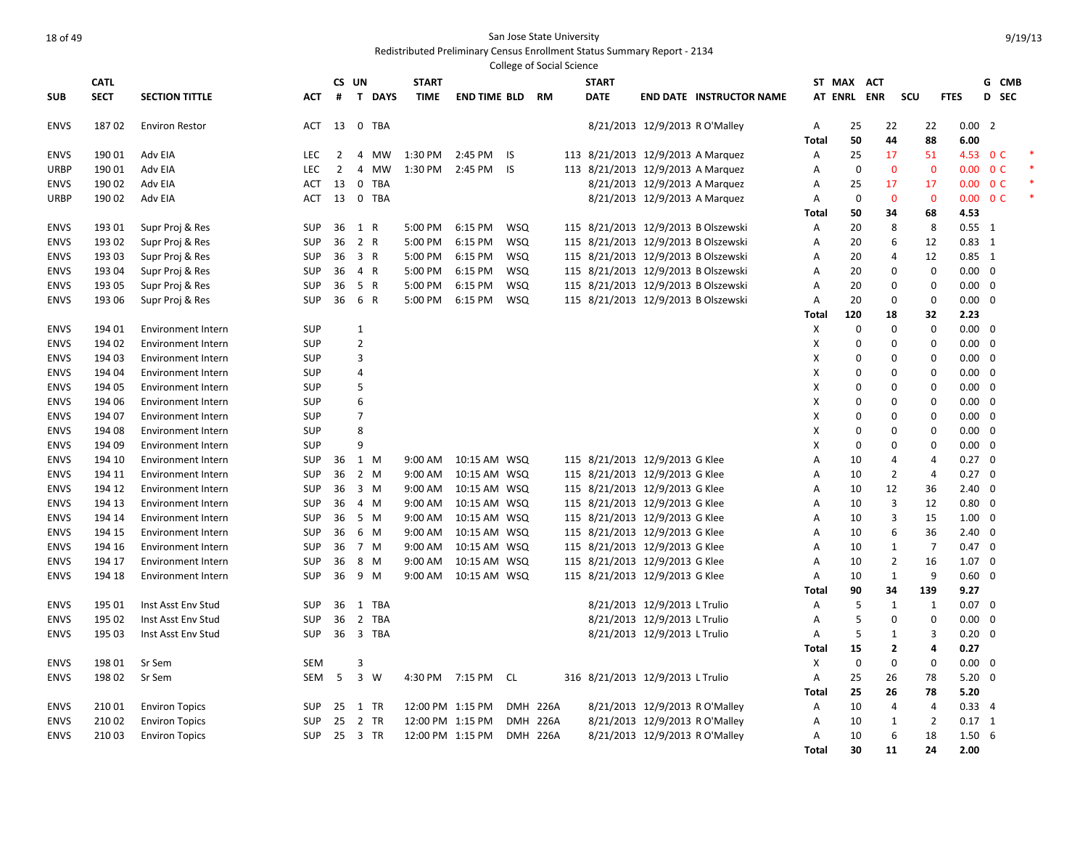|             |             |                           |            |                |                                       |              |                     |            | <b>College of Social Science</b> |                                   |                                |                                     |              |                |                |                |             |                |                          |  |
|-------------|-------------|---------------------------|------------|----------------|---------------------------------------|--------------|---------------------|------------|----------------------------------|-----------------------------------|--------------------------------|-------------------------------------|--------------|----------------|----------------|----------------|-------------|----------------|--------------------------|--|
|             | <b>CATL</b> |                           |            |                | CS UN                                 | <b>START</b> |                     |            |                                  | <b>START</b>                      |                                |                                     |              | ST MAX ACT     |                |                |             | G              | <b>CMB</b>               |  |
| <b>SUB</b>  | <b>SECT</b> | <b>SECTION TITTLE</b>     | <b>ACT</b> | #              | $\mathbf{T}$<br><b>DAYS</b>           | <b>TIME</b>  | <b>END TIME BLD</b> |            | <b>RM</b>                        | <b>DATE</b>                       |                                | <b>END DATE INSTRUCTOR NAME</b>     |              | <b>AT ENRL</b> | <b>ENR</b>     | SCU            | <b>FTES</b> |                | D<br><b>SEC</b>          |  |
| <b>ENVS</b> | 18702       | <b>Environ Restor</b>     | ACT        | 13             | 0 TBA                                 |              |                     |            |                                  |                                   | 8/21/2013 12/9/2013 R O'Malley |                                     | Α            | 25             | 22             | 22             |             | $0.00$ 2       |                          |  |
|             |             |                           |            |                |                                       |              |                     |            |                                  |                                   |                                |                                     | Total        | 50             | 44             | 88             | 6.00        |                |                          |  |
| <b>ENVS</b> | 19001       | Adv EIA                   | <b>LEC</b> | $\overline{2}$ | 4<br>MW                               | 1:30 PM      | 2:45 PM             | IS         |                                  | 113 8/21/2013 12/9/2013 A Marquez |                                |                                     | Α            | 25             | 17             | 51             |             |                | 4.53 O C                 |  |
| URBP        | 19001       | Adv EIA                   | <b>LEC</b> | $\overline{2}$ | 4<br><b>MW</b>                        | 1:30 PM      | 2:45 PM             | <b>IS</b>  |                                  | 113 8/21/2013 12/9/2013 A Marquez |                                |                                     | Α            | $\mathbf 0$    | $\mathbf{0}$   | $\overline{0}$ | 0.00        |                | 0 <sup>C</sup>           |  |
| <b>ENVS</b> | 190 02      | Adv EIA                   | <b>ACT</b> | 13             | $\mathbf 0$<br><b>TBA</b>             |              |                     |            |                                  |                                   | 8/21/2013 12/9/2013 A Marquez  |                                     | Α            | 25             | 17             | 17             |             |                | $0.00 \quad 0 \text{ C}$ |  |
| <b>URBP</b> | 190 02      | Adv EIA                   | <b>ACT</b> | 13             | 0 TBA                                 |              |                     |            |                                  |                                   | 8/21/2013 12/9/2013 A Marquez  |                                     | Α            | $\mathbf 0$    | $\mathbf{0}$   | $\mathbf{0}$   |             |                | $0.00 \quad 0 \text{ C}$ |  |
|             |             |                           |            |                |                                       |              |                     |            |                                  |                                   |                                |                                     | Total        | 50             | 34             | 68             | 4.53        |                |                          |  |
| <b>ENVS</b> | 193 01      | Supr Proj & Res           | SUP        | 36             | 1 R                                   | 5:00 PM      | 6:15 PM             | <b>WSQ</b> |                                  |                                   |                                | 115 8/21/2013 12/9/2013 B Olszewski | Α            | 20             | 8              | 8              |             | $0.55$ 1       |                          |  |
| <b>ENVS</b> | 193 02      | Supr Proj & Res           | <b>SUP</b> | 36             | 2 R                                   | 5:00 PM      | 6:15 PM             | <b>WSQ</b> |                                  |                                   |                                | 115 8/21/2013 12/9/2013 B Olszewski | Α            | 20             | 6              | 12             |             | $0.83$ 1       |                          |  |
| <b>ENVS</b> | 193 03      | Supr Proj & Res           | SUP        | 36             | 3 R                                   | 5:00 PM      | 6:15 PM             | <b>WSQ</b> |                                  |                                   |                                | 115 8/21/2013 12/9/2013 B Olszewski | Α            | 20             | $\overline{4}$ | 12             |             | $0.85$ 1       |                          |  |
| <b>ENVS</b> | 193 04      | Supr Proj & Res           | <b>SUP</b> | 36             | 4 R                                   | 5:00 PM      | 6:15 PM             | <b>WSQ</b> |                                  |                                   |                                | 115 8/21/2013 12/9/2013 B Olszewski | Α            | 20             | $\mathbf 0$    | $\mathbf 0$    |             | $0.00 \quad 0$ |                          |  |
| <b>ENVS</b> | 193 05      | Supr Proj & Res           | SUP        | 36             | 5 R                                   | 5:00 PM      | 6:15 PM             | <b>WSQ</b> |                                  |                                   |                                | 115 8/21/2013 12/9/2013 B Olszewski | Α            | 20             | $\mathbf 0$    | $\mathbf 0$    |             | $0.00 \quad 0$ |                          |  |
| <b>ENVS</b> | 193 06      | Supr Proj & Res           | SUP        | 36             | 6 R                                   | 5:00 PM      | 6:15 PM             | <b>WSQ</b> |                                  |                                   |                                | 115 8/21/2013 12/9/2013 B Olszewski | Α            | 20             | $\mathbf 0$    | $\mathbf 0$    |             | $0.00 \quad 0$ |                          |  |
|             |             |                           |            |                |                                       |              |                     |            |                                  |                                   |                                |                                     | Total        | 120            | 18             | 32             | 2.23        |                |                          |  |
| <b>ENVS</b> | 194 01      | <b>Environment Intern</b> | SUP        |                | 1                                     |              |                     |            |                                  |                                   |                                |                                     | $\mathsf{x}$ | 0              | $\mathbf 0$    | $\mathbf 0$    |             | $0.00 \quad 0$ |                          |  |
| <b>ENVS</b> | 194 02      | <b>Environment Intern</b> | SUP        |                | $\overline{2}$                        |              |                     |            |                                  |                                   |                                |                                     | X            | 0              | $\mathbf 0$    | $\Omega$       |             | $0.00 \quad 0$ |                          |  |
| <b>ENVS</b> | 194 03      | <b>Environment Intern</b> | SUP        |                | 3                                     |              |                     |            |                                  |                                   |                                |                                     | X            | 0              | 0              | 0              |             | $0.00 \quad 0$ |                          |  |
| <b>ENVS</b> | 194 04      | <b>Environment Intern</b> | SUP        |                | 4                                     |              |                     |            |                                  |                                   |                                |                                     | x            | 0              | $\mathbf 0$    | $\mathbf 0$    |             | $0.00 \quad 0$ |                          |  |
| <b>ENVS</b> | 194 05      | <b>Environment Intern</b> | SUP        |                | 5                                     |              |                     |            |                                  |                                   |                                |                                     | x            | $\Omega$       | $\mathbf 0$    | $\mathbf 0$    |             | $0.00 \quad 0$ |                          |  |
| <b>ENVS</b> | 194 06      | Environment Intern        | SUP        |                | 6                                     |              |                     |            |                                  |                                   |                                |                                     | x            | $\Omega$       | $\Omega$       | $\mathbf 0$    |             | $0.00 \quad 0$ |                          |  |
| <b>ENVS</b> | 194 07      | <b>Environment Intern</b> | SUP        |                | $\overline{7}$                        |              |                     |            |                                  |                                   |                                |                                     | х            | $\Omega$       | $\Omega$       | $\Omega$       |             | $0.00 \quad 0$ |                          |  |
| <b>ENVS</b> | 194 08      | <b>Environment Intern</b> | SUP        |                | 8                                     |              |                     |            |                                  |                                   |                                |                                     | x            | 0              | $\Omega$       | 0              |             | $0.00 \quad 0$ |                          |  |
| <b>ENVS</b> | 194 09      | <b>Environment Intern</b> | SUP        |                | 9                                     |              |                     |            |                                  |                                   |                                |                                     | x            | $\mathbf 0$    | 0              | $\mathbf 0$    |             | $0.00 \quad 0$ |                          |  |
| <b>ENVS</b> | 194 10      | Environment Intern        | SUP        | 36             | 1 M                                   | 9:00 AM      | 10:15 AM WSQ        |            |                                  | 115 8/21/2013 12/9/2013 G Klee    |                                |                                     | Α            | 10             | $\overline{4}$ | $\overline{4}$ |             | $0.27 \quad 0$ |                          |  |
| <b>ENVS</b> | 194 11      | Environment Intern        | SUP        | 36             | 2 M                                   | $9:00$ AM    | 10:15 AM WSQ        |            |                                  | 115 8/21/2013 12/9/2013 G Klee    |                                |                                     | А            | 10             | $\overline{2}$ | $\overline{4}$ |             | $0.27 \quad 0$ |                          |  |
| <b>ENVS</b> | 194 12      | <b>Environment Intern</b> | SUP        | 36             | 3 M                                   | 9:00 AM      | 10:15 AM WSQ        |            |                                  | 115 8/21/2013 12/9/2013 G Klee    |                                |                                     | Α            | 10             | 12             | 36             |             | $2.40 \quad 0$ |                          |  |
| <b>ENVS</b> | 194 13      | <b>Environment Intern</b> | <b>SUP</b> | 36             | 4 M                                   | 9:00 AM      | 10:15 AM WSQ        |            |                                  | 115 8/21/2013 12/9/2013 G Klee    |                                |                                     | Α            | 10             | $\overline{3}$ | 12             |             | 0.80 0         |                          |  |
| <b>ENVS</b> | 194 14      | <b>Environment Intern</b> | SUP        | 36             | 5 M                                   | 9:00 AM      | 10:15 AM WSQ        |            |                                  | 115 8/21/2013 12/9/2013 G Klee    |                                |                                     | Α            | 10             | 3              | 15             |             | $1.00 \quad 0$ |                          |  |
| <b>ENVS</b> | 194 15      | Environment Intern        | SUP        | 36             | 6 M                                   | 9:00 AM      | 10:15 AM WSQ        |            |                                  | 115 8/21/2013 12/9/2013 G Klee    |                                |                                     | Α            | 10             | 6              | 36             |             | $2.40 \quad 0$ |                          |  |
| <b>ENVS</b> | 194 16      | Environment Intern        | SUP        | 36             | 7 M                                   | 9:00 AM      | 10:15 AM WSQ        |            |                                  | 115 8/21/2013 12/9/2013 G Klee    |                                |                                     | Α            | 10             | $\mathbf{1}$   | $\overline{7}$ |             | $0.47 \quad 0$ |                          |  |
| <b>ENVS</b> | 194 17      | Environment Intern        | SUP        | 36             | 8 M                                   | 9:00 AM      | 10:15 AM WSQ        |            |                                  | 115 8/21/2013 12/9/2013 G Klee    |                                |                                     | Α            | 10             | $\overline{2}$ | 16             |             | $1.07 \quad 0$ |                          |  |
| <b>ENVS</b> | 194 18      | <b>Environment Intern</b> | <b>SUP</b> | 36             | 9 M                                   | 9:00 AM      | 10:15 AM WSQ        |            |                                  | 115 8/21/2013 12/9/2013 G Klee    |                                |                                     | Α            | 10             | $\mathbf{1}$   | 9              |             | $0.60 \quad 0$ |                          |  |
|             |             |                           |            |                |                                       |              |                     |            |                                  |                                   |                                |                                     | Total        | 90             | 34             | 139            | 9.27        |                |                          |  |
| <b>ENVS</b> | 195 01      | Inst Asst Env Stud        | <b>SUP</b> | 36             | <b>TBA</b><br>1                       |              |                     |            |                                  |                                   | 8/21/2013 12/9/2013 L Trulio   |                                     | Α            | 5              | $\mathbf{1}$   | $\mathbf{1}$   |             | $0.07 \quad 0$ |                          |  |
| <b>ENVS</b> | 195 02      | Inst Asst Env Stud        | <b>SUP</b> | 36             | $\overline{2}$<br><b>TBA</b>          |              |                     |            |                                  |                                   | 8/21/2013 12/9/2013 L Trulio   |                                     | Α            | 5              | $\mathbf 0$    | $\mathbf 0$    |             | $0.00 \quad 0$ |                          |  |
| <b>ENVS</b> | 195 03      | Inst Asst Env Stud        | <b>SUP</b> | 36             | $\overline{\mathbf{3}}$<br><b>TBA</b> |              |                     |            |                                  |                                   | 8/21/2013 12/9/2013 L Trulio   |                                     | Α            | 5              | 1              | 3              |             | $0.20 \ 0$     |                          |  |
|             |             |                           |            |                |                                       |              |                     |            |                                  |                                   |                                |                                     | Total        | 15             | $\overline{2}$ | $\overline{a}$ | 0.27        |                |                          |  |
| <b>ENVS</b> | 19801       | Sr Sem                    | <b>SEM</b> |                | 3                                     |              |                     |            |                                  |                                   |                                |                                     | X            | $\Omega$       | $\mathbf 0$    | $\mathbf 0$    |             | $0.00 \quad 0$ |                          |  |
| <b>ENVS</b> | 198 02      | Sr Sem                    | SEM        | 5              | 3 W                                   |              | 4:30 PM 7:15 PM     | CL         |                                  | 316 8/21/2013 12/9/2013 L Trulio  |                                |                                     | Α            | 25             | 26             | 78             |             | $5.20 \ 0$     |                          |  |
|             |             |                           |            |                |                                       |              |                     |            |                                  |                                   |                                |                                     | <b>Total</b> | 25             | 26             | 78             | 5.20        |                |                          |  |
| <b>ENVS</b> | 210 01      | <b>Environ Topics</b>     | SUP        | 25             | 1 TR                                  |              | 12:00 PM 1:15 PM    |            | <b>DMH 226A</b>                  |                                   | 8/21/2013 12/9/2013 R O'Malley |                                     | Α            | 10             | $\overline{4}$ | $\overline{a}$ |             | 0.334          |                          |  |
| <b>ENVS</b> | 210 02      | <b>Environ Topics</b>     | SUP        | 25             | 2 TR                                  |              | 12:00 PM 1:15 PM    |            | <b>DMH 226A</b>                  |                                   | 8/21/2013 12/9/2013 R O'Malley |                                     | Α            | 10             | 1              | $\overline{2}$ |             | $0.17$ 1       |                          |  |
| <b>ENVS</b> | 21003       | <b>Environ Topics</b>     | <b>SUP</b> | 25             | 3 TR                                  |              | 12:00 PM 1:15 PM    |            | <b>DMH 226A</b>                  |                                   | 8/21/2013 12/9/2013 R O'Malley |                                     | Α            | 10             | 6              | 18             |             | 1.506          |                          |  |
|             |             |                           |            |                |                                       |              |                     |            |                                  |                                   |                                |                                     | <b>Total</b> | 30             | 11             | 24             | 2.00        |                |                          |  |
|             |             |                           |            |                |                                       |              |                     |            |                                  |                                   |                                |                                     |              |                |                |                |             |                |                          |  |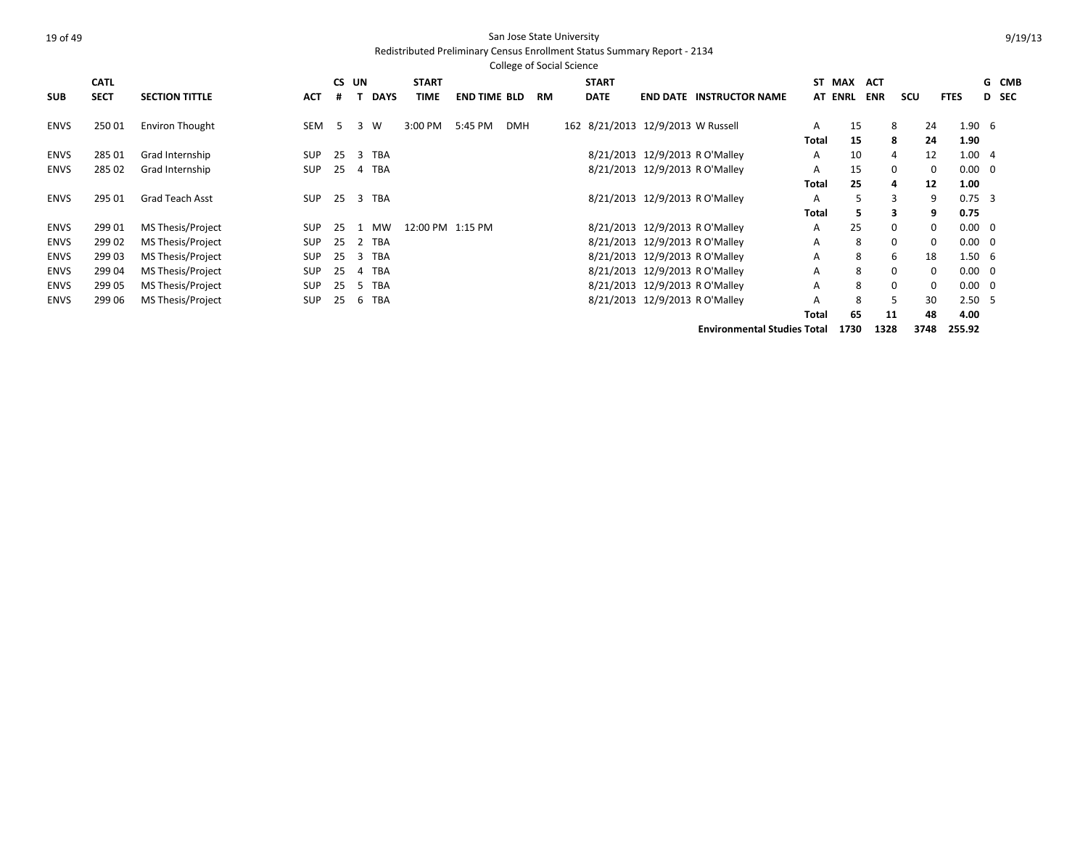#### Redistributed Preliminary Census Enrollment Status Summary Report - 2134

|             |             |                        |            |       |                             |                  |                     | <b>College of Social Science</b> |           |              |                                   |                                 |       |                |            |          |                   |                   |              |
|-------------|-------------|------------------------|------------|-------|-----------------------------|------------------|---------------------|----------------------------------|-----------|--------------|-----------------------------------|---------------------------------|-------|----------------|------------|----------|-------------------|-------------------|--------------|
|             | <b>CATL</b> |                        |            | CS UN |                             | <b>START</b>     |                     |                                  |           | <b>START</b> |                                   |                                 |       | ST MAX         | <b>ACT</b> |          |                   |                   | G CMB        |
| <b>SUB</b>  | <b>SECT</b> | <b>SECTION TITTLE</b>  | <b>ACT</b> |       | <b>DAYS</b>                 | <b>TIME</b>      | <b>END TIME BLD</b> |                                  | <b>RM</b> | <b>DATE</b>  |                                   | <b>END DATE INSTRUCTOR NAME</b> |       | <b>AT ENRL</b> | <b>ENR</b> | scu      | <b>FTES</b>       |                   | <b>D</b> SEC |
| ENVS        | 25001       | <b>Environ Thought</b> | SEM        | 5     | W<br>3                      | 3:00 PM          | 5:45 PM             | <b>DMH</b>                       |           |              | 162 8/21/2013 12/9/2013 W Russell |                                 | A     | 15             |            | 8        | 24                | $1.90\quad 6$     |              |
|             |             |                        |            |       |                             |                  |                     |                                  |           |              |                                   |                                 | Total | 15             |            | 8        | 24                | 1.90              |              |
| <b>ENVS</b> | 285 01      | Grad Internship        | <b>SUP</b> | 25    | <b>TBA</b><br>3             |                  |                     |                                  |           |              | 8/21/2013 12/9/2013 R O'Malley    |                                 | A     | 10             |            |          | 12                | 1.004             |              |
| <b>ENVS</b> | 285 02      | Grad Internship        | <b>SUP</b> | 25    | 4 TBA                       |                  |                     |                                  |           |              | 8/21/2013 12/9/2013 R O'Malley    |                                 | A     | 15             |            | $\Omega$ | 0                 | $0.00 \quad 0$    |              |
|             |             |                        |            |       |                             |                  |                     |                                  |           |              |                                   |                                 | Total | 25             |            | 4        | $12 \overline{ }$ | 1.00              |              |
| <b>ENVS</b> | 295 01      | <b>Grad Teach Asst</b> | <b>SUP</b> | 25    | 3 TBA                       |                  |                     |                                  |           |              | 8/21/2013 12/9/2013 R O'Malley    |                                 | A     | 5              |            | 3        | 9                 | $0.75 - 3$        |              |
|             |             |                        |            |       |                             |                  |                     |                                  |           |              |                                   |                                 | Total | 5.             |            | З.       | 9                 | 0.75              |              |
| <b>ENVS</b> | 299 01      | MS Thesis/Project      | <b>SUP</b> | 25    | MW                          | 12:00 PM 1:15 PM |                     |                                  |           |              | 8/21/2013 12/9/2013 R O'Malley    |                                 | A     | 25             |            | $\Omega$ | $\Omega$          | $0.00 \quad 0$    |              |
| <b>ENVS</b> | 299 02      | MS Thesis/Project      | <b>SUP</b> | 25    | 2 TBA                       |                  |                     |                                  |           |              | 8/21/2013 12/9/2013 R O'Malley    |                                 | A     | 8              |            | $\Omega$ | $\mathbf{0}$      | $0.00 \quad 0$    |              |
| <b>ENVS</b> | 299 03      | MS Thesis/Project      | <b>SUP</b> | 25    | <b>TBA</b><br>3             |                  |                     |                                  |           |              | 8/21/2013 12/9/2013 R O'Malley    |                                 | A     | 8              |            | 6        | 18                | $1.50\quad 6$     |              |
| <b>ENVS</b> | 299 04      | MS Thesis/Project      | SUP        | 25    | <b>TBA</b><br>4             |                  |                     |                                  |           |              | 8/21/2013 12/9/2013 R O'Malley    |                                 | A     | 8              |            |          | $\mathbf{0}$      | $0.00 \quad 0$    |              |
| <b>ENVS</b> | 299 05      | MS Thesis/Project      | <b>SUP</b> | 25    | <b>TBA</b><br>$\mathcal{D}$ |                  |                     |                                  |           |              | 8/21/2013 12/9/2013 R O'Malley    |                                 | A     | 8              |            |          | $\Omega$          | $0.00 \quad 0$    |              |
| <b>ENVS</b> | 299 06      | MS Thesis/Project      | <b>SUP</b> | 25    | 6 TBA                       |                  |                     |                                  |           |              | 8/21/2013 12/9/2013 R O'Malley    |                                 | A     | 8              |            |          | 30                | 2.50 <sub>5</sub> |              |
|             |             |                        |            |       |                             |                  |                     |                                  |           |              |                                   |                                 | Total | 65             |            | 11       | 48                | 4.00              |              |

**Environmental Studies Total 1730 1328 3748 255.92**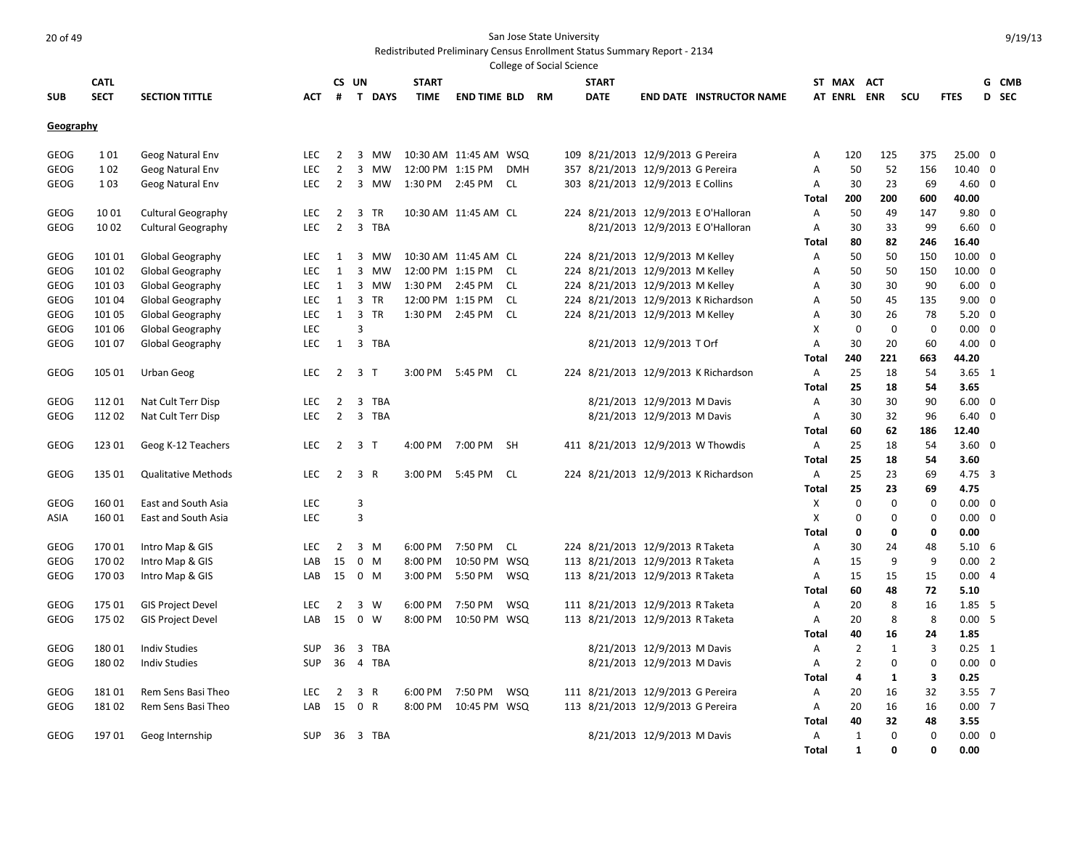|             |             |                            |            |                |                                |                  |                       |            | College of Social Science |                                   |                             |                                      |              |                |              |             |                 |       |
|-------------|-------------|----------------------------|------------|----------------|--------------------------------|------------------|-----------------------|------------|---------------------------|-----------------------------------|-----------------------------|--------------------------------------|--------------|----------------|--------------|-------------|-----------------|-------|
|             | <b>CATL</b> |                            |            | CS UN          |                                | <b>START</b>     |                       |            |                           | <b>START</b>                      |                             |                                      |              | ST MAX ACT     |              |             |                 | G CMB |
| <b>SUB</b>  | <b>SECT</b> | <b>SECTION TITTLE</b>      | <b>ACT</b> | #              | T DAYS                         | TIME             | <b>END TIME BLD</b>   |            | <b>RM</b>                 | <b>DATE</b>                       |                             | <b>END DATE INSTRUCTOR NAME</b>      |              | <b>AT ENRL</b> | <b>ENR</b>   | scu         | <b>FTES</b>     | D SEC |
|             |             |                            |            |                |                                |                  |                       |            |                           |                                   |                             |                                      |              |                |              |             |                 |       |
| Geography   |             |                            |            |                |                                |                  |                       |            |                           |                                   |                             |                                      |              |                |              |             |                 |       |
| <b>GEOG</b> | 101         | Geog Natural Env           | <b>LEC</b> | 2              | $\overline{\mathbf{3}}$<br>MW  |                  | 10:30 AM 11:45 AM WSQ |            |                           | 109 8/21/2013 12/9/2013 G Pereira |                             |                                      | Α            | 120            | 125          | 375         | 25.00 0         |       |
| <b>GEOG</b> | 102         | Geog Natural Env           | LEC        | $\overline{2}$ | 3<br>MW                        | 12:00 PM 1:15 PM |                       | <b>DMH</b> |                           | 357 8/21/2013 12/9/2013 G Pereira |                             |                                      | Α            | 50             | 52           | 156         | 10.40 0         |       |
| GEOG        | 1 0 3       | Geog Natural Env           | <b>LEC</b> | $\overline{2}$ | 3<br>MW                        | 1:30 PM          | 2:45 PM               | CL.        |                           | 303 8/21/2013 12/9/2013 E Collins |                             |                                      | Α            | 30             | 23           | 69          | $4.60 \quad 0$  |       |
|             |             |                            |            |                |                                |                  |                       |            |                           |                                   |                             |                                      | Total        | 200            | 200          | 600         | 40.00           |       |
| <b>GEOG</b> | 1001        | <b>Cultural Geography</b>  | LEC        | $\overline{2}$ | 3<br>TR                        |                  | 10:30 AM 11:45 AM CL  |            |                           |                                   |                             | 224 8/21/2013 12/9/2013 E O'Halloran | Α            | 50             | 49           | 147         | $9.80$ 0        |       |
| <b>GEOG</b> | 10 02       | <b>Cultural Geography</b>  | <b>LEC</b> | $\overline{2}$ | 3<br>TBA                       |                  |                       |            |                           |                                   |                             | 8/21/2013 12/9/2013 E O'Halloran     | $\mathsf{A}$ | 30             | 33           | 99          | $6.60 \quad 0$  |       |
|             |             |                            |            |                |                                |                  |                       |            |                           |                                   |                             |                                      | Total        | 80             | 82           | 246         | 16.40           |       |
| <b>GEOG</b> | 101 01      | Global Geography           | LEC        | 1              | 3<br>MW                        |                  | 10:30 AM 11:45 AM CL  |            |                           | 224 8/21/2013 12/9/2013 M Kelley  |                             |                                      | $\mathsf{A}$ | 50             | 50           | 150         | $10.00 \quad 0$ |       |
| <b>GEOG</b> | 101 02      | Global Geography           | <b>LEC</b> | 1              | 3<br>MW                        | 12:00 PM 1:15 PM |                       | CL.        |                           | 224 8/21/2013 12/9/2013 M Kelley  |                             |                                      | A            | 50             | 50           | 150         | $10.00 \quad 0$ |       |
| <b>GEOG</b> | 101 03      | Global Geography           | <b>LEC</b> | 1              | 3<br>MW                        | 1:30 PM          | 2:45 PM               | CL.        |                           | 224 8/21/2013 12/9/2013 M Kelley  |                             |                                      | A            | 30             | 30           | 90          | $6.00 \quad 0$  |       |
| GEOG        | 101 04      | Global Geography           | <b>LEC</b> | 1              | 3<br>TR                        | 12:00 PM 1:15 PM |                       | CL         |                           |                                   |                             | 224 8/21/2013 12/9/2013 K Richardson | Α            | 50             | 45           | 135         | $9.00 \quad 0$  |       |
| <b>GEOG</b> | 101 05      | Global Geography           | LEC        | 1              | 3 TR                           |                  | 1:30 PM 2:45 PM CL    |            |                           | 224 8/21/2013 12/9/2013 M Kelley  |                             |                                      | A            | 30             | 26           | 78          | $5.20 \ 0$      |       |
| GEOG        | 101 06      | Global Geography           | LEC        |                | 3                              |                  |                       |            |                           |                                   |                             |                                      | X            | 0              | $\mathbf 0$  | $\Omega$    | $0.00 \quad 0$  |       |
| <b>GEOG</b> | 101 07      | Global Geography           | LEC        | 1              | 3 TBA                          |                  |                       |            |                           |                                   | 8/21/2013 12/9/2013 T Orf   |                                      | Α            | 30             | 20           | 60          | $4.00 \quad 0$  |       |
|             |             |                            |            |                |                                |                  |                       |            |                           |                                   |                             |                                      | Total        | 240            | 221          | 663         | 44.20           |       |
| <b>GEOG</b> | 105 01      | Urban Geog                 | <b>LEC</b> | $\overline{2}$ | 3 <sub>1</sub>                 | 3:00 PM          | 5:45 PM CL            |            |                           |                                   |                             | 224 8/21/2013 12/9/2013 K Richardson | Α            | 25             | 18           | 54          | $3.65 \quad 1$  |       |
|             |             |                            |            |                |                                |                  |                       |            |                           |                                   |                             |                                      | Total        | 25             | 18           | 54          | 3.65            |       |
| <b>GEOG</b> | 11201       | Nat Cult Terr Disp         | LEC        | $\overline{2}$ | 3<br>TBA                       |                  |                       |            |                           |                                   | 8/21/2013 12/9/2013 M Davis |                                      | Α            | 30             | 30           | 90          | $6.00 \quad 0$  |       |
| <b>GEOG</b> | 11202       | Nat Cult Terr Disp         | <b>LEC</b> | $\overline{2}$ | 3 TBA                          |                  |                       |            |                           |                                   | 8/21/2013 12/9/2013 M Davis |                                      | Α            | 30             | 32           | 96          | $6.40 \quad 0$  |       |
|             |             |                            |            |                |                                |                  |                       |            |                           |                                   |                             |                                      | Total        | 60             | 62           | 186         | 12.40           |       |
| GEOG        | 123 01      | Geog K-12 Teachers         | <b>LEC</b> | $\overline{2}$ | 3 T                            |                  | 4:00 PM 7:00 PM SH    |            |                           | 411 8/21/2013 12/9/2013 W Thowdis |                             |                                      | A            | 25             | 18           | -54         | $3.60 \quad 0$  |       |
|             |             |                            |            |                |                                |                  |                       |            |                           |                                   |                             |                                      | Total        | 25             | 18           | 54          | 3.60            |       |
| <b>GEOG</b> | 135 01      | <b>Qualitative Methods</b> | <b>LEC</b> | $\overline{2}$ | 3 R                            | 3:00 PM          | 5:45 PM               | - CL       |                           |                                   |                             | 224 8/21/2013 12/9/2013 K Richardson | A            | 25             | 23           | 69          | $4.75 \quad 3$  |       |
|             |             |                            |            |                |                                |                  |                       |            |                           |                                   |                             |                                      | Total        | 25             | 23           | 69          | 4.75            |       |
| <b>GEOG</b> | 16001       | East and South Asia        | LEC        |                | 3                              |                  |                       |            |                           |                                   |                             |                                      | Χ            | $\mathbf 0$    | 0            | $\mathbf 0$ | $0.00 \quad 0$  |       |
| ASIA        | 16001       | East and South Asia        | LEC        |                | $\overline{3}$                 |                  |                       |            |                           |                                   |                             |                                      | X            | $\mathbf 0$    | $\mathbf 0$  | $\Omega$    | $0.00 \quad 0$  |       |
|             |             |                            |            |                |                                |                  |                       |            |                           |                                   |                             |                                      | Total        | 0              | 0            | $\mathbf 0$ | 0.00            |       |
| <b>GEOG</b> | 17001       | Intro Map & GIS            | LEC        | $\overline{2}$ | 3<br>M                         | 6:00 PM          | 7:50 PM               | CL         |                           | 224 8/21/2013 12/9/2013 R Taketa  |                             |                                      | A            | 30             | 24           | 48          | $5.10\quad 6$   |       |
| <b>GEOG</b> | 17002       | Intro Map & GIS            | LAB        | 15             | $\mathbf 0$<br>M               | 8:00 PM          | 10:50 PM WSQ          |            |                           | 113 8/21/2013 12/9/2013 R Taketa  |                             |                                      | A            | 15             | 9            | 9           | 0.002           |       |
| <b>GEOG</b> | 17003       | Intro Map & GIS            | LAB        | 15             | $0$ M                          | 3:00 PM          | 5:50 PM               | WSQ        |                           | 113 8/21/2013 12/9/2013 R Taketa  |                             |                                      | Α            | 15             | 15           | 15          | 0.004           |       |
|             |             |                            |            |                |                                |                  |                       |            |                           |                                   |                             |                                      | Total        | 60             | 48           | 72          | 5.10            |       |
| <b>GEOG</b> | 175 01      | <b>GIS Project Devel</b>   | <b>LEC</b> | 2              | 3<br>W                         | 6:00 PM          | 7:50 PM               | <b>WSQ</b> |                           | 111 8/21/2013 12/9/2013 R Taketa  |                             |                                      | A            | 20             | 8            | 16          | 1.85 5          |       |
| <b>GEOG</b> | 175 02      | <b>GIS Project Devel</b>   | LAB        | 15             | $\mathbf 0$<br>W               | 8:00 PM          | 10:50 PM WSQ          |            |                           | 113 8/21/2013 12/9/2013 R Taketa  |                             |                                      | Α            | 20             | 8            | 8           | 0.005           |       |
|             |             |                            |            |                |                                |                  |                       |            |                           |                                   |                             |                                      | Total        | 40             | 16           | 24          | 1.85            |       |
| <b>GEOG</b> | 18001       | <b>Indiv Studies</b>       | <b>SUP</b> | 36             | 3 TBA                          |                  |                       |            |                           |                                   | 8/21/2013 12/9/2013 M Davis |                                      | Α            | $\overline{2}$ | $\mathbf{1}$ | 3           | $0.25$ 1        |       |
| GEOG        | 18002       | <b>Indiv Studies</b>       | <b>SUP</b> | 36             | 4 TBA                          |                  |                       |            |                           |                                   | 8/21/2013 12/9/2013 M Davis |                                      | A            | $\overline{2}$ | $\mathbf 0$  | $\mathbf 0$ | $0.00 \quad 0$  |       |
|             |             |                            |            |                |                                |                  |                       |            |                           |                                   |                             |                                      | Total        | 4              | 1            | 3           | 0.25            |       |
| <b>GEOG</b> | 18101       | Rem Sens Basi Theo         | LEC        | $\overline{2}$ | 3<br>$\mathsf{R}$              | 6:00 PM          | 7:50 PM               | WSQ        |                           | 111 8/21/2013 12/9/2013 G Pereira |                             |                                      | A            | 20             | 16           | 32          | $3.55 \quad 7$  |       |
| <b>GEOG</b> | 18102       | Rem Sens Basi Theo         | LAB        | 15             | $\mathbf{0}$<br>$\overline{R}$ | 8:00 PM          | 10:45 PM WSQ          |            |                           | 113 8/21/2013 12/9/2013 G Pereira |                             |                                      | A            | 20             | 16           | 16          | 0.007           |       |
|             |             |                            |            |                |                                |                  |                       |            |                           |                                   |                             |                                      | <b>Total</b> | 40             | 32           | 48          | 3.55            |       |
| <b>GEOG</b> | 19701       | Geog Internship            | <b>SUP</b> | 36             | 3 TBA                          |                  |                       |            |                           |                                   | 8/21/2013 12/9/2013 M Davis |                                      | Α            | $\mathbf{1}$   | $\mathbf 0$  | $\Omega$    | $0.00 \quad 0$  |       |
|             |             |                            |            |                |                                |                  |                       |            |                           |                                   |                             |                                      | Total        | $\mathbf{1}$   | 0            | $\Omega$    | 0.00            |       |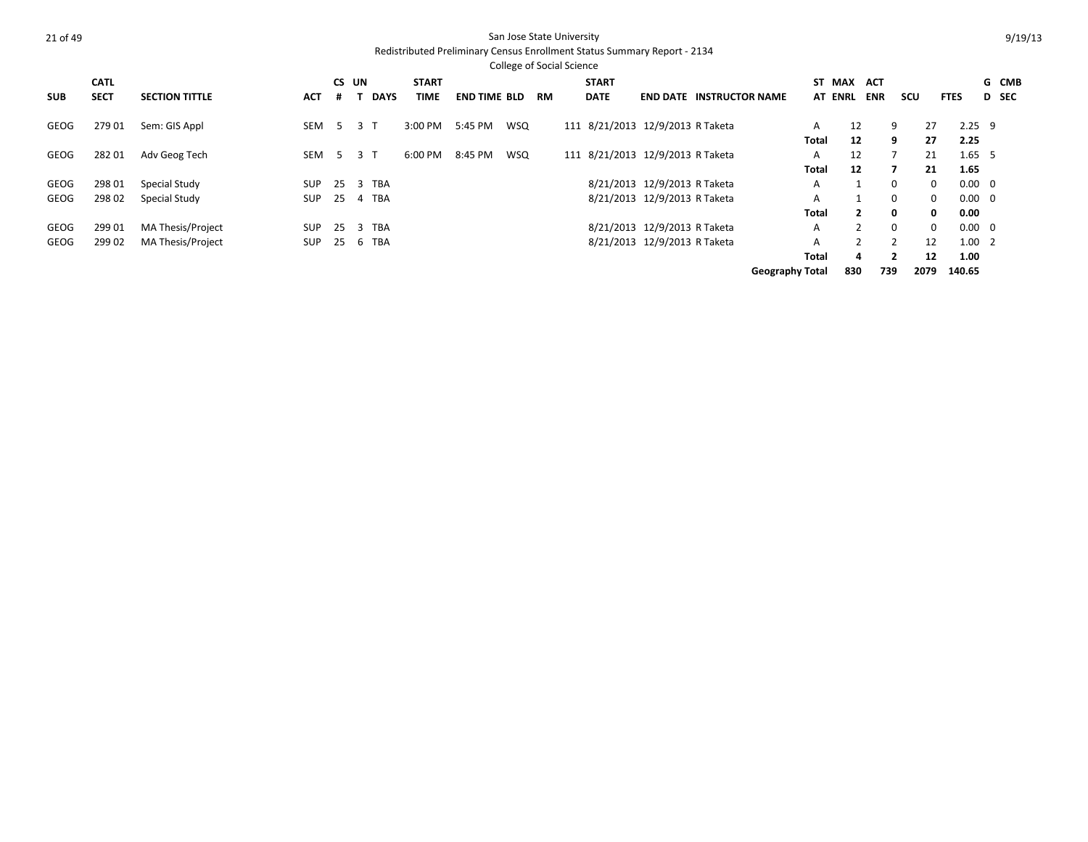|            |             |                       |            |       |             |              |                     |     | <b>College of Social Science</b> |              |                                  |                                 |                        |                |            |          |              |                |       |
|------------|-------------|-----------------------|------------|-------|-------------|--------------|---------------------|-----|----------------------------------|--------------|----------------------------------|---------------------------------|------------------------|----------------|------------|----------|--------------|----------------|-------|
|            | <b>CATL</b> |                       |            | CS UN |             | <b>START</b> |                     |     |                                  | <b>START</b> |                                  |                                 |                        | ST MAX         | ACT        |          |              |                | G CMB |
| <b>SUB</b> | <b>SECT</b> | <b>SECTION TITTLE</b> | <b>ACT</b> | #     | <b>DAYS</b> | TIME         | <b>END TIME BLD</b> |     | <b>RM</b>                        | <b>DATE</b>  |                                  | <b>END DATE INSTRUCTOR NAME</b> |                        | AT ENRL        | <b>ENR</b> | scu      | <b>FTES</b>  |                | D SEC |
| GEOG       | 27901       | Sem: GIS Appl         | SEM        | -5    | 3 T         | 3:00 PM      | 5:45 PM             | WSQ |                                  |              | 111 8/21/2013 12/9/2013 R Taketa |                                 | A                      | 12             | 9          |          | 27           | $2.25$ 9       |       |
|            |             |                       |            |       |             |              |                     |     |                                  |              |                                  |                                 | Total                  | 12             | 9          |          | 27           | 2.25           |       |
| GEOG       | 28201       | Adv Geog Tech         | SEM        | -5    | 3 T         | 6:00 PM      | 8:45 PM             | WSQ |                                  |              | 111 8/21/2013 12/9/2013 R Taketa |                                 | A                      | 12             |            |          | 21           | 1.65, 5        |       |
|            |             |                       |            |       |             |              |                     |     |                                  |              |                                  |                                 | Total                  | 12             |            |          | 21           | 1.65           |       |
| GEOG       | 298 01      | Special Study         | <b>SUP</b> | 25    | 3 TBA       |              |                     |     |                                  |              | 8/21/2013 12/9/2013 R Taketa     |                                 | А                      | $\mathbf{1}$   | $\Omega$   |          | $\Omega$     | $0.00 \quad 0$ |       |
| GEOG       | 298 02      | Special Study         | SUP        | 25    | 4 TBA       |              |                     |     |                                  |              | 8/21/2013 12/9/2013 R Taketa     |                                 | A                      |                | $\Omega$   |          | $\mathbf{0}$ | $0.00 \quad 0$ |       |
|            |             |                       |            |       |             |              |                     |     |                                  |              |                                  |                                 | Total                  | $\mathbf{2}$   |            | $\Omega$ | $\mathbf{0}$ | 0.00           |       |
| GEOG       | 299 01      | MA Thesis/Project     | <b>SUP</b> | 25    | 3 TBA       |              |                     |     |                                  |              | 8/21/2013 12/9/2013 R Taketa     |                                 | A                      | $\overline{2}$ | $\Omega$   |          | $\mathbf{0}$ | $0.00 \quad 0$ |       |
| GEOG       | 299 02      | MA Thesis/Project     | <b>SUP</b> | 25    | 6 TBA       |              |                     |     |                                  |              | 8/21/2013 12/9/2013 R Taketa     |                                 | А                      | $\overline{2}$ |            |          | 12           | $1.00 \quad 2$ |       |
|            |             |                       |            |       |             |              |                     |     |                                  |              |                                  |                                 | Total                  | 4              |            |          | 12           | 1.00           |       |
|            |             |                       |            |       |             |              |                     |     |                                  |              |                                  |                                 | <b>Geography Total</b> | 830            | 739        | 2079     |              | 140.65         |       |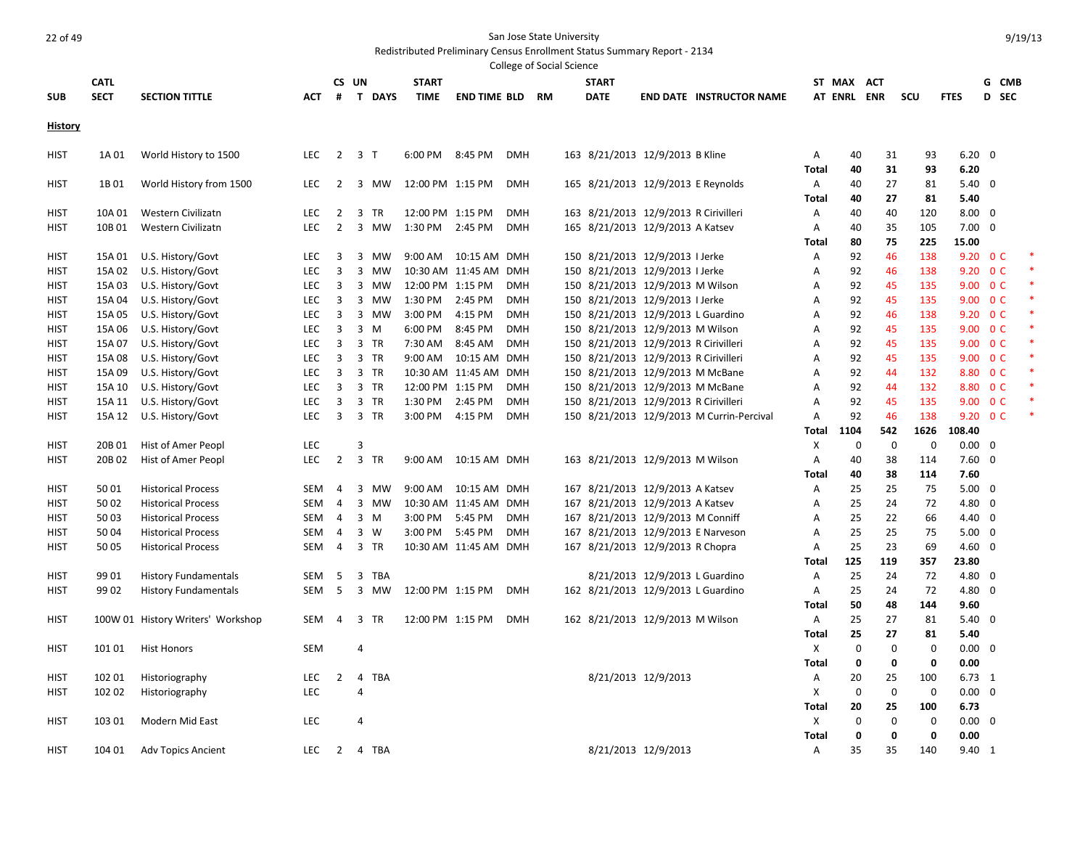|                            |                  |                                        |                          |                |                                        |                    |                        |                          | College of Social Science |              |                                                                                |                                           |              |             |             |              |                |                      |  |
|----------------------------|------------------|----------------------------------------|--------------------------|----------------|----------------------------------------|--------------------|------------------------|--------------------------|---------------------------|--------------|--------------------------------------------------------------------------------|-------------------------------------------|--------------|-------------|-------------|--------------|----------------|----------------------|--|
|                            | <b>CATL</b>      |                                        |                          |                | CS UN                                  | <b>START</b>       |                        |                          |                           | <b>START</b> |                                                                                |                                           |              | ST MAX ACT  |             |              |                | G CMB                |  |
| <b>SUB</b>                 | <b>SECT</b>      | <b>SECTION TITTLE</b>                  | <b>ACT</b>               | #              | T DAYS                                 | <b>TIME</b>        | <b>END TIME BLD RM</b> |                          |                           | <b>DATE</b>  |                                                                                | <b>END DATE INSTRUCTOR NAME</b>           |              | AT ENRL ENR |             | scu          | <b>FTES</b>    | D SEC                |  |
| <b>History</b>             |                  |                                        |                          |                |                                        |                    |                        |                          |                           |              |                                                                                |                                           |              |             |             |              |                |                      |  |
|                            |                  |                                        |                          |                |                                        |                    |                        |                          |                           |              |                                                                                |                                           |              |             |             |              |                |                      |  |
| <b>HIST</b>                | 1A 01            | World History to 1500                  | <b>LEC</b>               | $\overline{2}$ | 3 T                                    | 6:00 PM            | 8:45 PM                | <b>DMH</b>               |                           |              | 163 8/21/2013 12/9/2013 B Kline                                                |                                           | Α            | 40          | 31          | 93           | $6.20 \quad 0$ |                      |  |
|                            |                  |                                        |                          |                |                                        |                    |                        |                          |                           |              |                                                                                |                                           | Total        | 40          | 31          | 93           | 6.20           |                      |  |
| <b>HIST</b>                | 1B01             | World History from 1500                | <b>LEC</b>               | $\overline{2}$ | 3 MW                                   | 12:00 PM 1:15 PM   |                        | <b>DMH</b>               |                           |              | 165 8/21/2013 12/9/2013 E Reynolds                                             |                                           | A            | 40          | 27          | 81           | $5.40 \quad 0$ |                      |  |
|                            |                  |                                        |                          |                |                                        |                    |                        |                          |                           |              |                                                                                |                                           | Total        | 40          | 27          | 81           | 5.40           |                      |  |
| HIST                       | 10A 01           | Western Civilizatn                     | <b>LEC</b>               | $\overline{2}$ | 3<br><b>TR</b>                         | 12:00 PM 1:15 PM   |                        | <b>DMH</b>               |                           |              | 163 8/21/2013 12/9/2013 R Cirivilleri                                          |                                           | Α            | 40          | 40          | 120          | $8.00 \quad 0$ |                      |  |
| <b>HIST</b>                | 10B 01           | Western Civilizatn                     | <b>LEC</b>               | $\overline{2}$ | $\overline{3}$<br>MW                   | 1:30 PM 2:45 PM    |                        | <b>DMH</b>               |                           |              | 165 8/21/2013 12/9/2013 A Katsev                                               |                                           | Α            | 40          | 35          | 105          | $7.00 \quad 0$ |                      |  |
|                            |                  |                                        |                          |                |                                        |                    |                        |                          |                           |              |                                                                                |                                           | Total        | 80          | 75          | 225          | 15.00          |                      |  |
| <b>HIST</b>                | 15A 01           | U.S. History/Govt                      | LEC                      | 3              | 3<br>MW                                |                    | 9:00 AM  10:15 AM  DMH |                          |                           |              | 150 8/21/2013 12/9/2013 I Jerke                                                |                                           | Α            | 92          | 46          | 138          |                | 9.20 0 C             |  |
| HIST                       | 15A 02           | U.S. History/Govt                      | LEC                      | 3              | $\overline{3}$<br>MW                   |                    | 10:30 AM 11:45 AM      | <b>DMH</b>               |                           |              | 150 8/21/2013 12/9/2013 I Jerke                                                |                                           | A            | 92          | 46          | 138          |                | 9.20 O C             |  |
| <b>HIST</b>                | 15A 03           | U.S. History/Govt                      | <b>LEC</b>               | 3              | 3 MW                                   | 12:00 PM 1:15 PM   |                        | <b>DMH</b>               |                           |              | 150 8/21/2013 12/9/2013 M Wilson                                               |                                           | A            | 92          | 45          | 135          |                | 9.00 0 C             |  |
| <b>HIST</b>                | 15A 04           | U.S. History/Govt                      | LEC                      | 3              | $\overline{3}$<br>МW                   | 1:30 PM            | 2:45 PM                | <b>DMH</b>               |                           |              | 150 8/21/2013 12/9/2013 I Jerke                                                |                                           | Α            | 92          | 45          | 135          |                | 9.00 0 C             |  |
| <b>HIST</b>                | 15A 05           | U.S. History/Govt                      | LEC                      | 3              | 3 MW                                   | 3:00 PM            | 4:15 PM                | <b>DMH</b>               |                           |              | 150 8/21/2013 12/9/2013 L Guardino                                             |                                           | Α            | 92          | 46          | 138          |                | 9.20 0 C             |  |
| <b>HIST</b><br><b>HIST</b> | 15A 06           | U.S. History/Govt                      | <b>LEC</b><br><b>LEC</b> | 3              | $3 \, M$<br><b>TR</b>                  | 6:00 PM<br>7:30 AM | 8:45 PM<br>8:45 AM     | <b>DMH</b><br><b>DMH</b> |                           |              | 150 8/21/2013 12/9/2013 M Wilson                                               |                                           | A<br>A       | 92          | 45          | 135<br>135   |                | 9.00 0 C             |  |
| <b>HIST</b>                | 15A 07<br>15A 08 | U.S. History/Govt<br>U.S. History/Govt | LEC                      | 3<br>3         | $\overline{3}$<br>$\overline{3}$<br>TR | 9:00 AM            | 10:15 AM DMH           |                          |                           |              | 150 8/21/2013 12/9/2013 R Cirivilleri<br>150 8/21/2013 12/9/2013 R Cirivilleri |                                           | Α            | 92<br>92    | 45<br>45    | 135          |                | 9.00 0 C<br>9.00 0 C |  |
| <b>HIST</b>                | 15A 09           | U.S. History/Govt                      | LEC                      | 3              | $\overline{3}$<br>TR                   |                    | 10:30 AM 11:45 AM      | <b>DMH</b>               |                           |              | 150 8/21/2013 12/9/2013 M McBane                                               |                                           | Α            | 92          | 44          | 132          |                | 8.80 0 C             |  |
| HIST                       | 15A 10           | U.S. History/Govt                      | LEC                      | 3              | 3 TR                                   | 12:00 PM 1:15 PM   |                        | <b>DMH</b>               |                           |              | 150 8/21/2013 12/9/2013 M McBane                                               |                                           | Α            | 92          | 44          | 132          |                | 8.80 0 C             |  |
| HIST                       | 15A 11           | U.S. History/Govt                      | <b>LEC</b>               | 3              | $\overline{3}$<br><b>TR</b>            | 1:30 PM            | 2:45 PM                | <b>DMH</b>               |                           |              | 150 8/21/2013 12/9/2013 R Cirivilleri                                          |                                           | A            | 92          | 45          | 135          |                | 9.00 0 C             |  |
| <b>HIST</b>                |                  | 15A 12 U.S. History/Govt               | <b>LEC</b>               | 3              | 3 TR                                   | 3:00 PM            | 4:15 PM                | <b>DMH</b>               |                           |              |                                                                                | 150 8/21/2013 12/9/2013 M Currin-Percival | Α            | 92          | 46          | 138          |                | 9.20 0 C             |  |
|                            |                  |                                        |                          |                |                                        |                    |                        |                          |                           |              |                                                                                |                                           | <b>Total</b> | 1104        | 542         | 1626         | 108.40         |                      |  |
| <b>HIST</b>                | 20B 01           | Hist of Amer Peopl                     | LEC                      |                | $\overline{3}$                         |                    |                        |                          |                           |              |                                                                                |                                           | X            | $\mathbf 0$ | $\mathbf 0$ | $\mathbf 0$  | $0.00 \quad 0$ |                      |  |
| HIST                       | 20B 02           | Hist of Amer Peopl                     | <b>LEC</b>               | $\overline{2}$ | $\overline{3}$<br><b>TR</b>            | $9:00 \text{ AM}$  | 10:15 AM DMH           |                          |                           |              | 163 8/21/2013 12/9/2013 M Wilson                                               |                                           | Α            | 40          | 38          | 114          | $7.60 \quad 0$ |                      |  |
|                            |                  |                                        |                          |                |                                        |                    |                        |                          |                           |              |                                                                                |                                           | Total        | 40          | 38          | 114          | 7.60           |                      |  |
| <b>HIST</b>                | 5001             | <b>Historical Process</b>              | <b>SEM</b>               | 4              | 3<br>MW                                | 9:00 AM            | 10:15 AM DMH           |                          |                           |              | 167 8/21/2013 12/9/2013 A Katsev                                               |                                           | Α            | 25          | 25          | 75           | $5.00 \quad 0$ |                      |  |
| <b>HIST</b>                | 5002             | <b>Historical Process</b>              | <b>SEM</b>               | $\overline{4}$ | $\overline{3}$<br>MW                   |                    | 10:30 AM 11:45 AM DMH  |                          |                           |              | 167 8/21/2013 12/9/2013 A Katsev                                               |                                           | Α            | 25          | 24          | 72           | 4.80 0         |                      |  |
| <b>HIST</b>                | 5003             | <b>Historical Process</b>              | <b>SEM</b>               | 4              | $\overline{3}$<br>M                    | 3:00 PM            | 5:45 PM                | <b>DMH</b>               |                           |              | 167 8/21/2013 12/9/2013 M Conniff                                              |                                           | A            | 25          | 22          | 66           | 4.40 0         |                      |  |
| <b>HIST</b>                | 5004             | <b>Historical Process</b>              | <b>SEM</b>               | 4              | 3<br>W                                 | 3:00 PM            | 5:45 PM                | <b>DMH</b>               |                           |              |                                                                                | 167 8/21/2013 12/9/2013 E Narveson        | A            | 25          | 25          | 75           | $5.00 \quad 0$ |                      |  |
| <b>HIST</b>                | 50 05            | <b>Historical Process</b>              | SEM                      | 4              | $\overline{3}$<br>TR                   |                    | 10:30 AM 11:45 AM DMH  |                          |                           |              | 167 8/21/2013 12/9/2013 R Chopra                                               |                                           | Α            | 25          | 23          | 69           | $4.60 \quad 0$ |                      |  |
|                            |                  |                                        |                          |                |                                        |                    |                        |                          |                           |              |                                                                                |                                           | Total        | 125         | 119         | 357          | 23.80          |                      |  |
| <b>HIST</b>                | 99 01            | <b>History Fundamentals</b>            | <b>SEM</b>               | 5              | $\overline{3}$<br><b>TBA</b>           |                    |                        |                          |                           |              | 8/21/2013 12/9/2013 L Guardino                                                 |                                           | Α            | 25          | 24          | 72           | 4.80 0         |                      |  |
| HIST                       | 99 02            | <b>History Fundamentals</b>            | <b>SEM</b>               | 5              | 3 MW                                   | 12:00 PM 1:15 PM   |                        | <b>DMH</b>               |                           |              | 162 8/21/2013 12/9/2013 L Guardino                                             |                                           | Α            | 25          | 24          | 72           | 4.80 0         |                      |  |
|                            |                  |                                        |                          |                |                                        |                    |                        |                          |                           |              |                                                                                |                                           | Total        | 50          | 48          | 144          | 9.60           |                      |  |
| <b>HIST</b>                |                  | 100W 01 History Writers' Workshop      | SEM                      | $\overline{4}$ | $\overline{3}$<br><b>TR</b>            | 12:00 PM 1:15 PM   |                        | <b>DMH</b>               |                           |              | 162 8/21/2013 12/9/2013 M Wilson                                               |                                           | Α            | 25          | 27          | 81           | $5.40 \quad 0$ |                      |  |
|                            |                  |                                        |                          |                |                                        |                    |                        |                          |                           |              |                                                                                |                                           | Total        | 25          | 27          | 81           | 5.40           |                      |  |
| <b>HIST</b>                | 101 01           | <b>Hist Honors</b>                     | <b>SEM</b>               |                | $\overline{4}$                         |                    |                        |                          |                           |              |                                                                                |                                           | Χ            | $\mathbf 0$ | $\mathbf 0$ | $\mathbf 0$  | $0.00 \quad 0$ |                      |  |
|                            |                  |                                        |                          |                |                                        |                    |                        |                          |                           |              |                                                                                |                                           | Total        | $\mathbf 0$ | 0           | $\mathbf{0}$ | 0.00           |                      |  |
| <b>HIST</b>                | 102 01           | Historiography                         | LEC                      | $\overline{2}$ | $\overline{4}$<br>TBA                  |                    |                        |                          |                           |              | 8/21/2013 12/9/2013                                                            |                                           | Α            | 20          | 25          | 100          | $6.73$ 1       |                      |  |
| HIST                       | 102 02           | Historiography                         | LEC                      |                | $\overline{4}$                         |                    |                        |                          |                           |              |                                                                                |                                           | X            | $\mathbf 0$ | $\mathbf 0$ | $\mathbf 0$  | $0.00 \quad 0$ |                      |  |
|                            |                  |                                        |                          |                |                                        |                    |                        |                          |                           |              |                                                                                |                                           | Total        | 20          | 25          | 100          | 6.73           |                      |  |
| <b>HIST</b>                | 103 01           | Modern Mid East                        | <b>LEC</b>               |                | $\overline{4}$                         |                    |                        |                          |                           |              |                                                                                |                                           | Χ            | $\mathbf 0$ | 0           | $\mathbf 0$  | $0.00 \quad 0$ |                      |  |
|                            |                  |                                        |                          |                |                                        |                    |                        |                          |                           |              |                                                                                |                                           | Total        | 0           | 0           | 0            | 0.00           |                      |  |
| <b>HIST</b>                | 104 01           | <b>Adv Topics Ancient</b>              | <b>LEC</b>               | $\overline{2}$ | 4 TBA                                  |                    |                        |                          |                           |              | 8/21/2013 12/9/2013                                                            |                                           | A            | 35          | 35          | 140          | 9.40 1         |                      |  |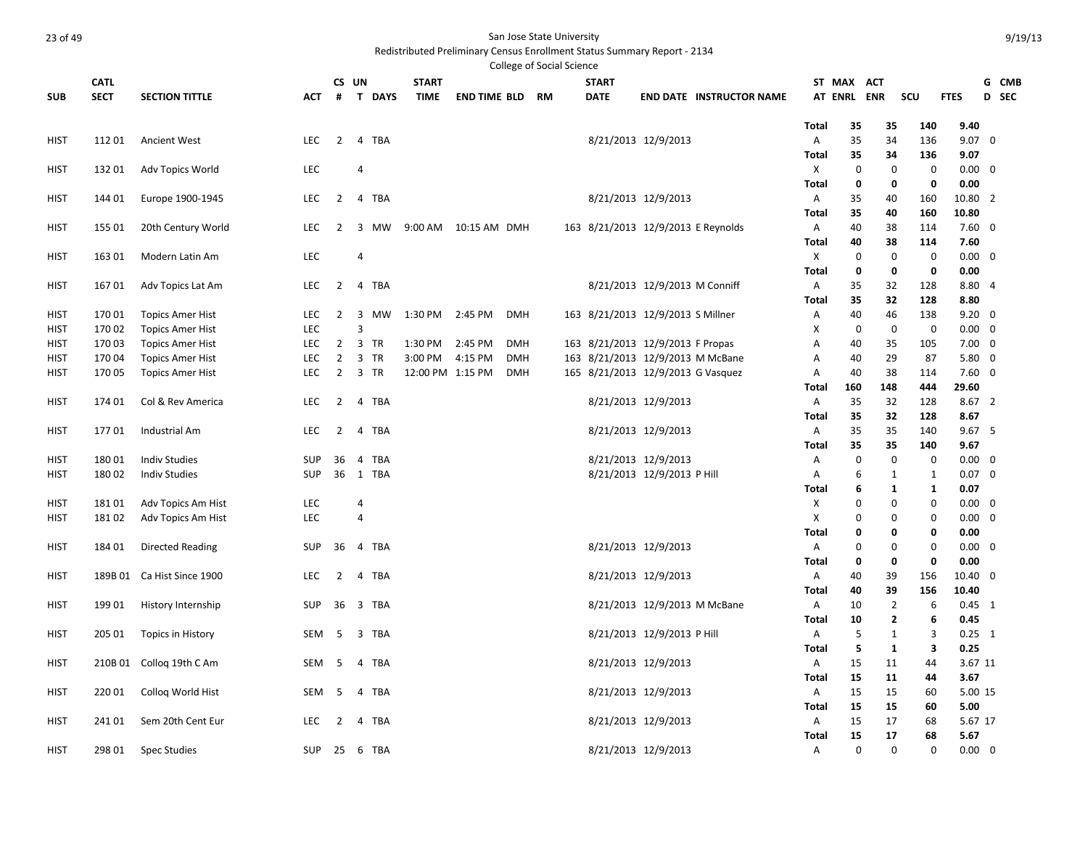|             |             |                            |               |                                  |                             |                             |                        |            | College of Social Science |              |                                    |                                 |              |                |                |              |                      |       |
|-------------|-------------|----------------------------|---------------|----------------------------------|-----------------------------|-----------------------------|------------------------|------------|---------------------------|--------------|------------------------------------|---------------------------------|--------------|----------------|----------------|--------------|----------------------|-------|
|             | <b>CATL</b> |                            |               | CS UN                            |                             | <b>START</b>                |                        |            |                           | <b>START</b> |                                    |                                 |              | ST MAX ACT     |                |              |                      | G CMB |
| <b>SUB</b>  | <b>SECT</b> | <b>SECTION TITTLE</b>      | <b>ACT</b>    | #                                | <b>DAYS</b><br>$\mathbf{T}$ | <b>TIME</b>                 | <b>END TIME BLD</b>    |            | <b>RM</b>                 | <b>DATE</b>  |                                    | <b>END DATE INSTRUCTOR NAME</b> |              | <b>AT ENRL</b> | <b>ENR</b>     | scu          | <b>FTES</b>          | D SEC |
|             |             |                            |               |                                  |                             |                             |                        |            |                           |              |                                    |                                 | Total        | 35             | 35             | 140          | 9.40                 |       |
| <b>HIST</b> | 11201       | <b>Ancient West</b>        | <b>LEC</b>    | $\overline{2}$                   | 4 TBA                       |                             |                        |            |                           |              | 8/21/2013 12/9/2013                |                                 | Α            | 35             | 34             | 136          | $9.07 \quad 0$       |       |
|             |             |                            |               |                                  |                             |                             |                        |            |                           |              |                                    |                                 | Total        | 35             | 34             | 136          | 9.07                 |       |
| <b>HIST</b> | 13201       | Adv Topics World           | LEC           |                                  | $\overline{4}$              |                             |                        |            |                           |              |                                    |                                 | Х            | $\mathbf 0$    | 0              | $\mathbf 0$  | $0.00 \quad 0$       |       |
|             |             |                            |               |                                  |                             |                             |                        |            |                           |              |                                    |                                 | Total        | 0              | 0              | $\mathbf 0$  | 0.00                 |       |
| <b>HIST</b> | 144 01      | Europe 1900-1945           | <b>LEC</b>    | $\overline{2}$                   | $\overline{4}$<br>TBA       |                             |                        |            |                           |              | 8/21/2013 12/9/2013                |                                 | Α            | 35             | 40             | 160          | 10.80 2              |       |
|             |             |                            |               |                                  |                             |                             |                        |            |                           |              |                                    |                                 | Total        | 35             | 40             | 160          | 10.80                |       |
| HIST        | 155 01      | 20th Century World         | <b>LEC</b>    | 2                                | 3<br>MW                     |                             | 9:00 AM  10:15 AM  DMH |            |                           |              | 163 8/21/2013 12/9/2013 E Reynolds |                                 | A            | 40             | 38             | 114          | $7.60 \quad 0$       |       |
|             |             |                            |               |                                  |                             |                             |                        |            |                           |              |                                    |                                 | Total        | 40             | 38             | 114          | 7.60                 |       |
| HIST        | 163 01      | Modern Latin Am            | LEC           |                                  | $\overline{4}$              |                             |                        |            |                           |              |                                    |                                 | X            | 0              | $\mathbf 0$    | $\mathbf 0$  | $0.00 \quad 0$       |       |
|             |             |                            |               |                                  |                             |                             |                        |            |                           |              |                                    |                                 | Total        | 0              | 0              | $\mathbf 0$  | 0.00                 |       |
| HIST        | 16701       | Adv Topics Lat Am          | <b>LEC</b>    | $\overline{2}$                   | 4 TBA                       |                             |                        |            |                           |              | 8/21/2013 12/9/2013 M Conniff      |                                 | Α            | 35             | 32             | 128          | 8.80 4               |       |
|             |             |                            |               |                                  |                             |                             |                        |            |                           |              |                                    |                                 | Total        | 35             | 32             | 128          | 8.80                 |       |
| <b>HIST</b> | 17001       | <b>Topics Amer Hist</b>    | LEC           | $\overline{2}$                   | 3<br>MW                     | 1:30 PM 2:45 PM             |                        | <b>DMH</b> |                           |              | 163 8/21/2013 12/9/2013 S Millner  |                                 | Α            | 40             | 46             | 138          | $9.20 \quad 0$       |       |
| HIST        | 170 02      | <b>Topics Amer Hist</b>    | LEC           |                                  | $\overline{3}$              |                             |                        |            |                           |              |                                    |                                 | X            | $\mathbf 0$    | $\mathbf 0$    | $\mathbf 0$  | $0.00 \quad 0$       |       |
| HIST        | 17003       | <b>Topics Amer Hist</b>    | <b>LEC</b>    | $\overline{2}$                   | 3 TR                        | 1:30 PM                     | 2:45 PM                | <b>DMH</b> |                           |              | 163 8/21/2013 12/9/2013 F Propas   |                                 | Α            | 40             | 35             | 105          | $7.00 \quad 0$       |       |
| <b>HIST</b> | 17004       | <b>Topics Amer Hist</b>    | LEC<br>LEC    | $\overline{2}$<br>$\overline{2}$ | 3<br>TR<br>3 TR             | 3:00 PM<br>12:00 PM 1:15 PM | 4:15 PM                | <b>DMH</b> |                           |              | 163 8/21/2013 12/9/2013 M McBane   |                                 | A            | 40             | 29<br>38       | 87<br>114    | $5.80$ 0<br>$7.60$ 0 |       |
| <b>HIST</b> | 170 05      | <b>Topics Amer Hist</b>    |               |                                  |                             |                             |                        | <b>DMH</b> |                           |              | 165 8/21/2013 12/9/2013 G Vasquez  |                                 | Α<br>Total   | 40<br>160      | 148            | 444          | 29.60                |       |
| <b>HIST</b> | 174 01      | Col & Rev America          | LEC           | $\overline{2}$                   | 4 TBA                       |                             |                        |            |                           |              | 8/21/2013 12/9/2013                |                                 | Α            | 35             | 32             | 128          | 8.67 2               |       |
|             |             |                            |               |                                  |                             |                             |                        |            |                           |              |                                    |                                 | Total        | 35             | 32             | 128          | 8.67                 |       |
| HIST        | 17701       | Industrial Am              | <b>LEC</b>    | $\overline{2}$                   | <b>TBA</b><br>4             |                             |                        |            |                           |              | 8/21/2013 12/9/2013                |                                 | A            | 35             | 35             | 140          | 9.675                |       |
|             |             |                            |               |                                  |                             |                             |                        |            |                           |              |                                    |                                 | Total        | 35             | 35             | 140          | 9.67                 |       |
| HIST        | 18001       | <b>Indiv Studies</b>       | <b>SUP</b>    | 36                               | 4 TBA                       |                             |                        |            |                           |              | 8/21/2013 12/9/2013                |                                 | Α            | $\mathbf 0$    | $\mathbf 0$    | $\mathbf 0$  | $0.00 \quad 0$       |       |
| <b>HIST</b> | 18002       | <b>Indiv Studies</b>       | <b>SUP</b>    | 36                               | 1 TBA                       |                             |                        |            |                           |              | 8/21/2013 12/9/2013 P Hill         |                                 | Α            | 6              | 1              | 1            | $0.07 \quad 0$       |       |
|             |             |                            |               |                                  |                             |                             |                        |            |                           |              |                                    |                                 | Total        | 6              | $\mathbf{1}$   | $\mathbf{1}$ | 0.07                 |       |
| HIST        | 18101       | Adv Topics Am Hist         | LEC           |                                  | 4                           |                             |                        |            |                           |              |                                    |                                 | Χ            | $\mathbf 0$    | 0              | 0            | $0.00 \quad 0$       |       |
| HIST        | 18102       | Adv Topics Am Hist         | LEC           |                                  | $\overline{4}$              |                             |                        |            |                           |              |                                    |                                 | Χ            | $\mathbf 0$    | 0              | $\Omega$     | $0.00 \quad 0$       |       |
|             |             |                            |               |                                  |                             |                             |                        |            |                           |              |                                    |                                 | <b>Total</b> | 0              | 0              | 0            | 0.00                 |       |
| HIST        | 18401       | <b>Directed Reading</b>    | <b>SUP</b>    | 36                               | 4 TBA                       |                             |                        |            |                           |              | 8/21/2013 12/9/2013                |                                 | Α            | $\mathbf 0$    | 0              | $\Omega$     | $0.00 \quad 0$       |       |
|             |             |                            |               |                                  |                             |                             |                        |            |                           |              |                                    |                                 | Total        | 0              | 0              | $\mathbf 0$  | 0.00                 |       |
| HIST        |             | 189B 01 Ca Hist Since 1900 | <b>LEC</b>    | $\overline{2}$                   | 4 TBA                       |                             |                        |            |                           |              | 8/21/2013 12/9/2013                |                                 | Α            | 40             | 39             | 156          | 10.40 0              |       |
|             |             |                            |               |                                  |                             |                             |                        |            |                           |              |                                    |                                 | Total        | 40             | 39             | 156          | 10.40                |       |
| HIST        | 19901       | History Internship         | <b>SUP</b>    | 36                               | 3 TBA                       |                             |                        |            |                           |              | 8/21/2013 12/9/2013 M McBane       |                                 | Α            | 10             | $\overline{2}$ | 6            | $0.45$ 1             |       |
|             |             |                            |               |                                  |                             |                             |                        |            |                           |              |                                    |                                 | <b>Total</b> | 10             | $\overline{2}$ | 6            | 0.45                 |       |
| HIST        | 205 01      | Topics in History          | SEM           | -5                               | 3 TBA                       |                             |                        |            |                           |              | 8/21/2013 12/9/2013 P Hill         |                                 | A            | 5              | 1              | 3            | $0.25$ 1             |       |
|             |             |                            |               |                                  |                             |                             |                        |            |                           |              |                                    |                                 | Total        | 5              | 1              | 3            | 0.25                 |       |
| HIST        |             | 210B 01 Colloq 19th C Am   | SEM           | -5                               | TBA<br>4                    |                             |                        |            |                           |              | 8/21/2013 12/9/2013                |                                 | A            | 15             | 11             | 44           | 3.67 11              |       |
|             |             |                            |               |                                  |                             |                             |                        |            |                           |              |                                    |                                 | <b>Total</b> | 15             | 11             | 44           | 3.67                 |       |
| <b>HIST</b> | 22001       | Colloq World Hist          | SEM           | 5                                | TBA<br>4                    |                             |                        |            |                           |              | 8/21/2013 12/9/2013                |                                 | Α            | 15             | 15             | 60           | 5.00 15              |       |
|             |             |                            |               |                                  |                             |                             |                        |            |                           |              |                                    |                                 | Total        | 15             | 15             | 60           | 5.00                 |       |
| HIST        | 241 01      | Sem 20th Cent Eur          | <b>LEC</b>    | 2                                | 4 TBA                       |                             |                        |            |                           |              | 8/21/2013 12/9/2013                |                                 | A            | 15             | 17             | 68           | 5.67 17              |       |
|             |             |                            |               |                                  |                             |                             |                        |            |                           |              |                                    |                                 | <b>Total</b> | 15             | 17             | 68           | 5.67                 |       |
| <b>HIST</b> | 298 01      | <b>Spec Studies</b>        | <b>SUP 25</b> |                                  | 6 TBA                       |                             |                        |            |                           |              | 8/21/2013 12/9/2013                |                                 | $\mathsf{A}$ | $\Omega$       | $\Omega$       | $\Omega$     | $0.00 \quad 0$       |       |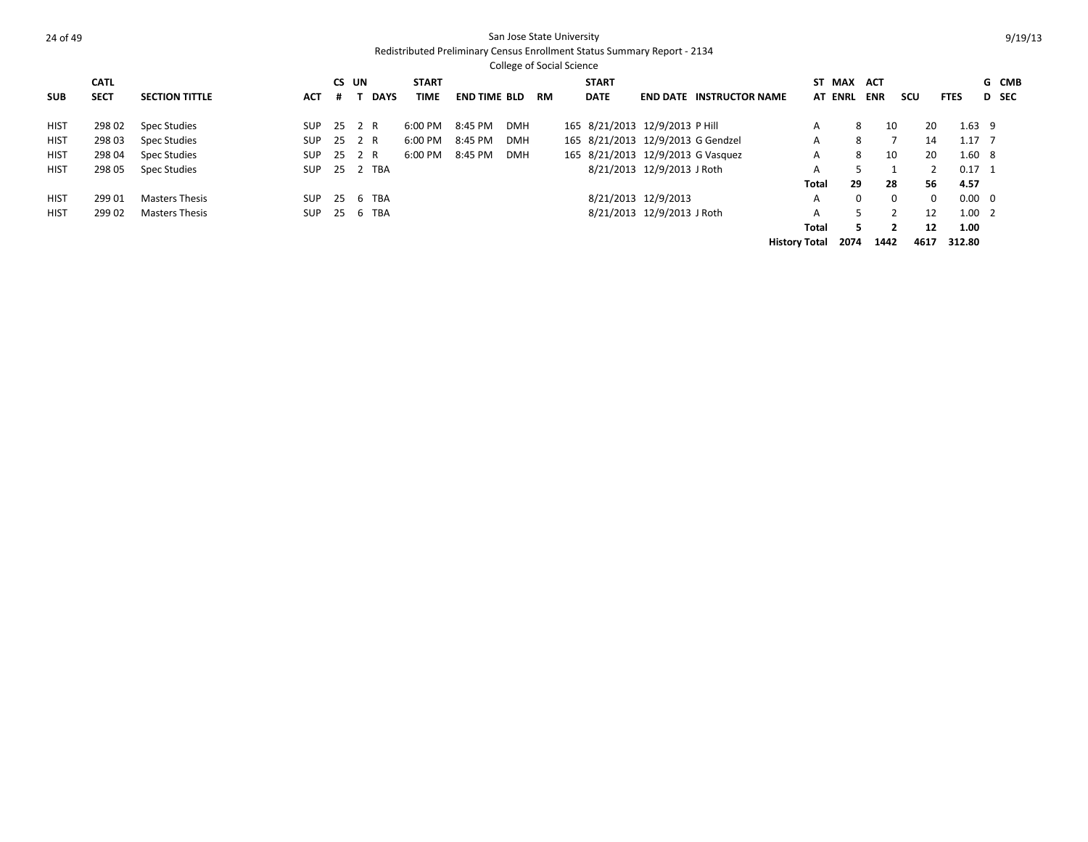|             |             |                       |            |       |             |              |                     | <b>College of Social Science</b> |           |              |                                   |                                 |                      |                |            |          |             |                |              |
|-------------|-------------|-----------------------|------------|-------|-------------|--------------|---------------------|----------------------------------|-----------|--------------|-----------------------------------|---------------------------------|----------------------|----------------|------------|----------|-------------|----------------|--------------|
|             | <b>CATL</b> |                       |            | CS UN |             | <b>START</b> |                     |                                  |           | <b>START</b> |                                   |                                 |                      | ST MAX         | ACT        |          |             |                | G CMB        |
| <b>SUB</b>  | <b>SECT</b> | <b>SECTION TITTLE</b> | <b>ACT</b> |       | <b>DAYS</b> | <b>TIME</b>  | <b>END TIME BLD</b> |                                  | <b>RM</b> | <b>DATE</b>  |                                   | <b>END DATE INSTRUCTOR NAME</b> |                      | <b>AT ENRL</b> | <b>ENR</b> | scu      | <b>FTES</b> |                | <b>D</b> SEC |
| <b>HIST</b> | 298 02      | Spec Studies          | <b>SUP</b> | 25    | 2 R         | 6:00 PM      | 8:45 PM             | <b>DMH</b>                       |           |              | 165 8/21/2013 12/9/2013 P Hill    |                                 | А                    | 8              | 10         |          | 20          | $1.63$ 9       |              |
| <b>HIST</b> | 298 03      | Spec Studies          | SUP        | 25    | 2 R         | 6:00 PM      | 8:45 PM             | <b>DMH</b>                       |           |              | 165 8/21/2013 12/9/2013 G Gendzel |                                 | A                    | 8              |            |          | 14          | $1.17$ 7       |              |
| <b>HIST</b> | 298 04      | Spec Studies          | <b>SUP</b> | 25    | 2 R         | 6:00 PM      | 8:45 PM             | <b>DMH</b>                       |           |              | 165 8/21/2013 12/9/2013 G Vasquez |                                 | A                    | 8              | 10         |          | 20          | $1.60\quad 8$  |              |
| <b>HIST</b> | 298 05      | Spec Studies          | SUP        |       | 25 2 TBA    |              |                     |                                  |           |              | 8/21/2013 12/9/2013 J Roth        |                                 | A                    | 5              |            |          |             | $0.17 \quad 1$ |              |
|             |             |                       |            |       |             |              |                     |                                  |           |              |                                   |                                 | Total                | 29             | 28         |          | 56<br>4.57  |                |              |
| <b>HIST</b> | 299 01      | <b>Masters Thesis</b> | SUP        | 25    | 6 TBA       |              |                     |                                  |           |              | 8/21/2013 12/9/2013               |                                 | A                    | $\Omega$       |            | $\Omega$ | $\Omega$    | $0.00 \quad 0$ |              |
| <b>HIST</b> | 299 02      | <b>Masters Thesis</b> | <b>SUP</b> | 25    | 6 TBA       |              |                     |                                  |           |              | 8/21/2013 12/9/2013 J Roth        |                                 | A                    | 5.             |            |          | 12          | $1.00 \quad 2$ |              |
|             |             |                       |            |       |             |              |                     |                                  |           |              |                                   |                                 | Total                | 5.             |            |          | 12<br>1.00  |                |              |
|             |             |                       |            |       |             |              |                     |                                  |           |              |                                   |                                 | <b>History Total</b> | 2074           | 1442       | 4617     | 312.80      |                |              |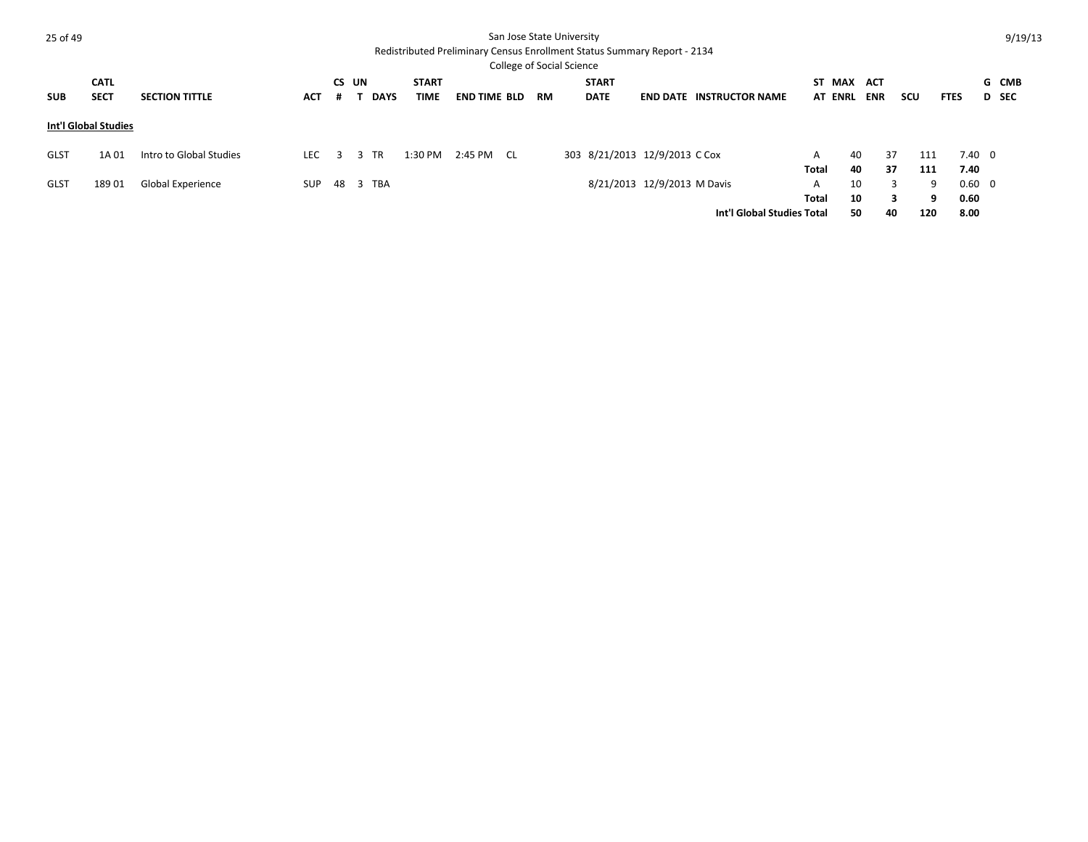| 25 of 49    |                            |                         |            |            |                |                             |                     |           | San Jose State University<br><b>College of Social Science</b> |                             | Redistributed Preliminary Census Enrollment Status Summary Report - 2134 |                                 |                   |                              |            |               |                        |                | 9/19/13        |
|-------------|----------------------------|-------------------------|------------|------------|----------------|-----------------------------|---------------------|-----------|---------------------------------------------------------------|-----------------------------|--------------------------------------------------------------------------|---------------------------------|-------------------|------------------------------|------------|---------------|------------------------|----------------|----------------|
| <b>SUB</b>  | <b>CATL</b><br><b>SECT</b> | <b>SECTION TITTLE</b>   | <b>ACT</b> | CS UN<br># | <b>DAYS</b>    | <b>START</b><br><b>TIME</b> | <b>END TIME BLD</b> | <b>RM</b> |                                                               | <b>START</b><br><b>DATE</b> |                                                                          | <b>END DATE INSTRUCTOR NAME</b> |                   | ST MAX ACT<br><b>AT ENRL</b> | <b>ENR</b> | scu           | <b>FTES</b>            |                | G CMB<br>D SEC |
|             | Int'l Global Studies       |                         |            |            |                |                             |                     |           |                                                               |                             |                                                                          |                                 |                   |                              |            |               |                        |                |                |
| <b>GLST</b> | 1A 01                      | Intro to Global Studies | LEC.       | 3          | <b>TR</b><br>3 | 1:30 PM                     | 2:45 PM CL          |           |                                                               |                             | 303 8/21/2013 12/9/2013 C Cox                                            |                                 | A<br>Total        | 40<br>40                     | 37<br>37   | 111<br>111    | 7.40                   | $7.40 \quad 0$ |                |
| <b>GLST</b> | 18901                      | Global Experience       | SUP        | 48 3       | <b>TBA</b>     |                             |                     |           |                                                               |                             | 8/21/2013 12/9/2013 M Davis                                              | Int'l Global Studies Total      | A<br><b>Total</b> | 10<br>10<br>50               | 40         | 3<br>3<br>120 | 9<br>9<br>0.60<br>8.00 | $0.60 \quad 0$ |                |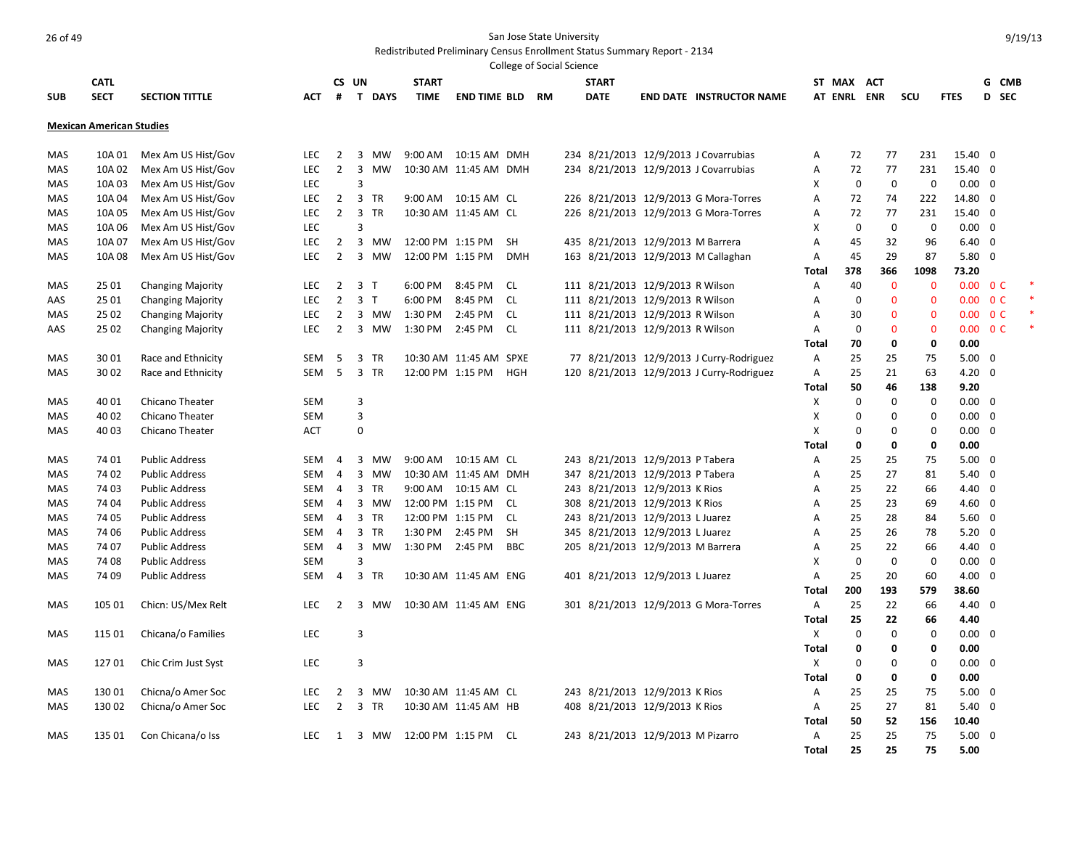|            |                                 |                          |            |                |                                         |                       |                        | College of Social Science |                                   |                                           |              |             |              |              |                |                          |            |
|------------|---------------------------------|--------------------------|------------|----------------|-----------------------------------------|-----------------------|------------------------|---------------------------|-----------------------------------|-------------------------------------------|--------------|-------------|--------------|--------------|----------------|--------------------------|------------|
|            | <b>CATL</b>                     |                          |            |                | CS UN                                   | <b>START</b>          |                        |                           | <b>START</b>                      |                                           |              | ST MAX ACT  |              |              |                | G CMB                    |            |
| <b>SUB</b> | <b>SECT</b>                     | <b>SECTION TITTLE</b>    | <b>ACT</b> | #              | T DAYS                                  | <b>TIME</b>           | <b>END TIME BLD</b>    | RM                        | <b>DATE</b>                       | <b>END DATE INSTRUCTOR NAME</b>           |              | AT ENRL ENR |              | scu          | <b>FTES</b>    | D                        | <b>SEC</b> |
|            |                                 |                          |            |                |                                         |                       |                        |                           |                                   |                                           |              |             |              |              |                |                          |            |
|            | <b>Mexican American Studies</b> |                          |            |                |                                         |                       |                        |                           |                                   |                                           |              |             |              |              |                |                          |            |
|            |                                 |                          |            |                |                                         |                       |                        |                           |                                   |                                           |              |             |              |              |                |                          |            |
| MAS        | 10A 01                          | Mex Am US Hist/Gov       | <b>LEC</b> | $\overline{2}$ | 3<br>MW                                 |                       | 9:00 AM  10:15 AM  DMH |                           |                                   | 234 8/21/2013 12/9/2013 J Covarrubias     | Α            | 72          | 77           | 231          | 15.40 0        |                          |            |
| MAS        | 10A 02                          | Mex Am US Hist/Gov       | LEC        | $\overline{2}$ | $\overline{3}$<br><b>MW</b>             |                       | 10:30 AM 11:45 AM DMH  |                           |                                   | 234 8/21/2013 12/9/2013 J Covarrubias     | Α            | 72          | 77           | 231          | 15.40 0        |                          |            |
| MAS        | 10A 03                          | Mex Am US Hist/Gov       | LEC        |                | 3                                       |                       |                        |                           |                                   |                                           | X            | $\mathbf 0$ | $\mathbf 0$  | $\mathbf 0$  | $0.00 \quad 0$ |                          |            |
| <b>MAS</b> | 10A 04                          | Mex Am US Hist/Gov       | <b>LEC</b> | $\overline{2}$ | $\overline{3}$<br><b>TR</b>             |                       | 9:00 AM  10:15 AM  CL  |                           |                                   | 226 8/21/2013 12/9/2013 G Mora-Torres     | A            | 72          | 74           | 222          | 14.80 0        |                          |            |
| <b>MAS</b> | 10A 05                          | Mex Am US Hist/Gov       | <b>LEC</b> | $\overline{2}$ | $\overline{3}$<br><b>TR</b>             |                       | 10:30 AM 11:45 AM CL   |                           |                                   | 226 8/21/2013 12/9/2013 G Mora-Torres     | A            | 72          | 77           | 231          | 15.40 0        |                          |            |
| MAS        | 10A 06                          | Mex Am US Hist/Gov       | LEC        |                | 3                                       |                       |                        |                           |                                   |                                           | x            | $\mathbf 0$ | 0            | 0            | $0.00 \quad 0$ |                          |            |
| MAS        | 10A 07                          | Mex Am US Hist/Gov       | LEC        | $\overline{2}$ | $\overline{3}$<br>MW                    | 12:00 PM 1:15 PM      |                        | <b>SH</b>                 | 435 8/21/2013 12/9/2013 M Barrera |                                           | Α            | 45          | 32           | 96           | $6.40 \quad 0$ |                          |            |
| MAS        | 10A 08                          | Mex Am US Hist/Gov       | LEC        | $\overline{2}$ | $\overline{3}$<br><b>MW</b>             | 12:00 PM 1:15 PM      |                        | <b>DMH</b>                |                                   | 163 8/21/2013 12/9/2013 M Callaghan       | Α            | 45          | 29           | 87           | $5.80$ 0       |                          |            |
|            |                                 |                          |            |                |                                         |                       |                        |                           |                                   |                                           | Total        | 378         | 366          | 1098         | 73.20          |                          |            |
| MAS        | 25 01                           | <b>Changing Majority</b> | LEC        | $\overline{2}$ | $\overline{\mathbf{3}}$<br>T            | 6:00 PM               | 8:45 PM                | <b>CL</b>                 | 111 8/21/2013 12/9/2013 R Wilson  |                                           | Α            | 40          | $\mathbf 0$  | $\mathbf{0}$ |                | $0.00 \quad 0 \text{ C}$ |            |
| AAS        | 25 01                           | <b>Changing Majority</b> | <b>LEC</b> | $\overline{2}$ | $\overline{\mathbf{3}}$<br>$\mathsf{T}$ | 6:00 PM               | 8:45 PM                | <b>CL</b>                 | 111 8/21/2013 12/9/2013 R Wilson  |                                           | Α            | $\mathbf 0$ | $\mathbf{0}$ | $\mathbf 0$  | 0.00           | 0 <sup>C</sup>           |            |
| <b>MAS</b> | 25 02                           | <b>Changing Majority</b> | <b>LEC</b> | $\overline{2}$ | $\overline{3}$<br>MW                    | 1:30 PM               | 2:45 PM                | <b>CL</b>                 | 111 8/21/2013 12/9/2013 R Wilson  |                                           | A            | 30          | $\mathbf{0}$ | $\mathbf 0$  |                | $0.00 \quad 0 \text{ C}$ |            |
| AAS        | 25 02                           | <b>Changing Majority</b> | <b>LEC</b> | $\overline{2}$ | $\overline{\mathbf{3}}$<br>MW           | 1:30 PM               | 2:45 PM                | <b>CL</b>                 | 111 8/21/2013 12/9/2013 R Wilson  |                                           | Α            | $\Omega$    | $\mathbf 0$  | $\mathbf 0$  |                | $0.00 \t 0 C$            |            |
|            |                                 |                          |            |                |                                         |                       |                        |                           |                                   |                                           | Total        | 70          | $\mathbf 0$  | 0            | 0.00           |                          |            |
| MAS        | 3001                            | Race and Ethnicity       | <b>SEM</b> | 5              | 3<br><b>TR</b>                          |                       | 10:30 AM 11:45 AM SPXE |                           |                                   | 77 8/21/2013 12/9/2013 J Curry-Rodriguez  | Α            | 25          | 25           | 75           | $5.00 \quad 0$ |                          |            |
| MAS        | 30 02                           | Race and Ethnicity       | <b>SEM</b> | 5              | $\overline{3}$<br><b>TR</b>             | 12:00 PM 1:15 PM      |                        | <b>HGH</b>                |                                   | 120 8/21/2013 12/9/2013 J Curry-Rodriguez | Α            | 25          | 21           | 63           | $4.20 \ 0$     |                          |            |
|            |                                 |                          |            |                |                                         |                       |                        |                           |                                   |                                           | <b>Total</b> | 50          | 46           | 138          | 9.20           |                          |            |
| MAS        | 40 01                           | Chicano Theater          | SEM        |                | 3                                       |                       |                        |                           |                                   |                                           | X            | $\Omega$    | $\mathbf 0$  | $\mathbf 0$  | $0.00 \quad 0$ |                          |            |
| <b>MAS</b> | 40 02                           | <b>Chicano Theater</b>   | <b>SEM</b> |                | 3                                       |                       |                        |                           |                                   |                                           | X            | $\Omega$    | $\mathbf 0$  | $\mathbf 0$  | $0.00 \quad 0$ |                          |            |
| MAS        | 4003                            | <b>Chicano Theater</b>   | <b>ACT</b> |                | $\mathbf 0$                             |                       |                        |                           |                                   |                                           | X            | $\Omega$    | $\mathbf 0$  | $\mathbf 0$  | $0.00 \quad 0$ |                          |            |
|            |                                 |                          |            |                |                                         |                       |                        |                           |                                   |                                           | Total        | 0           | 0            | 0            | 0.00           |                          |            |
| MAS        | 74 01                           | <b>Public Address</b>    | SEM        | 4              | 3<br>MW                                 |                       | 9:00 AM  10:15 AM  CL  |                           | 243 8/21/2013 12/9/2013 P Tabera  |                                           | Α            | 25          | 25           | 75           | $5.00 \quad 0$ |                          |            |
| MAS        | 74 02                           | <b>Public Address</b>    | <b>SEM</b> | $\overline{4}$ | $\overline{3}$<br>MW                    |                       | 10:30 AM 11:45 AM DMH  |                           | 347 8/21/2013 12/9/2013 P Tabera  |                                           | Α            | 25          | 27           | 81           | $5.40 \quad 0$ |                          |            |
| MAS        | 74 03                           | <b>Public Address</b>    | <b>SEM</b> | $\overline{4}$ | $\overline{3}$<br><b>TR</b>             |                       | 9:00 AM  10:15 AM  CL  |                           | 243 8/21/2013 12/9/2013 K Rios    |                                           | Α            | 25          | 22           | 66           | 4.40 0         |                          |            |
| MAS        | 74 04                           | <b>Public Address</b>    | <b>SEM</b> | $\overline{4}$ | 3<br>MW                                 | 12:00 PM 1:15 PM      |                        | <b>CL</b>                 | 308 8/21/2013 12/9/2013 K Rios    |                                           | A            | 25          | 23           | 69           | 4.60 0         |                          |            |
| MAS        | 74 05                           | <b>Public Address</b>    | SEM        | 4              | 3<br><b>TR</b>                          | 12:00 PM 1:15 PM      |                        | CL.                       | 243 8/21/2013 12/9/2013 L Juarez  |                                           | A            | 25          | 28           | 84           | $5.60$ 0       |                          |            |
| <b>MAS</b> | 74 06                           | <b>Public Address</b>    | <b>SEM</b> | 4              | 3<br><b>TR</b>                          | 1:30 PM               | 2:45 PM                | <b>SH</b>                 | 345 8/21/2013 12/9/2013 L Juarez  |                                           | A            | 25          | 26           | 78           | $5.20 \ 0$     |                          |            |
| <b>MAS</b> | 74 07                           | <b>Public Address</b>    | SEM        | 4              | $\overline{3}$<br>MW                    | 1:30 PM 2:45 PM       |                        | <b>BBC</b>                | 205 8/21/2013 12/9/2013 M Barrera |                                           | Α            | 25          | 22           | 66           | $4.40 \quad 0$ |                          |            |
| MAS        | 74 08                           | <b>Public Address</b>    | <b>SEM</b> |                | 3                                       |                       |                        |                           |                                   |                                           | X            | $\Omega$    | $\Omega$     | 0            | $0.00 \quad 0$ |                          |            |
| MAS        | 74 09                           | <b>Public Address</b>    | SEM        | $\overline{4}$ | 3 TR                                    |                       | 10:30 AM 11:45 AM ENG  |                           | 401 8/21/2013 12/9/2013 L Juarez  |                                           | Α            | 25          | 20           | 60           | $4.00 \quad 0$ |                          |            |
|            |                                 |                          |            |                |                                         |                       |                        |                           |                                   |                                           | Total        | 200         | 193          | 579          | 38.60          |                          |            |
| MAS        | 105 01                          | Chicn: US/Mex Relt       | <b>LEC</b> | $\overline{2}$ | 3<br>MW                                 |                       | 10:30 AM 11:45 AM ENG  |                           |                                   | 301 8/21/2013 12/9/2013 G Mora-Torres     | A            | 25          | 22           | 66           | $4.40 \quad 0$ |                          |            |
|            |                                 |                          |            |                |                                         |                       |                        |                           |                                   |                                           | Total        | 25          | 22           | 66           | 4.40           |                          |            |
| MAS        | 115 01                          | Chicana/o Families       | LEC        |                | 3                                       |                       |                        |                           |                                   |                                           | X            | $\mathbf 0$ | $\mathbf 0$  | $\mathbf 0$  | $0.00 \quad 0$ |                          |            |
|            |                                 |                          |            |                |                                         |                       |                        |                           |                                   |                                           | <b>Total</b> | 0           | 0            | 0            | 0.00           |                          |            |
| MAS        | 12701                           | Chic Crim Just Syst      | <b>LEC</b> |                | 3                                       |                       |                        |                           |                                   |                                           | X            | $\Omega$    | 0            | $\mathbf 0$  | $0.00 \quad 0$ |                          |            |
|            |                                 |                          |            |                |                                         |                       |                        |                           |                                   |                                           | Total        | 0           | 0            | 0            | 0.00           |                          |            |
| MAS        | 13001                           | Chicna/o Amer Soc        | LEC        | 2              | 3<br>MW                                 |                       | 10:30 AM 11:45 AM CL   |                           | 243 8/21/2013 12/9/2013 K Rios    |                                           | Α            | 25          | 25           | 75           | $5.00 \quad 0$ |                          |            |
| MAS        | 130 02                          | Chicna/o Amer Soc        | <b>LEC</b> | $\overline{2}$ | 3<br>TR                                 |                       | 10:30 AM 11:45 AM HB   |                           | 408 8/21/2013 12/9/2013 K Rios    |                                           | Α            | 25          | 27           | 81           | $5.40 \quad 0$ |                          |            |
|            |                                 |                          |            |                |                                         |                       |                        |                           |                                   |                                           | Total        | 50          | 52           | 156          | 10.40          |                          |            |
| MAS        | 135 01                          | Con Chicana/o Iss        | <b>LEC</b> | 1              |                                         | 3 MW 12:00 PM 1:15 PM |                        | CL                        | 243 8/21/2013 12/9/2013 M Pizarro |                                           | Α            | 25          | 25           | 75           | $5.00 \quad 0$ |                          |            |
|            |                                 |                          |            |                |                                         |                       |                        |                           |                                   |                                           | Total        | 25          | 25           | 75           | 5.00           |                          |            |
|            |                                 |                          |            |                |                                         |                       |                        |                           |                                   |                                           |              |             |              |              |                |                          |            |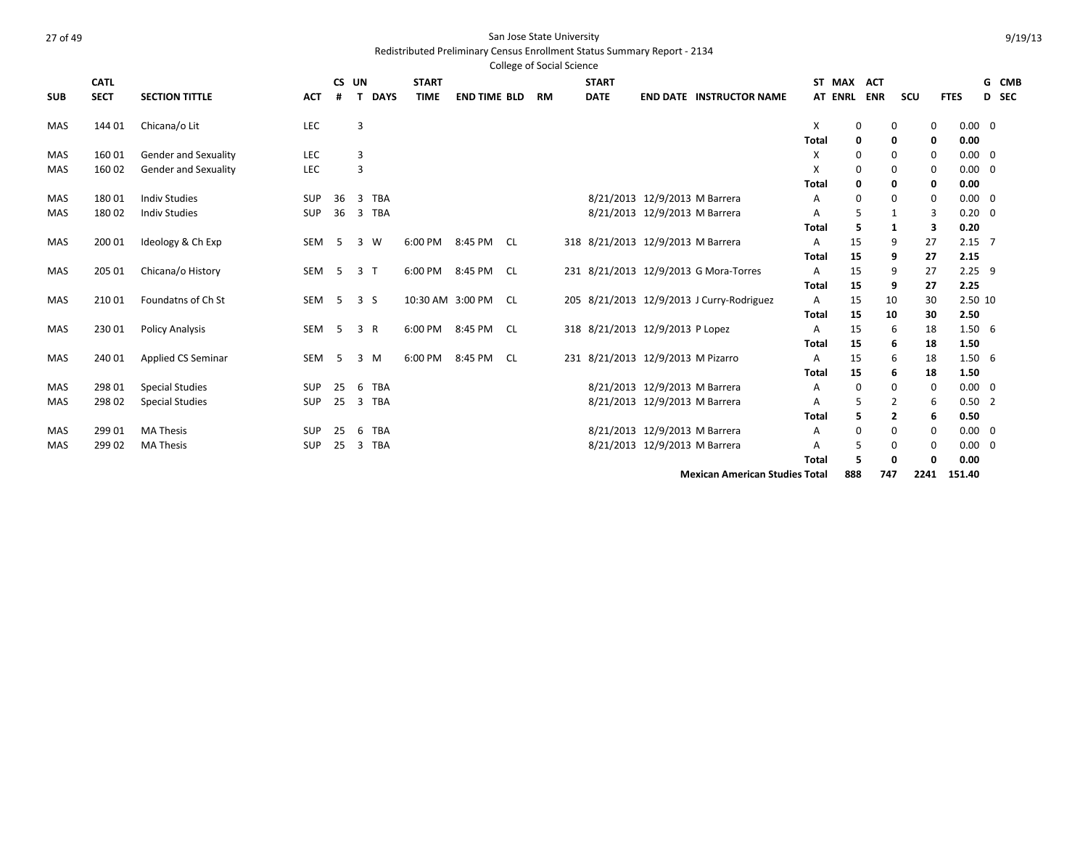#### Redistributed Preliminary Census Enrollment Status Summary Report - 2134

|            |             |                             |            |       |                 |                  |                     |      | <b>College of Social Science</b> |                                   |                               |                                           |              |                |            |                |             |                |       |
|------------|-------------|-----------------------------|------------|-------|-----------------|------------------|---------------------|------|----------------------------------|-----------------------------------|-------------------------------|-------------------------------------------|--------------|----------------|------------|----------------|-------------|----------------|-------|
|            | <b>CATL</b> |                             |            | CS UN |                 | <b>START</b>     |                     |      |                                  | <b>START</b>                      |                               |                                           |              | ST MAX         | <b>ACT</b> |                |             |                | G CMB |
| <b>SUB</b> | <b>SECT</b> | <b>SECTION TITTLE</b>       | <b>ACT</b> |       | <b>DAYS</b>     | <b>TIME</b>      | <b>END TIME BLD</b> |      | RM                               | <b>DATE</b>                       |                               | <b>END DATE INSTRUCTOR NAME</b>           |              | <b>AT ENRL</b> | <b>ENR</b> | SCU            | <b>FTES</b> |                | D SEC |
| <b>MAS</b> | 144 01      | Chicana/o Lit               | LEC        |       | 3               |                  |                     |      |                                  |                                   |                               |                                           | X            | 0              |            | 0              | 0           | $0.00 \quad 0$ |       |
|            |             |                             |            |       |                 |                  |                     |      |                                  |                                   |                               |                                           | <b>Total</b> | 0              |            | 0              | 0           | 0.00           |       |
| <b>MAS</b> | 16001       | Gender and Sexuality        | LEC        |       | 3               |                  |                     |      |                                  |                                   |                               |                                           | X            | 0              |            | $\Omega$       | $\mathbf 0$ | $0.00 \quad 0$ |       |
| <b>MAS</b> | 160 02      | <b>Gender and Sexuality</b> | LEC        |       | $\overline{3}$  |                  |                     |      |                                  |                                   |                               |                                           | X            | $\mathbf 0$    |            | $\Omega$       | 0           | $0.00 \quad 0$ |       |
|            |             |                             |            |       |                 |                  |                     |      |                                  |                                   |                               |                                           | <b>Total</b> | 0              |            | 0              | 0           | 0.00           |       |
| MAS        | 18001       | <b>Indiv Studies</b>        | <b>SUP</b> | 36    | 3 TBA           |                  |                     |      |                                  |                                   | 8/21/2013 12/9/2013 M Barrera |                                           | А            | $\mathbf 0$    |            | 0              | $\mathbf 0$ | $0.00 \quad 0$ |       |
| <b>MAS</b> | 18002       | <b>Indiv Studies</b>        | <b>SUP</b> | 36    | 3 TBA           |                  |                     |      |                                  |                                   | 8/21/2013 12/9/2013 M Barrera |                                           | А            | 5              |            | $\mathbf{1}$   | 3           | $0.20 \quad 0$ |       |
|            |             |                             |            |       |                 |                  |                     |      |                                  |                                   |                               |                                           | <b>Total</b> | 5              |            | 1              | з           | 0.20           |       |
| <b>MAS</b> | 200 01      | Ideology & Ch Exp           | SEM        | -5    | 3 W             |                  | 6:00 PM 8:45 PM CL  |      |                                  | 318 8/21/2013 12/9/2013 M Barrera |                               |                                           | A            | 15             |            | 9              | 27          | $2.15 \quad 7$ |       |
|            |             |                             |            |       |                 |                  |                     |      |                                  |                                   |                               |                                           | <b>Total</b> | 15             |            | 9              | 27          | 2.15           |       |
| MAS        | 205 01      | Chicana/o History           | SEM        | - 5   | 3 <sub>1</sub>  | 6:00 PM          | 8:45 PM             | CL.  |                                  |                                   |                               | 231 8/21/2013 12/9/2013 G Mora-Torres     | A            | 15             |            | 9              | 27          | $2.25$ 9       |       |
|            |             |                             |            |       |                 |                  |                     |      |                                  |                                   |                               |                                           | <b>Total</b> | 15             |            | 9              | 27          | 2.25           |       |
| <b>MAS</b> | 21001       | Foundatns of Ch St          | SEM        | - 5   | 3 <sub>5</sub>  | 10:30 AM 3:00 PM |                     | - CL |                                  |                                   |                               | 205 8/21/2013 12/9/2013 J Curry-Rodriguez | Α            | 15             |            | 10             | 30          | 2.50 10        |       |
|            |             |                             |            |       |                 |                  |                     |      |                                  |                                   |                               |                                           | <b>Total</b> | 15             |            | 10             | 30          | 2.50           |       |
| MAS        | 23001       | <b>Policy Analysis</b>      | SEM        | -5    | 3 R             |                  | 6:00 PM 8:45 PM CL  |      |                                  | 318 8/21/2013 12/9/2013 P Lopez   |                               |                                           | A            | 15             |            | 6              | 18          | 1.506          |       |
|            |             |                             |            |       |                 |                  |                     |      |                                  |                                   |                               |                                           | <b>Total</b> | 15             |            | 6              | 18          | 1.50           |       |
| MAS        | 240 01      | Applied CS Seminar          | SEM        | -5    | 3 M             | 6:00 PM          | 8:45 PM             | - CL |                                  | 231 8/21/2013 12/9/2013 M Pizarro |                               |                                           | A            | 15             |            | 6              | 18          | 1.506          |       |
|            |             |                             |            |       |                 |                  |                     |      |                                  |                                   |                               |                                           | <b>Total</b> | 15             |            | 6              | 18          | 1.50           |       |
| MAS        | 298 01      | <b>Special Studies</b>      | <b>SUP</b> | 25    | 6<br><b>TBA</b> |                  |                     |      |                                  |                                   | 8/21/2013 12/9/2013 M Barrera |                                           | A            | $\mathbf 0$    |            | 0              | 0           | $0.00 \quad 0$ |       |
| <b>MAS</b> | 298 02      | <b>Special Studies</b>      | <b>SUP</b> | 25    | 3 TBA           |                  |                     |      |                                  |                                   | 8/21/2013 12/9/2013 M Barrera |                                           | A            | 5              |            | 2              | 6           | $0.50$ 2       |       |
|            |             |                             |            |       |                 |                  |                     |      |                                  |                                   |                               |                                           | <b>Total</b> | 5              |            | $\overline{2}$ | 6           | 0.50           |       |
| <b>MAS</b> | 299 01      | <b>MA Thesis</b>            | <b>SUP</b> | 25    | 6<br><b>TBA</b> |                  |                     |      |                                  |                                   | 8/21/2013 12/9/2013 M Barrera |                                           | A            | $\mathbf 0$    |            | 0              | 0           | $0.00 \quad 0$ |       |
| <b>MAS</b> | 299 02      | <b>MA Thesis</b>            | <b>SUP</b> | 25    | 3 TBA           |                  |                     |      |                                  |                                   | 8/21/2013 12/9/2013 M Barrera |                                           | А            | 5              |            | $\Omega$       | 0           | $0.00 \quad 0$ |       |
|            |             |                             |            |       |                 |                  |                     |      |                                  |                                   |                               |                                           | <b>Total</b> | 5              |            | 0              | 0           | 0.00           |       |

**Mexican American Studies Total 888 747 2241 151.40**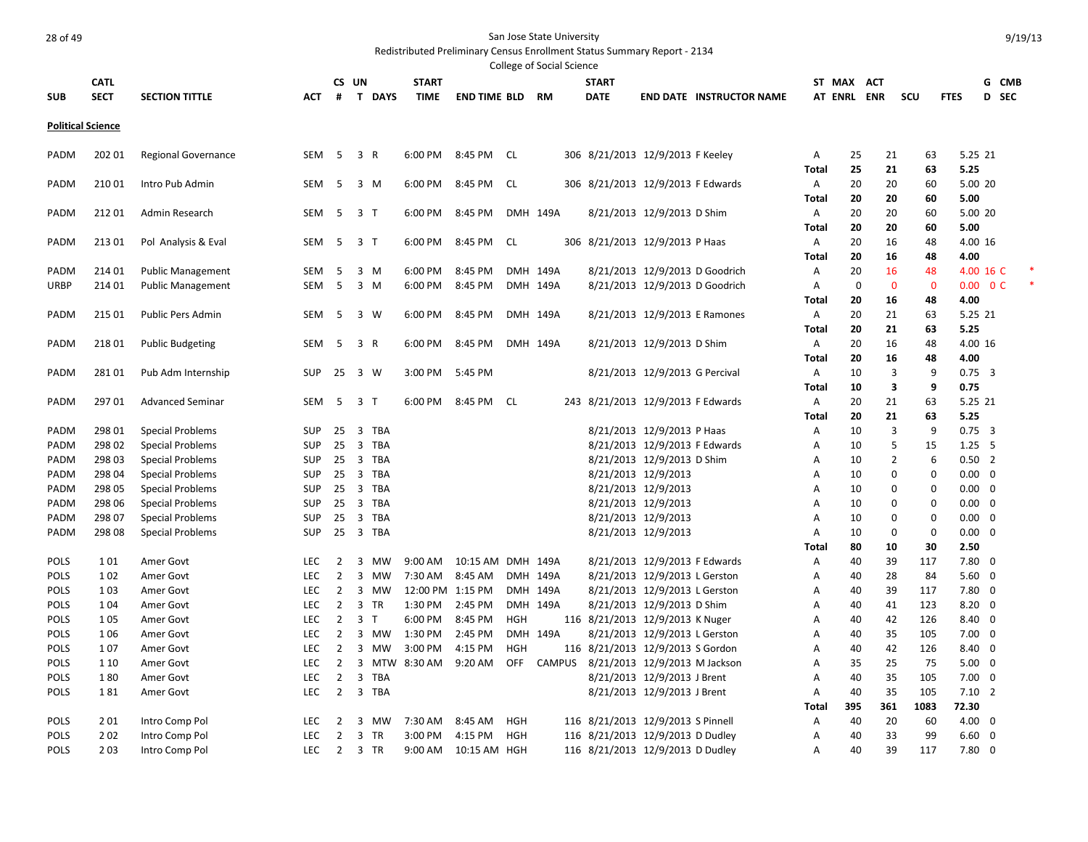|                          |                  |                            |            |                |                               |                    |                        |            | College of Social Science |                                   |                                |                                 |            |                   |                    |                      |             |                                       |       |  |
|--------------------------|------------------|----------------------------|------------|----------------|-------------------------------|--------------------|------------------------|------------|---------------------------|-----------------------------------|--------------------------------|---------------------------------|------------|-------------------|--------------------|----------------------|-------------|---------------------------------------|-------|--|
|                          | <b>CATL</b>      |                            |            | CS UN          |                               | <b>START</b>       |                        |            |                           | <b>START</b>                      |                                |                                 |            | ST MAX ACT        |                    |                      |             |                                       | G CMB |  |
| <b>SUB</b>               | <b>SECT</b>      | <b>SECTION TITTLE</b>      | АСТ        | #              | T DAYS                        | <b>TIME</b>        | <b>END TIME BLD RM</b> |            |                           | <b>DATE</b>                       |                                | <b>END DATE INSTRUCTOR NAME</b> |            | <b>AT ENRL</b>    | <b>ENR</b>         | scu                  | <b>FTES</b> |                                       | D SEC |  |
|                          |                  |                            |            |                |                               |                    |                        |            |                           |                                   |                                |                                 |            |                   |                    |                      |             |                                       |       |  |
| <b>Political Science</b> |                  |                            |            |                |                               |                    |                        |            |                           |                                   |                                |                                 |            |                   |                    |                      |             |                                       |       |  |
|                          |                  |                            |            |                |                               |                    |                        |            |                           |                                   |                                |                                 |            |                   |                    |                      |             |                                       |       |  |
| PADM                     | 202 01           | <b>Regional Governance</b> | SEM        | - 5            | 3 R                           | 6:00 PM 8:45 PM    |                        | CL         |                           | 306 8/21/2013 12/9/2013 F Keeley  |                                |                                 | Α          | 25                | 21                 | 63                   |             | 5.25 21                               |       |  |
|                          |                  |                            |            |                |                               |                    |                        |            |                           |                                   |                                |                                 | Total      | 25                | 21                 | 63                   | 5.25        |                                       |       |  |
| PADM                     | 210 01           | Intro Pub Admin            | SEM        | -5             | 3 M                           | 6:00 PM            | 8:45 PM                | CL.        |                           | 306 8/21/2013 12/9/2013 F Edwards |                                |                                 | Α          | 20                | 20                 | 60                   |             | 5.00 20                               |       |  |
|                          |                  |                            |            |                |                               |                    |                        |            |                           |                                   |                                |                                 | Total      | 20                | 20                 | 60                   | 5.00        |                                       |       |  |
| PADM                     | 21201            | Admin Research             | SEM        | - 5            | 3 <sub>T</sub>                | 6:00 PM            | 8:45 PM                |            | DMH 149A                  |                                   | 8/21/2013 12/9/2013 D Shim     |                                 | Α          | 20                | 20                 | 60                   |             | 5.00 20                               |       |  |
|                          |                  |                            |            |                |                               |                    |                        |            |                           |                                   |                                |                                 | Total      | 20                | 20                 | 60                   | 5.00        |                                       |       |  |
| PADM                     | 21301            | Pol Analysis & Eval        | SEM        | - 5            | 3 T                           | 6:00 PM            | 8:45 PM                | CL         |                           | 306 8/21/2013 12/9/2013 P Haas    |                                |                                 | Α          | 20                | 16                 | 48                   |             | 4.00 16                               |       |  |
|                          |                  |                            |            |                |                               |                    |                        |            |                           |                                   |                                |                                 | Total      | 20                | 16                 | 48                   | 4.00        |                                       |       |  |
| PADM                     | 214 01<br>214 01 | <b>Public Management</b>   | SEM        | 5<br>5         | 3<br>M<br>$\overline{3}$<br>M | 6:00 PM<br>6:00 PM | 8:45 PM<br>8:45 PM     |            | DMH 149A<br>DMH 149A      |                                   |                                | 8/21/2013 12/9/2013 D Goodrich  | Α          | 20<br>$\mathbf 0$ | 16<br>$\mathbf{0}$ | 48<br>$\overline{0}$ |             | 4.00 16 C<br>$0.00 \quad 0 \text{ C}$ |       |  |
| URBP                     |                  | <b>Public Management</b>   | SEM        |                |                               |                    |                        |            |                           |                                   |                                | 8/21/2013 12/9/2013 D Goodrich  | Α          | 20                | 16                 | 48                   | 4.00        |                                       |       |  |
| PADM                     | 215 01           | Public Pers Admin          | SEM        | -5             | 3<br>w                        | 6:00 PM            | 8:45 PM                |            | DMH 149A                  |                                   |                                |                                 | Total      | 20                | 21                 | 63                   |             | 5.25 21                               |       |  |
|                          |                  |                            |            |                |                               |                    |                        |            |                           |                                   |                                | 8/21/2013 12/9/2013 E Ramones   | Α          | 20                | 21                 | 63                   | 5.25        |                                       |       |  |
|                          | 21801            |                            |            | - 5            | 3 R                           | 6:00 PM            | 8:45 PM                |            | DMH 149A                  |                                   | 8/21/2013 12/9/2013 D Shim     |                                 | Total      | 20                | 16                 | 48                   |             | 4.00 16                               |       |  |
| PADM                     |                  | <b>Public Budgeting</b>    | SEM        |                |                               |                    |                        |            |                           |                                   |                                |                                 | Α          | 20                | 16                 | 48                   | 4.00        |                                       |       |  |
| PADM                     | 28101            | Pub Adm Internship         | <b>SUP</b> | -25            | 3 W                           | 3:00 PM            | 5:45 PM                |            |                           |                                   | 8/21/2013 12/9/2013 G Percival |                                 | Total<br>Α | 10                | 3                  | 9                    |             | $0.75 - 3$                            |       |  |
|                          |                  |                            |            |                |                               |                    |                        |            |                           |                                   |                                |                                 |            | 10                | 3                  | 9                    | 0.75        |                                       |       |  |
| PADM                     | 297 01           | <b>Advanced Seminar</b>    | SEM        | 5              | $\overline{\mathbf{3}}$<br>T  | 6:00 PM            | 8:45 PM                | CL.        |                           | 243 8/21/2013 12/9/2013 F Edwards |                                |                                 | Total<br>Α | 20                | 21                 | 63                   |             | 5.25 21                               |       |  |
|                          |                  |                            |            |                |                               |                    |                        |            |                           |                                   |                                |                                 |            | 20                | 21                 | 63                   | 5.25        |                                       |       |  |
| PADM                     | 298 01           | <b>Special Problems</b>    | <b>SUP</b> | 25             | 3<br><b>TBA</b>               |                    |                        |            |                           |                                   | 8/21/2013 12/9/2013 P Haas     |                                 | Total<br>Α | 10                | 3                  | 9                    |             | $0.75 - 3$                            |       |  |
| PADM                     | 298 02           | <b>Special Problems</b>    | <b>SUP</b> | 25             | $\overline{3}$<br><b>TBA</b>  |                    |                        |            |                           |                                   | 8/21/2013 12/9/2013 F Edwards  |                                 | Α          | 10                | 5                  | 15                   |             | $1.25$ 5                              |       |  |
| PADM                     | 298 03           | <b>Special Problems</b>    | <b>SUP</b> | 25             | $\overline{3}$<br><b>TBA</b>  |                    |                        |            |                           |                                   | 8/21/2013 12/9/2013 D Shim     |                                 | A          | 10                | $\overline{2}$     | 6                    |             | $0.50$ 2                              |       |  |
| PADM                     | 298 04           | <b>Special Problems</b>    | <b>SUP</b> | 25             | $\overline{3}$<br>TBA         |                    |                        |            |                           |                                   | 8/21/2013 12/9/2013            |                                 | Α          | 10                | 0                  | 0                    |             | $0.00 \quad 0$                        |       |  |
| PADM                     | 298 05           | <b>Special Problems</b>    | <b>SUP</b> | 25             | 3<br><b>TBA</b>               |                    |                        |            |                           |                                   | 8/21/2013 12/9/2013            |                                 | Α          | 10                | $\mathbf 0$        | $\mathbf 0$          |             | $0.00 \quad 0$                        |       |  |
| PADM                     | 298 06           | <b>Special Problems</b>    | <b>SUP</b> | 25             | 3 TBA                         |                    |                        |            |                           |                                   | 8/21/2013 12/9/2013            |                                 | Α          | 10                | $\mathbf 0$        | $\mathbf 0$          |             | $0.00 \quad 0$                        |       |  |
| PADM                     | 298 07           | <b>Special Problems</b>    | SUP        | 25             | 3 TBA                         |                    |                        |            |                           |                                   | 8/21/2013 12/9/2013            |                                 | Α          | 10                | 0                  | $\mathbf 0$          |             | $0.00 \quad 0$                        |       |  |
| PADM                     | 298 08           | <b>Special Problems</b>    | <b>SUP</b> | 25             | 3 TBA                         |                    |                        |            |                           |                                   | 8/21/2013 12/9/2013            |                                 | A          | 10                | $\mathbf 0$        | $\mathbf 0$          |             | $0.00 \quad 0$                        |       |  |
|                          |                  |                            |            |                |                               |                    |                        |            |                           |                                   |                                |                                 | Total      | 80                | 10                 | 30                   | 2.50        |                                       |       |  |
| POLS                     | 101              | Amer Govt                  | LEC        | 2              | 3<br>MW                       | 9:00 AM            | 10:15 AM DMH 149A      |            |                           |                                   | 8/21/2013 12/9/2013 F Edwards  |                                 | Α          | 40                | 39                 | 117                  |             | $7.80$ 0                              |       |  |
| <b>POLS</b>              | 102              | Amer Govt                  | LEC        | 2              | 3<br>MW                       | 7:30 AM            | 8:45 AM                |            | DMH 149A                  |                                   | 8/21/2013 12/9/2013 L Gerston  |                                 | Α          | 40                | 28                 | 84                   |             | $5.60 \quad 0$                        |       |  |
| <b>POLS</b>              | 1 0 3            | Amer Govt                  | <b>LEC</b> | 2              | 3<br>MW                       | 12:00 PM 1:15 PM   |                        |            | DMH 149A                  |                                   | 8/21/2013 12/9/2013 L Gerston  |                                 | Α          | 40                | 39                 | 117                  |             | $7.80 \quad 0$                        |       |  |
| POLS                     | 1 0 4            | Amer Govt                  | LEC        | $\overline{2}$ | 3<br><b>TR</b>                | 1:30 PM            | 2:45 PM                |            | DMH 149A                  |                                   | 8/21/2013 12/9/2013 D Shim     |                                 | Α          | 40                | 41                 | 123                  |             | $8.20 \ 0$                            |       |  |
| POLS                     | 1 0 5            | Amer Govt                  | LEC        | $\overline{2}$ | 3<br>$\mathsf{T}$             | 6:00 PM            | 8:45 PM                | <b>HGH</b> |                           | 116 8/21/2013 12/9/2013 K Nuger   |                                |                                 | Α          | 40                | 42                 | 126                  |             | $8.40 \quad 0$                        |       |  |
| <b>POLS</b>              | 1 0 6            | Amer Govt                  | LEC        | $\overline{2}$ | $\overline{3}$<br>MW          | 1:30 PM            | 2:45 PM                |            | DMH 149A                  |                                   | 8/21/2013 12/9/2013 L Gerston  |                                 | Α          | 40                | 35                 | 105                  |             | $7.00 \quad 0$                        |       |  |
| <b>POLS</b>              | 107              | Amer Govt                  | <b>LEC</b> | 2              | $\overline{3}$<br>MW          | 3:00 PM            | 4:15 PM                | <b>HGH</b> |                           | 116 8/21/2013 12/9/2013 S Gordon  |                                |                                 | Α          | 40                | 42                 | 126                  |             | 8.40 0                                |       |  |
| <b>POLS</b>              | 1 10             | Amer Govt                  | <b>LEC</b> | $\overline{2}$ | $\overline{3}$                | MTW 8:30 AM        | 9:20 AM                | <b>OFF</b> | CAMPUS                    |                                   | 8/21/2013 12/9/2013 M Jackson  |                                 | Α          | 35                | 25                 | 75                   |             | $5.00 \quad 0$                        |       |  |
| <b>POLS</b>              | 180              | Amer Govt                  | <b>LEC</b> | $\overline{2}$ | 3<br><b>TBA</b>               |                    |                        |            |                           |                                   | 8/21/2013 12/9/2013 J Brent    |                                 | A          | 40                | 35                 | 105                  |             | $7.00 \quad 0$                        |       |  |
| POLS                     | 181              | Amer Govt                  | LEC        | $\overline{2}$ | 3<br>TBA                      |                    |                        |            |                           |                                   | 8/21/2013 12/9/2013 J Brent    |                                 | Α          | 40                | 35                 | 105                  |             | $7.10$ 2                              |       |  |
|                          |                  |                            |            |                |                               |                    |                        |            |                           |                                   |                                |                                 | Total      | 395               | 361                | 1083                 | 72.30       |                                       |       |  |
| <b>POLS</b>              | 201              | Intro Comp Pol             | <b>LEC</b> | 2              | 3<br>мw                       | 7:30 AM            | 8:45 AM                | <b>HGH</b> |                           | 116 8/21/2013 12/9/2013 S Pinnell |                                |                                 | Α          | 40                | 20                 | 60                   |             | $4.00 \quad 0$                        |       |  |
| <b>POLS</b>              | 202              | Intro Comp Pol             | <b>LEC</b> | $\overline{2}$ | $\overline{3}$<br><b>TR</b>   | 3:00 PM            | 4:15 PM                | HGH        |                           | 116 8/21/2013 12/9/2013 D Dudley  |                                |                                 | Α          | 40                | 33                 | 99                   |             | $6.60 \quad 0$                        |       |  |
| <b>POLS</b>              | 203              | Intro Comp Pol             | <b>LEC</b> | $\overline{2}$ | 3 TR                          | $9:00 \text{ AM}$  | 10:15 AM HGH           |            |                           | 116 8/21/2013 12/9/2013 D Dudley  |                                |                                 | A          | 40                | 39                 | 117                  |             | $7.80 \quad 0$                        |       |  |
|                          |                  |                            |            |                |                               |                    |                        |            |                           |                                   |                                |                                 |            |                   |                    |                      |             |                                       |       |  |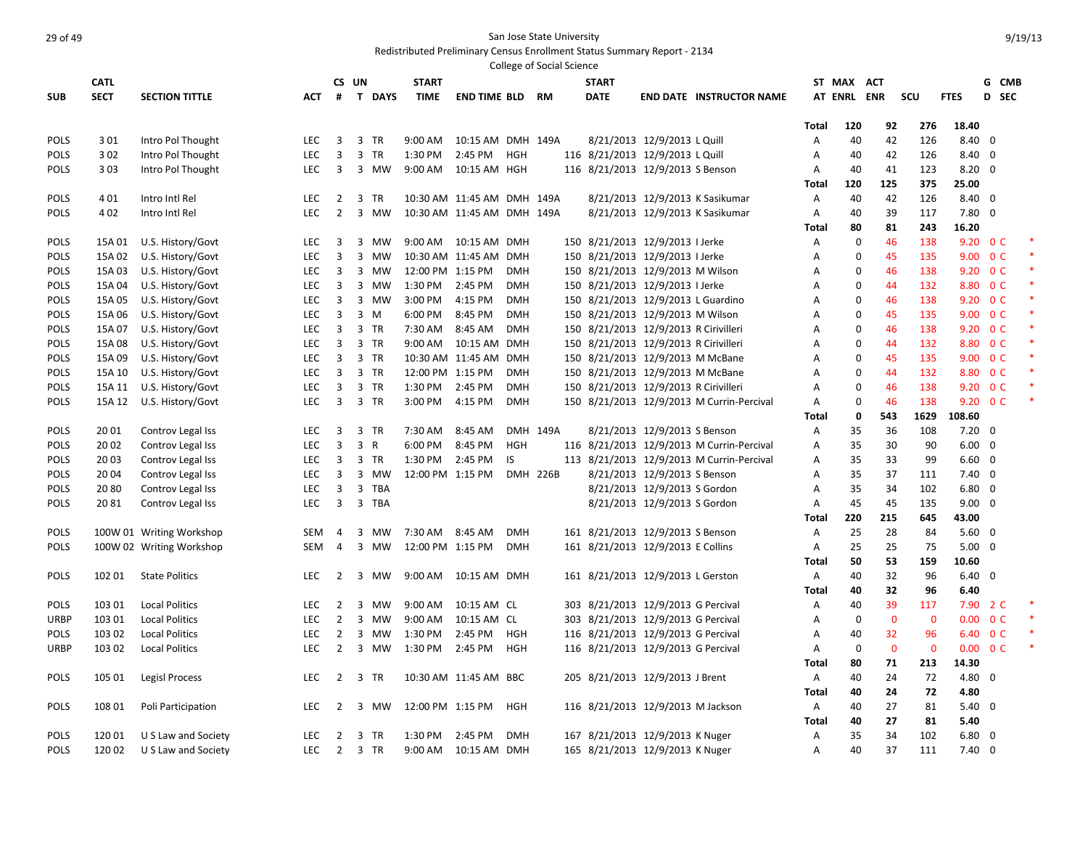|              |             |                          |            |                |                                |                  |                            |            | College of Social Science |                                                                       |                              |                                           |              |             |              |                |                          |                          |        |
|--------------|-------------|--------------------------|------------|----------------|--------------------------------|------------------|----------------------------|------------|---------------------------|-----------------------------------------------------------------------|------------------------------|-------------------------------------------|--------------|-------------|--------------|----------------|--------------------------|--------------------------|--------|
|              | <b>CATL</b> |                          |            |                | CS UN                          | <b>START</b>     |                            |            |                           | <b>START</b>                                                          |                              |                                           |              | ST MAX ACT  |              |                |                          | G CMB                    |        |
| <b>SUB</b>   | <b>SECT</b> | <b>SECTION TITTLE</b>    | <b>ACT</b> | #              | T DAYS                         | <b>TIME</b>      | <b>END TIME BLD</b>        |            | <b>RM</b>                 | <b>DATE</b>                                                           |                              | <b>END DATE INSTRUCTOR NAME</b>           |              |             | AT ENRL ENR  | scu            | <b>FTES</b>              | D SEC                    |        |
|              |             |                          |            |                |                                |                  |                            |            |                           |                                                                       |                              |                                           |              |             |              |                |                          |                          |        |
|              |             |                          |            |                |                                |                  |                            |            |                           |                                                                       |                              |                                           | <b>Total</b> | 120         | 92           | 276            | 18.40                    |                          |        |
| POLS         | 3 0 1       | Intro Pol Thought        | LEC        | 3              | $\overline{3}$<br>TR           | 9:00 AM          | 10:15 AM DMH 149A          |            |                           |                                                                       | 8/21/2013 12/9/2013 L Quill  |                                           | Α            | 40          | 42           | 126            | $8.40 \quad 0$           |                          |        |
| POLS         | 3 0 2       | Intro Pol Thought        | LEC        | 3              | 3<br><b>TR</b>                 | 1:30 PM          | 2:45 PM                    | HGH        |                           | 116 8/21/2013 12/9/2013 L Quill                                       |                              |                                           | Α            | 40          | 42           | 126            | $8.40 \quad 0$           |                          |        |
| <b>POLS</b>  | 3 0 3       | Intro Pol Thought        | <b>LEC</b> | 3              | 3 MW                           | 9:00 AM          | 10:15 AM HGH               |            |                           | 116 8/21/2013 12/9/2013 S Benson                                      |                              |                                           | Α            | 40          | 41           | 123            | $8.20 \quad 0$           |                          |        |
|              |             |                          |            |                |                                |                  |                            |            |                           |                                                                       |                              |                                           | Total        | 120         | 125          | 375            | 25.00                    |                          |        |
| POLS         | 4 0 1       | Intro Intl Rel           | <b>LEC</b> | $\overline{2}$ | 3<br>TR                        |                  | 10:30 AM 11:45 AM DMH 149A |            |                           |                                                                       |                              | 8/21/2013 12/9/2013 K Sasikumar           | Α            | 40          | 42           | 126            | $8.40 \quad 0$           |                          |        |
| POLS         | 4 0 2       | Intro Intl Rel           | LEC        | 2              | $\overline{3}$<br>MW           |                  | 10:30 AM 11:45 AM DMH 149A |            |                           |                                                                       |                              | 8/21/2013 12/9/2013 K Sasikumar           | Α            | 40          | 39           | 117            | $7.80$ 0                 |                          |        |
|              |             |                          |            |                |                                |                  |                            |            |                           |                                                                       |                              |                                           | Total        | 80          | 81           | 243            | 16.20                    |                          |        |
| POLS         | 15A 01      | U.S. History/Govt        | LEC        | 3              | 3 MW                           |                  | 9:00 AM  10:15 AM  DMH     |            |                           | 150 8/21/2013 12/9/2013 I Jerke                                       |                              |                                           | Α            | $\mathbf 0$ | 46           | 138            | 9.20 0 C                 |                          |        |
| <b>POLS</b>  | 15A 02      | U.S. History/Govt        | <b>LEC</b> | 3              | 3<br>MW                        |                  | 10:30 AM 11:45 AM DMH      |            |                           | 150 8/21/2013 12/9/2013 I Jerke                                       |                              |                                           | Α            | $\mathbf 0$ | 45           | 135            | 9.00 0 C                 |                          | $\ast$ |
| <b>POLS</b>  | 15A 03      | U.S. History/Govt        | <b>LEC</b> | 3              | 3 MW                           | 12:00 PM 1:15 PM |                            | <b>DMH</b> |                           | 150 8/21/2013 12/9/2013 M Wilson                                      |                              |                                           | Α            | $\mathbf 0$ | 46           | 138            |                          | 9.20 0 C                 |        |
| <b>POLS</b>  | 15A 04      | U.S. History/Govt        | <b>LEC</b> | 3              | 3 MW                           | 1:30 PM          | 2:45 PM                    | <b>DMH</b> |                           | 150 8/21/2013 12/9/2013 I Jerke                                       |                              |                                           | Α            | 0           | 44           | 132            |                          | 8.80 0 C                 |        |
| POLS         | 15A 05      | U.S. History/Govt        | <b>LEC</b> | 3              | 3 MW                           | 3:00 PM          | 4:15 PM                    | <b>DMH</b> |                           | 150 8/21/2013 12/9/2013 L Guardino                                    |                              |                                           | Α            | 0           | 46           | 138            |                          | 9.20 0 C                 |        |
| POLS         | 15A 06      | U.S. History/Govt        | <b>LEC</b> | 3              | 3 M                            | 6:00 PM          | 8:45 PM                    | <b>DMH</b> |                           | 150 8/21/2013 12/9/2013 M Wilson                                      |                              |                                           | Α            | 0           | 45           | 135            |                          | 9.00 0 C                 |        |
| POLS         | 15A 07      | U.S. History/Govt        | <b>LEC</b> | 3              | 3<br><b>TR</b>                 | 7:30 AM          | 8:45 AM                    | <b>DMH</b> |                           | 150 8/21/2013 12/9/2013 R Cirivilleri                                 |                              |                                           | A            | $\Omega$    | 46           | 138            |                          | $9.20 \quad 0 \text{ C}$ |        |
| POLS         | 15A 08      | U.S. History/Govt        | LEC        | 3              | 3 TR                           | 9:00 AM          | 10:15 AM DMH               |            |                           | 150 8/21/2013 12/9/2013 R Cirivilleri                                 |                              |                                           | Α            | 0           | 44           | 132            |                          | 8.80 0 C                 |        |
| POLS         | 15A 09      | U.S. History/Govt        | LEC        | 3              | 3 TR                           |                  | 10:30 AM 11:45 AM          | <b>DMH</b> |                           | 150 8/21/2013 12/9/2013 M McBane                                      |                              |                                           | Α            | 0           | 45           | 135            |                          | 9.00 0 C                 |        |
| POLS         | 15A 10      | U.S. History/Govt        | LEC        | 3              | 3 TR                           | 12:00 PM 1:15 PM |                            | <b>DMH</b> |                           | 150 8/21/2013 12/9/2013 M McBane                                      |                              |                                           | A            | 0           | 44           | 132            |                          | 8.80 0 C                 |        |
| POLS         | 15A 11      | U.S. History/Govt        | <b>LEC</b> | 3              | 3 TR                           | 1:30 PM          | 2:45 PM                    | <b>DMH</b> |                           | 150 8/21/2013 12/9/2013 R Cirivilleri                                 |                              |                                           | Α            | $\mathbf 0$ | 46           | 138            | 9.20 0 C                 |                          |        |
| POLS         | 15A 12      | U.S. History/Govt        | <b>LEC</b> | 3              | 3 TR                           | 3:00 PM          | 4:15 PM                    | <b>DMH</b> |                           |                                                                       |                              | 150 8/21/2013 12/9/2013 M Currin-Percival | Α            | $\mathbf 0$ | 46           | 138            | $9.20 \quad 0 \text{ C}$ |                          |        |
|              |             |                          |            |                |                                |                  |                            |            |                           |                                                                       |                              |                                           | <b>Total</b> | 0           | 543          | 1629           | 108.60                   |                          |        |
| <b>POLS</b>  | 2001        | Controv Legal Iss        | <b>LEC</b> | 3              | $\overline{3}$<br><b>TR</b>    | 7:30 AM          | 8:45 AM                    |            | DMH 149A                  |                                                                       | 8/21/2013 12/9/2013 S Benson |                                           | Α            | 35          | 36           | 108            | $7.20 \quad 0$           |                          |        |
| POLS         | 20 02       | Controv Legal Iss        | LEC        | 3              | $\overline{3}$<br>$\mathsf{R}$ | 6:00 PM          | 8:45 PM                    | <b>HGH</b> |                           |                                                                       |                              | 116 8/21/2013 12/9/2013 M Currin-Percival | Α            | 35          | 30           | 90             | $6.00 \quad 0$           |                          |        |
| POLS         | 2003        | Controv Legal Iss        | <b>LEC</b> | 3              | $\overline{3}$<br><b>TR</b>    | 1:30 PM          | 2:45 PM                    | IS         |                           |                                                                       |                              | 113 8/21/2013 12/9/2013 M Currin-Percival | Α            | 35          | 33           | 99             | $6.60 \quad 0$           |                          |        |
| POLS         | 2004        | Controv Legal Iss        | LEC        | 3              | $\overline{3}$<br><b>MW</b>    | 12:00 PM 1:15 PM |                            |            | <b>DMH 226B</b>           |                                                                       | 8/21/2013 12/9/2013 S Benson |                                           | Α            | 35          | 37           | 111            | $7.40 \quad 0$           |                          |        |
| <b>POLS</b>  | 20 80       | Controv Legal Iss        | LEC        | 3              | 3<br><b>TBA</b>                |                  |                            |            |                           |                                                                       | 8/21/2013 12/9/2013 S Gordon |                                           | Α            | 35          | 34           | 102            | $6.80$ 0                 |                          |        |
| POLS         | 2081        |                          | <b>LEC</b> | $\overline{3}$ | $\overline{3}$<br><b>TBA</b>   |                  |                            |            |                           |                                                                       | 8/21/2013 12/9/2013 S Gordon |                                           | A            | 45          | 45           | 135            | $9.00 \quad 0$           |                          |        |
|              |             | Controv Legal Iss        |            |                |                                |                  |                            |            |                           |                                                                       |                              |                                           | Total        | 220         | 215          | 645            | 43.00                    |                          |        |
|              |             |                          | <b>SEM</b> |                | 3<br>MW                        | 7:30 AM          |                            | <b>DMH</b> |                           |                                                                       |                              |                                           |              | 25          | 28           |                | $5.60 \quad 0$           |                          |        |
| POLS<br>POLS |             | 100W 01 Writing Workshop | SEM        | 4              | 3<br>MW                        | 12:00 PM 1:15 PM | 8:45 AM                    | <b>DMH</b> |                           | 161 8/21/2013 12/9/2013 S Benson<br>161 8/21/2013 12/9/2013 E Collins |                              |                                           | Α            | 25          | 25           | 84<br>75       | $5.00 \quad 0$           |                          |        |
|              |             | 100W 02 Writing Workshop |            | 4              |                                |                  |                            |            |                           |                                                                       |                              |                                           | Α            | 50          | 53           | 159            | 10.60                    |                          |        |
|              | 102 01      | <b>State Politics</b>    | <b>LEC</b> | $\overline{2}$ | 3 MW                           | 9:00 AM          | 10:15 AM DMH               |            |                           | 161 8/21/2013 12/9/2013 L Gerston                                     |                              |                                           | Total        | 40          | 32           | 96             | $6.40 \quad 0$           |                          |        |
| POLS         |             |                          |            |                |                                |                  |                            |            |                           |                                                                       |                              |                                           | Α            |             |              |                |                          |                          |        |
|              |             |                          |            |                |                                |                  |                            |            |                           |                                                                       |                              |                                           | Total        | 40          | 32           | 96             | 6.40                     |                          |        |
| POLS         | 103 01      | <b>Local Politics</b>    | <b>LEC</b> | $\overline{2}$ | 3<br><b>MW</b>                 | 9:00 AM          | 10:15 AM CL                |            |                           | 303 8/21/2013 12/9/2013 G Percival                                    |                              |                                           | Α            | 40          | 39           | 117            |                          | 7.90 2 C                 | $\ast$ |
| URBP         | 103 01      | <b>Local Politics</b>    | <b>LEC</b> | $\overline{2}$ | 3<br><b>MW</b>                 | 9:00 AM          | 10:15 AM CL                |            |                           | 303 8/21/2013 12/9/2013 G Percival                                    |                              |                                           | Α            | 0           | $\mathbf 0$  | $\mathbf 0$    |                          | $0.00 \quad 0 \text{ C}$ |        |
| POLS         | 103 02      | <b>Local Politics</b>    | LEC        | $\overline{2}$ | 3<br>MW                        | 1:30 PM          | 2:45 PM                    | HGH        |                           | 116 8/21/2013 12/9/2013 G Percival                                    |                              |                                           | Α            | 40          | 32           | 96             |                          | 6.40 0 C                 |        |
| <b>URBP</b>  | 103 02      | <b>Local Politics</b>    | <b>LEC</b> | $\overline{2}$ | 3 MW                           | 1:30 PM          | 2:45 PM                    | HGH        |                           | 116 8/21/2013 12/9/2013 G Percival                                    |                              |                                           | Α            | $\mathbf 0$ | $\mathbf{0}$ | $\overline{0}$ |                          | $0.00 \t 0 C$            |        |
|              |             |                          |            |                |                                |                  |                            |            |                           |                                                                       |                              |                                           | Total        | 80          | 71           | 213            | 14.30                    |                          |        |
| POLS         | 105 01      | <b>Legisl Process</b>    | <b>LEC</b> |                | $2 \quad 3$<br><b>TR</b>       |                  | 10:30 AM 11:45 AM BBC      |            |                           | 205 8/21/2013 12/9/2013 J Brent                                       |                              |                                           | Α            | 40          | 24           | 72             | 4.80 0                   |                          |        |
|              |             |                          |            |                |                                |                  |                            |            |                           |                                                                       |                              |                                           | <b>Total</b> | 40          | 24           | 72             | 4.80                     |                          |        |
| POLS         | 108 01      | Poli Participation       | LEC        | $\overline{2}$ | 3 MW                           | 12:00 PM 1:15 PM |                            | HGH        |                           | 116 8/21/2013 12/9/2013 M Jackson                                     |                              |                                           | Α            | 40          | 27           | 81             | $5.40 \quad 0$           |                          |        |
|              |             |                          |            |                |                                |                  |                            |            |                           |                                                                       |                              |                                           | <b>Total</b> | 40          | 27           | 81             | 5.40                     |                          |        |
| POLS         | 12001       | U S Law and Society      | <b>LEC</b> | $\overline{2}$ | 3<br><b>TR</b>                 | 1:30 PM          | 2:45 PM                    | <b>DMH</b> |                           | 167 8/21/2013 12/9/2013 K Nuger                                       |                              |                                           | Α            | 35          | 34           | 102            | $6.80$ 0                 |                          |        |
| POLS         | 12002       | U S Law and Society      | <b>LEC</b> | $2^{\circ}$    | 3 TR                           | 9:00 AM          | 10:15 AM                   | <b>DMH</b> |                           | 165 8/21/2013 12/9/2013 K Nuger                                       |                              |                                           | A            | 40          | 37           | 111            | $7.40 \quad 0$           |                          |        |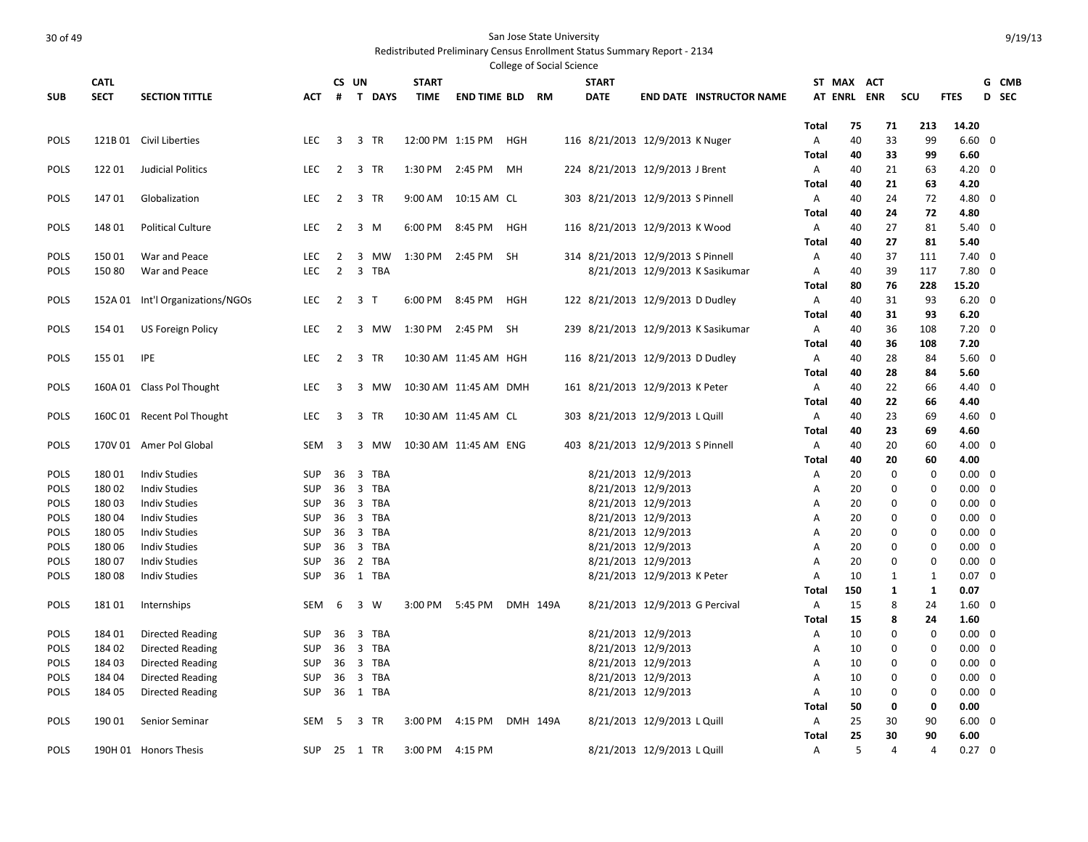|             |             |                                  |            |                         |                |                  |                        |            | College of Social Science |                                   |                                |                                     |              |             |              |              |                |                         |  |
|-------------|-------------|----------------------------------|------------|-------------------------|----------------|------------------|------------------------|------------|---------------------------|-----------------------------------|--------------------------------|-------------------------------------|--------------|-------------|--------------|--------------|----------------|-------------------------|--|
|             | <b>CATL</b> |                                  |            | CS UN                   |                | <b>START</b>     |                        |            |                           | <b>START</b>                      |                                |                                     |              | ST MAX ACT  |              |              |                | G CMB                   |  |
| <b>SUB</b>  | <b>SECT</b> | <b>SECTION TITTLE</b>            | <b>ACT</b> | #                       | T DAYS         | <b>TIME</b>      | <b>END TIME BLD RM</b> |            |                           | <b>DATE</b>                       |                                | <b>END DATE INSTRUCTOR NAME</b>     |              | AT ENRL ENR |              | scu          | <b>FTES</b>    | D SEC                   |  |
|             |             |                                  |            |                         |                |                  |                        |            |                           |                                   |                                |                                     |              |             |              |              |                |                         |  |
|             |             |                                  |            |                         |                |                  |                        |            |                           |                                   |                                |                                     | <b>Total</b> | 75          | 71           | 213          | 14.20          |                         |  |
| <b>POLS</b> |             | 121B 01 Civil Liberties          | <b>LEC</b> | $\overline{3}$          | 3 TR           | 12:00 PM 1:15 PM |                        | HGH        |                           | 116 8/21/2013 12/9/2013 K Nuger   |                                |                                     | Α            | 40          | 33           | 99           | $6.60 \quad 0$ |                         |  |
|             |             |                                  |            |                         |                |                  |                        |            |                           |                                   |                                |                                     | <b>Total</b> | 40          | 33           | 99           | 6.60           |                         |  |
| POLS        | 12201       | <b>Judicial Politics</b>         | LEC        | $\overline{2}$          | 3 TR           |                  | 1:30 PM 2:45 PM        | MН         |                           | 224 8/21/2013 12/9/2013 J Brent   |                                |                                     | Α            | 40          | 21           | 63           | $4.20 \ 0$     |                         |  |
|             |             |                                  |            |                         |                |                  |                        |            |                           |                                   |                                |                                     | Total        | 40          | 21           | 63           | 4.20           |                         |  |
| <b>POLS</b> | 14701       | Globalization                    | LEC        | $\overline{2}$          | 3 TR           | 9:00 AM          | 10:15 AM CL            |            |                           | 303 8/21/2013 12/9/2013 S Pinnell |                                |                                     | Α            | 40          | 24           | 72           | 4.80 0         |                         |  |
|             |             |                                  |            |                         |                |                  |                        |            |                           |                                   |                                |                                     | Total        | 40          | 24           | 72           | 4.80           |                         |  |
| POLS        | 148 01      | <b>Political Culture</b>         | <b>LEC</b> | $\overline{2}$          | 3 M            | 6:00 PM 8:45 PM  |                        | <b>HGH</b> |                           | 116 8/21/2013 12/9/2013 K Wood    |                                |                                     | $\mathsf{A}$ | 40          | 27           | 81           | $5.40 \quad 0$ |                         |  |
|             |             |                                  |            |                         |                |                  |                        |            |                           |                                   |                                |                                     | <b>Total</b> | 40          | 27           | 81           | 5.40           |                         |  |
| POLS        | 15001       | War and Peace                    | LEC        | $\overline{2}$          | 3<br>MW        | 1:30 PM 2:45 PM  |                        | <b>SH</b>  |                           | 314 8/21/2013 12/9/2013 S Pinnell |                                |                                     | $\mathsf{A}$ | 40          | 37           | 111          | $7.40 \quad 0$ |                         |  |
| <b>POLS</b> | 15080       | War and Peace                    | <b>LEC</b> | $\overline{2}$          | 3 TBA          |                  |                        |            |                           |                                   |                                | 8/21/2013 12/9/2013 K Sasikumar     | A            | 40          | 39           | 117          | $7.80 \quad 0$ |                         |  |
|             |             |                                  |            |                         |                |                  |                        |            |                           |                                   |                                |                                     | <b>Total</b> | 80          | 76           | 228          | 15.20          |                         |  |
| <b>POLS</b> |             | 152A 01 Int'l Organizations/NGOs | LEC        | $\overline{2}$          | 3 <sub>T</sub> | 6:00 PM 8:45 PM  |                        | HGH        |                           | 122 8/21/2013 12/9/2013 D Dudley  |                                |                                     | Α            | 40          | 31           | 93           | $6.20 \quad 0$ |                         |  |
|             |             |                                  |            |                         |                |                  |                        |            |                           |                                   |                                |                                     | <b>Total</b> | 40          | 31           | 93           | 6.20           |                         |  |
| POLS        | 154 01      | US Foreign Policy                | LEC        | 2                       | 3 MW           | 1:30 PM 2:45 PM  |                        | SH         |                           |                                   |                                | 239 8/21/2013 12/9/2013 K Sasikumar | Α            | 40          | 36           | 108          | $7.20 \quad 0$ |                         |  |
|             |             |                                  |            |                         |                |                  |                        |            |                           |                                   |                                |                                     | Total        | 40          | 36           | 108          | 7.20           |                         |  |
| <b>POLS</b> | 155 01      | IPE                              | LEC        | $\overline{2}$          | 3 TR           |                  | 10:30 AM 11:45 AM HGH  |            |                           | 116 8/21/2013 12/9/2013 D Dudley  |                                |                                     | Α            | 40          | 28           | 84           | $5.60 \quad 0$ |                         |  |
|             |             |                                  |            |                         |                |                  |                        |            |                           |                                   |                                |                                     | Total        | 40          | 28           | 84           | 5.60           |                         |  |
| <b>POLS</b> |             | 160A 01 Class Pol Thought        | LEC        | 3                       | 3 MW           |                  | 10:30 AM 11:45 AM DMH  |            |                           | 161 8/21/2013 12/9/2013 K Peter   |                                |                                     | A            | 40          | 22           | 66           | 4.40 0         |                         |  |
|             |             |                                  |            |                         |                |                  |                        |            |                           |                                   |                                |                                     | Total        | 40          | 22           | 66           | 4.40           |                         |  |
| POLS        |             | 160C 01 Recent Pol Thought       | LEC        | $\overline{\mathbf{3}}$ | 3 TR           |                  | 10:30 AM 11:45 AM CL   |            |                           | 303 8/21/2013 12/9/2013 L Quill   |                                |                                     | A            | 40          | 23           | 69           | $4.60 \quad 0$ |                         |  |
|             |             |                                  |            |                         |                |                  |                        |            |                           |                                   |                                |                                     | Total        | 40          | 23           | 69           | 4.60           |                         |  |
| POLS        |             | 170V 01 Amer Pol Global          | <b>SEM</b> | 3                       | 3 MW           |                  | 10:30 AM 11:45 AM ENG  |            |                           | 403 8/21/2013 12/9/2013 S Pinnell |                                |                                     | A            | 40          | 20           | 60           | $4.00 \quad 0$ |                         |  |
|             |             |                                  |            |                         |                |                  |                        |            |                           |                                   |                                |                                     | <b>Total</b> | 40          | 20           | 60           | 4.00           |                         |  |
| <b>POLS</b> | 18001       | <b>Indiv Studies</b>             | <b>SUP</b> | 36                      | 3 TBA          |                  |                        |            |                           |                                   | 8/21/2013 12/9/2013            |                                     | Α            | 20          | $\mathbf 0$  | $\mathbf 0$  | $0.00 \quad 0$ |                         |  |
| POLS        | 18002       | <b>Indiv Studies</b>             | <b>SUP</b> | 36                      | 3 TBA          |                  |                        |            |                           |                                   | 8/21/2013 12/9/2013            |                                     | Α            | 20          | 0            | $\Omega$     | $0.00 \quad 0$ |                         |  |
| POLS        | 18003       | <b>Indiv Studies</b>             | <b>SUP</b> | 36                      | 3 TBA          |                  |                        |            |                           |                                   | 8/21/2013 12/9/2013            |                                     | Α            | 20          | 0            | $\mathbf 0$  | $0.00 \quad 0$ |                         |  |
| POLS        | 18004       | <b>Indiv Studies</b>             | <b>SUP</b> | 36                      | 3 TBA          |                  |                        |            |                           |                                   | 8/21/2013 12/9/2013            |                                     | А            | 20          | 0            | $\mathbf 0$  | $0.00 \quad 0$ |                         |  |
| POLS        | 18005       | <b>Indiv Studies</b>             | <b>SUP</b> | 36                      | 3 TBA          |                  |                        |            |                           |                                   | 8/21/2013 12/9/2013            |                                     | Α            | 20          | 0            | $\mathbf 0$  | $0.00 \quad 0$ |                         |  |
| POLS        | 18006       | <b>Indiv Studies</b>             | <b>SUP</b> | 36                      | 3 TBA          |                  |                        |            |                           |                                   | 8/21/2013 12/9/2013            |                                     | A            | 20          | 0            | $\mathbf 0$  | $0.00 \quad 0$ |                         |  |
| POLS        | 18007       | <b>Indiv Studies</b>             | <b>SUP</b> | 36                      | 2 TBA          |                  |                        |            |                           |                                   | 8/21/2013 12/9/2013            |                                     | A            | 20          | $\mathbf 0$  | $\mathbf 0$  | 0.00           | $\overline{\mathbf{0}}$ |  |
| POLS        | 18008       | <b>Indiv Studies</b>             | <b>SUP</b> |                         | 36 1 TBA       |                  |                        |            |                           |                                   | 8/21/2013 12/9/2013 K Peter    |                                     | A            | 10          | $\mathbf{1}$ | $\mathbf{1}$ | $0.07 \quad 0$ |                         |  |
|             |             |                                  |            |                         |                |                  |                        |            |                           |                                   |                                |                                     | Total        | 150         | 1            | 1            | 0.07           |                         |  |
| <b>POLS</b> | 18101       | Internships                      | <b>SEM</b> | 6                       | 3 W            | 3:00 PM          | 5:45 PM                |            | DMH 149A                  |                                   | 8/21/2013 12/9/2013 G Percival |                                     | A            | 15          | 8            | 24           | $1.60 \quad 0$ |                         |  |
|             |             |                                  |            |                         |                |                  |                        |            |                           |                                   |                                |                                     | <b>Total</b> | 15          | 8            | 24           | 1.60           |                         |  |
| <b>POLS</b> | 184 01      | Directed Reading                 | <b>SUP</b> | 36                      | 3 TBA          |                  |                        |            |                           |                                   | 8/21/2013 12/9/2013            |                                     | A            | 10          | $\mathbf 0$  | $\mathbf 0$  | $0.00 \quad 0$ |                         |  |
| POLS        | 18402       | Directed Reading                 | <b>SUP</b> | 36                      | 3 TBA          |                  |                        |            |                           |                                   | 8/21/2013 12/9/2013            |                                     | А            | 10          | 0            | $\Omega$     | $0.00 \quad 0$ |                         |  |
| POLS        | 18403       | Directed Reading                 | <b>SUP</b> | 36                      | 3 TBA          |                  |                        |            |                           |                                   | 8/21/2013 12/9/2013            |                                     | A            | 10          | $\mathbf 0$  | $\mathbf 0$  | $0.00 \quad 0$ |                         |  |
| POLS        | 184 04      | Directed Reading                 | <b>SUP</b> | 36                      | 3 TBA          |                  |                        |            |                           |                                   | 8/21/2013 12/9/2013            |                                     | Α            | 10          | $\mathbf 0$  | $\mathbf 0$  | $0.00 \quad 0$ |                         |  |
| POLS        | 184 05      | Directed Reading                 | <b>SUP</b> | 36                      | 1 TBA          |                  |                        |            |                           |                                   | 8/21/2013 12/9/2013            |                                     | A            | 10          | $\mathbf 0$  | $\mathbf 0$  | $0.00 \quad 0$ |                         |  |
|             |             |                                  |            |                         |                |                  |                        |            |                           |                                   |                                |                                     | Total        | 50          | 0            | 0            | 0.00           |                         |  |
| POLS        | 190 01      | Senior Seminar                   | <b>SEM</b> | -5                      | 3 TR           | 3:00 PM          | 4:15 PM                |            | DMH 149A                  |                                   | 8/21/2013 12/9/2013 L Quill    |                                     | Α            | 25          | 30           | 90           | $6.00 \quad 0$ |                         |  |
|             |             |                                  |            |                         |                |                  |                        |            |                           |                                   |                                |                                     | <b>Total</b> | 25          | 30           | 90           | 6.00           |                         |  |
| <b>POLS</b> |             | 190H 01 Honors Thesis            | SUP        |                         | 25 1 TR        | 3:00 PM 4:15 PM  |                        |            |                           |                                   | 8/21/2013 12/9/2013 L Quill    |                                     | A            | 5           | 4            | 4            | $0.27 \quad 0$ |                         |  |
|             |             |                                  |            |                         |                |                  |                        |            |                           |                                   |                                |                                     |              |             |              |              |                |                         |  |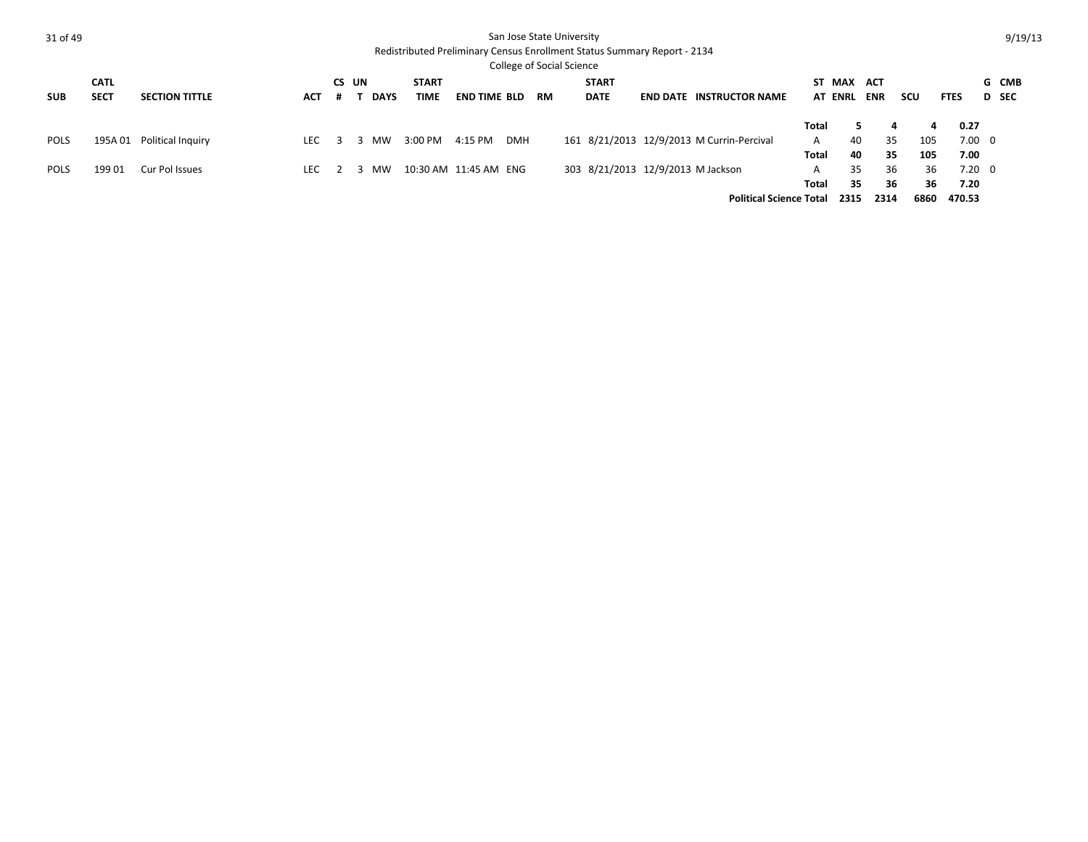| 31 of 49    |             |                       |      |             |              |                       |            |    | San Jose State University |              |                                                                          |                                           |              |                |            |      |                |       | 9/19/13 |
|-------------|-------------|-----------------------|------|-------------|--------------|-----------------------|------------|----|---------------------------|--------------|--------------------------------------------------------------------------|-------------------------------------------|--------------|----------------|------------|------|----------------|-------|---------|
|             |             |                       |      |             |              |                       |            |    |                           |              | Redistributed Preliminary Census Enrollment Status Summary Report - 2134 |                                           |              |                |            |      |                |       |         |
|             |             |                       |      |             |              |                       |            |    | College of Social Science |              |                                                                          |                                           |              |                |            |      |                |       |         |
|             | <b>CATL</b> |                       |      | CS UN       | <b>START</b> |                       |            |    |                           | <b>START</b> |                                                                          |                                           |              | ST MAX ACT     |            |      |                |       | G CMB   |
| <b>SUB</b>  | <b>SECT</b> | <b>SECTION TITTLE</b> | ACT  | <b>DAYS</b> | TIME         | <b>END TIME BLD</b>   |            | RM |                           | <b>DATE</b>  |                                                                          | <b>END DATE INSTRUCTOR NAME</b>           |              | <b>AT ENRL</b> | <b>ENR</b> | scu  | <b>FTES</b>    | D SEC |         |
|             |             |                       |      |             |              |                       |            |    |                           |              |                                                                          |                                           |              |                |            |      |                |       |         |
|             |             |                       |      |             |              |                       |            |    |                           |              |                                                                          |                                           | Total        | 5.             | 4          | 4    | 0.27           |       |         |
| <b>POLS</b> | 195A 01     | Political Inquiry     | LEC. | 3 MW        | 3:00 PM      | 4:15 PM               | <b>DMH</b> |    |                           |              |                                                                          | 161 8/21/2013 12/9/2013 M Currin-Percival | A            | 40             | 35         | 105  | $7.00 \quad 0$ |       |         |
|             |             |                       |      |             |              |                       |            |    |                           |              |                                                                          |                                           | Total        | 40             | 35         | 105  | 7.00           |       |         |
| <b>POLS</b> | 19901       | Cur Pol Issues        | LEC. | MW.         |              | 10:30 AM 11:45 AM ENG |            |    |                           |              | 303 8/21/2013 12/9/2013 M Jackson                                        |                                           | $\mathsf{A}$ | 35             | 36         | 36   | $7.20 \quad 0$ |       |         |
|             |             |                       |      |             |              |                       |            |    |                           |              |                                                                          |                                           | Total        | 35             | 36         | 36   | 7.20           |       |         |
|             |             |                       |      |             |              |                       |            |    |                           |              |                                                                          | <b>Political Science Total</b>            |              | 2315           | 2314       | 6860 | 470.53         |       |         |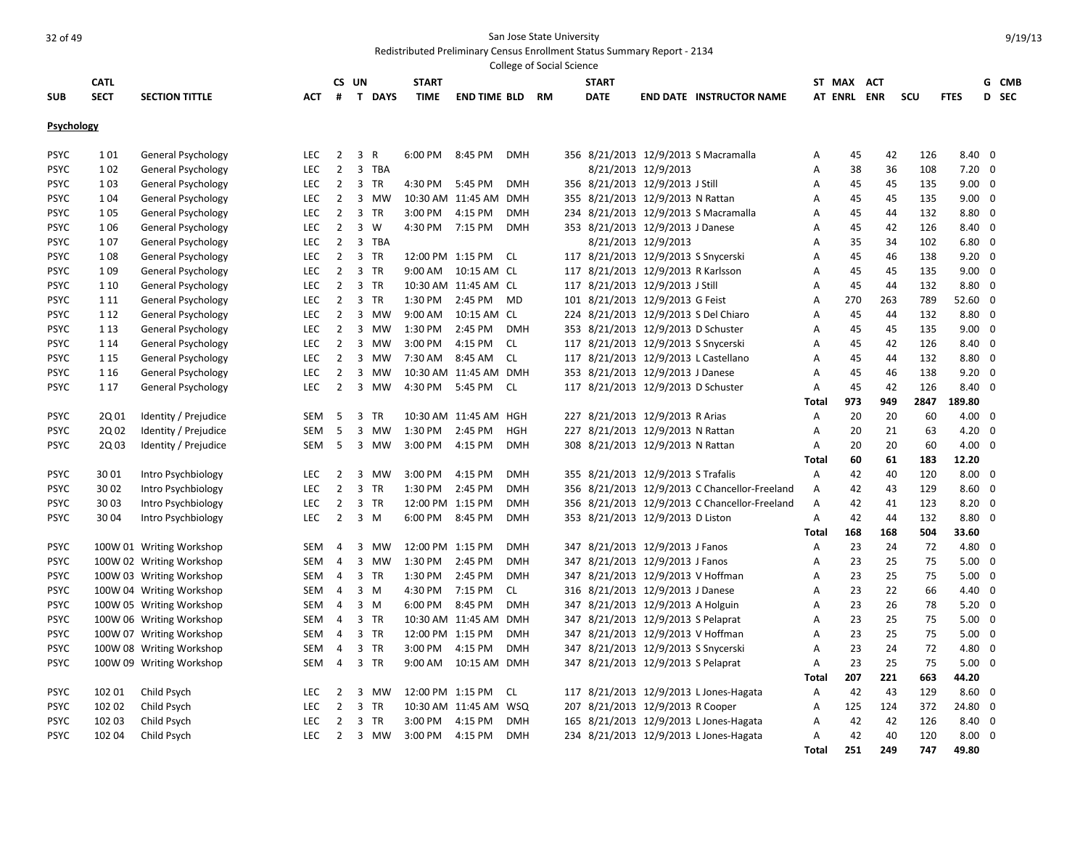|             |             |                           |            |                |                |              |                  |                       |            | College of Social Science |              |                                    |                                               |              |                |            |      |                |                         |       |
|-------------|-------------|---------------------------|------------|----------------|----------------|--------------|------------------|-----------------------|------------|---------------------------|--------------|------------------------------------|-----------------------------------------------|--------------|----------------|------------|------|----------------|-------------------------|-------|
|             | <b>CATL</b> |                           |            |                | CS UN          |              | <b>START</b>     |                       |            |                           | <b>START</b> |                                    |                                               |              | ST MAX         | <b>ACT</b> |      |                |                         | G CMB |
| <b>SUB</b>  | <b>SECT</b> | <b>SECTION TITTLE</b>     | <b>ACT</b> | #              | $\mathbf{T}$   | <b>DAYS</b>  | <b>TIME</b>      | <b>END TIME BLD</b>   |            | <b>RM</b>                 | <b>DATE</b>  |                                    | <b>END DATE INSTRUCTOR NAME</b>               |              | <b>AT ENRL</b> | <b>ENR</b> | SCU  | <b>FTES</b>    |                         | D SEC |
| Psychology  |             |                           |            |                |                |              |                  |                       |            |                           |              |                                    |                                               |              |                |            |      |                |                         |       |
| <b>PSYC</b> | 101         | General Psychology        | LEC        | $\overline{2}$ | 3              | $\mathsf{R}$ | 6:00 PM          | 8:45 PM               | <b>DMH</b> |                           |              |                                    | 356 8/21/2013 12/9/2013 S Macramalla          | A            | 45             | 42         | 126  | $8.40 \quad 0$ |                         |       |
| <b>PSYC</b> | 102         | General Psychology        | LEC        | $\overline{2}$ | 3              | <b>TBA</b>   |                  |                       |            |                           |              | 8/21/2013 12/9/2013                |                                               | Α            | 38             | 36         | 108  | 7.20           | $\Omega$                |       |
| <b>PSYC</b> | 103         | General Psychology        | LEC        | $\overline{2}$ | 3              | TR           | 4:30 PM          | 5:45 PM               | <b>DMH</b> |                           |              | 356 8/21/2013 12/9/2013 J Still    |                                               | Α            | 45             | 45         | 135  | $9.00 \quad 0$ |                         |       |
| <b>PSYC</b> | 1 0 4       | General Psychology        | LEC        | $\overline{2}$ | 3              | MW           |                  | 10:30 AM 11:45 AM     | <b>DMH</b> |                           |              | 355 8/21/2013 12/9/2013 N Rattan   |                                               | Α            | 45             | 45         | 135  | $9.00 \quad 0$ |                         |       |
| <b>PSYC</b> | 105         | General Psychology        | LEC        | $\overline{2}$ | $\overline{3}$ | TR           | 3:00 PM          | 4:15 PM               | <b>DMH</b> |                           |              |                                    | 234 8/21/2013 12/9/2013 S Macramalla          | Α            | 45             | 44         | 132  | 8.80           | $\overline{\mathbf{0}}$ |       |
| <b>PSYC</b> | 106         | <b>General Psychology</b> | LEC        | $\overline{2}$ | 3              | W            | 4:30 PM          | 7:15 PM               | <b>DMH</b> |                           |              | 353 8/21/2013 12/9/2013 J Danese   |                                               | A            | 45             | 42         | 126  | 8.40           | $\overline{0}$          |       |
| <b>PSYC</b> | 107         | General Psychology        | LEC        | $\overline{2}$ |                | 3 TBA        |                  |                       |            |                           |              | 8/21/2013 12/9/2013                |                                               | Α            | 35             | 34         | 102  | 6.80           | $\overline{\mathbf{0}}$ |       |
| <b>PSYC</b> | 108         | General Psychology        | LEC        | $\overline{2}$ | $\overline{3}$ | <b>TR</b>    | 12:00 PM 1:15 PM |                       | CL         |                           |              |                                    | 117 8/21/2013 12/9/2013 S Snycerski           | A            | 45             | 46         | 138  | $9.20 \quad 0$ |                         |       |
| <b>PSYC</b> | 1 0 9       | General Psychology        | LEC        | $\overline{2}$ |                | 3 TR         | 9:00 AM          | 10:15 AM CL           |            |                           |              | 117 8/21/2013 12/9/2013 R Karlsson |                                               | A            | 45             | 45         | 135  | $9.00 \quad 0$ |                         |       |
| <b>PSYC</b> | 1 10        | General Psychology        | LEC        | $\overline{2}$ | $\overline{3}$ | <b>TR</b>    |                  | 10:30 AM 11:45 AM CL  |            |                           |              | 117 8/21/2013 12/9/2013 J Still    |                                               | A            | 45             | 44         | 132  | 8.80           | $\Omega$                |       |
| PSYC        | 1 1 1       | General Psychology        | LEC        | $\overline{2}$ | 3              | <b>TR</b>    | 1:30 PM          | 2:45 PM               | <b>MD</b>  |                           |              | 101 8/21/2013 12/9/2013 G Feist    |                                               | A            | 270            | 263        | 789  | 52.60          | - 0                     |       |
| <b>PSYC</b> | 1 1 2       | General Psychology        | LEC        | $\overline{2}$ | 3              | MW           | 9:00 AM          | 10:15 AM CL           |            |                           |              |                                    | 224 8/21/2013 12/9/2013 S Del Chiaro          | A            | 45             | 44         | 132  | $8.80\ 0$      |                         |       |
| PSYC        | 1 1 3       | General Psychology        | LEC        | $\overline{2}$ | 3              | MW           | 1:30 PM          | 2:45 PM               | <b>DMH</b> |                           |              | 353 8/21/2013 12/9/2013 D Schuster |                                               | A            | 45             | 45         | 135  | 9.00           | $\Omega$                |       |
| <b>PSYC</b> | 1 1 4       | General Psychology        | LEC        | $\overline{2}$ | $\overline{3}$ | MW           | 3:00 PM          | 4:15 PM               | <b>CL</b>  |                           |              |                                    | 117 8/21/2013 12/9/2013 S Snycerski           | Α            | 45             | 42         | 126  | 8.40           | $\overline{\mathbf{0}}$ |       |
| <b>PSYC</b> | 1 1 5       | General Psychology        | LEC        | $\overline{2}$ | 3              | <b>MW</b>    | 7:30 AM          | 8:45 AM               | <b>CL</b>  |                           |              |                                    | 117 8/21/2013 12/9/2013 L Castellano          | Α            | 45             | 44         | 132  | 8.80           | $\overline{\mathbf{0}}$ |       |
| <b>PSYC</b> | 1 1 6       | General Psychology        | LEC        | $\overline{2}$ | 3              | <b>MW</b>    |                  | 10:30 AM 11:45 AM DMH |            |                           |              | 353 8/21/2013 12/9/2013 J Danese   |                                               | Α            | 45             | 46         | 138  | 9.20           | $\overline{\mathbf{0}}$ |       |
| <b>PSYC</b> | 1 1 7       | General Psychology        | LEC        | $\overline{2}$ | 3              | <b>MW</b>    | 4:30 PM          | 5:45 PM               | <b>CL</b>  |                           |              | 117 8/21/2013 12/9/2013 D Schuster |                                               | A            | 45             | 42         | 126  | $8.40 \quad 0$ |                         |       |
|             |             |                           |            |                |                |              |                  |                       |            |                           |              |                                    |                                               | <b>Total</b> | 973            | 949        | 2847 | 189.80         |                         |       |
| <b>PSYC</b> | 2Q 01       | Identity / Prejudice      | SEM        | 5              | 3              | <b>TR</b>    |                  | 10:30 AM 11:45 AM HGH |            |                           |              | 227 8/21/2013 12/9/2013 R Arias    |                                               | Α            | 20             | 20         | 60   | $4.00 \quad 0$ |                         |       |
| PSYC        | 2Q 02       | Identity / Prejudice      | <b>SEM</b> | 5              | 3              | MW           | 1:30 PM          | 2:45 PM               | HGH        |                           |              | 227 8/21/2013 12/9/2013 N Rattan   |                                               | A            | 20             | 21         | 63   | 4.20           | 0                       |       |
| <b>PSYC</b> | 2Q 03       | Identity / Prejudice      | SEM        | -5             |                | 3 MW         | 3:00 PM          | 4:15 PM               | <b>DMH</b> |                           |              | 308 8/21/2013 12/9/2013 N Rattan   |                                               | A            | 20             | 20         | 60   | $4.00 \quad 0$ |                         |       |
|             |             |                           |            |                |                |              |                  |                       |            |                           |              |                                    |                                               | <b>Total</b> | 60             | 61         | 183  | 12.20          |                         |       |
| <b>PSYC</b> | 30 01       | Intro Psychbiology        | LEC        | $\overline{2}$ | 3              | MW           | 3:00 PM          | 4:15 PM               | <b>DMH</b> |                           |              | 355 8/21/2013 12/9/2013 S Trafalis |                                               | A            | 42             | 40         | 120  | $8.00 \quad 0$ |                         |       |
| <b>PSYC</b> | 30 02       | Intro Psychbiology        | LEC        | $\overline{2}$ | 3              | TR           | 1:30 PM          | 2:45 PM               | <b>DMH</b> |                           |              |                                    | 356 8/21/2013 12/9/2013 C Chancellor-Freeland | Α            | 42             | 43         | 129  | 8.60           | $\Omega$                |       |
| <b>PSYC</b> | 3003        | Intro Psychbiology        | LEC        | $\overline{2}$ | 3              | TR           | 12:00 PM 1:15 PM |                       | <b>DMH</b> |                           |              |                                    | 356 8/21/2013 12/9/2013 C Chancellor-Freeland | Α            | 42             | 41         | 123  | 8.20           | $\overline{0}$          |       |
| <b>PSYC</b> | 30 04       | Intro Psychbiology        | LEC        | $\overline{2}$ |                | $3 \, M$     | 6:00 PM          | 8:45 PM               | <b>DMH</b> |                           |              | 353 8/21/2013 12/9/2013 D Liston   |                                               | A            | 42             | 44         | 132  | $8.80\ 0$      |                         |       |
|             |             |                           |            |                |                |              |                  |                       |            |                           |              |                                    |                                               | Total        | 168            | 168        | 504  | 33.60          |                         |       |
| <b>PSYC</b> |             | 100W 01 Writing Workshop  | SEM        | 4              | 3              | MW           | 12:00 PM 1:15 PM |                       | <b>DMH</b> |                           |              | 347 8/21/2013 12/9/2013 J Fanos    |                                               | Α            | 23             | 24         | 72   | 4.80           | - 0                     |       |
| <b>PSYC</b> |             | 100W 02 Writing Workshop  | <b>SEM</b> | $\overline{4}$ | 3              | MW           | 1:30 PM          | 2:45 PM               | <b>DMH</b> |                           |              | 347 8/21/2013 12/9/2013 J Fanos    |                                               | A            | 23             | 25         | 75   | 5.00           | $\overline{0}$          |       |
| <b>PSYC</b> |             | 100W 03 Writing Workshop  | SEM        | $\overline{4}$ |                | 3 TR         | 1:30 PM          | 2:45 PM               | <b>DMH</b> |                           |              | 347 8/21/2013 12/9/2013 V Hoffman  |                                               | Α            | 23             | 25         | 75   | $5.00 \quad 0$ |                         |       |
| <b>PSYC</b> |             | 100W 04 Writing Workshop  | <b>SEM</b> | $\overline{a}$ | $\overline{3}$ | M            | 4:30 PM          | 7:15 PM               | <b>CL</b>  |                           |              | 316 8/21/2013 12/9/2013 J Danese   |                                               | A            | 23             | 22         | 66   | 4.40 0         |                         |       |
| <b>PSYC</b> |             | 100W 05 Writing Workshop  | SEM        | 4              | 3              | M            | 6:00 PM          | 8:45 PM               | <b>DMH</b> |                           |              | 347 8/21/2013 12/9/2013 A Holguin  |                                               | A            | 23             | 26         | 78   | 5.20           | $\overline{\mathbf{0}}$ |       |
| <b>PSYC</b> |             | 100W 06 Writing Workshop  | SEM        | $\overline{a}$ | 3              | <b>TR</b>    |                  | 10:30 AM 11:45 AM     | DMH        |                           |              | 347 8/21/2013 12/9/2013 S Pelaprat |                                               | A            | 23             | 25         | 75   | 5.00           | $\overline{\mathbf{0}}$ |       |
| <b>PSYC</b> |             | 100W 07 Writing Workshop  | <b>SEM</b> | $\overline{4}$ | 3              | <b>TR</b>    | 12:00 PM 1:15 PM |                       | <b>DMH</b> |                           |              | 347 8/21/2013 12/9/2013 V Hoffman  |                                               | A            | 23             | 25         | 75   | $5.00 \quad 0$ |                         |       |
| <b>PSYC</b> |             | 100W 08 Writing Workshop  | SEM        | $\overline{4}$ | $\overline{3}$ | TR           | 3:00 PM          | 4:15 PM               | <b>DMH</b> |                           |              |                                    | 347 8/21/2013 12/9/2013 S Snycerski           | Α            | 23             | 24         | 72   | 4.80           | 0                       |       |
| <b>PSYC</b> |             | 100W 09 Writing Workshop  | SEM        | $\overline{a}$ | 3              | <b>TR</b>    | 9:00 AM          | 10:15 AM DMH          |            |                           |              | 347 8/21/2013 12/9/2013 S Pelaprat |                                               | A            | 23             | 25         | 75   | $5.00 \quad 0$ |                         |       |
|             |             |                           |            |                |                |              |                  |                       |            |                           |              |                                    |                                               | <b>Total</b> | 207            | 221        | 663  | 44.20          |                         |       |
| <b>PSYC</b> | 102 01      | Child Psych               | LEC        | $\overline{2}$ | 3              | <b>MW</b>    | 12:00 PM 1:15 PM |                       | <b>CL</b>  |                           |              |                                    | 117 8/21/2013 12/9/2013 L Jones-Hagata        | Α            | 42             | 43         | 129  | $8.60 \quad 0$ |                         |       |
| <b>PSYC</b> | 102 02      | Child Psych               | LEC        | $\overline{2}$ | $\overline{3}$ | <b>TR</b>    |                  | 10:30 AM 11:45 AM WSQ |            |                           |              | 207 8/21/2013 12/9/2013 R Cooper   |                                               | Α            | 125            | 124        | 372  | 24.80          | $\overline{0}$          |       |
| <b>PSYC</b> | 102 03      | Child Psych               | LEC        | $\overline{2}$ | 3              | <b>TR</b>    | 3:00 PM          | 4:15 PM               | <b>DMH</b> |                           |              |                                    | 165 8/21/2013 12/9/2013 L Jones-Hagata        | A            | 42             | 42         | 126  | 8.40           | $\overline{0}$          |       |
| <b>PSYC</b> | 102 04      | Child Psych               | <b>LEC</b> | $\overline{2}$ |                | 3 MW         | 3:00 PM          | 4:15 PM               | <b>DMH</b> |                           |              |                                    | 234 8/21/2013 12/9/2013 L Jones-Hagata        | А            | 42             | 40         | 120  | 8.00           | - 0                     |       |
|             |             |                           |            |                |                |              |                  |                       |            |                           |              |                                    |                                               | Total        | 251            | 249        | 747  | 49.80          |                         |       |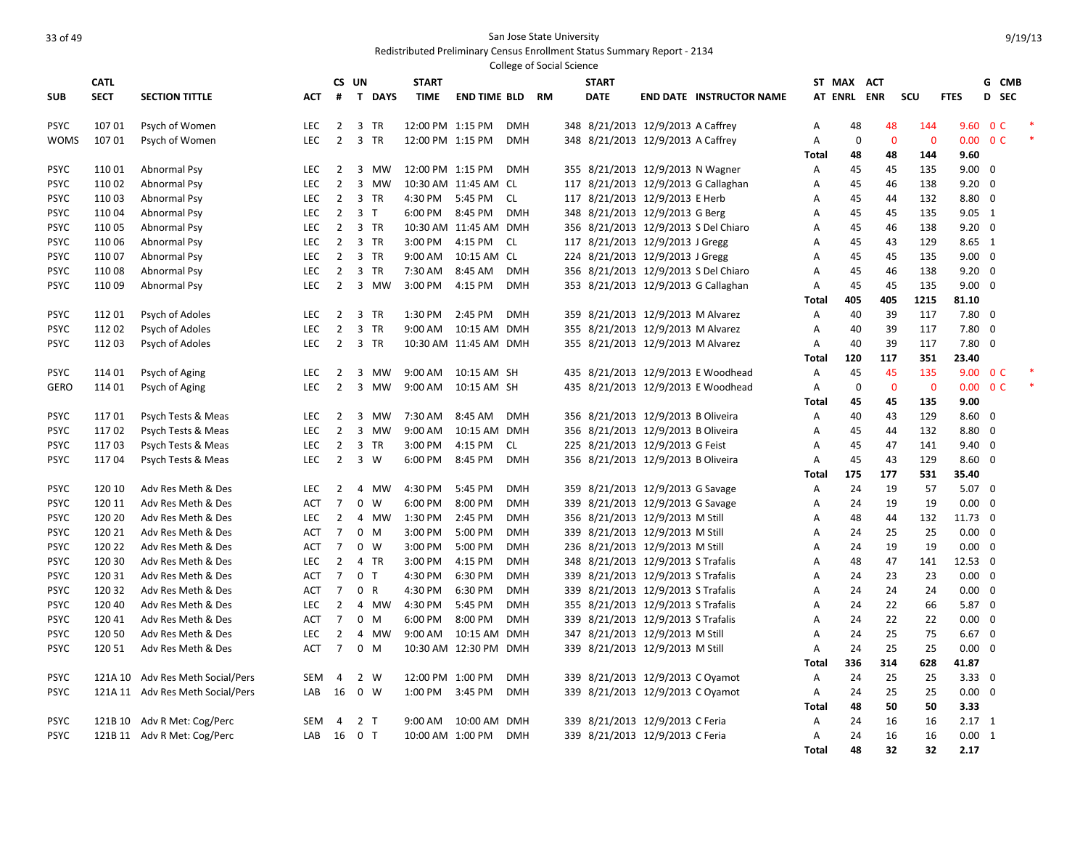|             |             |                                  |                   |                |                             |                             |                       |            | <b>College of Social Science</b> |                                    |                                      |              |             |              |                |                          |                         |  |
|-------------|-------------|----------------------------------|-------------------|----------------|-----------------------------|-----------------------------|-----------------------|------------|----------------------------------|------------------------------------|--------------------------------------|--------------|-------------|--------------|----------------|--------------------------|-------------------------|--|
|             | <b>CATL</b> |                                  |                   |                | CS UN                       | <b>START</b>                |                       |            |                                  | <b>START</b>                       |                                      |              | ST MAX ACT  |              |                |                          | G CMB                   |  |
| <b>SUB</b>  | <b>SECT</b> | <b>SECTION TITTLE</b>            | АСТ               | #              | $\mathbf{T}$<br><b>DAYS</b> | <b>TIME</b>                 | <b>END TIME BLD</b>   |            | <b>RM</b>                        | <b>DATE</b>                        | <b>END DATE INSTRUCTOR NAME</b>      |              |             | AT ENRL ENR  | SCU            | <b>FTES</b>              | D SEC                   |  |
| <b>PSYC</b> | 10701       | Psych of Women                   | LEC               | $\overline{2}$ | 3 TR                        | 12:00 PM 1:15 PM            |                       | <b>DMH</b> |                                  | 348 8/21/2013 12/9/2013 A Caffrey  |                                      | Α            | 48          | 48           | 144            | 9.60 O C                 |                         |  |
| <b>WOMS</b> | 107 01      | Psych of Women                   | <b>LEC</b>        | $\overline{2}$ | $\overline{3}$<br><b>TR</b> | 12:00 PM 1:15 PM            |                       | <b>DMH</b> |                                  | 348 8/21/2013 12/9/2013 A Caffrey  |                                      | A            | $\mathbf 0$ | $\mathbf 0$  | $\mathbf{0}$   | $0.00 \quad 0 \text{ C}$ |                         |  |
|             |             |                                  |                   |                |                             |                             |                       |            |                                  |                                    |                                      | <b>Total</b> | 48          | 48           | 144            | 9.60                     |                         |  |
| <b>PSYC</b> | 110 01      | Abnormal Psy                     | <b>LEC</b>        | $\overline{2}$ | 3<br><b>MW</b>              | 12:00 PM 1:15 PM            |                       | <b>DMH</b> |                                  | 355 8/21/2013 12/9/2013 N Wagner   |                                      | Α            | 45          | 45           | 135            | $9.00 \quad 0$           |                         |  |
| <b>PSYC</b> | 110 02      | Abnormal Psy                     | <b>LEC</b>        | $2^{\circ}$    | 3 MW                        |                             | 10:30 AM 11:45 AM CL  |            |                                  |                                    | 117 8/21/2013 12/9/2013 G Callaghan  | Α            | 45          | 46           | 138            | $9.20 \quad 0$           |                         |  |
| <b>PSYC</b> | 11003       | Abnormal Psy                     | <b>LEC</b>        | $\overline{2}$ | 3 TR                        | 4:30 PM                     | 5:45 PM               | <b>CL</b>  |                                  | 117 8/21/2013 12/9/2013 E Herb     |                                      | A            | 45          | 44           | 132            | 8.80 0                   |                         |  |
| <b>PSYC</b> | 11004       | Abnormal Psy                     | LEC               | $\overline{2}$ | 3 <sub>1</sub>              | 6:00 PM                     | 8:45 PM               | <b>DMH</b> |                                  | 348 8/21/2013 12/9/2013 G Berg     |                                      | Α            | 45          | 45           | 135            | $9.05 \quad 1$           |                         |  |
| <b>PSYC</b> | 110 05      | Abnormal Psy                     | LEC               | $\overline{2}$ | 3 TR                        |                             | 10:30 AM 11:45 AM DMH |            |                                  |                                    | 356 8/21/2013 12/9/2013 S Del Chiaro | Α            | 45          | 46           | 138            | $9.20 \quad 0$           |                         |  |
| <b>PSYC</b> | 110 06      | Abnormal Psy                     | LEC               | $\overline{2}$ | $\overline{3}$<br><b>TR</b> | 3:00 PM                     | 4:15 PM               | <b>CL</b>  |                                  | 117 8/21/2013 12/9/2013 J Gregg    |                                      | Α            | 45          | 43           | 129            | 8.65 1                   |                         |  |
| <b>PSYC</b> | 11007       | Abnormal Psy                     | LEC               | $2^{\circ}$    | 3 TR                        | 9:00 AM                     | 10:15 AM CL           |            |                                  | 224 8/21/2013 12/9/2013 J Gregg    |                                      | A            | 45          | 45           | 135            | $9.00 \quad 0$           |                         |  |
| <b>PSYC</b> | 11008       | Abnormal Psy                     | <b>LEC</b>        | $\overline{2}$ | $\overline{3}$<br><b>TR</b> | 7:30 AM                     | 8:45 AM               | <b>DMH</b> |                                  |                                    | 356 8/21/2013 12/9/2013 S Del Chiaro | A            | 45          | 46           | 138            | $9.20 \quad 0$           |                         |  |
| <b>PSYC</b> | 110 09      | Abnormal Psy                     | LEC               | $\overline{2}$ | 3 MW                        | 3:00 PM                     | 4:15 PM               | <b>DMH</b> |                                  |                                    | 353 8/21/2013 12/9/2013 G Callaghan  | Α            | 45          | 45           | 135            | $9.00 \quad 0$           |                         |  |
|             |             |                                  |                   |                |                             |                             |                       |            |                                  |                                    |                                      | <b>Total</b> | 405         | 405          | 1215           | 81.10                    |                         |  |
| <b>PSYC</b> | 11201       | Psych of Adoles                  | LEC               | $2^{\circ}$    | 3 TR                        | 1:30 PM                     | 2:45 PM               | <b>DMH</b> |                                  | 359 8/21/2013 12/9/2013 M Alvarez  |                                      | Α            | 40          | 39           | 117            | $7.80$ 0                 |                         |  |
| <b>PSYC</b> | 112 02      | Psych of Adoles                  | <b>LEC</b>        | $\overline{2}$ | 3<br><b>TR</b>              | 9:00 AM                     | 10:15 AM DMH          |            |                                  | 355 8/21/2013 12/9/2013 M Alvarez  |                                      | Α            | 40          | 39           | 117            | $7.80 \quad 0$           |                         |  |
| <b>PSYC</b> | 112 03      | Psych of Adoles                  | LEC               | $\overline{2}$ | $\overline{3}$<br>TR        |                             | 10:30 AM 11:45 AM DMH |            |                                  | 355 8/21/2013 12/9/2013 M Alvarez  |                                      | Α            | 40          | 39           | 117            | $7.80$ 0                 |                         |  |
|             |             |                                  |                   |                |                             |                             |                       |            |                                  |                                    |                                      | Total        | 120         | 117          | 351            | 23.40                    |                         |  |
| <b>PSYC</b> | 114 01      | Psych of Aging                   | <b>LEC</b>        | $\overline{2}$ | 3<br><b>MW</b>              | 9:00 AM                     | 10:15 AM SH           |            |                                  |                                    | 435 8/21/2013 12/9/2013 E Woodhead   | Α            | 45          | 45           | 135            | 9.00 0 C                 |                         |  |
| <b>GERO</b> | 114 01      | Psych of Aging                   | LEC               | $\overline{2}$ | $\overline{3}$<br>MW        | 9:00 AM                     | 10:15 AM SH           |            |                                  |                                    | 435 8/21/2013 12/9/2013 E Woodhead   | A            | $\mathbf 0$ | $\mathbf{0}$ | $\overline{0}$ | $0.00 \quad 0 \text{ C}$ |                         |  |
|             |             |                                  |                   |                |                             |                             |                       |            |                                  |                                    |                                      | <b>Total</b> | 45          | 45           | 135            | 9.00                     |                         |  |
| <b>PSYC</b> | 11701       | Psych Tests & Meas               | LEC               | $\overline{2}$ | 3 MW                        | 7:30 AM                     | 8:45 AM               | <b>DMH</b> |                                  | 356 8/21/2013 12/9/2013 B Oliveira |                                      | Α            | 40          | 43           | 129            | $8.60 \quad 0$           |                         |  |
| <b>PSYC</b> | 11702       | Psych Tests & Meas               | LEC               | $\overline{2}$ | 3<br>MW                     | 9:00 AM                     | 10:15 AM DMH          |            |                                  | 356 8/21/2013 12/9/2013 B Oliveira |                                      | Α            | 45          | 44           | 132            | 8.80 0                   |                         |  |
| <b>PSYC</b> | 11703       | Psych Tests & Meas               | LEC               | $\overline{2}$ | 3 TR                        | 3:00 PM                     | 4:15 PM               | <b>CL</b>  |                                  | 225 8/21/2013 12/9/2013 G Feist    |                                      | Α            | 45          | 47           | 141            | $9.40 \quad 0$           |                         |  |
| <b>PSYC</b> | 11704       | Psych Tests & Meas               | <b>LEC</b>        | $\overline{2}$ | $3 \quad W$                 | 6:00 PM                     | 8:45 PM               | <b>DMH</b> |                                  | 356 8/21/2013 12/9/2013 B Oliveira |                                      | A            | 45          | 43           | 129            | $8.60 \quad 0$           |                         |  |
|             |             |                                  |                   |                |                             |                             |                       |            |                                  |                                    |                                      | Total        | 175         | 177          | 531            | 35.40                    |                         |  |
| <b>PSYC</b> | 120 10      | Adv Res Meth & Des               | <b>LEC</b>        | $\overline{2}$ | 4<br>MW                     | 4:30 PM                     | 5:45 PM               | <b>DMH</b> |                                  | 359 8/21/2013 12/9/2013 G Savage   |                                      | Α            | 24          | 19           | 57             | $5.07 \quad 0$           |                         |  |
| <b>PSYC</b> | 120 11      | Adv Res Meth & Des               | <b>ACT</b>        | $\overline{7}$ | 0<br>W                      | 6:00 PM                     | 8:00 PM               | <b>DMH</b> |                                  | 339 8/21/2013 12/9/2013 G Savage   |                                      | Α            | 24          | 19           | 19             | $0.00 \quad 0$           |                         |  |
| <b>PSYC</b> | 120 20      | Adv Res Meth & Des               | <b>LEC</b>        | $\overline{2}$ | 4 MW                        | 1:30 PM                     | 2:45 PM               | <b>DMH</b> |                                  | 356 8/21/2013 12/9/2013 M Still    |                                      | A            | 48          | 44           | 132            | 11.73 0                  |                         |  |
| <b>PSYC</b> | 120 21      | Adv Res Meth & Des               | <b>ACT</b>        | $\overline{7}$ | $\mathbf 0$<br>M            | 3:00 PM                     | 5:00 PM               | <b>DMH</b> |                                  | 339 8/21/2013 12/9/2013 M Still    |                                      | A            | 24          | 25           | 25             | $0.00 \quad 0$           |                         |  |
| <b>PSYC</b> | 120 22      | Adv Res Meth & Des               | <b>ACT</b>        | $\overline{7}$ | $0 \quad W$                 | 3:00 PM                     | 5:00 PM               | <b>DMH</b> |                                  | 236 8/21/2013 12/9/2013 M Still    |                                      | Α            | 24          | 19           | 19             | $0.00 \quad 0$           |                         |  |
| <b>PSYC</b> | 120 30      | Adv Res Meth & Des               | LEC               | $\overline{2}$ | 4 TR                        | 3:00 PM                     | 4:15 PM               | <b>DMH</b> |                                  | 348 8/21/2013 12/9/2013 S Trafalis |                                      | Α            | 48          | 47           | 141            | 12.53 0                  |                         |  |
| <b>PSYC</b> | 120 31      | Adv Res Meth & Des               | <b>ACT</b>        | $\overline{7}$ | 0 <sub>T</sub>              | 4:30 PM                     | 6:30 PM               | <b>DMH</b> |                                  | 339 8/21/2013 12/9/2013 S Trafalis |                                      | Α            | 24          | 23           | 23             | $0.00 \quad 0$           |                         |  |
| <b>PSYC</b> | 120 32      | Adv Res Meth & Des               | <b>ACT</b>        | $\overline{7}$ | $\mathsf{R}$<br>$\mathbf 0$ | 4:30 PM                     | 6:30 PM               | <b>DMH</b> |                                  | 339 8/21/2013 12/9/2013 S Trafalis |                                      | Α            | 24          | 24           | 24             | $0.00 \quad 0$           |                         |  |
| <b>PSYC</b> | 120 40      | Adv Res Meth & Des               | LEC               | $\overline{2}$ | <b>MW</b><br>$\overline{4}$ | 4:30 PM                     | 5:45 PM               | <b>DMH</b> |                                  | 355 8/21/2013 12/9/2013 S Trafalis |                                      | A            | 24          | 22           | 66             | 5.87 0                   |                         |  |
| <b>PSYC</b> | 12041       | Adv Res Meth & Des               | <b>ACT</b>        | $\overline{7}$ | $\mathbf 0$<br>M            | 6:00 PM                     | 8:00 PM               | <b>DMH</b> |                                  | 339 8/21/2013 12/9/2013 S Trafalis |                                      | A            | 24          | 22           | 22             | $0.00 \quad 0$           |                         |  |
| <b>PSYC</b> | 120 50      | Adv Res Meth & Des               | LEC               | $\overline{2}$ | <b>MW</b><br>4              | 9:00 AM                     | 10:15 AM              | <b>DMH</b> |                                  | 347 8/21/2013 12/9/2013 M Still    |                                      | Α            | 24          | 25           | 75             | 6.67                     | $\overline{\mathbf{0}}$ |  |
| <b>PSYC</b> | 120 51      | Adv Res Meth & Des               | <b>ACT</b>        | $\overline{7}$ | $0$ M                       |                             | 10:30 AM 12:30 PM DMH |            |                                  | 339 8/21/2013 12/9/2013 M Still    |                                      | Α            | 24          | 25           | 25             | $0.00 \quad 0$           |                         |  |
|             |             |                                  |                   |                |                             |                             |                       |            |                                  |                                    |                                      | <b>Total</b> | 336         | 314          | 628            | 41.87                    |                         |  |
| <b>PSYC</b> |             | 121A 10 Adv Res Meth Social/Pers | SEM               | $\overline{4}$ | 2 W                         | 12:00 PM 1:00 PM            |                       | <b>DMH</b> |                                  | 339 8/21/2013 12/9/2013 C Oyamot   |                                      | Α            | 24          | 25           | 25             | $3.33 \ 0$               |                         |  |
| <b>PSYC</b> |             | 121A 11 Adv Res Meth Social/Pers | LAB               | 16             | $\overline{0}$<br>W         | 1:00 PM                     | 3:45 PM               | <b>DMH</b> |                                  | 339 8/21/2013 12/9/2013 C Oyamot   |                                      | A            | 24          | 25           | 25             | $0.00 \quad 0$           |                         |  |
|             |             |                                  |                   |                |                             |                             |                       |            |                                  |                                    |                                      | Total        | 48          | 50           | 50             | 3.33                     |                         |  |
| <b>PSYC</b> | 121B 10     | Adv R Met: Cog/Perc              | <b>SEM</b><br>LAB | 4              | 2 <sub>T</sub><br>$0$ T     | 9:00 AM<br>10:00 AM 1:00 PM | 10:00 AM DMH          | <b>DMH</b> |                                  | 339 8/21/2013 12/9/2013 C Feria    |                                      | Α<br>A       | 24<br>24    | 16<br>16     | 16<br>16       | $2.17$ 1<br>0.00 1       |                         |  |
| <b>PSYC</b> |             | 121B 11 Adv R Met: Cog/Perc      |                   | 16             |                             |                             |                       |            |                                  | 339 8/21/2013 12/9/2013 C Feria    |                                      | <b>Total</b> | 48          | 32           | 32             | 2.17                     |                         |  |
|             |             |                                  |                   |                |                             |                             |                       |            |                                  |                                    |                                      |              |             |              |                |                          |                         |  |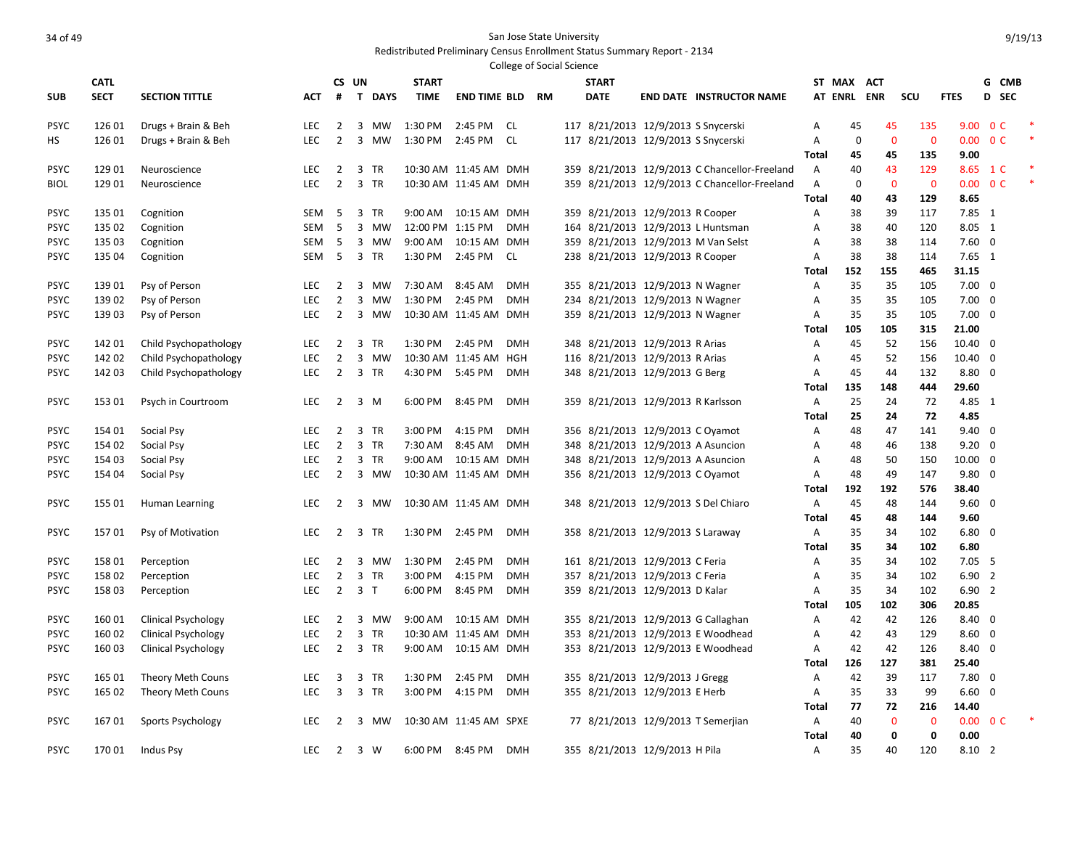|                            |                  |                            |                   |                |                             |                    |                            |            | <b>College of Social Science</b> |                                     |                                               |                   |             |                   |                         |                            |                         |  |
|----------------------------|------------------|----------------------------|-------------------|----------------|-----------------------------|--------------------|----------------------------|------------|----------------------------------|-------------------------------------|-----------------------------------------------|-------------------|-------------|-------------------|-------------------------|----------------------------|-------------------------|--|
|                            | <b>CATL</b>      |                            |                   |                | CS UN                       | <b>START</b>       |                            |            |                                  | <b>START</b>                        |                                               |                   | ST MAX ACT  |                   |                         |                            | G CMB                   |  |
| <b>SUB</b>                 | <b>SECT</b>      | <b>SECTION TITTLE</b>      | АСТ               | #              | T DAYS                      | <b>TIME</b>        | <b>END TIME BLD</b>        |            | <b>RM</b>                        | <b>DATE</b>                         | <b>END DATE INSTRUCTOR NAME</b>               |                   |             | AT ENRL ENR       | SCU                     | <b>FTES</b>                | D SEC                   |  |
| <b>PSYC</b>                | 126 01           | Drugs + Brain & Beh        | LEC               | $\overline{2}$ | 3 MW                        | 1:30 PM            | 2:45 PM                    | - CL       |                                  | 117 8/21/2013 12/9/2013 S Snycerski |                                               | Α                 | 45          | 45                | 135                     |                            | 9.00 0 C                |  |
| HS                         | 126 01           | Drugs + Brain & Beh        | LEC               | $\overline{2}$ | $\overline{3}$<br>MW        | 1:30 PM            | 2:45 PM                    | <b>CL</b>  |                                  | 117 8/21/2013 12/9/2013 S Snycerski |                                               | Α                 | $\mathbf 0$ | $\mathbf{0}$      | $\mathbf{0}$            | 0.00                       | 0 <sup>C</sup>          |  |
|                            |                  |                            |                   |                |                             |                    |                            |            |                                  |                                     |                                               | Total             | 45          | 45                | 135                     | 9.00                       |                         |  |
| <b>PSYC</b>                | 129 01           | Neuroscience               | LEC               | 2              | 3<br><b>TR</b>              |                    | 10:30 AM 11:45 AM DMH      |            |                                  |                                     | 359 8/21/2013 12/9/2013 C Chancellor-Freeland | Α                 | 40          | 43                | 129                     | 8.65                       | $1\,c$                  |  |
| <b>BIOL</b>                | 129 01           | Neuroscience               | LEC               | $\overline{2}$ | $\overline{3}$<br><b>TR</b> |                    | 10:30 AM 11:45 AM DMH      |            |                                  |                                     | 359 8/21/2013 12/9/2013 C Chancellor-Freeland | Α                 | $\mathbf 0$ | $\mathbf 0$       | $\overline{\mathbf{0}}$ |                            | $0.00 \t 0 C$           |  |
|                            |                  |                            |                   |                |                             |                    |                            |            |                                  |                                     |                                               | <b>Total</b>      | 40          | 43                | 129                     | 8.65                       |                         |  |
| <b>PSYC</b>                | 135 01           | Cognition                  | SEM               | -5             | 3 TR                        | 9:00 AM            | 10:15 AM DMH               |            |                                  | 359 8/21/2013 12/9/2013 R Cooper    |                                               | Α                 | 38          | 39                | 117                     | 7.85 1                     |                         |  |
| <b>PSYC</b>                | 135 02           | Cognition                  | SEM               | 5              | 3 MW                        | 12:00 PM 1:15 PM   |                            | <b>DMH</b> |                                  |                                     | 164 8/21/2013 12/9/2013 L Huntsman            | Α                 | 38          | 40                | 120                     | 8.05 1                     |                         |  |
| <b>PSYC</b><br><b>PSYC</b> | 135 03<br>135 04 | Cognition<br>Cognition     | SEM<br><b>SEM</b> | 5<br>-5        | 3 MW<br>3 TR                | 9:00 AM<br>1:30 PM | 10:15 AM DMH<br>2:45 PM CL |            |                                  | 238 8/21/2013 12/9/2013 R Cooper    | 359 8/21/2013 12/9/2013 M Van Selst           | Α<br>A            | 38<br>38    | 38<br>38          | 114<br>114              | $7.60 \quad 0$<br>$7.65$ 1 |                         |  |
|                            |                  |                            |                   |                |                             |                    |                            |            |                                  |                                     |                                               | Total             | 152         | 155               | 465                     | 31.15                      |                         |  |
| <b>PSYC</b>                | 13901            | Psy of Person              | LEC               | $\overline{2}$ | $\overline{3}$<br>MW        | 7:30 AM            | 8:45 AM                    | <b>DMH</b> |                                  | 355 8/21/2013 12/9/2013 N Wagner    |                                               | Α                 | 35          | 35                | 105                     | $7.00 \quad 0$             |                         |  |
| <b>PSYC</b>                | 13902            | Psy of Person              | <b>LEC</b>        | $\overline{2}$ | 3<br>MW                     | 1:30 PM            | 2:45 PM                    | <b>DMH</b> |                                  | 234 8/21/2013 12/9/2013 N Wagner    |                                               | Α                 | 35          | 35                | 105                     | $7.00 \quad 0$             |                         |  |
| <b>PSYC</b>                | 13903            | Psy of Person              | <b>LEC</b>        | $\overline{2}$ | 3 MW                        |                    | 10:30 AM 11:45 AM DMH      |            |                                  | 359 8/21/2013 12/9/2013 N Wagner    |                                               | Α                 | 35          | 35                | 105                     | $7.00 \quad 0$             |                         |  |
|                            |                  |                            |                   |                |                             |                    |                            |            |                                  |                                     |                                               | Total             | 105         | 105               | 315                     | 21.00                      |                         |  |
| <b>PSYC</b>                | 142 01           | Child Psychopathology      | LEC               | $\overline{2}$ | 3 TR                        | 1:30 PM            | 2:45 PM                    | <b>DMH</b> |                                  | 348 8/21/2013 12/9/2013 R Arias     |                                               | Α                 | 45          | 52                | 156                     | 10.40 0                    |                         |  |
| <b>PSYC</b>                | 142 02           | Child Psychopathology      | <b>LEC</b>        | $\overline{2}$ | 3 MW                        |                    | 10:30 AM 11:45 AM HGH      |            |                                  | 116 8/21/2013 12/9/2013 R Arias     |                                               | Α                 | 45          | 52                | 156                     | 10.40 0                    |                         |  |
| <b>PSYC</b>                | 142 03           | Child Psychopathology      | LEC               | $\overline{2}$ | 3 TR                        | 4:30 PM            | 5:45 PM                    | <b>DMH</b> |                                  | 348 8/21/2013 12/9/2013 G Berg      |                                               | Α                 | 45          | 44                | 132                     | 8.80 0                     |                         |  |
|                            |                  |                            |                   |                |                             |                    |                            |            |                                  |                                     |                                               | Total             | 135         | 148               | 444                     | 29.60                      |                         |  |
| <b>PSYC</b>                | 153 01           | Psych in Courtroom         | LEC               | $\overline{2}$ | $\overline{3}$<br>M         | 6:00 PM            | 8:45 PM                    | <b>DMH</b> |                                  | 359 8/21/2013 12/9/2013 R Karlsson  |                                               | Α                 | 25          | 24                | 72                      | 4.85 1                     |                         |  |
|                            |                  |                            |                   |                |                             |                    |                            |            |                                  |                                     |                                               | <b>Total</b>      | 25          | 24                | 72                      | 4.85                       |                         |  |
| <b>PSYC</b>                | 154 01           | Social Psy                 | <b>LEC</b>        | $\overline{2}$ | 3<br><b>TR</b>              | 3:00 PM            | 4:15 PM                    | <b>DMH</b> |                                  | 356 8/21/2013 12/9/2013 C Oyamot    |                                               | Α                 | 48          | 47                | 141                     | $9.40 \quad 0$             |                         |  |
| <b>PSYC</b>                | 154 02           | Social Psy                 | <b>LEC</b>        | $\overline{2}$ | $\overline{3}$<br><b>TR</b> | 7:30 AM            | 8:45 AM                    | <b>DMH</b> |                                  | 348 8/21/2013 12/9/2013 A Asuncion  |                                               | Α                 | 48          | 46                | 138                     | $9.20 \quad 0$             |                         |  |
| <b>PSYC</b>                | 154 03           | Social Psy                 | LEC               | 2              | $\overline{3}$<br><b>TR</b> |                    | 9:00 AM  10:15 AM  DMH     |            |                                  | 348 8/21/2013 12/9/2013 A Asuncion  |                                               | Α                 | 48          | 50                | 150                     | $10.00 \quad 0$            |                         |  |
| <b>PSYC</b>                | 154 04           | Social Psy                 | LEC               | $\overline{2}$ | 3 MW                        |                    | 10:30 AM 11:45 AM DMH      |            |                                  | 356 8/21/2013 12/9/2013 C Oyamot    |                                               | Α<br><b>Total</b> | 48<br>192   | 49<br>192         | 147<br>576              | $9.80 \quad 0$<br>38.40    |                         |  |
| <b>PSYC</b>                | 155 01           | Human Learning             | LEC               | 2              | 3 MW                        |                    | 10:30 AM 11:45 AM DMH      |            |                                  |                                     | 348 8/21/2013 12/9/2013 S Del Chiaro          | Α                 | 45          | 48                | 144                     | $9.60 \quad 0$             |                         |  |
|                            |                  |                            |                   |                |                             |                    |                            |            |                                  |                                     |                                               | <b>Total</b>      | 45          | 48                | 144                     | 9.60                       |                         |  |
| <b>PSYC</b>                | 15701            | Psy of Motivation          | LEC               | $\overline{2}$ | $\overline{3}$<br><b>TR</b> | 1:30 PM            | 2:45 PM                    | <b>DMH</b> |                                  | 358 8/21/2013 12/9/2013 S Laraway   |                                               | Α                 | 35          | 34                | 102                     | $6.80\quad 0$              |                         |  |
|                            |                  |                            |                   |                |                             |                    |                            |            |                                  |                                     |                                               | <b>Total</b>      | 35          | 34                | 102                     | 6.80                       |                         |  |
| <b>PSYC</b>                | 15801            | Perception                 | <b>LEC</b>        | $\overline{2}$ | 3<br>MW                     | 1:30 PM            | 2:45 PM                    | <b>DMH</b> |                                  | 161 8/21/2013 12/9/2013 C Feria     |                                               | Α                 | 35          | 34                | 102                     | $7.05$ 5                   |                         |  |
| <b>PSYC</b>                | 15802            | Perception                 | LEC               | $\overline{2}$ | $\overline{3}$<br>TR        | 3:00 PM            | 4:15 PM                    | <b>DMH</b> |                                  | 357 8/21/2013 12/9/2013 C Feria     |                                               | Α                 | 35          | 34                | 102                     | $6.90$ 2                   |                         |  |
| <b>PSYC</b>                | 15803            | Perception                 | LEC               | $\overline{2}$ | 3 <sub>1</sub>              | 6:00 PM            | 8:45 PM                    | <b>DMH</b> |                                  | 359 8/21/2013 12/9/2013 D Kalar     |                                               | Α                 | 35          | 34                | 102                     | 6.902                      |                         |  |
|                            |                  |                            |                   |                |                             |                    |                            |            |                                  |                                     |                                               | Total             | 105         | 102               | 306                     | 20.85                      |                         |  |
| <b>PSYC</b>                | 16001            | <b>Clinical Psychology</b> | LEC               | 2              | 3<br>MW                     | 9:00 AM            | 10:15 AM DMH               |            |                                  |                                     | 355 8/21/2013 12/9/2013 G Callaghan           | Α                 | 42          | 42                | 126                     | $8.40 \quad 0$             |                         |  |
| <b>PSYC</b>                | 160 02           | <b>Clinical Psychology</b> | LEC               | $\overline{2}$ | $\overline{3}$<br>TR        |                    | 10:30 AM 11:45 AM DMH      |            |                                  |                                     | 353 8/21/2013 12/9/2013 E Woodhead            | Α                 | 42          | 43                | 129                     | 8.60                       | $\overline{\mathbf{0}}$ |  |
| <b>PSYC</b>                | 160 03           | <b>Clinical Psychology</b> | LEC               | $\overline{2}$ | 3 TR                        |                    | 9:00 AM  10:15 AM  DMH     |            |                                  |                                     | 353 8/21/2013 12/9/2013 E Woodhead            | Α                 | 42          | 42                | 126                     | 8.40 0                     |                         |  |
|                            |                  |                            |                   |                |                             |                    |                            |            |                                  |                                     |                                               | Total             | 126         | 127               | 381                     | 25.40                      |                         |  |
| <b>PSYC</b>                | 165 01           | Theory Meth Couns          | <b>LEC</b>        | 3              | 3<br><b>TR</b>              | 1:30 PM            | 2:45 PM                    | <b>DMH</b> |                                  | 355 8/21/2013 12/9/2013 J Gregg     |                                               | Α                 | 42          | 39                | 117                     | $7.80 \quad 0$             |                         |  |
| <b>PSYC</b>                | 165 02           | Theory Meth Couns          | LEC               | 3              | $\overline{3}$<br>TR        | 3:00 PM            | 4:15 PM                    | <b>DMH</b> |                                  | 355 8/21/2013 12/9/2013 E Herb      |                                               | Α                 | 35          | 33                | 99                      | $6.60 \quad 0$             |                         |  |
|                            |                  |                            |                   |                |                             |                    |                            |            |                                  |                                     |                                               | <b>Total</b>      | 77          | 72                | 216<br>$\Omega$         | 14.40                      |                         |  |
| <b>PSYC</b>                | 16701            | Sports Psychology          | <b>LEC</b>        | 2              | 3<br>MW                     |                    | 10:30 AM 11:45 AM SPXE     |            |                                  |                                     | 77 8/21/2013 12/9/2013 T Semerjian            | Α<br>Total        | 40<br>40    | $\mathbf{0}$<br>0 | 0                       | 0.00                       | $0.00 \t 0 C$           |  |
| <b>PSYC</b>                | 17001            | Indus Psy                  | <b>LEC</b>        | 2              | 3 W                         | 6:00 PM            | 8:45 PM                    | <b>DMH</b> |                                  | 355 8/21/2013 12/9/2013 H Pila      |                                               | A                 | 35          | 40                | 120                     | 8.10 2                     |                         |  |
|                            |                  |                            |                   |                |                             |                    |                            |            |                                  |                                     |                                               |                   |             |                   |                         |                            |                         |  |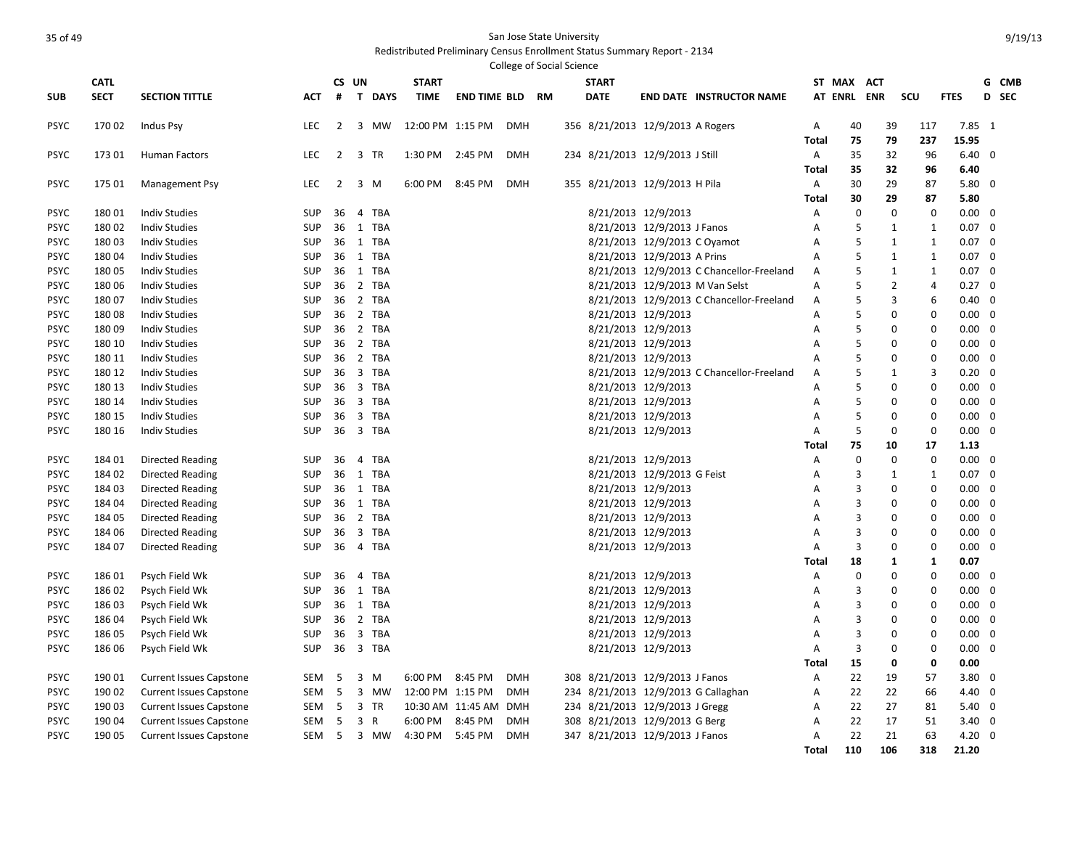|                     |                 |                                                                  |                   |                |                   |                  |                       |            | <b>College of Social Science</b> |              |                                                                        |                                           |              |                |                     |                |                                  |   |       |
|---------------------|-----------------|------------------------------------------------------------------|-------------------|----------------|-------------------|------------------|-----------------------|------------|----------------------------------|--------------|------------------------------------------------------------------------|-------------------------------------------|--------------|----------------|---------------------|----------------|----------------------------------|---|-------|
|                     | <b>CATL</b>     |                                                                  |                   |                | CS UN             | <b>START</b>     |                       |            |                                  | <b>START</b> |                                                                        |                                           |              | ST MAX         | <b>ACT</b>          |                |                                  |   | G CMB |
| <b>SUB</b>          | <b>SECT</b>     | <b>SECTION TITTLE</b>                                            | АСТ               | #              | T.<br><b>DAYS</b> | <b>TIME</b>      | <b>END TIME BLD</b>   |            | <b>RM</b>                        | <b>DATE</b>  |                                                                        | <b>END DATE INSTRUCTOR NAME</b>           |              | <b>AT ENRL</b> | <b>ENR</b>          | SCU            | <b>FTES</b>                      |   | D SEC |
| PSYC                | 17002           | Indus Psy                                                        | <b>LEC</b>        | 2              | 3 MW              | 12:00 PM 1:15 PM |                       | <b>DMH</b> |                                  |              | 356 8/21/2013 12/9/2013 A Rogers                                       |                                           | Α            | 40             | 39                  | 117            | $7.85 \quad 1$                   |   |       |
|                     |                 |                                                                  |                   |                |                   |                  |                       |            |                                  |              |                                                                        |                                           | Total        | 75             | 79                  | 237            | 15.95                            |   |       |
| PSYC                | 17301           | <b>Human Factors</b>                                             | LEC               | $\overline{2}$ | 3 TR              | 1:30 PM          | 2:45 PM               | <b>DMH</b> |                                  |              | 234 8/21/2013 12/9/2013 J Still                                        |                                           | Α            | 35             | 32                  | 96             | $6.40 \quad 0$                   |   |       |
|                     |                 |                                                                  |                   |                |                   |                  |                       |            |                                  |              |                                                                        |                                           | <b>Total</b> | 35             | 32                  | 96             | 6.40                             |   |       |
| PSYC                | 17501           | <b>Management Psy</b>                                            | <b>LEC</b>        | $\overline{2}$ | $3 \, M$          | 6:00 PM          | 8:45 PM               | <b>DMH</b> |                                  |              | 355 8/21/2013 12/9/2013 H Pila                                         |                                           | Α            | 30             | 29                  | 87             | $5.80$ 0                         |   |       |
|                     |                 |                                                                  |                   |                |                   |                  |                       |            |                                  |              |                                                                        |                                           | Total        | 30             | 29                  | 87             | 5.80                             |   |       |
| PSYC                | 18001           | <b>Indiv Studies</b>                                             | SUP               | 36             | TBA<br>4          |                  |                       |            |                                  |              | 8/21/2013 12/9/2013                                                    |                                           | Α            | $\mathbf 0$    | 0                   | 0              | $0.00 \quad 0$                   |   |       |
| PSYC                | 18002           | <b>Indiv Studies</b>                                             | SUP               | 36             | <b>TBA</b><br>1   |                  |                       |            |                                  |              | 8/21/2013 12/9/2013 J Fanos                                            |                                           | A            | 5              | 1                   | 1              | $0.07 \quad 0$                   |   |       |
| PSYC                | 18003           | <b>Indiv Studies</b>                                             | <b>SUP</b>        | 36             | 1 TBA             |                  |                       |            |                                  |              | 8/21/2013 12/9/2013 C Oyamot                                           |                                           | Α            | 5              | $\mathbf{1}$        | $\mathbf{1}$   | $0.07 \quad 0$                   |   |       |
| PSYC                | 18004           | <b>Indiv Studies</b>                                             | <b>SUP</b>        | 36             | 1 TBA             |                  |                       |            |                                  |              | 8/21/2013 12/9/2013 A Prins                                            |                                           | A            | 5<br>5         | $\mathbf{1}$        | 1              | $0.07 \quad 0$                   |   |       |
| PSYC                | 18005           | <b>Indiv Studies</b>                                             | <b>SUP</b>        | 36             | 1 TBA             |                  |                       |            |                                  |              |                                                                        | 8/21/2013 12/9/2013 C Chancellor-Freeland | Α            | 5              | $\mathbf{1}$        | 1<br>4         | $0.07 \quad 0$                   |   |       |
| PSYC<br><b>PSYC</b> | 18006<br>18007  | <b>Indiv Studies</b><br><b>Indiv Studies</b>                     | SUP<br><b>SUP</b> | 36<br>36       | 2 TBA<br>2 TBA    |                  |                       |            |                                  |              | 8/21/2013 12/9/2013 M Van Selst                                        | 8/21/2013 12/9/2013 C Chancellor-Freeland | Α<br>Α       | 5              | $\overline{2}$<br>3 | 6              | $0.27 \quad 0$<br>$0.40 \quad 0$ |   |       |
| <b>PSYC</b>         | 18008           | <b>Indiv Studies</b>                                             | <b>SUP</b>        |                | 36 2 TBA          |                  |                       |            |                                  |              | 8/21/2013 12/9/2013                                                    |                                           | Α            | 5              | 0                   | $\Omega$       | $0.00 \quad 0$                   |   |       |
| <b>PSYC</b>         | 18009           | <b>Indiv Studies</b>                                             | SUP               | 36             | 2 TBA             |                  |                       |            |                                  |              | 8/21/2013 12/9/2013                                                    |                                           | Α            | 5              | 0                   | $\Omega$       | $0.00 \quad 0$                   |   |       |
| PSYC                | 180 10          | <b>Indiv Studies</b>                                             | SUP               | 36             | 2 TBA             |                  |                       |            |                                  |              | 8/21/2013 12/9/2013                                                    |                                           | A            | 5              | $\Omega$            | $\Omega$       | $0.00 \quad 0$                   |   |       |
| PSYC                | 180 11          | <b>Indiv Studies</b>                                             | <b>SUP</b>        | 36             | 2 TBA             |                  |                       |            |                                  |              | 8/21/2013 12/9/2013                                                    |                                           | Α            | 5              | 0                   | $\mathbf 0$    | $0.00 \quad 0$                   |   |       |
| PSYC                | 180 12          | <b>Indiv Studies</b>                                             | <b>SUP</b>        | 36             | 3 TBA             |                  |                       |            |                                  |              |                                                                        | 8/21/2013 12/9/2013 C Chancellor-Freeland | Α            | 5              | $\mathbf{1}$        | $\overline{3}$ | $0.20 \quad 0$                   |   |       |
| <b>PSYC</b>         | 180 13          | <b>Indiv Studies</b>                                             | <b>SUP</b>        | 36             | 3 TBA             |                  |                       |            |                                  |              | 8/21/2013 12/9/2013                                                    |                                           | A            | 5              | 0                   | $\Omega$       | $0.00 \quad 0$                   |   |       |
| PSYC                | 180 14          | <b>Indiv Studies</b>                                             | <b>SUP</b>        | 36             | 3 TBA             |                  |                       |            |                                  |              | 8/21/2013 12/9/2013                                                    |                                           | Α            | 5              | $\mathbf 0$         | $\Omega$       | $0.00 \quad 0$                   |   |       |
| PSYC                | 180 15          | <b>Indiv Studies</b>                                             | SUP               | 36             | 3 TBA             |                  |                       |            |                                  |              | 8/21/2013 12/9/2013                                                    |                                           | Α            | 5              | $\Omega$            | 0              | $0.00 \quad 0$                   |   |       |
| <b>PSYC</b>         | 180 16          | <b>Indiv Studies</b>                                             | <b>SUP</b>        | 36             | 3 TBA             |                  |                       |            |                                  |              | 8/21/2013 12/9/2013                                                    |                                           | Α            | 5              | 0                   | $\mathbf 0$    | $0.00 \quad 0$                   |   |       |
|                     |                 |                                                                  |                   |                |                   |                  |                       |            |                                  |              |                                                                        |                                           | Total        | 75             | 10                  | 17             | 1.13                             |   |       |
| <b>PSYC</b>         | 184 01          | <b>Directed Reading</b>                                          | SUP               | 36             | <b>TBA</b><br>4   |                  |                       |            |                                  |              | 8/21/2013 12/9/2013                                                    |                                           | A            | $\Omega$       | $\mathbf 0$         | $\mathbf 0$    | $0.00 \quad 0$                   |   |       |
| PSYC                | 184 02          | <b>Directed Reading</b>                                          | SUP               | 36             | <b>TBA</b><br>1   |                  |                       |            |                                  |              | 8/21/2013 12/9/2013 G Feist                                            |                                           | Α            | 3              | 1                   | 1              | $0.07 \quad 0$                   |   |       |
| PSYC                | 18403           | <b>Directed Reading</b>                                          | SUP               | 36             | 1 TBA             |                  |                       |            |                                  |              | 8/21/2013 12/9/2013                                                    |                                           | Α            | 3              | 0                   | $\Omega$       | $0.00 \quad 0$                   |   |       |
| PSYC                | 184 04          | <b>Directed Reading</b>                                          | <b>SUP</b>        | 36             | 1 TBA             |                  |                       |            |                                  |              | 8/21/2013 12/9/2013                                                    |                                           | Α            | 3              | 0                   | $\Omega$       | $0.00 \quad 0$                   |   |       |
| PSYC                | 184 05          | <b>Directed Reading</b>                                          | SUP               | 36             | 2 TBA             |                  |                       |            |                                  |              | 8/21/2013 12/9/2013                                                    |                                           | A            | 3              | 0                   | $\Omega$       | $0.00 \quad 0$                   |   |       |
| <b>PSYC</b>         | 184 06          | <b>Directed Reading</b>                                          | SUP               | 36             | 3 TBA             |                  |                       |            |                                  |              | 8/21/2013 12/9/2013                                                    |                                           | A            | 3              | $\Omega$            | $\Omega$       | $0.00 \quad 0$                   |   |       |
| PSYC                | 184 07          | <b>Directed Reading</b>                                          | <b>SUP</b>        | 36             | 4 TBA             |                  |                       |            |                                  |              | 8/21/2013 12/9/2013                                                    |                                           | Α            | 3              | 0                   | 0              | $0.00 \quad 0$                   |   |       |
|                     |                 |                                                                  |                   |                |                   |                  |                       |            |                                  |              |                                                                        |                                           | Total        | 18             | 1                   | 1              | 0.07                             |   |       |
| <b>PSYC</b>         | 18601           | Psych Field Wk                                                   | SUP               | 36             | 4 TBA             |                  |                       |            |                                  |              | 8/21/2013 12/9/2013                                                    |                                           | Α            | 0              | 0                   | $\Omega$       | $0.00 \quad 0$                   |   |       |
| PSYC                | 18602           | Psych Field Wk                                                   | <b>SUP</b>        | 36             | 1 TBA             |                  |                       |            |                                  |              | 8/21/2013 12/9/2013                                                    |                                           | Α            | 3              | 0                   | $\Omega$       | $0.00 \quad 0$                   |   |       |
| PSYC                | 18603           | Psych Field Wk                                                   | <b>SUP</b>        | 36             | 1 TBA             |                  |                       |            |                                  |              | 8/21/2013 12/9/2013                                                    |                                           | Α            | 3              | 0                   | $\Omega$       | $0.00 \quad 0$                   |   |       |
| PSYC                | 18604           | Psych Field Wk                                                   | <b>SUP</b>        | 36             | 2 TBA             |                  |                       |            |                                  |              | 8/21/2013 12/9/2013                                                    |                                           | Α            | 3              | 0                   | $\Omega$       | $0.00 \quad 0$                   |   |       |
| PSYC                | 186 05          | Psych Field Wk                                                   | <b>SUP</b>        | 36             | 3 TBA             |                  |                       |            |                                  |              | 8/21/2013 12/9/2013                                                    |                                           | Α            | 3              | $\Omega$            | $\Omega$       | 0.00                             | 0 |       |
| <b>PSYC</b>         | 186 06          | Psych Field Wk                                                   | <b>SUP</b>        | 36             | 3 TBA             |                  |                       |            |                                  |              | 8/21/2013 12/9/2013                                                    |                                           | A            | 3              | 0                   | $\Omega$       | $0.00 \quad 0$                   |   |       |
|                     |                 |                                                                  |                   |                |                   |                  |                       |            |                                  |              |                                                                        |                                           | Total        | 15             | 0                   | 0              | 0.00                             |   |       |
| PSYC                | 190 01<br>19002 | <b>Current Issues Capstone</b>                                   | SEM               | - 5            | 3 M<br>3 MW       | 6:00 PM          | 8:45 PM               | <b>DMH</b> |                                  |              | 308 8/21/2013 12/9/2013 J Fanos                                        |                                           | Α            | 22             | 19<br>22            | 57             | $3.80$ 0<br>$4.40 \quad 0$       |   |       |
| <b>PSYC</b>         | 19003           | <b>Current Issues Capstone</b>                                   | SEM<br>SEM        | -5<br>-5       | 3 TR              | 12:00 PM 1:15 PM | 10:30 AM 11:45 AM DMH | <b>DMH</b> |                                  |              | 234 8/21/2013 12/9/2013 G Callaghan<br>234 8/21/2013 12/9/2013 J Gregg |                                           | A            | 22<br>22       | 27                  | 66<br>81       | $5.40 \quad 0$                   |   |       |
| PSYC<br>PSYC        | 190 04          | <b>Current Issues Capstone</b><br><b>Current Issues Capstone</b> | SEM               | 5              | 3<br>$\mathsf{R}$ | 6:00 PM          | 8:45 PM               | <b>DMH</b> |                                  |              | 308 8/21/2013 12/9/2013 G Berg                                         |                                           | Α<br>A       | 22             | 17                  | 51             | $3.40 \quad 0$                   |   |       |
| PSYC                | 190 05          | <b>Current Issues Capstone</b>                                   | SEM <sub>5</sub>  |                | 3 MW              | 4:30 PM          | 5:45 PM               | <b>DMH</b> |                                  |              | 347 8/21/2013 12/9/2013 J Fanos                                        |                                           | Α            | 22             | 21                  | 63             | $4.20 \ 0$                       |   |       |
|                     |                 |                                                                  |                   |                |                   |                  |                       |            |                                  |              |                                                                        |                                           | <b>Total</b> | 110            | 106                 | 318            | 21.20                            |   |       |
|                     |                 |                                                                  |                   |                |                   |                  |                       |            |                                  |              |                                                                        |                                           |              |                |                     |                |                                  |   |       |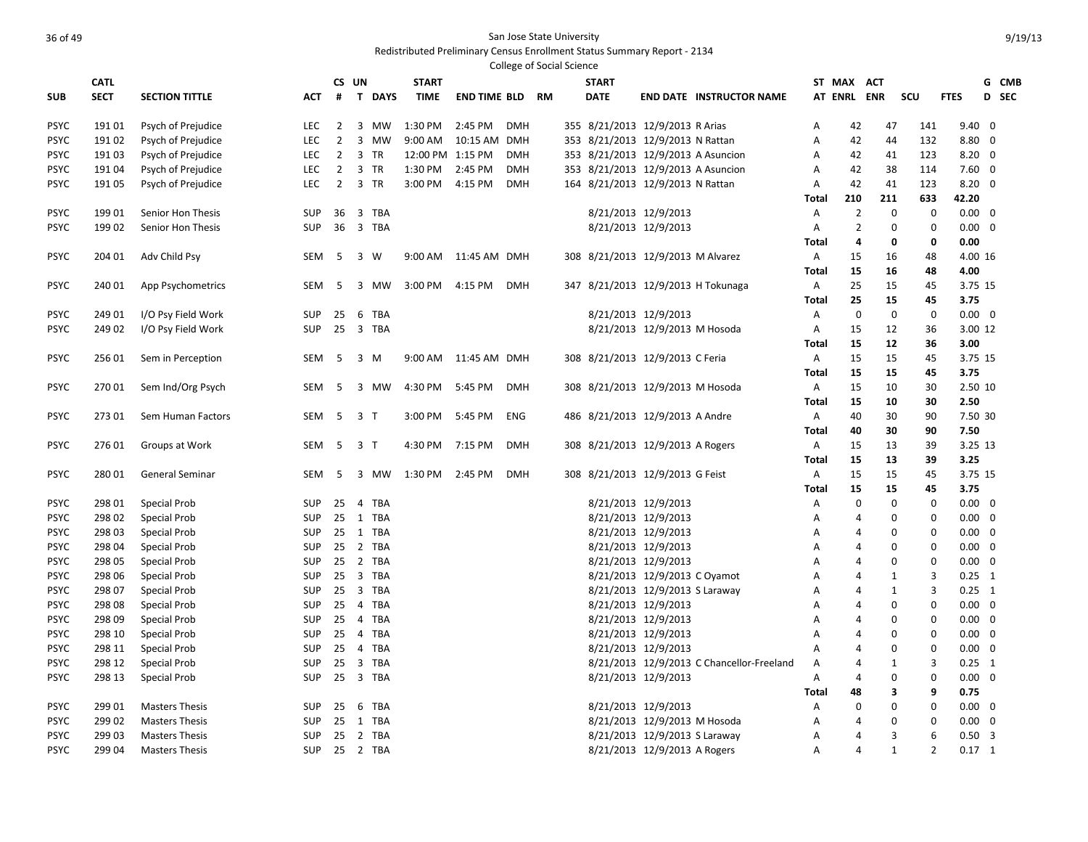|                            |                  |                                     |                          |                |                |           |                  |                      | <b>College of Social Science</b> |      |              |                                                      |                                           |              |                                  |                            |                            |                            |                         |       |
|----------------------------|------------------|-------------------------------------|--------------------------|----------------|----------------|-----------|------------------|----------------------|----------------------------------|------|--------------|------------------------------------------------------|-------------------------------------------|--------------|----------------------------------|----------------------------|----------------------------|----------------------------|-------------------------|-------|
|                            | <b>CATL</b>      |                                     |                          | CS UN          |                |           | <b>START</b>     |                      |                                  |      | <b>START</b> |                                                      |                                           |              | ST MAX ACT                       |                            |                            |                            |                         | G CMB |
| <b>SUB</b>                 | <b>SECT</b>      | <b>SECTION TITTLE</b>               | АСТ                      | #              |                | T DAYS    | <b>TIME</b>      | <b>END TIME BLD</b>  |                                  | - RM | <b>DATE</b>  |                                                      | <b>END DATE INSTRUCTOR NAME</b>           |              | AT ENRL ENR                      |                            | SCU                        | <b>FTES</b>                |                         | D SEC |
| <b>PSYC</b>                | 19101            | Psych of Prejudice                  | LEC                      | $\overline{2}$ | $\overline{3}$ | MW        | 1:30 PM          | 2:45 PM              | <b>DMH</b>                       |      |              | 355 8/21/2013 12/9/2013 R Arias                      |                                           | Α            | 42                               | 47                         | 141                        | $9.40 \quad 0$             |                         |       |
| <b>PSYC</b>                | 19102            | Psych of Prejudice                  | LEC                      | $\overline{2}$ | $\overline{3}$ | <b>MW</b> | 9:00 AM          | 10:15 AM DMH         |                                  |      |              | 353 8/21/2013 12/9/2013 N Rattan                     |                                           | A            | 42                               | 44                         | 132                        | $8.80\ 0$                  |                         |       |
| <b>PSYC</b>                | 191 03           | Psych of Prejudice                  | <b>LEC</b>               | $\overline{2}$ | 3 TR           |           | 12:00 PM 1:15 PM |                      | <b>DMH</b>                       |      |              | 353 8/21/2013 12/9/2013 A Asuncion                   |                                           | A            | 42                               | 41                         | 123                        | $8.20 \quad 0$             |                         |       |
| PSYC                       | 19104            | Psych of Prejudice                  | LEC                      | $\overline{2}$ | 3              | <b>TR</b> | 1:30 PM          | 2:45 PM              | <b>DMH</b>                       |      |              | 353 8/21/2013 12/9/2013 A Asuncion                   |                                           | A            | 42                               | 38                         | 114                        | $7.60 \quad 0$             |                         |       |
| <b>PSYC</b>                | 191 05           | Psych of Prejudice                  | LEC                      | $\overline{2}$ | 3 TR           |           | 3:00 PM          | 4:15 PM              | <b>DMH</b>                       |      |              | 164 8/21/2013 12/9/2013 N Rattan                     |                                           | A            | 42                               | 41                         | 123                        | $8.20 \ 0$                 |                         |       |
|                            |                  |                                     |                          |                |                |           |                  |                      |                                  |      |              |                                                      |                                           | <b>Total</b> | 210                              | 211                        | 633                        | 42.20                      |                         |       |
| <b>PSYC</b>                | 19901            | Senior Hon Thesis                   | <b>SUP</b>               | 36             | 3 TBA          |           |                  |                      |                                  |      |              | 8/21/2013 12/9/2013                                  |                                           | Α            | $\overline{2}$                   | $\mathbf 0$                | $\mathbf 0$                | $0.00 \quad 0$             |                         |       |
| <b>PSYC</b>                | 19902            | Senior Hon Thesis                   | <b>SUP</b>               | 36             | 3 TBA          |           |                  |                      |                                  |      |              | 8/21/2013 12/9/2013                                  |                                           | A            | $\overline{2}$                   | $\mathbf 0$                | $\mathbf 0$                | $0.00 \quad 0$             |                         |       |
|                            |                  |                                     |                          |                |                |           |                  |                      |                                  |      |              |                                                      |                                           | <b>Total</b> | $\overline{4}$                   | 0                          | 0                          | 0.00                       |                         |       |
| <b>PSYC</b>                | 204 01           | Adv Child Psy                       | SEM                      | - 5            | 3 W            |           |                  | 9:00 AM 11:45 AM DMH |                                  |      |              | 308 8/21/2013 12/9/2013 M Alvarez                    |                                           | Α            | 15                               | 16                         | 48                         | 4.00 16                    |                         |       |
|                            |                  |                                     |                          |                |                |           |                  |                      |                                  |      |              |                                                      |                                           | Total        | 15                               | 16                         | 48                         | 4.00                       |                         |       |
| <b>PSYC</b>                | 240 01           | App Psychometrics                   | SEM                      | - 5            |                | 3 MW      | 3:00 PM          | 4:15 PM              | <b>DMH</b>                       |      |              |                                                      | 347 8/21/2013 12/9/2013 H Tokunaga        | Α            | 25                               | 15                         | 45                         | 3.75 15                    |                         |       |
|                            |                  |                                     |                          |                |                |           |                  |                      |                                  |      |              |                                                      |                                           | Total        | 25                               | 15                         | 45                         | 3.75                       |                         |       |
| <b>PSYC</b>                | 24901            | I/O Psy Field Work                  | SUP.                     | 25             | 6 TBA          |           |                  |                      |                                  |      |              | 8/21/2013 12/9/2013                                  |                                           | Α            | $\mathbf 0$                      | $\mathbf 0$                | $\mathbf 0$                | $0.00 \quad 0$             |                         |       |
| <b>PSYC</b>                | 249 02           | I/O Psy Field Work                  | SUP                      | 25             | 3 TBA          |           |                  |                      |                                  |      |              | 8/21/2013 12/9/2013 M Hosoda                         |                                           | Α            | 15                               | 12                         | 36                         | 3.00 12                    |                         |       |
|                            |                  |                                     |                          |                |                |           |                  |                      |                                  |      |              |                                                      |                                           | Total        | 15                               | 12                         | 36                         | 3.00                       |                         |       |
| <b>PSYC</b>                | 256 01           | Sem in Perception                   | SEM                      | - 5            | 3              | M         | 9:00 AM          | 11:45 AM DMH         |                                  |      |              | 308 8/21/2013 12/9/2013 C Feria                      |                                           | A            | 15                               | 15                         | 45                         | 3.75 15                    |                         |       |
|                            |                  |                                     |                          |                |                |           |                  |                      |                                  |      |              |                                                      |                                           | Total        | 15                               | 15                         | 45                         | 3.75                       |                         |       |
| <b>PSYC</b>                | 27001            | Sem Ind/Org Psych                   | SEM                      | - 5            |                | 3 MW      | 4:30 PM          | 5:45 PM              | <b>DMH</b>                       |      |              | 308 8/21/2013 12/9/2013 M Hosoda                     |                                           | Α            | 15                               | 10                         | 30                         | 2.50 10                    |                         |       |
|                            |                  |                                     |                          |                |                |           |                  |                      |                                  |      |              |                                                      |                                           | <b>Total</b> | 15                               | 10                         | 30                         | 2.50                       |                         |       |
| <b>PSYC</b>                | 27301            | Sem Human Factors                   | SEM                      | - 5            | 3T             |           | 3:00 PM          | 5:45 PM              | ENG                              |      |              | 486 8/21/2013 12/9/2013 A Andre                      |                                           | Α            | 40                               | 30                         | 90                         | 7.50 30                    |                         |       |
|                            |                  |                                     |                          |                |                |           |                  |                      |                                  |      |              |                                                      |                                           | Total        | 40                               | 30                         | 90                         | 7.50                       |                         |       |
| <b>PSYC</b>                | 27601            | Groups at Work                      | SEM                      | - 5            | 3 <sub>1</sub> |           | 4:30 PM          | 7:15 PM              | <b>DMH</b>                       |      |              | 308 8/21/2013 12/9/2013 A Rogers                     |                                           | A            | 15                               | 13                         | 39                         | 3.25 13                    |                         |       |
|                            |                  |                                     |                          |                |                |           |                  |                      |                                  |      |              |                                                      |                                           | <b>Total</b> | 15                               | 13                         | 39                         | 3.25                       |                         |       |
| <b>PSYC</b>                | 28001            | General Seminar                     | SEM                      | - 5            |                | 3 MW      | 1:30 PM          | 2:45 PM              | <b>DMH</b>                       |      |              | 308 8/21/2013 12/9/2013 G Feist                      |                                           | Α            | 15                               | 15                         | 45                         | 3.75 15                    |                         |       |
|                            |                  |                                     |                          |                |                |           |                  |                      |                                  |      |              |                                                      |                                           | Total        | 15                               | 15                         | 45                         | 3.75                       |                         |       |
| <b>PSYC</b>                | 298 01           | <b>Special Prob</b>                 | <b>SUP</b>               | 25             | 4 TBA          |           |                  |                      |                                  |      |              | 8/21/2013 12/9/2013                                  |                                           | A            | $\Omega$                         | $\mathbf 0$                | $\mathbf 0$                | $0.00 \quad 0$             |                         |       |
| <b>PSYC</b>                | 298 02           | Special Prob                        | SUP                      | 25             | 1 TBA          |           |                  |                      |                                  |      |              | 8/21/2013 12/9/2013                                  |                                           | Α            | $\overline{4}$                   | 0                          | 0                          | $0.00 \quad 0$             |                         |       |
| PSYC                       | 298 03           | <b>Special Prob</b>                 | <b>SUP</b>               | 25             | 1 TBA          |           |                  |                      |                                  |      |              | 8/21/2013 12/9/2013                                  |                                           | Α            | $\overline{4}$                   | 0                          | 0                          | $0.00 \quad 0$             |                         |       |
| <b>PSYC</b><br><b>PSYC</b> | 298 04           | <b>Special Prob</b>                 | <b>SUP</b>               | 25<br>25       | 2 TBA<br>2 TBA |           |                  |                      |                                  |      |              | 8/21/2013 12/9/2013                                  |                                           | Α            | $\overline{4}$<br>$\overline{4}$ | $\mathbf 0$<br>$\mathbf 0$ | $\mathbf 0$<br>$\mathbf 0$ | $0.00 \quad 0$<br>0.00     | $\overline{\mathbf{0}}$ |       |
| <b>PSYC</b>                | 298 05           | <b>Special Prob</b>                 | <b>SUP</b><br><b>SUP</b> | 25             | 3 TBA          |           |                  |                      |                                  |      |              | 8/21/2013 12/9/2013                                  |                                           | A<br>A       | $\overline{4}$                   | 1                          | 3                          | $0.25$ 1                   |                         |       |
|                            | 298 06           | <b>Special Prob</b>                 |                          | 25             | 3 TBA          |           |                  |                      |                                  |      |              | 8/21/2013 12/9/2013 C Oyamot                         |                                           |              |                                  |                            | 3                          |                            |                         |       |
| <b>PSYC</b><br><b>PSYC</b> | 298 07<br>298 08 | <b>Special Prob</b>                 | <b>SUP</b><br><b>SUP</b> | 25             | 4 TBA          |           |                  |                      |                                  |      |              | 8/21/2013 12/9/2013 S Laraway<br>8/21/2013 12/9/2013 |                                           | Α            | $\overline{4}$<br>$\overline{4}$ | $\mathbf{1}$<br>0          | $\mathbf 0$                | $0.25$ 1<br>$0.00 \quad 0$ |                         |       |
| <b>PSYC</b>                | 298 09           | <b>Special Prob</b><br>Special Prob | <b>SUP</b>               | 25             | 4 TBA          |           |                  |                      |                                  |      |              | 8/21/2013 12/9/2013                                  |                                           | Α<br>A       | $\overline{4}$                   | $\mathbf 0$                | $\mathbf 0$                | $0.00 \quad 0$             |                         |       |
| <b>PSYC</b>                | 298 10           | Special Prob                        | SUP                      | 25             | 4 TBA          |           |                  |                      |                                  |      |              | 8/21/2013 12/9/2013                                  |                                           | A            | $\overline{4}$                   | 0                          | 0                          | $0.00 \quad 0$             |                         |       |
| <b>PSYC</b>                | 298 11           | <b>Special Prob</b>                 | <b>SUP</b>               | 25             | 4 TBA          |           |                  |                      |                                  |      |              | 8/21/2013 12/9/2013                                  |                                           | A            | $\overline{4}$                   | $\mathbf 0$                | 0                          | $0.00 \quad 0$             |                         |       |
| <b>PSYC</b>                | 298 12           | <b>Special Prob</b>                 | <b>SUP</b>               | 25             | 3 TBA          |           |                  |                      |                                  |      |              |                                                      | 8/21/2013 12/9/2013 C Chancellor-Freeland | Α            | $\overline{4}$                   | $\mathbf{1}$               | $\overline{3}$             | $0.25$ 1                   |                         |       |
| <b>PSYC</b>                | 298 13           | Special Prob                        | SUP                      | 25             | 3 TBA          |           |                  |                      |                                  |      |              | 8/21/2013 12/9/2013                                  |                                           | A            | $\overline{4}$                   | $\mathbf 0$                | $\mathbf 0$                | $0.00 \quad 0$             |                         |       |
|                            |                  |                                     |                          |                |                |           |                  |                      |                                  |      |              |                                                      |                                           | Total        | 48                               | 3                          | 9                          | 0.75                       |                         |       |
| <b>PSYC</b>                | 299 01           | <b>Masters Thesis</b>               | <b>SUP</b>               | 25             | 6 TBA          |           |                  |                      |                                  |      |              | 8/21/2013 12/9/2013                                  |                                           | Α            | $\Omega$                         | $\mathbf 0$                | $\mathbf 0$                | $0.00 \quad 0$             |                         |       |
| <b>PSYC</b>                | 299 02           | <b>Masters Thesis</b>               | <b>SUP</b>               | 25             | 1 TBA          |           |                  |                      |                                  |      |              | 8/21/2013 12/9/2013 M Hosoda                         |                                           | A            | $\overline{4}$                   | $\mathbf 0$                | $\mathbf 0$                | $0.00 \quad 0$             |                         |       |
| PSYC                       | 299 03           | <b>Masters Thesis</b>               | <b>SUP</b>               | 25             | 2 TBA          |           |                  |                      |                                  |      |              | 8/21/2013 12/9/2013 S Laraway                        |                                           | A            | $\overline{A}$                   | 3                          | 6                          | $0.50$ 3                   |                         |       |
| <b>PSYC</b>                | 299 04           | <b>Masters Thesis</b>               | SUP 25 2 TBA             |                |                |           |                  |                      |                                  |      |              | 8/21/2013 12/9/2013 A Rogers                         |                                           | A            | $\overline{A}$                   | $\mathbf{1}$               | $\overline{2}$             | $0.17$ 1                   |                         |       |
|                            |                  |                                     |                          |                |                |           |                  |                      |                                  |      |              |                                                      |                                           |              |                                  |                            |                            |                            |                         |       |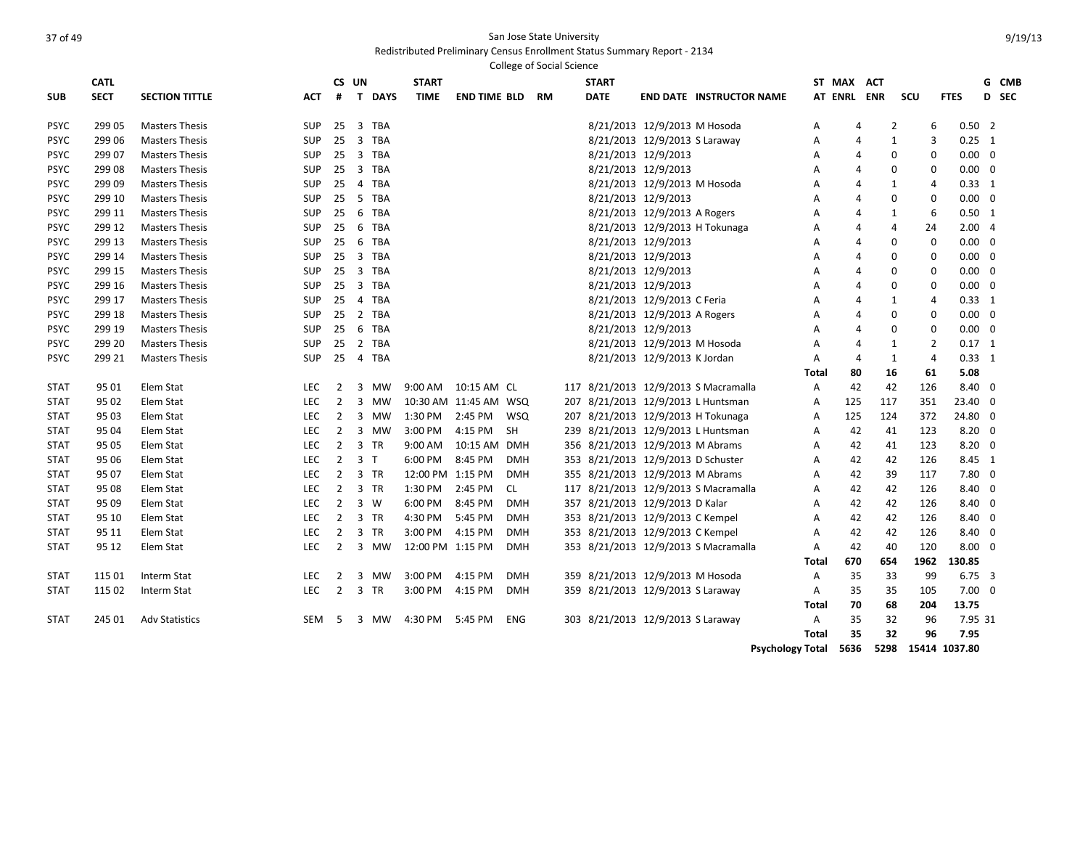Redistributed Preliminary Census Enrollment Status Summary Report - 2134

|             |             |                       |            |                |                                      |                  |                       |            | <b>College of Social Science</b> |                                    |                               |                                      |              |                |            |                |                |                |       |
|-------------|-------------|-----------------------|------------|----------------|--------------------------------------|------------------|-----------------------|------------|----------------------------------|------------------------------------|-------------------------------|--------------------------------------|--------------|----------------|------------|----------------|----------------|----------------|-------|
|             | <b>CATL</b> |                       |            |                | CS UN                                | <b>START</b>     |                       |            |                                  | <b>START</b>                       |                               |                                      |              | ST MAX         | <b>ACT</b> |                |                |                | G CMB |
| <b>SUB</b>  | <b>SECT</b> | <b>SECTION TITTLE</b> | <b>ACT</b> | #              | T DAYS                               | <b>TIME</b>      | <b>END TIME BLD</b>   |            | <b>RM</b>                        | <b>DATE</b>                        |                               | <b>END DATE INSTRUCTOR NAME</b>      |              | AT ENRL ENR    |            | SCU            |                | <b>FTES</b>    | D SEC |
| <b>PSYC</b> | 29905       | <b>Masters Thesis</b> | <b>SUP</b> | 25             | <b>TBA</b><br>$\overline{3}$         |                  |                       |            |                                  |                                    | 8/21/2013 12/9/2013 M Hosoda  |                                      | A            | 4              |            | $\overline{2}$ | 6              | $0.50$ 2       |       |
| <b>PSYC</b> | 299 06      | <b>Masters Thesis</b> | <b>SUP</b> | 25             | $\overline{3}$<br>TBA                |                  |                       |            |                                  |                                    | 8/21/2013 12/9/2013 S Laraway |                                      | A            | 4              |            | $\mathbf{1}$   | 3              | $0.25 \quad 1$ |       |
| <b>PSYC</b> | 299 07      | <b>Masters Thesis</b> | <b>SUP</b> | 25             | 3 TBA                                |                  |                       |            |                                  |                                    | 8/21/2013 12/9/2013           |                                      | A            | $\overline{A}$ |            | $\mathbf 0$    | 0              | $0.00 \quad 0$ |       |
| <b>PSYC</b> | 299 08      | <b>Masters Thesis</b> | <b>SUP</b> | 25             | 3 TBA                                |                  |                       |            |                                  |                                    | 8/21/2013 12/9/2013           |                                      | A            | 4              |            | $\mathbf 0$    | 0              | $0.00 \quad 0$ |       |
| <b>PSYC</b> | 299 09      | <b>Masters Thesis</b> | <b>SUP</b> | 25             | 4 TBA                                |                  |                       |            |                                  |                                    | 8/21/2013 12/9/2013 M Hosoda  |                                      | A            | 4              |            | $\mathbf{1}$   | $\overline{4}$ | $0.33 \quad 1$ |       |
| PSYC        | 299 10      | <b>Masters Thesis</b> | <b>SUP</b> | 25             | - 5<br><b>TBA</b>                    |                  |                       |            |                                  |                                    | 8/21/2013 12/9/2013           |                                      | Α            | $\overline{4}$ |            | $\mathbf 0$    | 0              | $0.00 \quad 0$ |       |
| <b>PSYC</b> | 299 11      | <b>Masters Thesis</b> | <b>SUP</b> | 25             | 6<br><b>TBA</b>                      |                  |                       |            |                                  |                                    | 8/21/2013 12/9/2013 A Rogers  |                                      | A            | $\overline{4}$ |            | $\mathbf{1}$   | 6              | $0.50$ 1       |       |
| <b>PSYC</b> | 299 12      | <b>Masters Thesis</b> | <b>SUP</b> | 25             | 6<br>TBA                             |                  |                       |            |                                  |                                    |                               | 8/21/2013 12/9/2013 H Tokunaga       | A            | $\overline{4}$ |            | 4              | 24             | 2.004          |       |
| <b>PSYC</b> | 299 13      | <b>Masters Thesis</b> | <b>SUP</b> | 25             | 6<br><b>TBA</b>                      |                  |                       |            |                                  |                                    | 8/21/2013 12/9/2013           |                                      | Α            | 4              |            | 0              | $\mathbf 0$    | $0.00 \quad 0$ |       |
| PSYC        | 299 14      | <b>Masters Thesis</b> | <b>SUP</b> | 25             | 3 TBA                                |                  |                       |            |                                  |                                    | 8/21/2013 12/9/2013           |                                      | Α            | $\overline{A}$ |            | $\mathbf 0$    | $\mathbf 0$    | $0.00 \quad 0$ |       |
| <b>PSYC</b> | 299 15      | <b>Masters Thesis</b> | <b>SUP</b> | 25             | 3 TBA                                |                  |                       |            |                                  |                                    | 8/21/2013 12/9/2013           |                                      | Α            | $\overline{4}$ |            | $\mathbf 0$    | 0              | $0.00 \quad 0$ |       |
| <b>PSYC</b> | 299 16      | <b>Masters Thesis</b> | <b>SUP</b> | 25             | 3 TBA                                |                  |                       |            |                                  |                                    | 8/21/2013 12/9/2013           |                                      | A            | $\overline{4}$ |            | $\mathbf 0$    | 0              | $0.00 \quad 0$ |       |
| <b>PSYC</b> | 299 17      | <b>Masters Thesis</b> | <b>SUP</b> | 25             | $\overline{4}$<br><b>TBA</b>         |                  |                       |            |                                  |                                    | 8/21/2013 12/9/2013 C Feria   |                                      | A            | 4              |            | 1              | 4              | $0.33 \quad 1$ |       |
| <b>PSYC</b> | 299 18      | <b>Masters Thesis</b> | <b>SUP</b> | 25             | $\overline{2}$<br><b>TBA</b>         |                  |                       |            |                                  |                                    | 8/21/2013 12/9/2013 A Rogers  |                                      | A            | $\overline{4}$ |            | $\mathbf 0$    | $\mathbf 0$    | $0.00 \quad 0$ |       |
| PSYC        | 299 19      | <b>Masters Thesis</b> | <b>SUP</b> | 25             | 6<br><b>TBA</b>                      |                  |                       |            |                                  |                                    | 8/21/2013 12/9/2013           |                                      | A            | 4              |            | $\mathbf 0$    | 0              | $0.00 \quad 0$ |       |
| <b>PSYC</b> | 299 20      | <b>Masters Thesis</b> | SUP        | 25             | 2 TBA                                |                  |                       |            |                                  |                                    | 8/21/2013 12/9/2013 M Hosoda  |                                      | A            | $\overline{4}$ |            | 1              | $\overline{2}$ | $0.17$ 1       |       |
| <b>PSYC</b> | 299 21      | <b>Masters Thesis</b> | <b>SUP</b> | 25             | 4 TBA                                |                  |                       |            |                                  |                                    | 8/21/2013 12/9/2013 K Jordan  |                                      | Α            | $\overline{4}$ |            | $\mathbf{1}$   | $\overline{4}$ | $0.33 \quad 1$ |       |
|             |             |                       |            |                |                                      |                  |                       |            |                                  |                                    |                               |                                      | <b>Total</b> | 80             |            | 16             | 61             | 5.08           |       |
| <b>STAT</b> | 95 01       | Elem Stat             | <b>LEC</b> | 2              | 3<br>MW                              | 9:00 AM          | 10:15 AM CL           |            |                                  |                                    |                               | 117 8/21/2013 12/9/2013 S Macramalla | A            | 42             |            | 42             | 126            | 8.40 0         |       |
| <b>STAT</b> | 95 02       | Elem Stat             | LEC        | $\overline{2}$ | 3<br><b>MW</b>                       |                  | 10:30 AM 11:45 AM WSQ |            |                                  |                                    |                               | 207 8/21/2013 12/9/2013 L Huntsman   | A            | 125            | 117        |                | 351            | 23.40 0        |       |
| <b>STAT</b> | 95 03       | Elem Stat             | <b>LEC</b> | $\overline{2}$ | $\overline{\mathbf{3}}$<br>MW        | 1:30 PM          | 2:45 PM               | WSQ        |                                  |                                    |                               | 207 8/21/2013 12/9/2013 H Tokunaga   | A            | 125            | 124        |                | 372            | 24.80 0        |       |
| <b>STAT</b> | 95 04       | Elem Stat             | <b>LEC</b> | $\overline{2}$ | $\overline{3}$<br>MW                 | 3:00 PM          | 4:15 PM               | <b>SH</b>  |                                  |                                    |                               | 239 8/21/2013 12/9/2013 L Huntsman   | A            | 42             |            | 41             | 123            | $8.20 \ 0$     |       |
| <b>STAT</b> | 95 05       | Elem Stat             | <b>LEC</b> | $\overline{2}$ | 3 TR                                 | 9:00 AM          | 10:15 AM DMH          |            |                                  | 356 8/21/2013 12/9/2013 M Abrams   |                               |                                      | A            | 42             |            | 41             | 123            | $8.20 \ 0$     |       |
| <b>STAT</b> | 95 06       | Elem Stat             | <b>LEC</b> | $\overline{2}$ | 3 <sub>T</sub>                       | 6:00 PM          | 8:45 PM               | <b>DMH</b> |                                  | 353 8/21/2013 12/9/2013 D Schuster |                               |                                      | A            | 42             |            | 42             | 126            | 8.45 1         |       |
| <b>STAT</b> | 95 07       | Elem Stat             | <b>LEC</b> | $\overline{2}$ | 3 TR                                 | 12:00 PM 1:15 PM |                       | <b>DMH</b> |                                  | 355 8/21/2013 12/9/2013 M Abrams   |                               |                                      | A            | 42             |            | 39             | 117            | $7.80$ 0       |       |
| <b>STAT</b> | 95 08       | Elem Stat             | LEC        | $\mathbf{2}$   | 3 TR                                 | 1:30 PM          | 2:45 PM               | CL         |                                  |                                    |                               | 117 8/21/2013 12/9/2013 S Macramalla | A            | 42             |            | 42             | 126            | 8.40 0         |       |
| <b>STAT</b> | 95 09       | Elem Stat             | <b>LEC</b> | $\overline{2}$ | $3 \quad W$                          | 6:00 PM          | 8:45 PM               | <b>DMH</b> |                                  | 357 8/21/2013 12/9/2013 D Kalar    |                               |                                      | A            | 42             |            | 42             | 126            | 8.40 0         |       |
| <b>STAT</b> | 95 10       | Elem Stat             | <b>LEC</b> | $\overline{2}$ | $\overline{\mathbf{3}}$<br><b>TR</b> | 4:30 PM          | 5:45 PM               | <b>DMH</b> |                                  | 353 8/21/2013 12/9/2013 C Kempel   |                               |                                      | A            | 42             |            | 42             | 126            | 8.40 0         |       |
| <b>STAT</b> | 95 11       | Elem Stat             | LEC        | $\overline{2}$ | 3<br><b>TR</b>                       | 3:00 PM          | 4:15 PM               | <b>DMH</b> |                                  | 353 8/21/2013 12/9/2013 C Kempel   |                               |                                      | A            | 42             |            | 42             | 126            | $8.40 \quad 0$ |       |
| <b>STAT</b> | 95 12       | Elem Stat             | <b>LEC</b> | $\overline{2}$ | 3 MW                                 | 12:00 PM 1:15 PM |                       | <b>DMH</b> |                                  |                                    |                               | 353 8/21/2013 12/9/2013 S Macramalla | A            | 42             |            | 40             | 120            | $8.00 \quad 0$ |       |
|             |             |                       |            |                |                                      |                  |                       |            |                                  |                                    |                               |                                      | <b>Total</b> | 670            | 654        |                | 1962           | 130.85         |       |
| <b>STAT</b> | 115 01      | Interm Stat           | <b>LEC</b> | 2              | $\overline{\mathbf{3}}$<br>MW        | 3:00 PM          | 4:15 PM               | <b>DMH</b> |                                  | 359 8/21/2013 12/9/2013 M Hosoda   |                               |                                      | Α            | 35             |            | 33             | 99             | $6.75\quad 3$  |       |
| <b>STAT</b> | 115 02      | Interm Stat           | <b>LEC</b> | $\overline{2}$ | 3 TR                                 | 3:00 PM          | 4:15 PM               | <b>DMH</b> |                                  | 359 8/21/2013 12/9/2013 S Laraway  |                               |                                      | A            | 35             |            | 35             | 105            | $7.00 \quad 0$ |       |
|             |             |                       |            |                |                                      |                  |                       |            |                                  |                                    |                               |                                      | <b>Total</b> | 70             |            | 68             | 204            | 13.75          |       |
| <b>STAT</b> | 245 01      | <b>Adv Statistics</b> | <b>SEM</b> | 5              | 3<br><b>MW</b>                       | 4:30 PM          | 5:45 PM               | <b>ENG</b> |                                  | 303 8/21/2013 12/9/2013 S Laraway  |                               |                                      | Α            | 35             |            | 32             | 96             | 7.95 31        |       |
|             |             |                       |            |                |                                      |                  |                       |            |                                  |                                    |                               |                                      | Total        | 35             |            | 32             | 96             | 7.95           |       |

**Psychology Total 5636 5298 15414 1037.80**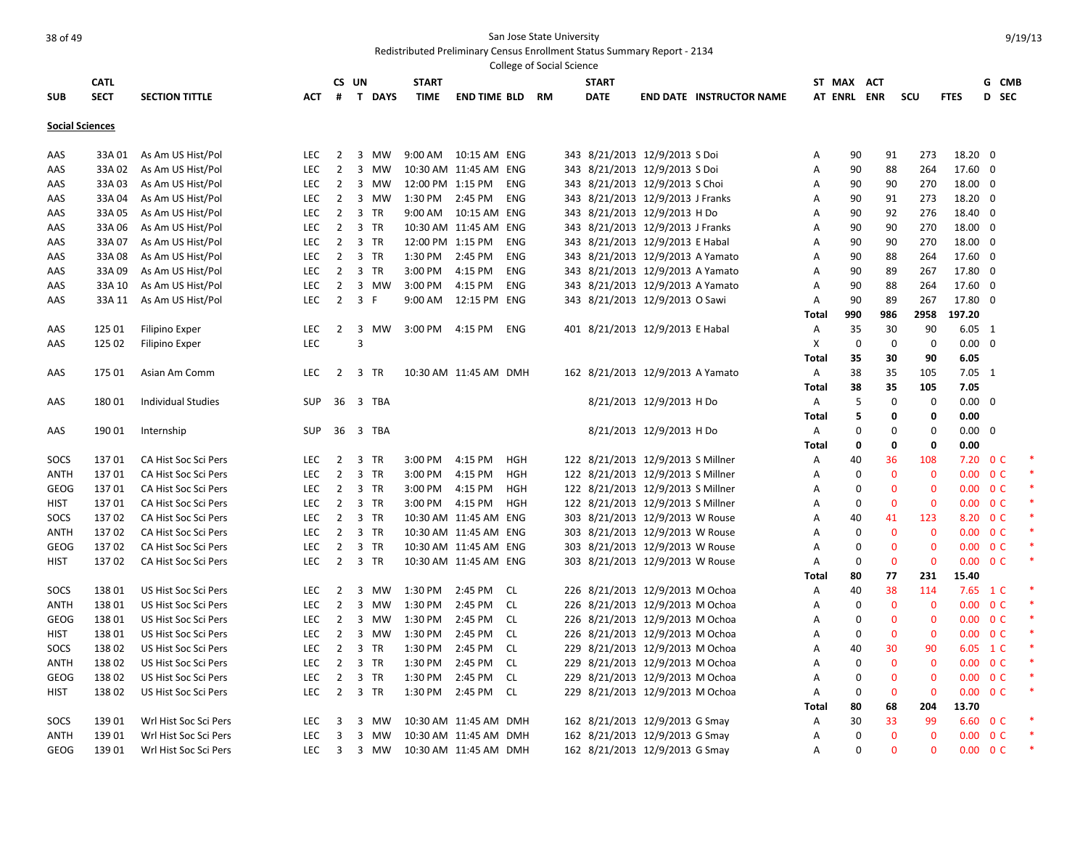|                        |             |                           |            |                |                             |                  |                        |            | <b>College of Social Science</b> |                                   |                          |                                 |              |             |                             |              |                          |                |        |
|------------------------|-------------|---------------------------|------------|----------------|-----------------------------|------------------|------------------------|------------|----------------------------------|-----------------------------------|--------------------------|---------------------------------|--------------|-------------|-----------------------------|--------------|--------------------------|----------------|--------|
|                        | <b>CATL</b> |                           |            | CS UN          |                             | <b>START</b>     |                        |            |                                  | <b>START</b>                      |                          |                                 |              | ST MAX ACT  |                             |              |                          |                | G CMB  |
| <b>SUB</b>             | <b>SECT</b> | <b>SECTION TITTLE</b>     | <b>ACT</b> | #              | T DAYS                      | <b>TIME</b>      | <b>END TIME BLD RM</b> |            |                                  | <b>DATE</b>                       |                          | <b>END DATE INSTRUCTOR NAME</b> |              | AT ENRL ENR |                             | SCU          | <b>FTES</b>              |                | D SEC  |
| <b>Social Sciences</b> |             |                           |            |                |                             |                  |                        |            |                                  |                                   |                          |                                 |              |             |                             |              |                          |                |        |
| AAS                    | 33A 01      | As Am US Hist/Pol         | <b>LEC</b> | 2              | 3<br>MW                     |                  | 9:00 AM  10:15 AM  ENG |            |                                  | 343 8/21/2013 12/9/2013 S Doi     |                          |                                 | Α            | 90          | 91                          | 273          | 18.20 0                  |                |        |
| AAS                    | 33A02       | As Am US Hist/Pol         | <b>LEC</b> | $\overline{2}$ | $\overline{3}$<br>MW        |                  | 10:30 AM 11:45 AM ENG  |            |                                  | 343 8/21/2013 12/9/2013 S Doi     |                          |                                 | Α            | 90          | 88                          | 264          | 17.60 0                  |                |        |
| AAS                    | 33A03       | As Am US Hist/Pol         | <b>LEC</b> | $\overline{2}$ | $\overline{3}$<br>MW        | 12:00 PM 1:15 PM |                        | <b>ENG</b> |                                  | 343 8/21/2013 12/9/2013 S Choi    |                          |                                 | A            | 90          | 90                          | 270          | 18.00 0                  |                |        |
| AAS                    | 33A04       | As Am US Hist/Pol         | <b>LEC</b> | $\overline{2}$ | $\overline{3}$<br>MW        | 1:30 PM 2:45 PM  |                        | <b>ENG</b> |                                  | 343 8/21/2013 12/9/2013 J Franks  |                          |                                 | Α            | 90          | 91                          | 273          | 18.20 0                  |                |        |
| AAS                    | 33A05       | As Am US Hist/Pol         | <b>LEC</b> | $\overline{2}$ | 3 TR                        |                  | 9:00 AM  10:15 AM  ENG |            |                                  | 343 8/21/2013 12/9/2013 H Do      |                          |                                 | Α            | 90          | 92                          | 276          | 18.40 0                  |                |        |
| AAS                    | 33A 06      | As Am US Hist/Pol         | <b>LEC</b> | $\overline{2}$ | 3 TR                        |                  | 10:30 AM 11:45 AM ENG  |            |                                  | 343 8/21/2013 12/9/2013 J Franks  |                          |                                 | A            | 90          | 90                          | 270          | 18.00 0                  |                |        |
| AAS                    | 33A 07      | As Am US Hist/Pol         | <b>LEC</b> | $\overline{2}$ | 3 TR                        | 12:00 PM 1:15 PM |                        | <b>ENG</b> |                                  | 343 8/21/2013 12/9/2013 E Habal   |                          |                                 | Α            | 90          | 90                          | 270          | 18.00 0                  |                |        |
| AAS                    | 33A08       | As Am US Hist/Pol         | <b>LEC</b> | $\overline{2}$ | 3 TR                        | 1:30 PM          | 2:45 PM                | <b>ENG</b> |                                  | 343 8/21/2013 12/9/2013 A Yamato  |                          |                                 | Α            | 90          | 88                          | 264          | 17.60 0                  |                |        |
| AAS                    | 33A09       | As Am US Hist/Pol         | <b>LEC</b> | $\overline{2}$ | $\overline{3}$<br><b>TR</b> | 3:00 PM          | 4:15 PM                | <b>ENG</b> |                                  | 343 8/21/2013 12/9/2013 A Yamato  |                          |                                 | Α            | 90          | 89                          | 267          | 17.80 0                  |                |        |
| AAS                    | 33A 10      | As Am US Hist/Pol         | <b>LEC</b> | $\overline{2}$ | 3 MW                        | 3:00 PM          | 4:15 PM                | <b>ENG</b> |                                  | 343 8/21/2013 12/9/2013 A Yamato  |                          |                                 | Α            | 90          | 88                          | 264          | 17.60 0                  |                |        |
| AAS                    | 33A 11      | As Am US Hist/Pol         | <b>LEC</b> | $\overline{2}$ | 3 F                         | 9:00 AM          | 12:15 PM ENG           |            |                                  | 343 8/21/2013 12/9/2013 O Sawi    |                          |                                 | A            | 90          | 89                          | 267          | 17.80 0                  |                |        |
|                        |             |                           |            |                |                             |                  |                        |            |                                  |                                   |                          |                                 | Total        | 990         | 986                         | 2958         | 197.20                   |                |        |
| AAS                    | 125 01      | <b>Filipino Exper</b>     | <b>LEC</b> | $\overline{2}$ | 3<br>MW                     | 3:00 PM 4:15 PM  |                        | <b>ENG</b> |                                  | 401 8/21/2013 12/9/2013 E Habal   |                          |                                 | Α            | 35          | 30                          | 90           | $6.05$ 1                 |                |        |
| AAS                    | 125 02      | <b>Filipino Exper</b>     | LEC        |                | $\overline{3}$              |                  |                        |            |                                  |                                   |                          |                                 | X            |             | $\mathbf 0$<br>$\mathbf 0$  | $\mathbf 0$  | $0.00 \quad 0$           |                |        |
|                        |             |                           |            |                |                             |                  |                        |            |                                  |                                   |                          |                                 | <b>Total</b> | 35          | 30                          | 90           | 6.05                     |                |        |
| AAS                    | 175 01      | Asian Am Comm             | LEC.       | 2              | 3 TR                        |                  | 10:30 AM 11:45 AM DMH  |            |                                  | 162 8/21/2013 12/9/2013 A Yamato  |                          |                                 | Α            | 38          | 35                          | 105          | $7.05$ 1                 |                |        |
|                        |             |                           |            |                |                             |                  |                        |            |                                  |                                   |                          |                                 | Total        | 38          | 35                          | 105          | 7.05                     |                |        |
| AAS                    | 18001       | <b>Individual Studies</b> | <b>SUP</b> |                | 36 3 TBA                    |                  |                        |            |                                  |                                   | 8/21/2013 12/9/2013 H Do |                                 | Α            |             | 5<br>$\Omega$               | $\mathbf 0$  | $0.00 \quad 0$           |                |        |
|                        |             |                           |            |                |                             |                  |                        |            |                                  |                                   |                          |                                 | <b>Total</b> |             | 5<br>$\mathbf{0}$           | $\mathbf{0}$ | 0.00                     |                |        |
| AAS                    | 190 01      | Internship                | <b>SUP</b> | 36             | 3 TBA                       |                  |                        |            |                                  |                                   | 8/21/2013 12/9/2013 H Do |                                 | Α            |             | $\Omega$<br>$\Omega$        | $\Omega$     | 0.00                     | $\overline{0}$ |        |
|                        |             |                           |            |                |                             |                  |                        |            |                                  |                                   |                          |                                 | Total        |             | $\mathbf 0$<br>$\mathbf{0}$ | $\mathbf 0$  | 0.00                     |                |        |
| SOCS                   | 13701       | CA Hist Soc Sci Pers      | <b>LEC</b> | 2              | 3<br><b>TR</b>              | 3:00 PM          | 4:15 PM                | <b>HGH</b> |                                  | 122 8/21/2013 12/9/2013 S Millner |                          |                                 | Α            | 40          | 36                          | 108          | $7.20 \t 0 C$            |                |        |
| ANTH                   | 13701       | CA Hist Soc Sci Pers      | <b>LEC</b> | $\overline{2}$ | 3 TR                        | 3:00 PM          | 4:15 PM                | <b>HGH</b> |                                  | 122 8/21/2013 12/9/2013 S Millner |                          |                                 | Α            |             | $\mathbf 0$<br>0            | $\bf{0}$     | 0.00                     | 0 <sup>C</sup> |        |
| GEOG                   | 13701       | CA Hist Soc Sci Pers      | <b>LEC</b> | $\overline{2}$ | 3 TR                        | 3:00 PM          | 4:15 PM                | <b>HGH</b> |                                  | 122 8/21/2013 12/9/2013 S Millner |                          |                                 | Α            |             | $\mathbf 0$<br>$\mathbf{0}$ | $\mathbf{0}$ | 0.00                     | 0 <sup>C</sup> |        |
| <b>HIST</b>            | 13701       | CA Hist Soc Sci Pers      | <b>LEC</b> | $\overline{2}$ | $\overline{3}$<br><b>TR</b> | 3:00 PM 4:15 PM  |                        | <b>HGH</b> |                                  | 122 8/21/2013 12/9/2013 S Millner |                          |                                 | Α            | $\mathbf 0$ | $\mathbf{0}$                | $\mathbf{0}$ | 0.00                     | 0 <sup>C</sup> |        |
| SOCS                   | 13702       | CA Hist Soc Sci Pers      | <b>LEC</b> | $2^{\circ}$    | 3 TR                        |                  | 10:30 AM 11:45 AM ENG  |            |                                  | 303 8/21/2013 12/9/2013 W Rouse   |                          |                                 | Α            | 40          | 41                          | 123          | 8.20 0 C                 |                |        |
| <b>ANTH</b>            | 13702       | CA Hist Soc Sci Pers      | <b>LEC</b> | $\overline{2}$ | $\overline{3}$<br><b>TR</b> |                  | 10:30 AM 11:45 AM ENG  |            |                                  | 303 8/21/2013 12/9/2013 W Rouse   |                          |                                 | A            |             | $\mathbf{0}$<br>$\mathbf 0$ | $\mathbf{0}$ | 0.00                     | 0 <sup>C</sup> |        |
| <b>GEOG</b>            | 13702       | CA Hist Soc Sci Pers      | <b>LEC</b> | $\overline{2}$ | $\overline{3}$<br><b>TR</b> |                  | 10:30 AM 11:45 AM ENG  |            |                                  | 303 8/21/2013 12/9/2013 W Rouse   |                          |                                 | A            |             | $\Omega$<br>$\Omega$        | $\Omega$     | 0.00                     | 0 <sup>C</sup> |        |
| <b>HIST</b>            | 13702       | CA Hist Soc Sci Pers      | <b>LEC</b> | $\overline{2}$ | $\overline{3}$<br>TR        |                  | 10:30 AM 11:45 AM ENG  |            |                                  | 303 8/21/2013 12/9/2013 W Rouse   |                          |                                 | Α            |             | $\mathbf 0$<br>$\mathbf{0}$ | $\mathbf 0$  | 0.00                     | 0 <sup>C</sup> |        |
|                        |             |                           |            |                |                             |                  |                        |            |                                  |                                   |                          |                                 | <b>Total</b> | 80          | 77                          | 231          | 15.40                    |                |        |
| SOCS                   | 13801       | US Hist Soc Sci Pers      | <b>LEC</b> | 2              | 3<br>MW                     | 1:30 PM 2:45 PM  |                        | <b>CL</b>  |                                  | 226 8/21/2013 12/9/2013 M Ochoa   |                          |                                 | Α            | 40          | 38                          | 114          | 7.65 1 C                 |                |        |
| ANTH                   | 13801       | US Hist Soc Sci Pers      | <b>LEC</b> | $\overline{2}$ | $\overline{3}$<br><b>MW</b> | 1:30 PM          | 2:45 PM                | <b>CL</b>  |                                  | 226 8/21/2013 12/9/2013 M Ochoa   |                          |                                 | Α            |             | $\mathbf{0}$<br>$\mathbf 0$ | $\mathbf{0}$ | 0.00                     | 0 <sup>C</sup> | $\ast$ |
| <b>GEOG</b>            | 13801       | US Hist Soc Sci Pers      | <b>LEC</b> | $\overline{2}$ | $\overline{3}$<br>MW        | 1:30 PM 2:45 PM  |                        | <b>CL</b>  |                                  | 226 8/21/2013 12/9/2013 M Ochoa   |                          |                                 | Α            | $\mathbf 0$ | $\Omega$                    | $\mathbf{0}$ | $0.00 \quad 0 \text{ C}$ |                |        |
| <b>HIST</b>            | 13801       | US Hist Soc Sci Pers      | <b>LEC</b> | $\overline{2}$ | $\overline{3}$<br>MW        | 1:30 PM          | 2:45 PM                | <b>CL</b>  |                                  | 226 8/21/2013 12/9/2013 M Ochoa   |                          |                                 | Α            | 0           | $\mathbf 0$                 | $\bf{0}$     | $0.00 \t 0 C$            |                |        |
| SOCS                   | 13802       | US Hist Soc Sci Pers      | <b>LEC</b> | $\overline{2}$ | 3 TR                        | 1:30 PM          | 2:45 PM                | <b>CL</b>  |                                  | 229 8/21/2013 12/9/2013 M Ochoa   |                          |                                 | Α            | 40          | 30                          | 90           | 6.05 1 C                 |                |        |
| ANTH                   | 13802       | US Hist Soc Sci Pers      | <b>LEC</b> | $\overline{2}$ | $\overline{3}$<br><b>TR</b> | 1:30 PM          | 2:45 PM                | <b>CL</b>  |                                  | 229 8/21/2013 12/9/2013 M Ochoa   |                          |                                 | A            |             | $\mathbf 0$<br>$\Omega$     | $\mathbf{0}$ | 0.00                     | 0 <sup>C</sup> |        |
| <b>GEOG</b>            | 13802       | US Hist Soc Sci Pers      | <b>LEC</b> | $\overline{2}$ | $\overline{3}$<br><b>TR</b> | 1:30 PM          | 2:45 PM                | <b>CL</b>  |                                  | 229 8/21/2013 12/9/2013 M Ochoa   |                          |                                 | Α            |             | $\Omega$<br>$\Omega$        | $\mathbf{0}$ | 0.00                     | 0 <sup>C</sup> |        |
| <b>HIST</b>            | 13802       | US Hist Soc Sci Pers      | <b>LEC</b> | 2              | 3 TR                        | 1:30 PM 2:45 PM  |                        | <b>CL</b>  |                                  |                                   |                          |                                 | Α            |             | $\mathbf{0}$<br>$\mathbf 0$ | $\mathbf{0}$ | 0.00                     | 0 <sup>C</sup> |        |
|                        |             |                           |            |                |                             |                  |                        |            |                                  | 229 8/21/2013 12/9/2013 M Ochoa   |                          |                                 | Total        | 80          | 68                          | 204          | 13.70                    |                |        |
| SOCS                   | 13901       | Wrl Hist Soc Sci Pers     | <b>LEC</b> | 3              | 3<br>MW                     |                  | 10:30 AM 11:45 AM DMH  |            |                                  | 162 8/21/2013 12/9/2013 G Smay    |                          |                                 | Α            | 30          | 33                          | 99           | 6.60                     | 0 <sup>C</sup> |        |
| ANTH                   | 13901       | Wrl Hist Soc Sci Pers     | <b>LEC</b> | 3              | 3 MW                        |                  | 10:30 AM 11:45 AM DMH  |            |                                  | 162 8/21/2013 12/9/2013 G Smay    |                          |                                 | Α            |             | $\mathbf 0$<br>$\mathbf{0}$ | $\mathbf{0}$ | 0.00                     | 0 <sup>C</sup> | $\ast$ |
| <b>GEOG</b>            | 13901       | Wrl Hist Soc Sci Pers     | <b>LEC</b> | $\overline{3}$ | 3 MW                        |                  | 10:30 AM 11:45 AM DMH  |            |                                  | 162 8/21/2013 12/9/2013 G Smay    |                          |                                 | A            |             | $\Omega$<br>$\Omega$        | $\Omega$     | 0.00                     | 0 <sup>C</sup> |        |
|                        |             |                           |            |                |                             |                  |                        |            |                                  |                                   |                          |                                 |              |             |                             |              |                          |                |        |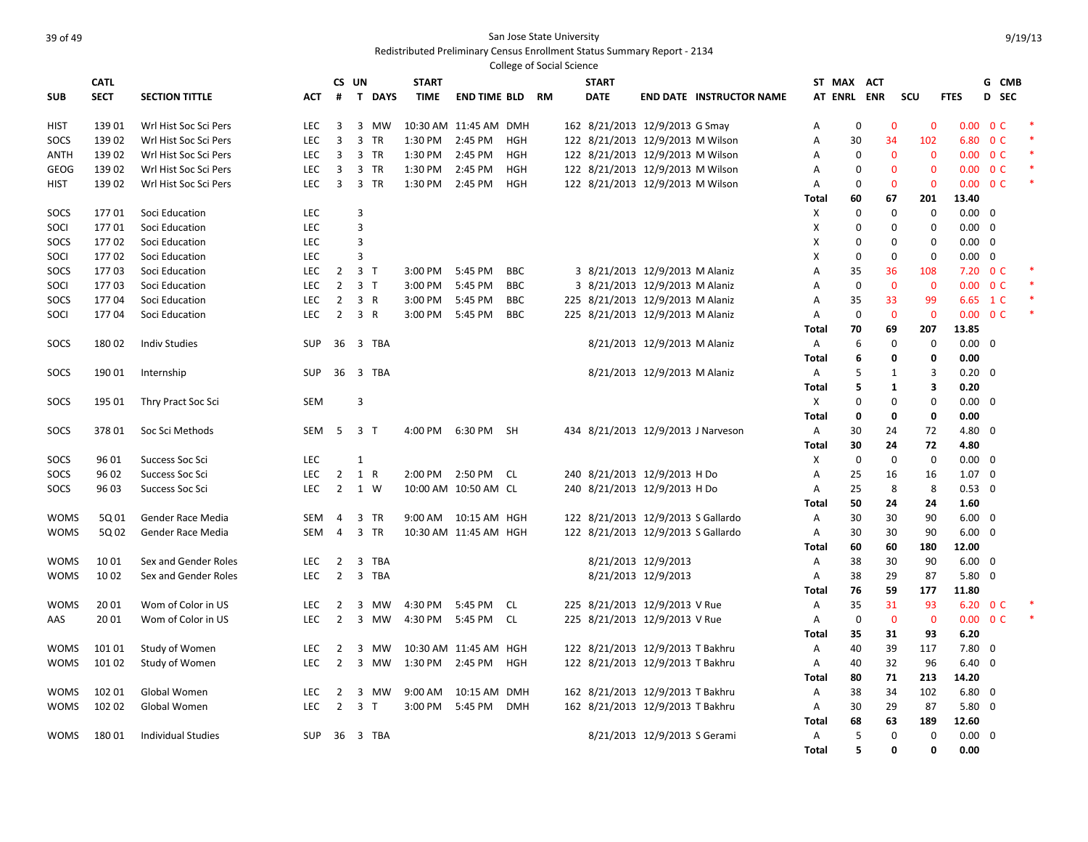|             |             |                           |            |                |                             |              |                        |            | <b>College of Social Science</b> |                                    |                                 |              |             |              |                |                   |                          |  |
|-------------|-------------|---------------------------|------------|----------------|-----------------------------|--------------|------------------------|------------|----------------------------------|------------------------------------|---------------------------------|--------------|-------------|--------------|----------------|-------------------|--------------------------|--|
|             | <b>CATL</b> |                           |            | CS UN          |                             | <b>START</b> |                        |            |                                  | <b>START</b>                       |                                 | ST MAX ACT   |             |              |                |                   | G CMB                    |  |
| <b>SUB</b>  | <b>SECT</b> | <b>SECTION TITTLE</b>     | <b>ACT</b> | #              | T.<br><b>DAYS</b>           | <b>TIME</b>  | <b>END TIME BLD</b>    |            | <b>RM</b>                        | <b>DATE</b>                        | <b>END DATE INSTRUCTOR NAME</b> | AT ENRL ENR  |             |              | SCU            | <b>FTES</b>       | D SEC                    |  |
|             |             |                           |            |                |                             |              |                        |            |                                  |                                    |                                 |              |             |              |                |                   |                          |  |
| <b>HIST</b> | 13901       | Wrl Hist Soc Sci Pers     | <b>LEC</b> | 3              | 3 MW                        |              | 10:30 AM 11:45 AM DMH  |            |                                  | 162 8/21/2013 12/9/2013 G Smay     |                                 | Α            | $\mathbf 0$ | $\Omega$     | $\Omega$       |                   | $0.00 \quad 0 \text{ C}$ |  |
| SOCS        | 13902       | Wrl Hist Soc Sci Pers     | <b>LEC</b> | 3              | 3<br><b>TR</b>              | 1:30 PM      | 2:45 PM                | HGH        |                                  | 122 8/21/2013 12/9/2013 M Wilson   |                                 | Α            | 30          | 34           | 102            | 6.80              | 0 <sup>C</sup>           |  |
| ANTH        | 13902       | Wrl Hist Soc Sci Pers     | <b>LEC</b> | 3              | 3 TR                        | 1:30 PM      | 2:45 PM                | <b>HGH</b> |                                  | 122 8/21/2013 12/9/2013 M Wilson   |                                 | A            | $\Omega$    | $\Omega$     | $\mathbf{0}$   |                   | $0.00 \quad 0 \text{ C}$ |  |
| <b>GEOG</b> | 13902       | Wrl Hist Soc Sci Pers     | <b>LEC</b> | 3              | 3<br><b>TR</b>              | 1:30 PM      | 2:45 PM                | <b>HGH</b> |                                  | 122 8/21/2013 12/9/2013 M Wilson   |                                 | Α            | $\mathbf 0$ | $\Omega$     | $\mathbf{0}$   | 0.00 <sub>1</sub> | 0 <sup>C</sup>           |  |
| <b>HIST</b> | 13902       | Wrl Hist Soc Sci Pers     | <b>LEC</b> | $\overline{3}$ | 3 TR                        | 1:30 PM      | 2:45 PM                | <b>HGH</b> |                                  | 122 8/21/2013 12/9/2013 M Wilson   |                                 | Α            | $\Omega$    | $\mathbf{0}$ | $\mathbf{0}$   |                   | $0.00 \quad 0 \text{ C}$ |  |
|             |             |                           |            |                |                             |              |                        |            |                                  |                                    |                                 | Total        | 60          | 67           | 201            | 13.40             |                          |  |
| SOCS        | 17701       | Soci Education            | LEC        |                | 3                           |              |                        |            |                                  |                                    |                                 | X            | $\mathbf 0$ | $\mathbf 0$  | $\mathbf 0$    | $0.00 \quad 0$    |                          |  |
| SOCI        | 17701       | Soci Education            | <b>LEC</b> |                | 3                           |              |                        |            |                                  |                                    |                                 | X            | $\mathbf 0$ | $\mathbf 0$  | $\mathbf 0$    | $0.00 \quad 0$    |                          |  |
| SOCS        | 17702       | Soci Education            | <b>LEC</b> |                | 3                           |              |                        |            |                                  |                                    |                                 | X            | $\Omega$    | $\mathbf 0$  | $\mathbf 0$    | $0.00 \quad 0$    |                          |  |
| SOCI        | 17702       | Soci Education            | <b>LEC</b> |                | 3                           |              |                        |            |                                  |                                    |                                 | X            | $\mathbf 0$ | $\mathbf 0$  | $\mathbf 0$    | $0.00 \quad 0$    |                          |  |
| SOCS        | 17703       | Soci Education            | <b>LEC</b> | $\overline{2}$ | 3 <sub>1</sub>              | 3:00 PM      | 5:45 PM                | <b>BBC</b> |                                  | 3 8/21/2013 12/9/2013 M Alaniz     |                                 | A            | 35          | 36           | 108            | 7.20              | 0 <sup>C</sup>           |  |
| SOCI        | 17703       | Soci Education            | <b>LEC</b> | $\overline{2}$ | 3 <sub>1</sub>              | 3:00 PM      | 5:45 PM                | <b>BBC</b> |                                  | 3 8/21/2013 12/9/2013 M Alaniz     |                                 | Α            | $\mathbf 0$ | $\mathbf{0}$ | $\overline{0}$ |                   | $0.00 \quad 0 \text{ C}$ |  |
| SOCS        | 17704       | Soci Education            | <b>LEC</b> | $\overline{2}$ | 3 R                         | 3:00 PM      | 5:45 PM                | <b>BBC</b> |                                  | 225 8/21/2013 12/9/2013 M Alaniz   |                                 | Α            | 35          | 33           | 99             | 6.65              | $1\,c$                   |  |
| SOCI        | 17704       | Soci Education            | <b>LEC</b> | $\overline{2}$ | 3 R                         | 3:00 PM      | 5:45 PM                | <b>BBC</b> |                                  | 225 8/21/2013 12/9/2013 M Alaniz   |                                 | Α            | $\mathbf 0$ | $\mathbf{0}$ | $\overline{0}$ |                   | $0.00 \t 0 C$            |  |
|             |             |                           |            |                |                             |              |                        |            |                                  |                                    |                                 | Total        | 70          | 69           | 207            | 13.85             |                          |  |
| SOCS        | 18002       | <b>Indiv Studies</b>      | SUP        | 36             | 3 TBA                       |              |                        |            |                                  | 8/21/2013 12/9/2013 M Alaniz       |                                 | Α            | 6           | 0            | $\mathbf 0$    | $0.00 \quad 0$    |                          |  |
|             |             |                           |            |                |                             |              |                        |            |                                  |                                    |                                 | <b>Total</b> | 6           | 0            | 0              | 0.00              |                          |  |
| SOCS        | 190 01      | Internship                | SUP        | 36             | 3 TBA                       |              |                        |            |                                  | 8/21/2013 12/9/2013 M Alaniz       |                                 | Α            | 5           | $\mathbf{1}$ | 3              | $0.20 \quad 0$    |                          |  |
|             |             |                           |            |                |                             |              |                        |            |                                  |                                    |                                 | <b>Total</b> | 5           | $\mathbf{1}$ | 3              | 0.20              |                          |  |
| SOCS        | 195 01      | Thry Pract Soc Sci        | <b>SEM</b> |                | 3                           |              |                        |            |                                  |                                    |                                 | X            | $\Omega$    | $\mathbf 0$  | $\Omega$       | $0.00 \quad 0$    |                          |  |
|             |             |                           |            |                |                             |              |                        |            |                                  |                                    |                                 | <b>Total</b> | 0           | $\mathbf{0}$ | 0              | 0.00              |                          |  |
| SOCS        | 37801       | Soc Sci Methods           | SEM        | 5              | 3 T                         | 4:00 PM      | 6:30 PM                | <b>SH</b>  |                                  | 434 8/21/2013 12/9/2013 J Narveson |                                 | Α            | 30          | 24           | 72             | 4.80 0            |                          |  |
|             |             |                           |            |                |                             |              |                        |            |                                  |                                    |                                 | <b>Total</b> | 30          | 24           | 72             | 4.80              |                          |  |
| SOCS        | 96 01       | Success Soc Sci           | <b>LEC</b> |                | $\mathbf{1}$                |              |                        |            |                                  |                                    |                                 | X            | $\mathbf 0$ | $\mathbf 0$  | $\mathbf 0$    | $0.00 \quad 0$    |                          |  |
| SOCS        | 96 02       | Success Soc Sci           | <b>LEC</b> | $\overline{2}$ | 1 R                         | 2:00 PM      | 2:50 PM                | CL.        |                                  | 240 8/21/2013 12/9/2013 H Do       |                                 | Α            | 25          | 16           | 16             | $1.07 \quad 0$    |                          |  |
| SOCS        | 96 03       | Success Soc Sci           | <b>LEC</b> | $\overline{2}$ | 1 W                         |              | 10:00 AM 10:50 AM CL   |            |                                  | 240 8/21/2013 12/9/2013 H Do       |                                 | Α            | 25          | 8            | 8              | $0.53 \quad 0$    |                          |  |
|             |             |                           |            |                |                             |              |                        |            |                                  |                                    |                                 | Total        | 50          | 24           | 24             | 1.60              |                          |  |
| <b>WOMS</b> | 5Q 01       | Gender Race Media         | <b>SEM</b> | $\overline{4}$ | $\overline{3}$<br><b>TR</b> |              | 9:00 AM  10:15 AM  HGH |            |                                  | 122 8/21/2013 12/9/2013 S Gallardo |                                 | Α            | 30          | 30           | 90             | $6.00 \quad 0$    |                          |  |
| <b>WOMS</b> | 5Q 02       | Gender Race Media         | <b>SEM</b> | $\overline{4}$ | $\overline{3}$<br><b>TR</b> |              | 10:30 AM 11:45 AM HGH  |            |                                  | 122 8/21/2013 12/9/2013 S Gallardo |                                 | Α            | 30          | 30           | 90             | $6.00 \quad 0$    |                          |  |
|             |             |                           |            |                |                             |              |                        |            |                                  |                                    |                                 | Total        | 60          | 60           | 180            | 12.00             |                          |  |
| <b>WOMS</b> | 1001        | Sex and Gender Roles      | LEC        | $\overline{2}$ | 3<br><b>TBA</b>             |              |                        |            |                                  | 8/21/2013 12/9/2013                |                                 | Α            | 38          | 30           | 90             | $6.00 \quad 0$    |                          |  |
| <b>WOMS</b> | 10 02       | Sex and Gender Roles      | <b>LEC</b> | $\overline{2}$ | 3 TBA                       |              |                        |            |                                  | 8/21/2013 12/9/2013                |                                 | Α            | 38          | 29           | 87             | 5.80              | $\overline{\mathbf{0}}$  |  |
|             |             |                           |            |                |                             |              |                        |            |                                  |                                    |                                 | <b>Total</b> | 76          | 59           | 177            | 11.80             |                          |  |
| <b>WOMS</b> | 2001        | Wom of Color in US        | <b>LEC</b> | $\overline{2}$ | 3<br><b>MW</b>              | 4:30 PM      | 5:45 PM                | CL         |                                  | 225 8/21/2013 12/9/2013 V Rue      |                                 | Α            | 35          | 31           | 93             |                   | 6.20 0 C                 |  |
| AAS         | 20 01       | Wom of Color in US        | <b>LEC</b> | $\overline{2}$ | 3 MW                        | 4:30 PM      | 5:45 PM                | - CL       |                                  | 225 8/21/2013 12/9/2013 V Rue      |                                 | Α            | $\mathbf 0$ | $\mathbf{0}$ | $\overline{0}$ |                   | $0.00 \t 0 C$            |  |
|             |             |                           |            |                |                             |              |                        |            |                                  |                                    |                                 | Total        | 35          | 31           | 93             | 6.20              |                          |  |
| <b>WOMS</b> | 10101       | Study of Women            | <b>LEC</b> | $\overline{2}$ | 3<br>MW                     |              | 10:30 AM 11:45 AM HGH  |            |                                  | 122 8/21/2013 12/9/2013 T Bakhru   |                                 | Α            | 40          | 39           | 117            | $7.80 \quad 0$    |                          |  |
| <b>WOMS</b> | 101 02      | Study of Women            | <b>LEC</b> | $\overline{2}$ | 3 MW                        | 1:30 PM      | 2:45 PM                | HGH        |                                  | 122 8/21/2013 12/9/2013 T Bakhru   |                                 | Α            | 40          | 32           | 96             | $6.40 \quad 0$    |                          |  |
|             |             |                           |            |                |                             |              |                        |            |                                  |                                    |                                 | <b>Total</b> | 80          | 71           | 213            | 14.20             |                          |  |
| <b>WOMS</b> | 102 01      | Global Women              | <b>LEC</b> | $\overline{2}$ | 3<br>мw                     | 9:00 AM      | 10:15 AM DMH           |            |                                  | 162 8/21/2013 12/9/2013 T Bakhru   |                                 | A            | 38          | 34           | 102            | $6.80 \quad 0$    |                          |  |
| <b>WOMS</b> | 102 02      | Global Women              | <b>LEC</b> | $\overline{2}$ | 3 <sub>1</sub>              | 3:00 PM      | 5:45 PM                | <b>DMH</b> |                                  | 162 8/21/2013 12/9/2013 T Bakhru   |                                 | Α            | 30          | 29           | 87             | $5.80 \quad 0$    |                          |  |
|             |             |                           |            |                |                             |              |                        |            |                                  |                                    |                                 | <b>Total</b> | 68          | 63           | 189            | 12.60             |                          |  |
| <b>WOMS</b> | 18001       | <b>Individual Studies</b> | <b>SUP</b> |                | 36 3 TBA                    |              |                        |            |                                  | 8/21/2013 12/9/2013 S Gerami       |                                 | Α            | 5           | $\mathbf 0$  | $\mathbf 0$    | $0.00 \quad 0$    |                          |  |
|             |             |                           |            |                |                             |              |                        |            |                                  |                                    |                                 | <b>Total</b> | 5           | $\mathbf{0}$ | $\Omega$       | 0.00              |                          |  |
|             |             |                           |            |                |                             |              |                        |            |                                  |                                    |                                 |              |             |              |                |                   |                          |  |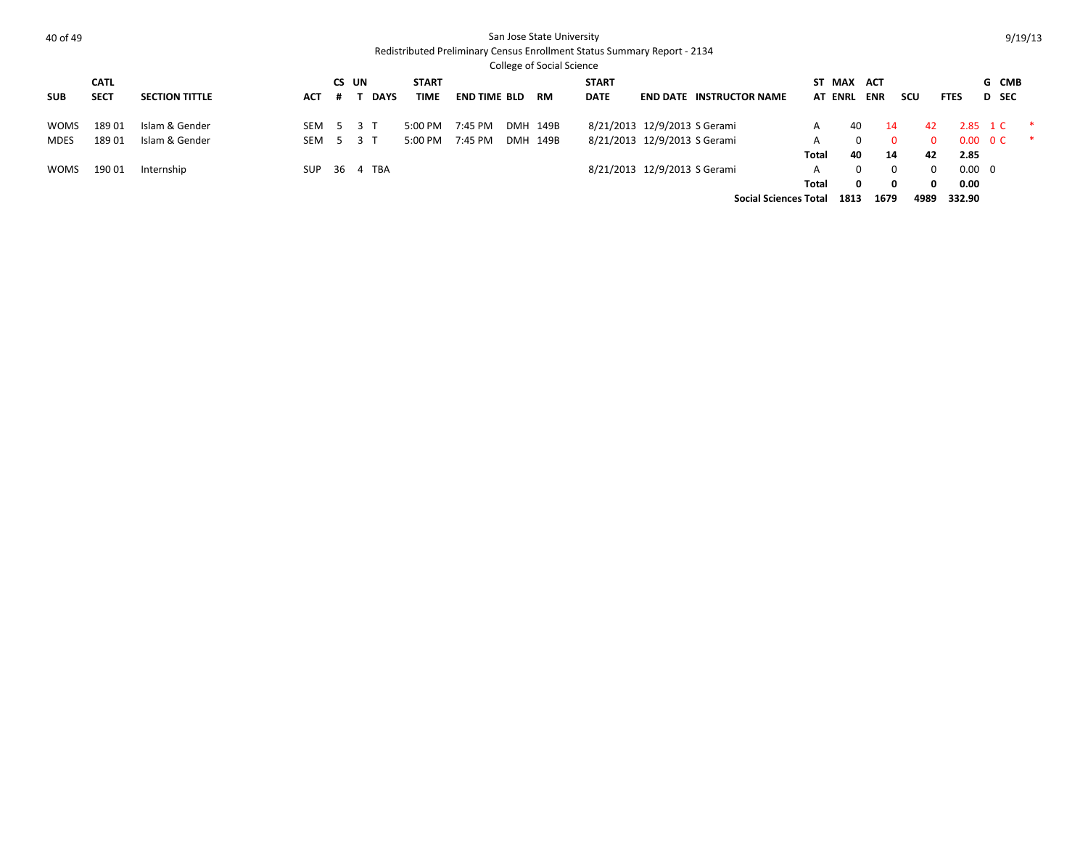|             |                            |                       |     |                        |              |                             |                     |     | College of Social Science |                             |                              |                                 |       |                          |                          |                |                |                            |          |
|-------------|----------------------------|-----------------------|-----|------------------------|--------------|-----------------------------|---------------------|-----|---------------------------|-----------------------------|------------------------------|---------------------------------|-------|--------------------------|--------------------------|----------------|----------------|----------------------------|----------|
| <b>SUB</b>  | <b>CATL</b><br><b>SECT</b> | <b>SECTION TITTLE</b> | ACT | CS UN                  | <b>DAYS</b>  | <b>START</b><br><b>TIME</b> | <b>END TIME BLD</b> |     | RM                        | <b>START</b><br><b>DATE</b> |                              | <b>END DATE INSTRUCTOR NAME</b> |       | ST MAX<br><b>AT ENRL</b> | <b>ACT</b><br><b>ENR</b> | scu            | <b>FTES</b>    | G CMB<br>D SEC             |          |
| <b>WOMS</b> | 18901                      | Islam & Gender        | SEM | $\ddot{\phantom{1}}$ 5 | 3 T          | $5:00$ PM                   | 7:45 PM             |     | DMH 149B                  |                             | 8/21/2013 12/9/2013 S Gerami |                                 |       | 40                       | 14                       | 42             |                | 2.85 1 C                   | <b>水</b> |
| MDES        | 18901                      | Islam & Gender        |     |                        | SEM 5 3 T    | $5:00$ PM                   | 7:45 PM             | DMH | 149B                      |                             | 8/21/2013 12/9/2013 S Gerami |                                 | Total | $\Omega$<br>40           | $\Omega$<br>14           | $\Omega$<br>42 | 2.85           | $0.00 \quad 0 \text{ C}$ * |          |
| <b>WOMS</b> | 19001                      | Internship            |     |                        | SUP 36 4 TBA |                             |                     |     |                           |                             | 8/21/2013 12/9/2013 S Gerami |                                 | A     | $\Omega$                 | $\Omega$                 | $\Omega$       | $0.00 \quad 0$ |                            |          |
|             |                            |                       |     |                        |              |                             |                     |     |                           |                             |                              |                                 | Total | 0                        | $\Omega$                 | 0              | 0.00           |                            |          |
|             |                            |                       |     |                        |              |                             |                     |     |                           |                             |                              | <b>Social Sciences Total</b>    |       | 1813                     | 1679                     | 4989           | 332.90         |                            |          |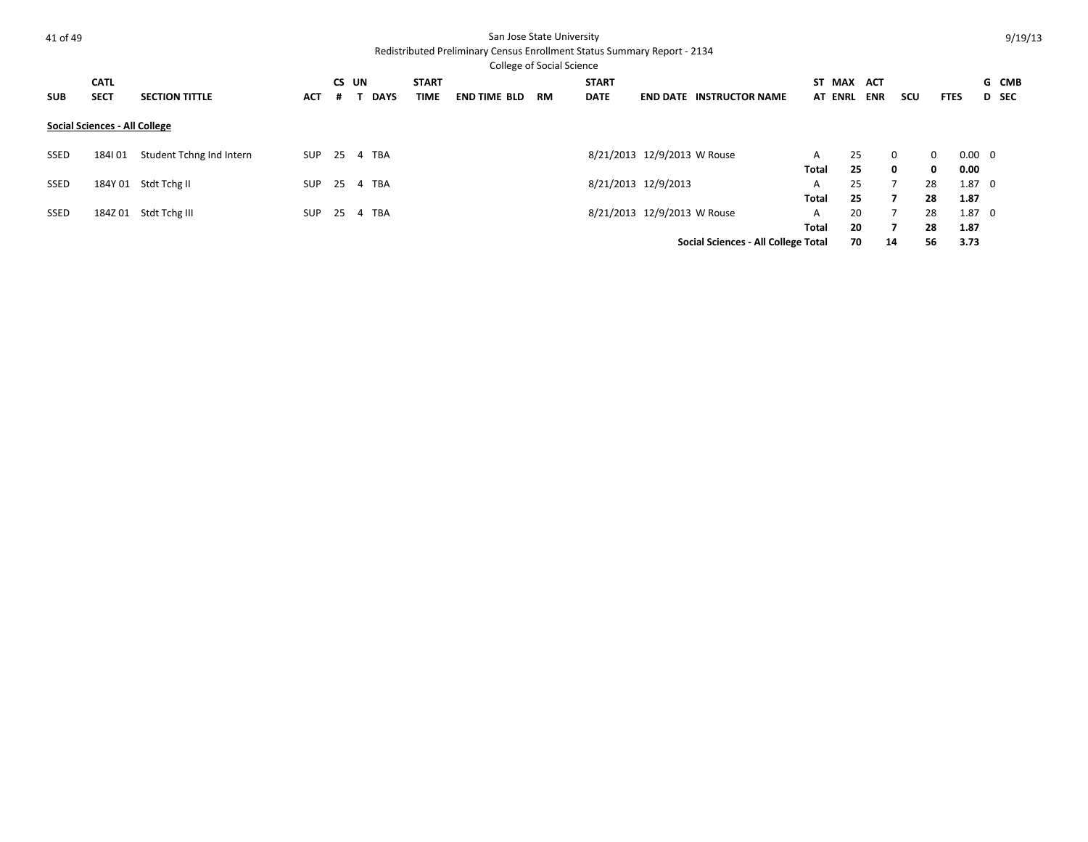| 41 of 49 |  |
|----------|--|
|          |  |

### San Jose State University

|             |                               |                          |            |       |             |              |                     | College of Social Science |              |                                     |        |                |            |              |              |                |              |  |
|-------------|-------------------------------|--------------------------|------------|-------|-------------|--------------|---------------------|---------------------------|--------------|-------------------------------------|--------|----------------|------------|--------------|--------------|----------------|--------------|--|
|             | <b>CATL</b>                   |                          |            | CS UN |             | <b>START</b> |                     |                           | <b>START</b> |                                     | ST MAX |                | <b>ACT</b> |              |              |                | G CMB        |  |
| <b>SUB</b>  | <b>SECT</b>                   | <b>SECTION TITTLE</b>    | <b>ACT</b> | #     | <b>DAYS</b> | TIME         | <b>END TIME BLD</b> | <b>RM</b>                 | <b>DATE</b>  | <b>END DATE INSTRUCTOR NAME</b>     |        | <b>AT ENRL</b> | <b>ENR</b> | scu          | <b>FTES</b>  |                | <b>D</b> SEC |  |
|             | Social Sciences - All College |                          |            |       |             |              |                     |                           |              |                                     |        |                |            |              |              |                |              |  |
| SSED        | 184101                        | Student Tchng Ind Intern | SUP        | -25   | 4 TBA       |              |                     |                           |              | 8/21/2013 12/9/2013 W Rouse         | A      | 25             |            | $\Omega$     | $\Omega$     | $0.00 \quad 0$ |              |  |
|             |                               |                          |            |       |             |              |                     |                           |              |                                     | Total  | 25             |            | $\mathbf{0}$ | $\mathbf{0}$ | 0.00           |              |  |
| <b>SSED</b> |                               | 184Y 01 Stdt Tchg II     | <b>SUP</b> | 25    | 4 TBA       |              |                     |                           |              | 8/21/2013 12/9/2013                 | A      | 25             |            |              | 28           | $1.87 \quad 0$ |              |  |
|             |                               |                          |            |       |             |              |                     |                           |              |                                     | Total  | 25             |            |              | 28           | 1.87           |              |  |
| <b>SSED</b> | 184Z 01                       | Stdt Tchg III            | <b>SUP</b> | 25    | 4 TBA       |              |                     |                           |              | 8/21/2013 12/9/2013 W Rouse         | A      | 20             |            |              | 28           | $1.87 \quad 0$ |              |  |
|             |                               |                          |            |       |             |              |                     |                           |              |                                     | Total  | 20             |            | $\mathbf{z}$ | 28           | 1.87           |              |  |
|             |                               |                          |            |       |             |              |                     |                           |              | Social Sciences - All College Total |        | 70             |            | 14           | 56           | 3.73           |              |  |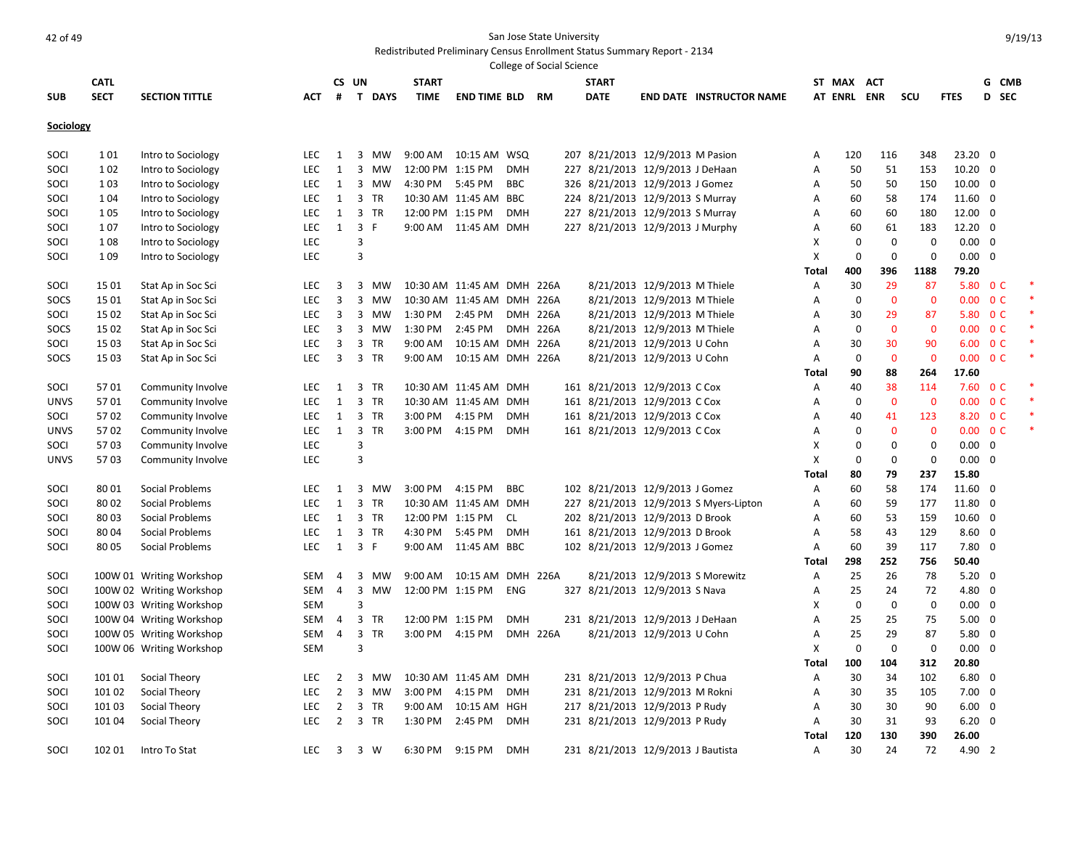|             |             |                          |            |                |                             |                  |                              |            | College of Social Science |              |                                    |                                        |       |                |                |                |                          |                |       |  |
|-------------|-------------|--------------------------|------------|----------------|-----------------------------|------------------|------------------------------|------------|---------------------------|--------------|------------------------------------|----------------------------------------|-------|----------------|----------------|----------------|--------------------------|----------------|-------|--|
|             | <b>CATL</b> |                          |            |                | CS UN                       | <b>START</b>     |                              |            |                           | <b>START</b> |                                    |                                        |       | ST MAX ACT     |                |                |                          |                | G CMB |  |
| <b>SUB</b>  | <b>SECT</b> | <b>SECTION TITTLE</b>    | АСТ        | #              | T DAYS                      | TIME             | <b>END TIME BLD RM</b>       |            |                           | <b>DATE</b>  |                                    | <b>END DATE INSTRUCTOR NAME</b>        |       | <b>AT ENRL</b> | <b>ENR</b>     | SCU            | <b>FTES</b>              |                | D SEC |  |
| Sociology   |             |                          |            |                |                             |                  |                              |            |                           |              |                                    |                                        |       |                |                |                |                          |                |       |  |
| SOCI        | 101         | Intro to Sociology       | LEC        | 1              | 3<br>MW                     |                  | 9:00 AM  10:15 AM  WSQ       |            |                           |              | 207 8/21/2013 12/9/2013 M Pasion   |                                        | Α     | 120            | 116            | 348            | 23.20 0                  |                |       |  |
| SOCI        | 102         | Intro to Sociology       | LEC        | $\mathbf{1}$   | 3<br>MW                     | 12:00 PM 1:15 PM |                              | <b>DMH</b> |                           |              | 227 8/21/2013 12/9/2013 J DeHaan   |                                        | Α     | 50             | 51             | 153            | $10.20 \quad 0$          |                |       |  |
| SOCI        | 103         | Intro to Sociology       | LEC        | 1              | 3<br><b>MW</b>              | 4:30 PM 5:45 PM  |                              | <b>BBC</b> |                           |              | 326 8/21/2013 12/9/2013 J Gomez    |                                        | Α     | 50             | 50             | 150            | $10.00 \quad 0$          |                |       |  |
| SOCI        | 1 0 4       | Intro to Sociology       | LEC        | 1              | 3<br><b>TR</b>              |                  | 10:30 AM 11:45 AM BBC        |            |                           |              | 224 8/21/2013 12/9/2013 S Murray   |                                        | Α     | 60             | 58             | 174            | 11.60 0                  |                |       |  |
| SOCI        | 1 0 5       | Intro to Sociology       | LEC        | 1              | 3 TR                        | 12:00 PM 1:15 PM |                              | <b>DMH</b> |                           |              | 227 8/21/2013 12/9/2013 S Murray   |                                        | Α     | 60             | 60             | 180            | 12.00 0                  |                |       |  |
| SOCI        | 107         | Intro to Sociology       | <b>LEC</b> | $\mathbf{1}$   | $\overline{3}$<br>F.        |                  | 9:00 AM 11:45 AM DMH         |            |                           |              | 227 8/21/2013 12/9/2013 J Murphy   |                                        | A     | 60             | 61             | 183            | 12.20 0                  |                |       |  |
| SOCI        | 108         | Intro to Sociology       | LEC        |                | 3                           |                  |                              |            |                           |              |                                    |                                        | Χ     | $\mathbf 0$    | $\mathbf 0$    | 0              | $0.00 \quad 0$           |                |       |  |
| SOCI        | 1 0 9       | Intro to Sociology       | LEC        |                | 3                           |                  |                              |            |                           |              |                                    |                                        | X     | $\mathbf 0$    | 0              | 0              | $0.00 \quad 0$           |                |       |  |
|             |             |                          |            |                |                             |                  |                              |            |                           |              |                                    |                                        | Total | 400            | 396            | 1188           | 79.20                    |                |       |  |
| SOCI        | 15 01       | Stat Ap in Soc Sci       | <b>LEC</b> | 3              | 3<br>MW                     |                  | 10:30 AM 11:45 AM DMH 226A   |            |                           |              | 8/21/2013 12/9/2013 M Thiele       |                                        | Α     | 30             | 29             | 87             | 5.80                     | 0 <sup>C</sup> |       |  |
| SOCS        | 15 01       | Stat Ap in Soc Sci       | LEC        | 3              | 3<br><b>MW</b>              |                  | 10:30 AM 11:45 AM DMH 226A   |            |                           |              | 8/21/2013 12/9/2013 M Thiele       |                                        | Α     | $\mathbf 0$    | $\mathbf 0$    | $\mathbf{0}$   | 0.00                     | 0 <sup>C</sup> |       |  |
| SOCI        | 15 02       | Stat Ap in Soc Sci       | LEC        | 3              | 3<br>MW                     | 1:30 PM 2:45 PM  |                              |            | <b>DMH 226A</b>           |              | 8/21/2013 12/9/2013 M Thiele       |                                        | Α     | 30             | 29             | 87             | 5.80 OC                  |                |       |  |
| SOCS        | 15 02       | Stat Ap in Soc Sci       | <b>LEC</b> | 3              | 3<br>MW                     | 1:30 PM          | 2:45 PM                      |            | <b>DMH 226A</b>           |              | 8/21/2013 12/9/2013 M Thiele       |                                        | Α     | $\mathbf 0$    | $\overline{0}$ | $\overline{0}$ | $0.00 \quad 0 \text{ C}$ |                |       |  |
| SOCI        | 15 03       | Stat Ap in Soc Sci       | <b>LEC</b> | 3              | 3<br><b>TR</b>              | 9:00 AM          | 10:15 AM DMH 226A            |            |                           |              | 8/21/2013 12/9/2013 U Cohn         |                                        | A     | 30             | 30             | 90             | 6.00 0 C                 |                |       |  |
| SOCS        | 15 03       | Stat Ap in Soc Sci       | LEC        | 3              | $\overline{3}$<br>TR        | 9:00 AM          | 10:15 AM DMH 226A            |            |                           |              | 8/21/2013 12/9/2013 U Cohn         |                                        | Α     | $\Omega$       | $\mathbf 0$    | $\mathbf 0$    | 0.00                     | 0 <sup>C</sup> |       |  |
|             |             |                          |            |                |                             |                  |                              |            |                           |              |                                    |                                        | Total | 90             | 88             | 264            | 17.60                    |                |       |  |
| SOCI        | 5701        | Community Involve        | LEC        | 1              | $\overline{3}$<br><b>TR</b> |                  | 10:30 AM 11:45 AM DMH        |            |                           |              | 161 8/21/2013 12/9/2013 C Cox      |                                        | Α     | 40             | 38             | 114            | 7.60 0 C                 |                |       |  |
| <b>UNVS</b> | 5701        | Community Involve        | LEC        | $\mathbf{1}$   | $\overline{3}$<br><b>TR</b> |                  | 10:30 AM 11:45 AM            | <b>DMH</b> |                           |              | 161 8/21/2013 12/9/2013 C Cox      |                                        | Α     | $\mathbf 0$    | $\mathbf 0$    | $\mathbf 0$    | 0.00                     | 0 <sup>C</sup> |       |  |
| SOCI        | 5702        | Community Involve        | LEC        | $\mathbf{1}$   | $\overline{3}$<br><b>TR</b> | 3:00 PM          | 4:15 PM                      | <b>DMH</b> |                           |              | 161 8/21/2013 12/9/2013 C Cox      |                                        | Α     | 40             | 41             | 123            | 8.20 0 C                 |                |       |  |
| <b>UNVS</b> | 5702        | Community Involve        | LEC        | 1              | 3<br><b>TR</b>              | 3:00 PM          | 4:15 PM                      | <b>DMH</b> |                           |              | 161 8/21/2013 12/9/2013 C Cox      |                                        | Α     | $\mathbf 0$    | $\mathbf{0}$   | $\mathbf{0}$   | $0.00 \quad 0 \text{ C}$ |                |       |  |
| SOCI        | 5703        | Community Involve        | LEC        |                | $\overline{3}$              |                  |                              |            |                           |              |                                    |                                        | X     | $\mathbf 0$    | $\mathbf 0$    | $\mathbf 0$    | $0.00 \quad 0$           |                |       |  |
| <b>UNVS</b> | 5703        | Community Involve        | <b>LEC</b> |                | 3                           |                  |                              |            |                           |              |                                    |                                        | х     | $\Omega$       | $\mathbf 0$    | $\mathbf 0$    | $0.00 \quad 0$           |                |       |  |
|             |             |                          |            |                |                             |                  |                              |            |                           |              |                                    |                                        | Total | 80             | 79             | 237            | 15.80                    |                |       |  |
| SOCI        | 8001        | Social Problems          | LEC        | 1              | 3<br>MW                     | 3:00 PM          | 4:15 PM                      | <b>BBC</b> |                           |              | 102 8/21/2013 12/9/2013 J Gomez    |                                        | Α     | 60             | 58             | 174            | 11.60 0                  |                |       |  |
| SOCI        | 8002        | Social Problems          | LEC        | $\mathbf{1}$   | $\overline{3}$<br><b>TR</b> |                  | 10:30 AM 11:45 AM DMH        |            |                           |              |                                    | 227 8/21/2013 12/9/2013 S Myers-Lipton | Α     | 60             | 59             | 177            | 11.80 0                  |                |       |  |
| SOCI        | 8003        | Social Problems          | LEC        | 1              | 3 TR                        | 12:00 PM 1:15 PM |                              | <b>CL</b>  |                           |              | 202 8/21/2013 12/9/2013 D Brook    |                                        | Α     | 60             | 53             | 159            | $10.60$ 0                |                |       |  |
| SOCI        | 8004        | Social Problems          | LEC        | 1              | $\overline{3}$<br><b>TR</b> | 4:30 PM          | 5:45 PM                      | <b>DMH</b> |                           |              | 161 8/21/2013 12/9/2013 D Brook    |                                        | Α     | 58             | 43             | 129            | $8.60 \quad 0$           |                |       |  |
| SOCI        | 8005        | <b>Social Problems</b>   | LEC        | 1              | 3 F                         |                  | 9:00 AM 11:45 AM BBC         |            |                           |              | 102 8/21/2013 12/9/2013 J Gomez    |                                        | Α     | 60             | 39             | 117            | $7.80$ 0                 |                |       |  |
|             |             |                          |            |                |                             |                  |                              |            |                           |              |                                    |                                        | Total | 298            | 252            | 756            | 50.40                    |                |       |  |
| SOCI        |             | 100W 01 Writing Workshop | <b>SEM</b> | 4              | 3<br>MW                     |                  | 9:00 AM  10:15 AM  DMH  226A |            |                           |              |                                    | 8/21/2013 12/9/2013 S Morewitz         | Α     | 25             | 26             | 78             | $5.20 \ 0$               |                |       |  |
| SOCI        |             | 100W 02 Writing Workshop | SEM        | $\overline{4}$ | 3<br>MW                     | 12:00 PM 1:15 PM |                              | ENG        |                           |              | 327 8/21/2013 12/9/2013 S Nava     |                                        | Α     | 25             | 24             | 72             | 4.80 0                   |                |       |  |
| SOCI        |             | 100W 03 Writing Workshop | <b>SEM</b> |                | 3                           |                  |                              |            |                           |              |                                    |                                        | Χ     | $\mathbf 0$    | $\mathbf 0$    | 0              | $0.00 \quad 0$           |                |       |  |
| SOCI        |             | 100W 04 Writing Workshop | <b>SEM</b> | $\overline{4}$ | 3<br><b>TR</b>              | 12:00 PM 1:15 PM |                              | <b>DMH</b> |                           |              | 231 8/21/2013 12/9/2013 J DeHaan   |                                        | Α     | 25             | 25             | 75             | $5.00 \quad 0$           |                |       |  |
| SOCI        |             | 100W 05 Writing Workshop | <b>SEM</b> | $\overline{4}$ | 3<br><b>TR</b>              | 3:00 PM 4:15 PM  |                              |            | <b>DMH 226A</b>           |              | 8/21/2013 12/9/2013 U Cohn         |                                        | Α     | 25             | 29             | 87             | $5.80$ 0                 |                |       |  |
| SOCI        |             | 100W 06 Writing Workshop | <b>SEM</b> |                | 3                           |                  |                              |            |                           |              |                                    |                                        | X     | $\mathbf 0$    | $\mathbf 0$    | $\mathbf 0$    | $0.00 \quad 0$           |                |       |  |
|             |             |                          |            |                |                             |                  |                              |            |                           |              |                                    |                                        | Total | 100            | 104            | 312            | 20.80                    |                |       |  |
| SOCI        | 101 01      | Social Theory            | <b>LEC</b> | 2              | 3<br>MW                     |                  | 10:30 AM 11:45 AM DMH        |            |                           |              | 231 8/21/2013 12/9/2013 P Chua     |                                        | Α     | 30             | 34             | 102            | $6.80 \quad 0$           |                |       |  |
| SOCI        | 101 02      | Social Theory            | LEC        | $\overline{2}$ | $\overline{3}$<br>MW        | 3:00 PM          | 4:15 PM                      | <b>DMH</b> |                           |              | 231 8/21/2013 12/9/2013 M Rokni    |                                        | Α     | 30             | 35             | 105            | $7.00 \quad 0$           |                |       |  |
| SOCI        | 101 03      | Social Theory            | LEC        | $\overline{2}$ | $\overline{3}$<br>TR        | 9:00 AM          | 10:15 AM HGH                 |            |                           |              | 217 8/21/2013 12/9/2013 P Rudy     |                                        | Α     | 30             | 30             | 90             | $6.00 \quad 0$           |                |       |  |
| SOCI        | 101 04      | Social Theory            | LEC        | $\overline{2}$ | 3 TR                        | 1:30 PM          | 2:45 PM                      | <b>DMH</b> |                           |              | 231 8/21/2013 12/9/2013 P Rudy     |                                        | Α     | 30             | 31             | 93             | $6.20 \quad 0$           |                |       |  |
|             |             |                          |            |                |                             |                  |                              |            |                           |              |                                    |                                        | Total | 120            | 130            | 390            | 26.00                    |                |       |  |
| SOCI        | 102 01      | Intro To Stat            | <b>LEC</b> | 3              | $\overline{3}$<br>W         | 6:30 PM          | 9:15 PM                      | <b>DMH</b> |                           |              | 231 8/21/2013 12/9/2013 J Bautista |                                        | A     | 30             | 24             | 72             | 4.90 2                   |                |       |  |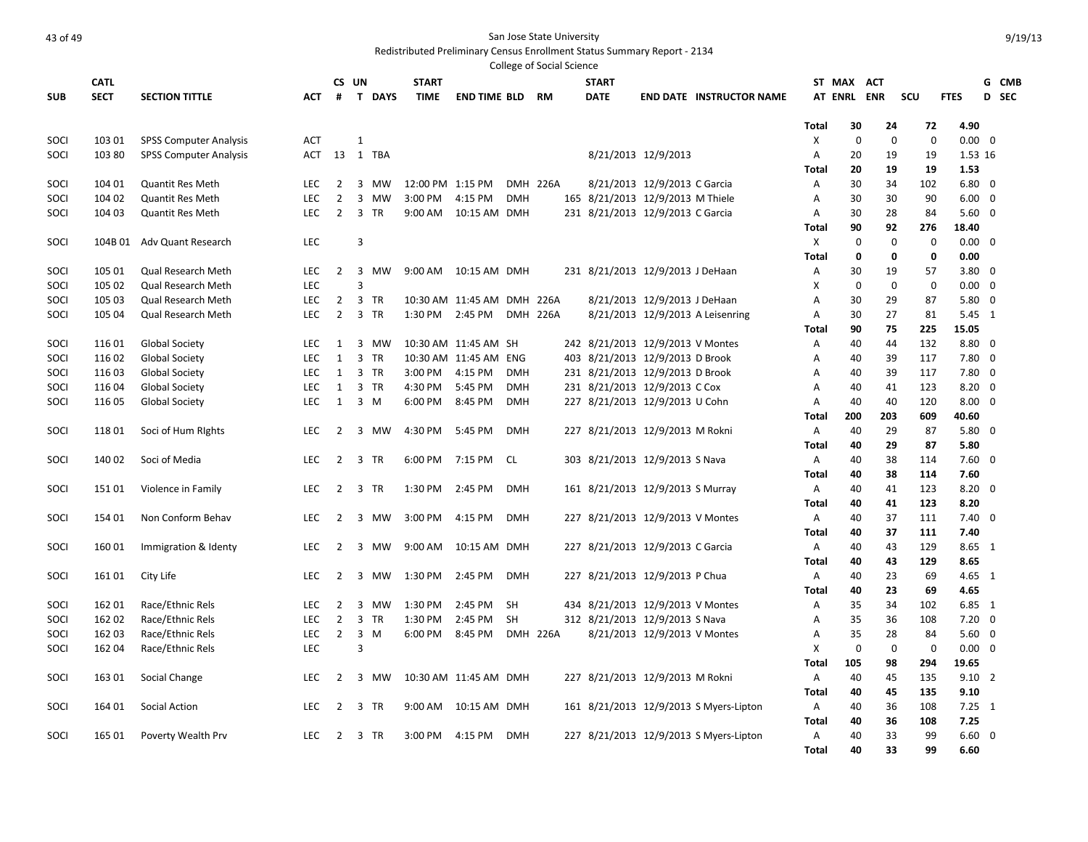|            |             |                               |            |                |                             |                  |                            |            | College of Social Science |                                  |                              |                                        |                |             |             |             |                         |       |
|------------|-------------|-------------------------------|------------|----------------|-----------------------------|------------------|----------------------------|------------|---------------------------|----------------------------------|------------------------------|----------------------------------------|----------------|-------------|-------------|-------------|-------------------------|-------|
|            | <b>CATL</b> |                               |            | CS UN          |                             | <b>START</b>     |                            |            |                           | <b>START</b>                     |                              |                                        | ST MAX         |             | <b>ACT</b>  |             |                         | G CMB |
| <b>SUB</b> | <b>SECT</b> | <b>SECTION TITTLE</b>         | АСТ        | #              | T DAYS                      | <b>TIME</b>      | <b>END TIME BLD</b>        |            | RM                        | <b>DATE</b>                      |                              | <b>END DATE INSTRUCTOR NAME</b>        | <b>AT ENRL</b> |             | <b>ENR</b>  | scu         | <b>FTES</b>             | D SEC |
|            |             |                               |            |                |                             |                  |                            |            |                           |                                  |                              |                                        | <b>Total</b>   | 30          | 24          | 72          | 4.90                    |       |
| SOCI       | 103 01      | <b>SPSS Computer Analysis</b> | <b>ACT</b> |                | $\mathbf{1}$                |                  |                            |            |                           |                                  |                              |                                        | Χ              | $\mathbf 0$ | $\mathbf 0$ | $\mathbf 0$ | $0.00 \quad 0$          |       |
| SOCI       | 103 80      | <b>SPSS Computer Analysis</b> | ACT        |                | 13 1 TBA                    |                  |                            |            |                           |                                  | 8/21/2013 12/9/2013          |                                        | Α              | 20          | 19          | 19          | 1.53 16                 |       |
|            |             |                               |            |                |                             |                  |                            |            |                           |                                  |                              |                                        | <b>Total</b>   | 20          | 19          | 19          | 1.53                    |       |
| SOCI       | 104 01      | <b>Quantit Res Meth</b>       | <b>LEC</b> | $\overline{2}$ | 3 MW                        | 12:00 PM 1:15 PM |                            |            | <b>DMH 226A</b>           |                                  | 8/21/2013 12/9/2013 C Garcia |                                        | Α              | 30          | 34          | 102         | $6.80 \quad 0$          |       |
| SOCI       | 104 02      | Quantit Res Meth              | LEC        | $\overline{2}$ | 3<br>MW                     | 3:00 PM          | 4:15 PM                    | <b>DMH</b> |                           | 165 8/21/2013 12/9/2013 M Thiele |                              |                                        | Α              | 30          | 30          | 90          | $6.00 \quad 0$          |       |
| SOCI       | 104 03      | <b>Quantit Res Meth</b>       | <b>LEC</b> | $\overline{2}$ | 3 TR                        | 9:00 AM          | 10:15 AM DMH               |            |                           | 231 8/21/2013 12/9/2013 C Garcia |                              |                                        | Α              | 30          | 28          | 84          | $5.60 \quad 0$          |       |
|            |             |                               |            |                |                             |                  |                            |            |                           |                                  |                              |                                        | Total          | 90          | 92          | 276         | 18.40                   |       |
| SOCI       | 104B 01     | Adv Quant Research            | LEC        |                | $\overline{3}$              |                  |                            |            |                           |                                  |                              |                                        | X              | $\Omega$    | $\mathbf 0$ | $\mathbf 0$ | $0.00 \quad 0$          |       |
|            |             |                               |            |                |                             |                  |                            |            |                           |                                  |                              |                                        | <b>Total</b>   | 0           | 0           | $\mathbf 0$ | 0.00                    |       |
| SOCI       | 105 01      | Qual Research Meth            | <b>LEC</b> | 2              | 3<br>MW                     |                  | 9:00 AM  10:15 AM  DMH     |            |                           | 231 8/21/2013 12/9/2013 J DeHaan |                              |                                        | Α              | 30          | 19          | 57          | $3.80 \quad 0$          |       |
| SOCI       | 105 02      | Qual Research Meth            | <b>LEC</b> |                | $\overline{3}$              |                  |                            |            |                           |                                  |                              |                                        | Χ              | $\mathbf 0$ | $\mathbf 0$ | $\mathbf 0$ | $0.00 \quad 0$          |       |
| SOCI       | 105 03      | Qual Research Meth            | LEC        | $\overline{2}$ | 3<br><b>TR</b>              |                  | 10:30 AM 11:45 AM DMH 226A |            |                           |                                  | 8/21/2013 12/9/2013 J DeHaan |                                        | Α              | 30          | 29          | 87          | $5.80 \quad 0$          |       |
| SOCI       | 105 04      | Qual Research Meth            | <b>LEC</b> | $\overline{2}$ | 3<br><b>TR</b>              | 1:30 PM          | 2:45 PM                    |            | <b>DMH 226A</b>           |                                  |                              | 8/21/2013 12/9/2013 A Leisenring       | Α              | 30          | 27          | 81          | $5.45 \quad 1$          |       |
|            |             |                               |            |                |                             |                  |                            |            |                           |                                  |                              |                                        | <b>Total</b>   | 90          | 75          | 225         | 15.05                   |       |
| SOCI       | 116 01      | <b>Global Society</b>         | <b>LEC</b> | 1              | 3 MW                        |                  | 10:30 AM 11:45 AM SH       |            |                           | 242 8/21/2013 12/9/2013 V Montes |                              |                                        | A              | 40          | 44          | 132         | 8.80 0                  |       |
| SOCI       | 116 02      | <b>Global Society</b>         | LEC        | 1              | 3 TR                        |                  | 10:30 AM 11:45 AM ENG      |            |                           | 403 8/21/2013 12/9/2013 D Brook  |                              |                                        | Α              | 40          | 39          | 117         | $7.80 \quad 0$          |       |
| SOCI       | 11603       | Global Society                | <b>LEC</b> | 1              | $\overline{3}$<br><b>TR</b> | 3:00 PM          | 4:15 PM                    | <b>DMH</b> |                           | 231 8/21/2013 12/9/2013 D Brook  |                              |                                        | A              | 40          | 39          | 117         | $7.80 \quad 0$          |       |
| SOCI       | 116 04      | <b>Global Society</b>         | <b>LEC</b> | 1              | 3 TR                        | 4:30 PM          | 5:45 PM                    | <b>DMH</b> |                           | 231 8/21/2013 12/9/2013 C Cox    |                              |                                        | A              | 40          | 41          | 123         | $8.20 \quad 0$          |       |
| SOCI       | 116 05      | <b>Global Society</b>         | LEC        | 1              | 3 M                         | 6:00 PM          | 8:45 PM                    | DMH        |                           | 227 8/21/2013 12/9/2013 U Cohn   |                              |                                        | A              | 40          | 40          | 120         | $8.00 \quad 0$          |       |
|            |             |                               |            |                |                             |                  |                            | <b>DMH</b> |                           |                                  |                              |                                        | Total          | 200         | 203<br>29   | 609<br>87   | 40.60<br>$5.80 \quad 0$ |       |
| SOCI       | 118 01      | Soci of Hum Rights            | LEC.       | $\overline{2}$ | 3<br>MW                     | 4:30 PM          | 5:45 PM                    |            |                           | 227 8/21/2013 12/9/2013 M Rokni  |                              |                                        | Α<br>Total     | 40<br>40    | 29          | 87          | 5.80                    |       |
| SOCI       | 140 02      | Soci of Media                 | LEC        | $\overline{2}$ | 3 TR                        | 6:00 PM 7:15 PM  |                            | CL         |                           | 303 8/21/2013 12/9/2013 S Nava   |                              |                                        | Α              | 40          | 38          | 114         | $7.60 \quad 0$          |       |
|            |             |                               |            |                |                             |                  |                            |            |                           |                                  |                              |                                        | <b>Total</b>   | 40          | 38          | 114         | 7.60                    |       |
| SOCI       | 15101       | Violence in Family            | <b>LEC</b> | $\overline{2}$ | 3 TR                        | 1:30 PM          | 2:45 PM                    | <b>DMH</b> |                           | 161 8/21/2013 12/9/2013 S Murray |                              |                                        | Α              | 40          | 41          | 123         | $8.20 \quad 0$          |       |
|            |             |                               |            |                |                             |                  |                            |            |                           |                                  |                              |                                        | Total          | 40          | 41          | 123         | 8.20                    |       |
| SOCI       | 154 01      | Non Conform Behav             | <b>LEC</b> | $\overline{2}$ | 3 MW                        | 3:00 PM          | 4:15 PM                    | <b>DMH</b> |                           | 227 8/21/2013 12/9/2013 V Montes |                              |                                        | Α              | 40          | 37          | 111         | $7.40 \quad 0$          |       |
|            |             |                               |            |                |                             |                  |                            |            |                           |                                  |                              |                                        | <b>Total</b>   | 40          | 37          | 111         | 7.40                    |       |
| SOCI       | 16001       | Immigration & Identy          | <b>LEC</b> | $\overline{2}$ | 3 MW                        | 9:00 AM          | 10:15 AM DMH               |            |                           | 227 8/21/2013 12/9/2013 C Garcia |                              |                                        | A              | 40          | 43          | 129         | 8.65 1                  |       |
|            |             |                               |            |                |                             |                  |                            |            |                           |                                  |                              |                                        | Total          | 40          | 43          | 129         | 8.65                    |       |
| SOCI       | 16101       | City Life                     | LEC        | $\overline{2}$ | 3<br>MW                     | 1:30 PM          | 2:45 PM                    | <b>DMH</b> |                           | 227 8/21/2013 12/9/2013 P Chua   |                              |                                        | Α              | 40          | 23          | 69          | $4.65$ 1                |       |
|            |             |                               |            |                |                             |                  |                            |            |                           |                                  |                              |                                        | <b>Total</b>   | 40          | 23          | 69          | 4.65                    |       |
| SOCI       | 162 01      | Race/Ethnic Rels              | <b>LEC</b> | $\overline{2}$ | 3<br>MW                     | 1:30 PM          | 2:45 PM                    | <b>SH</b>  |                           | 434 8/21/2013 12/9/2013 V Montes |                              |                                        | A              | 35          | 34          | 102         | 6.85 1                  |       |
| SOCI       | 162 02      | Race/Ethnic Rels              | LEC        | $\overline{2}$ | 3 TR                        | 1:30 PM          | 2:45 PM                    | <b>SH</b>  |                           | 312 8/21/2013 12/9/2013 S Nava   |                              |                                        | Α              | 35          | 36          | 108         | $7.20 \quad 0$          |       |
| SOCI       | 162 03      | Race/Ethnic Rels              | <b>LEC</b> | $\overline{2}$ | $\overline{3}$<br>M         | 6:00 PM          | 8:45 PM                    |            | <b>DMH 226A</b>           |                                  | 8/21/2013 12/9/2013 V Montes |                                        | A              | 35          | 28          | 84          | $5.60 \quad 0$          |       |
| SOCI       | 162 04      | Race/Ethnic Rels              | LEC        |                | $\overline{3}$              |                  |                            |            |                           |                                  |                              |                                        | X              | $\mathbf 0$ | $\mathbf 0$ | $\Omega$    | $0.00 \quad 0$          |       |
|            |             |                               |            |                |                             |                  |                            |            |                           |                                  |                              |                                        | <b>Total</b>   | 105         | 98          | 294         | 19.65                   |       |
| SOCI       | 163 01      | Social Change                 | LEC        | 2              | 3 MW                        |                  | 10:30 AM 11:45 AM DMH      |            |                           | 227 8/21/2013 12/9/2013 M Rokni  |                              |                                        | A              | 40          | 45          | 135         | $9.10$ 2                |       |
|            |             |                               |            |                |                             |                  |                            |            |                           |                                  |                              |                                        | <b>Total</b>   | 40          | 45          | 135         | 9.10                    |       |
| SOCI       | 164 01      | Social Action                 | <b>LEC</b> | 2              | 3 TR                        | 9:00 AM          | 10:15 AM DMH               |            |                           |                                  |                              | 161 8/21/2013 12/9/2013 S Myers-Lipton | A              | 40          | 36          | 108         | $7.25 \quad 1$          |       |
|            |             |                               |            |                |                             |                  |                            |            |                           |                                  |                              |                                        | <b>Total</b>   | 40          | 36          | 108         | 7.25                    |       |
| SOCI       | 165 01      | Poverty Wealth Prv            | <b>LEC</b> | 2              | 3 TR                        | 3:00 PM          | 4:15 PM                    | <b>DMH</b> |                           |                                  |                              | 227 8/21/2013 12/9/2013 S Myers-Lipton | Α              | 40          | 33          | 99          | $6.60 \quad 0$          |       |
|            |             |                               |            |                |                             |                  |                            |            |                           |                                  |                              |                                        | <b>Total</b>   | 40          | 33          | 99          | 6.60                    |       |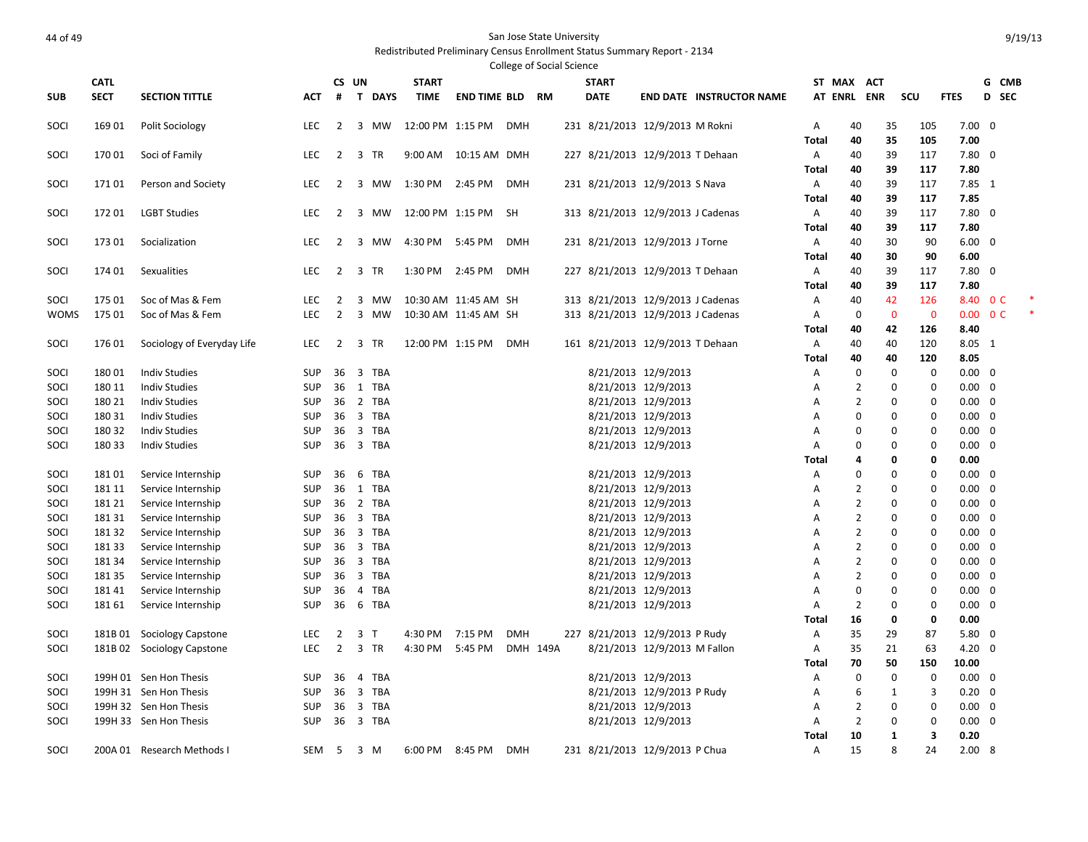|              |                 |                                          |                          |                 |                                |                      |                        |            | <b>College of Social Science</b> |                                   |                                            |                                 |            |                                  |              |                            |                                  |                          |  |
|--------------|-----------------|------------------------------------------|--------------------------|-----------------|--------------------------------|----------------------|------------------------|------------|----------------------------------|-----------------------------------|--------------------------------------------|---------------------------------|------------|----------------------------------|--------------|----------------------------|----------------------------------|--------------------------|--|
|              | <b>CATL</b>     |                                          |                          | CS UN           |                                | <b>START</b>         |                        |            |                                  | <b>START</b>                      |                                            |                                 |            | ST MAX ACT                       |              |                            |                                  | G CMB                    |  |
| <b>SUB</b>   | <b>SECT</b>     | <b>SECTION TITTLE</b>                    | АСТ                      | #               | T DAYS                         | <b>TIME</b>          | <b>END TIME BLD RM</b> |            |                                  | <b>DATE</b>                       |                                            | <b>END DATE INSTRUCTOR NAME</b> |            | AT ENRL ENR                      |              | scu                        | <b>FTES</b>                      | D SEC                    |  |
| SOCI         | 169 01          | Polit Sociology                          | LEC                      | $\overline{2}$  | 3 MW                           | 12:00 PM 1:15 PM     |                        | DMH        |                                  | 231 8/21/2013 12/9/2013 M Rokni   |                                            |                                 | Α          | 40                               | 35           | 105                        | $7.00 \quad 0$                   |                          |  |
|              |                 |                                          |                          |                 |                                |                      |                        |            |                                  |                                   |                                            |                                 | Total      | 40                               | 35           | 105                        | 7.00                             |                          |  |
| SOCI         | 170 01          | Soci of Family                           | <b>LEC</b>               | $\overline{2}$  | 3 TR                           |                      | 9:00 AM  10:15 AM  DMH |            |                                  | 227 8/21/2013 12/9/2013 T Dehaan  |                                            |                                 | Α          | 40                               | 39           | 117                        | $7.80$ 0                         |                          |  |
|              |                 |                                          |                          |                 |                                |                      |                        |            |                                  |                                   |                                            |                                 | Total      | 40                               | 39           | 117                        | 7.80                             |                          |  |
| SOCI         | 17101           | Person and Society                       | <b>LEC</b>               | 2               | 3 MW                           | 1:30 PM 2:45 PM      |                        | <b>DMH</b> |                                  | 231 8/21/2013 12/9/2013 S Nava    |                                            |                                 | A          | 40                               | 39           | 117                        | $7.85$ 1                         |                          |  |
| SOCI         | 17201           | <b>LGBT Studies</b>                      | LEC                      | $\overline{2}$  | 3 MW                           | 12:00 PM 1:15 PM     |                        | SH         |                                  | 313 8/21/2013 12/9/2013 J Cadenas |                                            |                                 | Total<br>A | 40<br>40                         | 39<br>39     | 117<br>117                 | 7.85<br>$7.80$ 0                 |                          |  |
|              |                 |                                          |                          |                 |                                |                      |                        |            |                                  |                                   |                                            |                                 | Total      | 40                               | 39           | 117                        | 7.80                             |                          |  |
| SOCI         | 173 01          | Socialization                            | <b>LEC</b>               | 2               | 3<br>MW                        | 4:30 PM 5:45 PM      |                        | <b>DMH</b> |                                  | 231 8/21/2013 12/9/2013 J Torne   |                                            |                                 | Α          | 40                               | 30           | 90                         | $6.00 \quad 0$                   |                          |  |
|              |                 |                                          |                          |                 |                                |                      |                        |            |                                  |                                   |                                            |                                 | Total      | 40                               | 30           | 90                         | 6.00                             |                          |  |
| SOCI         | 174 01          | Sexualities                              | <b>LEC</b>               | $\overline{2}$  | $\overline{3}$<br>TR           | 1:30 PM              | 2:45 PM                | <b>DMH</b> |                                  | 227 8/21/2013 12/9/2013 T Dehaan  |                                            |                                 | Α          | 40                               | 39           | 117                        | $7.80$ 0                         |                          |  |
|              |                 |                                          |                          |                 |                                |                      |                        |            |                                  |                                   |                                            |                                 | Total      | 40                               | 39           | 117                        | 7.80                             |                          |  |
| SOCI         | 175 01          | Soc of Mas & Fem                         | <b>LEC</b>               | $\overline{2}$  | 3<br><b>MW</b>                 |                      | 10:30 AM 11:45 AM SH   |            |                                  | 313 8/21/2013 12/9/2013 J Cadenas |                                            |                                 | Α          | 40                               | 42           | 126                        |                                  | 8.40 OC                  |  |
| <b>WOMS</b>  | 175 01          | Soc of Mas & Fem                         | <b>LEC</b>               | $\overline{2}$  | 3 MW                           | 10:30 AM 11:45 AM SH |                        |            |                                  | 313 8/21/2013 12/9/2013 J Cadenas |                                            |                                 | Α          | $\mathbf 0$                      | $\mathbf 0$  | $\mathbf 0$                |                                  | $0.00 \quad 0 \text{ C}$ |  |
|              |                 |                                          |                          |                 |                                |                      |                        |            |                                  |                                   |                                            |                                 | Total      | 40                               | 42           | 126                        | 8.40                             |                          |  |
| SOCI         | 176 01          | Sociology of Everyday Life               | LEC                      | $\overline{2}$  | 3 TR                           | 12:00 PM 1:15 PM     |                        | <b>DMH</b> |                                  | 161 8/21/2013 12/9/2013 T Dehaan  |                                            |                                 | A          | 40                               | 40           | 120                        | 8.05 1                           |                          |  |
|              |                 |                                          |                          |                 |                                |                      |                        |            |                                  |                                   |                                            |                                 | Total      | 40                               | 40           | 120                        | 8.05                             |                          |  |
| SOCI         | 18001           | <b>Indiv Studies</b>                     | <b>SUP</b>               | 36              | $\overline{3}$<br><b>TBA</b>   |                      |                        |            |                                  |                                   | 8/21/2013 12/9/2013                        |                                 | Α          | $\mathbf 0$                      | $\mathbf 0$  | $\mathbf 0$                | $0.00 \quad 0$                   |                          |  |
| SOCI         | 180 11          | <b>Indiv Studies</b>                     | <b>SUP</b>               |                 | 36 1 TBA                       |                      |                        |            |                                  |                                   | 8/21/2013 12/9/2013                        |                                 | Α          | $\overline{2}$                   | 0            | 0                          | $0.00 \quad 0$                   |                          |  |
| SOCI         | 180 21          | <b>Indiv Studies</b>                     | <b>SUP</b>               | 36              | 2 TBA                          |                      |                        |            |                                  |                                   | 8/21/2013 12/9/2013                        |                                 | Α          | $\overline{2}$                   | $\mathbf 0$  | $\mathbf 0$                | $0.00 \quad 0$                   |                          |  |
| SOCI         | 180 31          | <b>Indiv Studies</b>                     | <b>SUP</b>               |                 | 36 3 TBA                       |                      |                        |            |                                  |                                   | 8/21/2013 12/9/2013                        |                                 | A          | $\Omega$                         |              | $\mathbf 0$<br>$\mathbf 0$ | $0.00 \quad 0$                   |                          |  |
| SOCI         | 180 32          | <b>Indiv Studies</b>                     | <b>SUP</b>               | 36              | 3 TBA                          |                      |                        |            |                                  |                                   | 8/21/2013 12/9/2013                        |                                 | Α          | $\Omega$                         |              | 0<br>0                     | $0.00 \quad 0$                   |                          |  |
| SOCI         | 180 33          | <b>Indiv Studies</b>                     | <b>SUP</b>               |                 | 36 3 TBA                       |                      |                        |            |                                  |                                   | 8/21/2013 12/9/2013                        |                                 | A          | $\Omega$                         | 0            | 0                          | $0.00 \quad 0$                   |                          |  |
|              |                 |                                          |                          |                 |                                |                      |                        |            |                                  |                                   |                                            |                                 | Total      | 4                                | 0            | 0                          | 0.00                             |                          |  |
| SOCI         | 18101           | Service Internship                       | <b>SUP</b>               | 36              | 6<br><b>TBA</b>                |                      |                        |            |                                  |                                   | 8/21/2013 12/9/2013                        |                                 | Α          | $\Omega$                         | $\mathbf 0$  | $\mathbf 0$                | $0.00 \quad 0$                   |                          |  |
| SOCI         | 181 11          | Service Internship                       | <b>SUP</b>               |                 | 36 1 TBA                       |                      |                        |            |                                  |                                   | 8/21/2013 12/9/2013                        |                                 | Α          | $\overline{2}$<br>$\overline{2}$ | $\mathbf 0$  | 0                          | $0.00 \quad 0$                   |                          |  |
| SOCI<br>SOCI | 181 21<br>18131 | Service Internship<br>Service Internship | <b>SUP</b><br><b>SUP</b> | 36<br>36        | 2 TBA<br>3 TBA                 |                      |                        |            |                                  |                                   | 8/21/2013 12/9/2013<br>8/21/2013 12/9/2013 |                                 | A<br>Α     | $\overline{2}$                   | 0            | 0<br>0<br>0                | $0.00 \quad 0$<br>$0.00 \quad 0$ |                          |  |
| SOCI         | 18132           | Service Internship                       | <b>SUP</b>               | 36              | $\overline{3}$<br>TBA          |                      |                        |            |                                  |                                   | 8/21/2013 12/9/2013                        |                                 | A          | $\overline{2}$                   | $\mathbf 0$  | $\mathbf 0$                | $0.00 \quad 0$                   |                          |  |
| SOCI         | 181 33          | Service Internship                       | <b>SUP</b>               |                 | 36 3 TBA                       |                      |                        |            |                                  |                                   | 8/21/2013 12/9/2013                        |                                 | A          | $\overline{2}$                   |              | $\mathbf 0$<br>$\mathbf 0$ | $0.00 \quad 0$                   |                          |  |
| SOCI         | 181 34          | Service Internship                       | <b>SUP</b>               | 36              | 3 TBA                          |                      |                        |            |                                  |                                   | 8/21/2013 12/9/2013                        |                                 | Α          | $\overline{2}$                   |              | $\mathbf 0$<br>$\mathbf 0$ | $0.00 \quad 0$                   |                          |  |
| SOCI         | 181 35          | Service Internship                       | <b>SUP</b>               |                 | 36 3 TBA                       |                      |                        |            |                                  |                                   | 8/21/2013 12/9/2013                        |                                 | A          | $\overline{2}$                   |              | 0<br>0                     | $0.00 \quad 0$                   |                          |  |
| SOCI         | 18141           | Service Internship                       | SUP                      | 36              | 4 TBA                          |                      |                        |            |                                  |                                   | 8/21/2013 12/9/2013                        |                                 | Α          | 0                                | 0            | 0                          | $0.00 \quad 0$                   |                          |  |
| SOCI         | 181 61          | Service Internship                       | <b>SUP</b>               | 36              | 6 TBA                          |                      |                        |            |                                  |                                   | 8/21/2013 12/9/2013                        |                                 | Α          | $\overline{2}$                   | $\mathbf 0$  | 0                          | $0.00 \quad 0$                   |                          |  |
|              |                 |                                          |                          |                 |                                |                      |                        |            |                                  |                                   |                                            |                                 | Total      | 16                               | $\mathbf 0$  | $\mathbf 0$                | 0.00                             |                          |  |
| SOCI         |                 | 181B 01 Sociology Capstone               | <b>LEC</b>               | $\overline{2}$  | 3<br>$\mathsf{T}$              | 4:30 PM              | 7:15 PM                | <b>DMH</b> |                                  | 227 8/21/2013 12/9/2013 P Rudy    |                                            |                                 | Α          | 35                               | 29           | 87                         | $5.80 \quad 0$                   |                          |  |
| SOCI         |                 | 181B 02 Sociology Capstone               | LEC                      | $\overline{2}$  | 3 TR                           | 4:30 PM              | 5:45 PM                | DMH 149A   |                                  |                                   | 8/21/2013 12/9/2013 M Fallon               |                                 | Α          | 35                               | 21           | 63                         | $4.20 \ 0$                       |                          |  |
|              |                 |                                          |                          |                 |                                |                      |                        |            |                                  |                                   |                                            |                                 | Total      | 70                               | 50           | 150                        | 10.00                            |                          |  |
| SOCI         |                 | 199H 01 Sen Hon Thesis                   | <b>SUP</b>               | 36              | $\overline{4}$<br>TBA          |                      |                        |            |                                  |                                   | 8/21/2013 12/9/2013                        |                                 | Α          | $\mathbf 0$                      | 0            | 0                          | $0.00 \quad 0$                   |                          |  |
| SOCI         |                 | 199H 31 Sen Hon Thesis                   | <b>SUP</b>               | 36 <sub>3</sub> | TBA                            |                      |                        |            |                                  |                                   | 8/21/2013 12/9/2013 P Rudy                 |                                 | Α          | 6                                | 1            | 3                          | $0.20 \ 0$                       |                          |  |
| SOCI         |                 | 199H 32 Sen Hon Thesis                   | <b>SUP</b>               | 36              | $\overline{\mathbf{3}}$<br>TBA |                      |                        |            |                                  |                                   | 8/21/2013 12/9/2013                        |                                 | A          | $\overline{2}$                   |              | $\mathbf 0$<br>0           | $0.00 \quad 0$                   |                          |  |
| SOCI         |                 | 199H 33 Sen Hon Thesis                   | <b>SUP</b>               |                 | 36 3 TBA                       |                      |                        |            |                                  |                                   | 8/21/2013 12/9/2013                        |                                 | Α          | $\overline{2}$                   | $\mathbf 0$  | 0                          | $0.00 \quad 0$                   |                          |  |
|              |                 |                                          |                          |                 |                                |                      |                        |            |                                  |                                   |                                            |                                 | Total      | 10                               | $\mathbf{1}$ | 3                          | 0.20                             |                          |  |
| SOCI         |                 | 200A 01 Research Methods I               | SEM                      | $-5$            | 3 M                            | 6:00 PM 8:45 PM      |                        | <b>DMH</b> |                                  | 231 8/21/2013 12/9/2013 P Chua    |                                            |                                 | A          | 15                               |              | 8<br>24                    | 2.008                            |                          |  |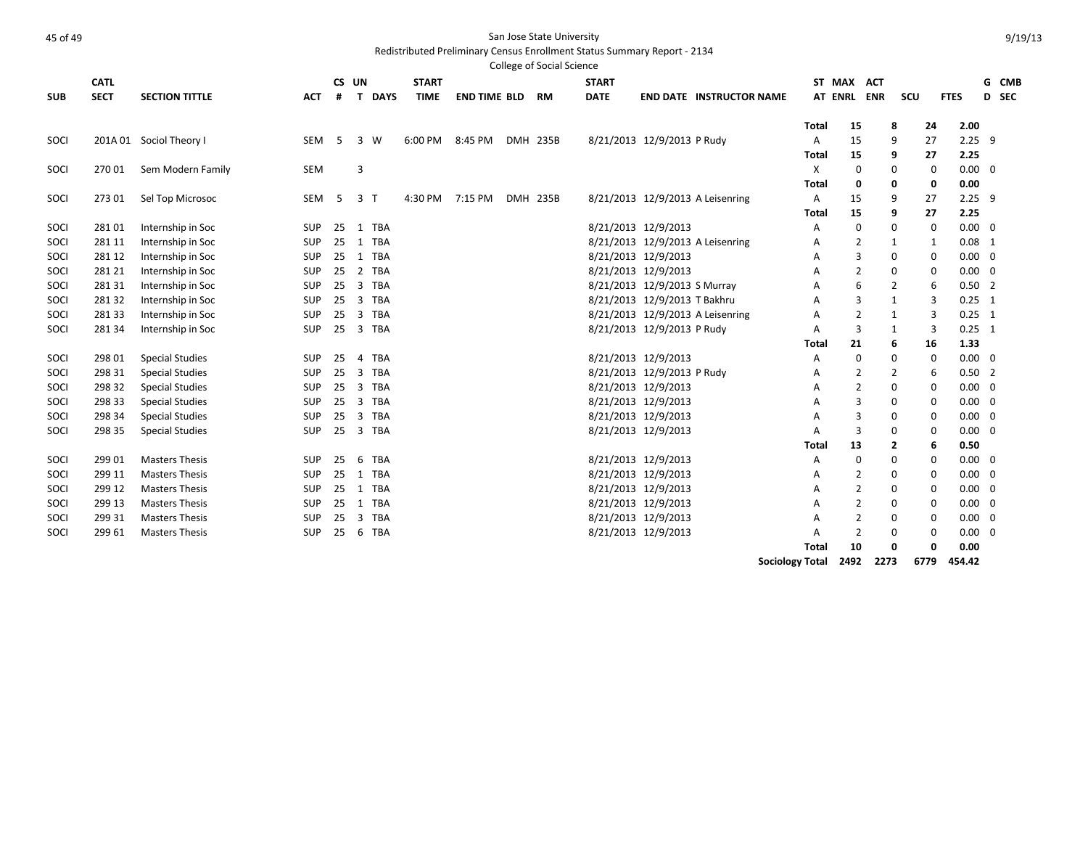|            |             |                         |            |    |                                       |              |                     | College of Social Science |              |                              |                                  |                        |                |                |      |             |                |       |
|------------|-------------|-------------------------|------------|----|---------------------------------------|--------------|---------------------|---------------------------|--------------|------------------------------|----------------------------------|------------------------|----------------|----------------|------|-------------|----------------|-------|
|            | <b>CATL</b> |                         |            |    | CS UN                                 | <b>START</b> |                     |                           | <b>START</b> |                              |                                  |                        | ST MAX         | <b>ACT</b>     |      |             |                | G CMB |
| <b>SUB</b> | <b>SECT</b> | <b>SECTION TITTLE</b>   | <b>ACT</b> | #  | T DAYS                                | <b>TIME</b>  | <b>END TIME BLD</b> | <b>RM</b>                 | <b>DATE</b>  |                              | <b>END DATE INSTRUCTOR NAME</b>  |                        | AT ENRL        | <b>ENR</b>     | scu  | <b>FTES</b> |                | D SEC |
|            |             |                         |            |    |                                       |              |                     |                           |              |                              |                                  | Total                  | 15             | 8              | 24   | 2.00        |                |       |
| SOCI       |             | 201A 01 Sociol Theory I | <b>SEM</b> | 5  | 3 W                                   | 6:00 PM      | 8:45 PM             | DMH 235B                  |              | 8/21/2013 12/9/2013 P Rudy   |                                  | Α                      | 15             | 9              | 27   |             | $2.25$ 9       |       |
|            |             |                         |            |    |                                       |              |                     |                           |              |                              |                                  | <b>Total</b>           | 15             | 9              |      | 2.25<br>27  |                |       |
| SOCI       | 27001       | Sem Modern Family       | <b>SEM</b> |    | 3                                     |              |                     |                           |              |                              |                                  | Χ                      | 0              | 0              |      | 0           | $0.00 \quad 0$ |       |
|            |             |                         |            |    |                                       |              |                     |                           |              |                              |                                  | Total                  | 0              | 0              |      | 0.00<br>0   |                |       |
| SOCI       | 27301       | Sel Top Microsoc        | SEM        | .5 | 3 <sub>T</sub>                        | 4:30 PM      | 7:15 PM             | DMH 235B                  |              |                              | 8/21/2013 12/9/2013 A Leisenring | Α                      | 15             | 9              | 27   |             | $2.25$ 9       |       |
|            |             |                         |            |    |                                       |              |                     |                           |              |                              |                                  | Total                  | 15             | 9              |      | 2.25<br>27  |                |       |
| SOCI       | 28101       | Internship in Soc       | SUP        | 25 | <b>TBA</b><br>1                       |              |                     |                           |              | 8/21/2013 12/9/2013          |                                  | A                      | $\mathbf 0$    | $\mathbf 0$    |      | 0           | $0.00 \quad 0$ |       |
| SOCI       | 281 11      | Internship in Soc       | SUP        | 25 | <b>TBA</b><br>1                       |              |                     |                           |              |                              | 8/21/2013 12/9/2013 A Leisenring | Α                      | $\overline{2}$ | 1              |      | 1           | $0.08$ 1       |       |
| SOCI       | 281 12      | Internship in Soc       | SUP        | 25 | 1 TBA                                 |              |                     |                           |              | 8/21/2013 12/9/2013          |                                  | A                      | 3              | $\mathbf 0$    |      | $\mathbf 0$ | $0.00 \quad 0$ |       |
| SOCI       | 281 21      | Internship in Soc       | SUP        |    | 25 2 TBA                              |              |                     |                           |              | 8/21/2013 12/9/2013          |                                  | A                      | $\overline{2}$ | $\mathbf 0$    |      | $\mathbf 0$ | $0.00 \quad 0$ |       |
| SOCI       | 28131       | Internship in Soc       | SUP        | 25 | 3 TBA                                 |              |                     |                           |              | 8/21/2013 12/9/2013 S Murray |                                  | A                      | 6              | $\overline{2}$ |      | 6           | $0.50$ 2       |       |
| SOCI       | 28132       | Internship in Soc       | <b>SUP</b> | 25 | 3 TBA                                 |              |                     |                           |              | 8/21/2013 12/9/2013 T Bakhru |                                  | A                      | $\overline{3}$ | $\mathbf{1}$   |      | 3           | $0.25$ 1       |       |
| SOCI       | 28133       | Internship in Soc       | <b>SUP</b> | 25 | <b>TBA</b><br>$\overline{3}$          |              |                     |                           |              |                              | 8/21/2013 12/9/2013 A Leisenring | A                      | 2              | $\mathbf{1}$   |      | 3           | $0.25$ 1       |       |
| SOCI       | 28134       | Internship in Soc       | SUP        | 25 | <b>TBA</b><br>$\overline{\mathbf{3}}$ |              |                     |                           |              | 8/21/2013 12/9/2013 P Rudy   |                                  | A                      | 3              | $\mathbf{1}$   |      | 3           | $0.25$ 1       |       |
|            |             |                         |            |    |                                       |              |                     |                           |              |                              |                                  | <b>Total</b>           | 21             | 6              |      | 1.33<br>16  |                |       |
| SOCI       | 298 01      | <b>Special Studies</b>  | <b>SUP</b> | 25 | <b>TBA</b><br>4                       |              |                     |                           |              | 8/21/2013 12/9/2013          |                                  | Α                      | 0              | $\mathbf 0$    |      | $\mathbf 0$ | $0.00 \quad 0$ |       |
| SOCI       | 298 31      | <b>Special Studies</b>  | SUP        | 25 | $\overline{\mathbf{3}}$<br><b>TBA</b> |              |                     |                           |              | 8/21/2013 12/9/2013 P Rudy   |                                  | A                      | $\overline{2}$ | $\overline{2}$ |      | 6           | $0.50$ 2       |       |
| SOCI       | 298 32      | <b>Special Studies</b>  | <b>SUP</b> | 25 | 3 TBA                                 |              |                     |                           |              | 8/21/2013 12/9/2013          |                                  | A                      | $\overline{2}$ | $\mathbf 0$    |      | $\mathbf 0$ | $0.00 \quad 0$ |       |
| SOCI       | 298 33      | <b>Special Studies</b>  | <b>SUP</b> | 25 | 3 TBA                                 |              |                     |                           |              | 8/21/2013 12/9/2013          |                                  | Α                      | $\overline{3}$ | $\mathbf 0$    |      | 0           | $0.00 \quad 0$ |       |
| SOCI       | 298 34      | <b>Special Studies</b>  | <b>SUP</b> | 25 | <b>TBA</b><br>$\overline{3}$          |              |                     |                           |              | 8/21/2013 12/9/2013          |                                  | A                      | 3              | $\mathbf 0$    |      | 0           | $0.00 \quad 0$ |       |
| SOCI       | 298 35      | <b>Special Studies</b>  | <b>SUP</b> | 25 | 3 TBA                                 |              |                     |                           |              | 8/21/2013 12/9/2013          |                                  | A                      | $\overline{3}$ | $\mathbf 0$    |      | $\mathbf 0$ | $0.00 \quad 0$ |       |
|            |             |                         |            |    |                                       |              |                     |                           |              |                              |                                  | <b>Total</b>           | 13             | $\overline{2}$ |      | 0.50<br>6   |                |       |
| SOCI       | 299 01      | <b>Masters Thesis</b>   | <b>SUP</b> | 25 | <b>TBA</b><br>6                       |              |                     |                           |              | 8/21/2013 12/9/2013          |                                  | A                      | $\mathbf 0$    | $\mathbf 0$    |      | 0           | $0.00 \quad 0$ |       |
| SOCI       | 299 11      | <b>Masters Thesis</b>   | <b>SUP</b> | 25 | 1 TBA                                 |              |                     |                           |              | 8/21/2013 12/9/2013          |                                  | A                      | $\overline{2}$ | 0              |      | 0           | $0.00 \quad 0$ |       |
| SOCI       | 299 12      | <b>Masters Thesis</b>   | <b>SUP</b> | 25 | 1 TBA                                 |              |                     |                           |              | 8/21/2013 12/9/2013          |                                  | A                      | $\overline{2}$ | $\mathbf 0$    |      | 0           | $0.00 \quad 0$ |       |
| SOCI       | 299 13      | <b>Masters Thesis</b>   | <b>SUP</b> | 25 | 1 TBA                                 |              |                     |                           |              | 8/21/2013 12/9/2013          |                                  | Α                      | $\overline{2}$ | 0              |      | 0           | $0.00 \quad 0$ |       |
| SOCI       | 299 31      | <b>Masters Thesis</b>   | <b>SUP</b> | 25 | 3<br><b>TBA</b>                       |              |                     |                           |              | 8/21/2013 12/9/2013          |                                  | A                      | $\overline{2}$ | 0              |      | 0           | $0.00 \quad 0$ |       |
| SOCI       | 299 61      | <b>Masters Thesis</b>   | <b>SUP</b> | 25 | 6<br><b>TBA</b>                       |              |                     |                           |              | 8/21/2013 12/9/2013          |                                  | A                      | $\overline{2}$ | $\mathbf 0$    |      | 0           | $0.00 \quad 0$ |       |
|            |             |                         |            |    |                                       |              |                     |                           |              |                              |                                  | <b>Total</b>           | 10             | $\Omega$       |      | 0.00<br>Ω   |                |       |
|            |             |                         |            |    |                                       |              |                     |                           |              |                              |                                  | <b>Sociology Total</b> | 2492           | 2273           | 6779 | 454.42      |                |       |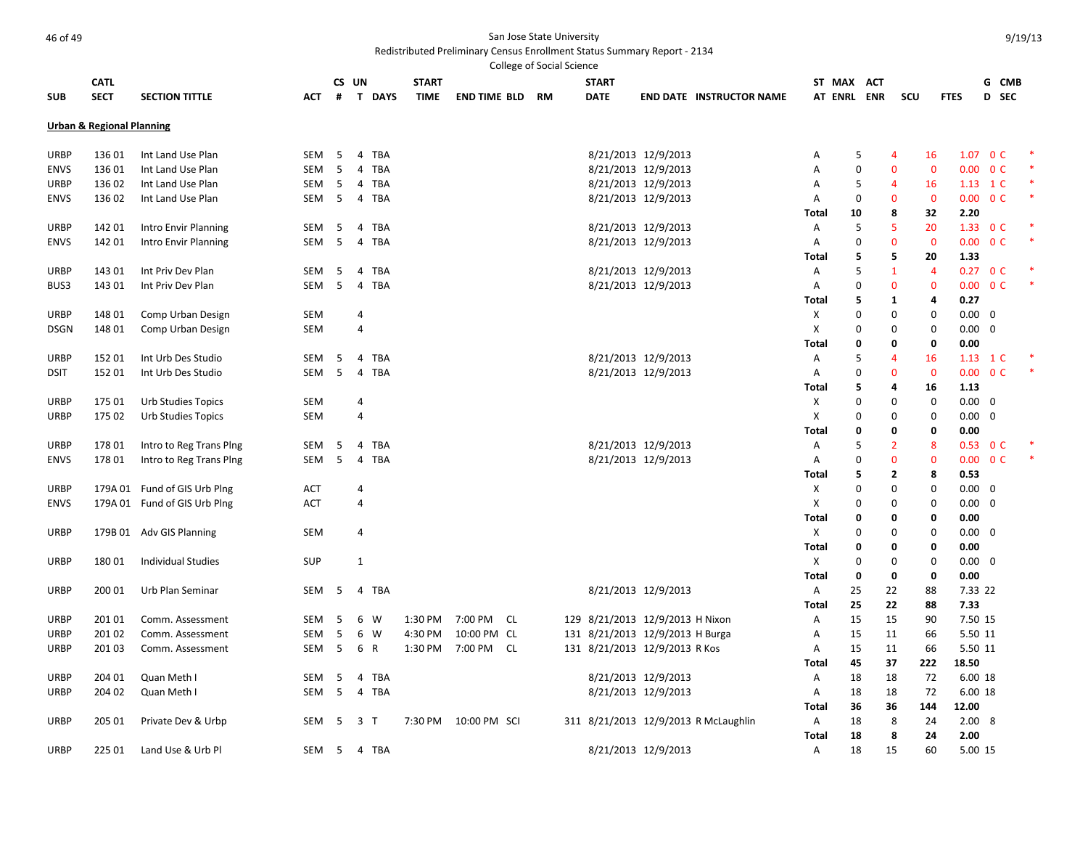|             |                                      |                              |            |     |                              |              |                     |     | College of Social Science |              |                                 |                                      |            |                  |     |                |                |                        |                          |  |
|-------------|--------------------------------------|------------------------------|------------|-----|------------------------------|--------------|---------------------|-----|---------------------------|--------------|---------------------------------|--------------------------------------|------------|------------------|-----|----------------|----------------|------------------------|--------------------------|--|
|             | <b>CATL</b>                          |                              |            |     | CS UN                        | <b>START</b> |                     |     |                           | <b>START</b> |                                 |                                      |            | ST MAX ACT       |     |                |                |                        | G CMB                    |  |
| <b>SUB</b>  | <b>SECT</b>                          | <b>SECTION TITTLE</b>        | АСТ        | #   | T DAYS                       | TIME         | <b>END TIME BLD</b> |     | RM                        | <b>DATE</b>  |                                 | <b>END DATE INSTRUCTOR NAME</b>      |            | <b>AT ENRL</b>   | ENR | SCU            | <b>FTES</b>    |                        | D SEC                    |  |
|             | <b>Urban &amp; Regional Planning</b> |                              |            |     |                              |              |                     |     |                           |              |                                 |                                      |            |                  |     |                |                |                        |                          |  |
|             |                                      |                              |            |     |                              |              |                     |     |                           |              |                                 |                                      |            |                  |     |                |                |                        |                          |  |
| URBP        | 136 01                               | Int Land Use Plan            | SEM        | 5   | TBA<br>$\overline{4}$        |              |                     |     |                           |              | 8/21/2013 12/9/2013             |                                      | A          | 5                |     | 4              | 16             |                        | 1.07 0 C                 |  |
| <b>ENVS</b> | 13601                                | Int Land Use Plan            | <b>SEM</b> | 5   | <b>TBA</b><br>$\overline{4}$ |              |                     |     |                           |              | 8/21/2013 12/9/2013             |                                      | Α          | $\mathbf 0$      |     | $\mathbf 0$    | $\mathbf{0}$   |                        | $0.00 \quad 0 \text{ C}$ |  |
| URBP        | 13602                                | Int Land Use Plan            | SEM        | 5   | <b>TBA</b><br>4              |              |                     |     |                           |              | 8/21/2013 12/9/2013             |                                      | Α          | 5                |     | 4              | 16             |                        | $1.13 \quad 1 \text{ C}$ |  |
| <b>ENVS</b> | 13602                                | Int Land Use Plan            | SEM        | -5  | <b>TBA</b><br>$\overline{4}$ |              |                     |     |                           |              | 8/21/2013 12/9/2013             |                                      | Α          | 0                |     | $\overline{0}$ | $\overline{0}$ |                        | $0.00 \t 0 C$            |  |
|             |                                      |                              |            |     |                              |              |                     |     |                           |              |                                 |                                      | Total      | 10               |     | 8              | 32             | 2.20                   |                          |  |
| URBP        | 142 01                               | Intro Envir Planning         | SEM        | 5   | <b>TBA</b><br>4              |              |                     |     |                           |              | 8/21/2013 12/9/2013             |                                      | Α          | 5                |     | 5              | 20             |                        | 1.33 $0C$                |  |
| <b>ENVS</b> | 142 01                               | Intro Envir Planning         | SEM        | 5   | 4<br>TBA                     |              |                     |     |                           |              | 8/21/2013 12/9/2013             |                                      | Α          | $\mathbf 0$      |     | $\mathbf 0$    | $\mathbf 0$    |                        | $0.00 \t 0 C$            |  |
|             |                                      |                              |            |     |                              |              |                     |     |                           |              |                                 |                                      | Total      | 5                |     | 5              | 20             | 1.33                   |                          |  |
| URBP        | 143 01                               | Int Priv Dev Plan            | SEM        | 5   | TBA<br>$\overline{4}$        |              |                     |     |                           |              | 8/21/2013 12/9/2013             |                                      | Α          | 5                |     | $\mathbf{1}$   | $\overline{4}$ |                        | $0.27 \quad 0 \text{ C}$ |  |
| BUS3        | 143 01                               | Int Priv Dev Plan            | <b>SEM</b> | 5   | <b>TBA</b><br>4              |              |                     |     |                           |              | 8/21/2013 12/9/2013             |                                      | Α          | 0                |     | $\overline{0}$ | $\overline{0}$ |                        | $0.00 \quad 0 \text{ C}$ |  |
|             |                                      |                              |            |     |                              |              |                     |     |                           |              |                                 |                                      | Total      | 5                |     | 1              | 4              | 0.27                   |                          |  |
| <b>URBP</b> | 148 01                               | Comp Urban Design            | <b>SEM</b> |     | 4                            |              |                     |     |                           |              |                                 |                                      | Х          | 0                |     | 0              | 0              | $0.00 \quad 0$         |                          |  |
| <b>DSGN</b> | 148 01                               | Comp Urban Design            | <b>SEM</b> |     | $\overline{4}$               |              |                     |     |                           |              |                                 |                                      | X          | $\boldsymbol{0}$ |     | $\mathbf 0$    | $\mathbf 0$    | $0.00 \quad 0$         |                          |  |
|             |                                      |                              |            |     |                              |              |                     |     |                           |              |                                 |                                      | Total      | 0                |     | 0              | 0              | 0.00                   |                          |  |
| URBP        | 15201                                | Int Urb Des Studio           | <b>SEM</b> | 5   | $\overline{4}$<br>TBA        |              |                     |     |                           |              | 8/21/2013 12/9/2013             |                                      | Α          | 5                |     | $\overline{4}$ | 16             |                        | $1.13 \quad 1 \text{ C}$ |  |
| <b>DSIT</b> | 152 01                               | Int Urb Des Studio           | SEM        | -5  | $\overline{4}$<br><b>TBA</b> |              |                     |     |                           |              | 8/21/2013 12/9/2013             |                                      | Α          | 0                |     | $\overline{0}$ | $\overline{0}$ |                        | $0.00 \t 0 C$            |  |
|             |                                      |                              |            |     |                              |              |                     |     |                           |              |                                 |                                      | Total      | 5                |     | 4              | 16             | 1.13                   |                          |  |
| <b>URBP</b> | 175 01                               | Urb Studies Topics           | <b>SEM</b> |     | 4                            |              |                     |     |                           |              |                                 |                                      | Х          | $\Omega$         |     | 0              | 0              | $0.00 \quad 0$         |                          |  |
| URBP        | 175 02                               | Urb Studies Topics           | <b>SEM</b> |     | 4                            |              |                     |     |                           |              |                                 |                                      | Х          | 0                |     | 0              | 0              | $0.00 \quad 0$         |                          |  |
|             |                                      |                              |            |     |                              |              |                     |     |                           |              |                                 |                                      | Total      | 0                |     | 0              | 0              | 0.00                   |                          |  |
| URBP        | 17801                                | Intro to Reg Trans Ping      | SEM        | 5   | <b>TBA</b><br>$\overline{4}$ |              |                     |     |                           |              | 8/21/2013 12/9/2013             |                                      | A          | 5                |     | $\overline{2}$ | 8              |                        | $0.53 \quad 0 \text{ C}$ |  |
| <b>ENVS</b> | 17801                                | Intro to Reg Trans Ping      | <b>SEM</b> | 5   | <b>TBA</b><br>$\overline{4}$ |              |                     |     |                           |              | 8/21/2013 12/9/2013             |                                      | A          | $\mathbf 0$      |     | $\overline{0}$ | $\mathbf{0}$   |                        | $0.00 \quad 0 \text{ C}$ |  |
|             |                                      |                              |            |     |                              |              |                     |     |                           |              |                                 |                                      | Total      | 5                |     | $\overline{2}$ | 8              | 0.53                   |                          |  |
| <b>URBP</b> |                                      | 179A 01 Fund of GIS Urb Plng | ACT        |     | 4                            |              |                     |     |                           |              |                                 |                                      | х          | 0                |     | 0              | 0              | $0.00 \quad 0$         |                          |  |
| <b>ENVS</b> |                                      | 179A 01 Fund of GIS Urb Plng | <b>ACT</b> |     | $\overline{4}$               |              |                     |     |                           |              |                                 |                                      | X          | 0                |     | $\mathbf 0$    | $\mathbf 0$    | $0.00 \quad 0$         |                          |  |
|             |                                      |                              |            |     |                              |              |                     |     |                           |              |                                 |                                      | Total      | 0                |     | 0              | 0              | 0.00                   |                          |  |
| URBP        |                                      | 179B 01 Adv GIS Planning     | SEM        |     | 4                            |              |                     |     |                           |              |                                 |                                      | X          | $\Omega$         |     | 0              | 0              | $0.00 \quad 0$         |                          |  |
|             |                                      |                              |            |     |                              |              |                     |     |                           |              |                                 |                                      | Total      | 0                |     | 0              | 0              | 0.00                   |                          |  |
| URBP        | 18001                                | <b>Individual Studies</b>    | <b>SUP</b> |     | 1                            |              |                     |     |                           |              |                                 |                                      | Х          | 0<br>0           |     | 0<br>0         | 0<br>0         | $0.00 \quad 0$<br>0.00 |                          |  |
|             | 200 01                               | Urb Plan Seminar             | SEM        | 5   | TBA<br>4                     |              |                     |     |                           |              | 8/21/2013 12/9/2013             |                                      | Total<br>Α | 25               | 22  |                | 88             | 7.33 22                |                          |  |
| URBP        |                                      |                              |            |     |                              |              |                     |     |                           |              |                                 |                                      | Total      | 25               | 22  |                | 88             | 7.33                   |                          |  |
| URBP        | 201 01                               | Comm. Assessment             | SEM        | 5   | 6<br>W                       | 1:30 PM      | 7:00 PM             | CL. |                           |              | 129 8/21/2013 12/9/2013 H Nixon |                                      | Α          | 15               | 15  |                | 90             | 7.50 15                |                          |  |
| <b>URBP</b> | 20102                                | Comm. Assessment             | <b>SEM</b> | 5   | 6<br>W                       | 4:30 PM      | 10:00 PM CL         |     |                           |              | 131 8/21/2013 12/9/2013 H Burga |                                      | Α          | 15               | 11  |                | 66             | 5.50 11                |                          |  |
| URBP        | 201 03                               | Comm. Assessment             | SEM        | 5   | 6 R                          |              | 1:30 PM 7:00 PM     | CL  |                           |              | 131 8/21/2013 12/9/2013 R Kos   |                                      | Α          | 15               | 11  |                | 66             | 5.50 11                |                          |  |
|             |                                      |                              |            |     |                              |              |                     |     |                           |              |                                 |                                      | Total      | 45               | 37  | 222            | 18.50          |                        |                          |  |
| URBP        | 204 01                               | Quan Meth I                  | SEM        | 5   | <b>TBA</b><br>4              |              |                     |     |                           |              | 8/21/2013 12/9/2013             |                                      | Α          | 18               | 18  |                | 72             | 6.00 18                |                          |  |
| URBP        | 204 02                               | Quan Meth I                  | <b>SEM</b> | 5   | TBA<br>4                     |              |                     |     |                           |              | 8/21/2013 12/9/2013             |                                      | Α          | 18               | 18  |                | 72             | 6.00 18                |                          |  |
|             |                                      |                              |            |     |                              |              |                     |     |                           |              |                                 |                                      | Total      | 36               | 36  | 144            | 12.00          |                        |                          |  |
| URBP        | 205 01                               | Private Dev & Urbp           | SEM        | -5  | 3<br>$\mathsf{T}$            | 7:30 PM      | 10:00 PM SCI        |     |                           |              |                                 | 311 8/21/2013 12/9/2013 R McLaughlin | Α          | 18               |     | 8              | 24             | 2.008                  |                          |  |
|             |                                      |                              |            |     |                              |              |                     |     |                           |              |                                 |                                      | Total      | 18               |     | 8              | 24             | 2.00                   |                          |  |
| <b>URBP</b> | 225 01                               | Land Use & Urb Pl            | SEM        | - 5 | 4 TBA                        |              |                     |     |                           |              | 8/21/2013 12/9/2013             |                                      | A          | 18               | 15  |                | 60             | 5.00 15                |                          |  |
|             |                                      |                              |            |     |                              |              |                     |     |                           |              |                                 |                                      |            |                  |     |                |                |                        |                          |  |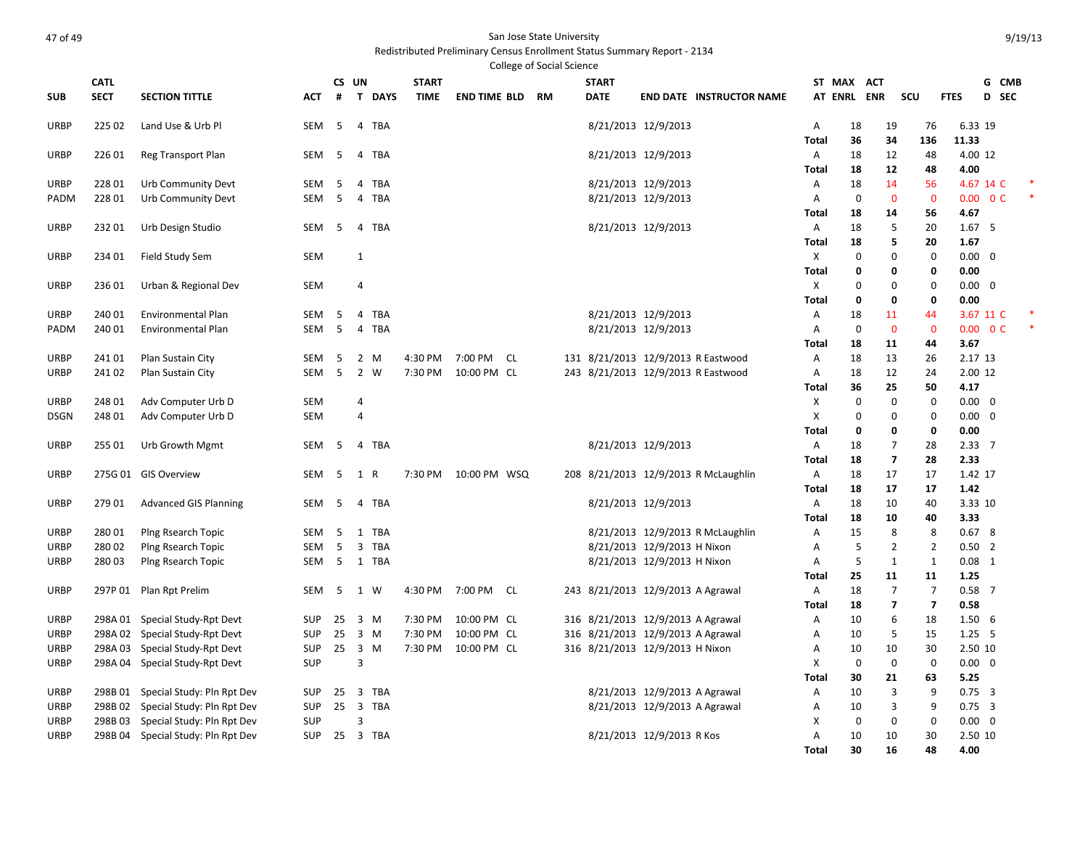| <b>CATL</b><br>CS UN<br><b>START</b><br><b>START</b><br>ST MAX ACT<br>G CMB<br><b>SECT</b><br><b>DAYS</b><br><b>DATE</b><br>AT ENRL ENR<br>scu<br><b>FTES</b><br>D SEC<br><b>SUB</b><br><b>SECTION TITTLE</b><br>#<br>$\mathsf{T}$<br><b>TIME</b><br><b>END TIME BLD</b><br><b>RM</b><br><b>END DATE INSTRUCTOR NAME</b><br>АСТ<br><b>URBP</b><br>225 02<br>Land Use & Urb Pl<br><b>SEM</b><br>5<br>4 TBA<br>8/21/2013 12/9/2013<br>18<br>19<br>76<br>6.33 19<br>Α<br>11.33<br>36<br>34<br>136<br>Total<br>8/21/2013 12/9/2013<br>4.00 12<br><b>URBP</b><br>226 01<br>Reg Transport Plan<br>SEM<br>- 5<br>Α<br>18<br>12<br>48<br>4<br>TBA<br>12<br>4.00<br><b>Total</b><br>18<br>48<br>228 01<br>Urb Community Devt<br>8/21/2013 12/9/2013<br>14<br>56<br>4.67 14 C<br>URBP<br><b>SEM</b><br>- 5<br>4<br>TBA<br>Α<br>18<br>8/21/2013 12/9/2013<br>$0.00 \t 0 C$<br>22801<br>Urb Community Devt<br><b>SEM</b><br>- 5<br><b>TBA</b><br>$\mathbf 0$<br>$\mathbf{0}$<br>$\mathbf{0}$<br>PADM<br>$\overline{4}$<br>A<br>4.67<br>56<br>Total<br>18<br>14<br>8/21/2013 12/9/2013<br>5<br>1.67 <sub>5</sub><br><b>URBP</b><br>23201<br>Urb Design Studio<br>SEM<br>- 5<br>4<br><b>TBA</b><br>Α<br>18<br>20<br>5<br>20<br>1.67<br><b>Total</b><br>18<br><b>URBP</b><br><b>SEM</b><br>X<br>$\mathbf 0$<br>$\mathbf 0$<br>$\mathbf 0$<br>$0.00 \quad 0$<br>234 01<br>Field Study Sem<br>1<br>$\mathbf 0$<br>0.00<br><b>Total</b><br>0<br>0<br>Χ<br>$\mathbf 0$<br><b>URBP</b><br>Urban & Regional Dev<br><b>SEM</b><br>$\Omega$<br>0<br>$0.00 \quad 0$<br>23601<br>4<br>$\mathbf 0$<br>0.00<br><b>Total</b><br>0<br>0<br>8/21/2013 12/9/2013<br>3.67 11 C<br><b>URBP</b><br>240 01<br><b>Environmental Plan</b><br>SEM<br>- 5<br>$\overline{4}$<br><b>TBA</b><br>Α<br>18<br>11<br>44<br>8/21/2013 12/9/2013<br>$0.00 \quad 0 \text{ C}$<br>240 01<br><b>Environmental Plan</b><br><b>SEM</b><br>-5<br><b>TBA</b><br>$\mathbf 0$<br>$\mathbf{0}$<br>$\mathbf{0}$<br>PADM<br>4<br>Α<br>11<br>44<br>3.67<br>Total<br>18<br>24101<br>Plan Sustain City<br><b>SEM</b><br>- 5<br>$\overline{2}$<br>4:30 PM<br>7:00 PM<br>CL.<br>131 8/21/2013 12/9/2013 R Eastwood<br>Α<br>18<br>13<br>26<br>2.17 13<br>URBP<br>M<br>5<br>$\overline{2}$<br>7:30 PM<br>243 8/21/2013 12/9/2013 R Eastwood<br>12<br>2.00 12<br><b>URBP</b><br>241 02<br>Plan Sustain City<br>SEM<br>W<br>10:00 PM CL<br>Α<br>18<br>24<br>25<br>50<br>4.17<br>Total<br>36<br>$0.00 \quad 0$<br>248 01<br>Adv Computer Urb D<br><b>SEM</b><br>X<br>$\mathbf 0$<br>$\mathbf 0$<br>$\mathbf 0$<br><b>URBP</b><br>$\overline{4}$<br>X<br>$0.00 \quad 0$<br><b>DSGN</b><br>248 01<br>Adv Computer Urb D<br><b>SEM</b><br>$\overline{4}$<br>$\Omega$<br>0<br>$\Omega$<br>0.00<br>Total<br>0<br>0<br>0<br>Urb Growth Mgmt<br>8/21/2013 12/9/2013<br>$\overline{7}$<br>2.3377<br><b>URBP</b><br>255 01<br>SEM<br>- 5<br>4 TBA<br>Α<br>18<br>28<br>$\overline{7}$<br>28<br>2.33<br><b>Total</b><br>18<br>208 8/21/2013 12/9/2013 R McLaughlin<br>17<br>1.42 17<br>URBP<br>275G 01 GIS Overview<br>SEM<br>- 5<br>1<br>R<br>7:30 PM<br>10:00 PM WSQ<br>Α<br>18<br>17<br>17<br>17<br>1.42<br>Total<br>18<br><b>TBA</b><br>8/21/2013 12/9/2013<br>10<br>3.33 10<br><b>URBP</b><br>27901<br><b>Advanced GIS Planning</b><br>SEM<br>5<br>Α<br>18<br>40<br>4<br>3.33<br><b>Total</b><br>18<br>10<br>40<br>Plng Rsearch Topic<br>8/21/2013 12/9/2013 R McLaughlin<br>8<br>8<br>0.678<br><b>URBP</b><br>28001<br><b>SEM</b><br>- 5<br>1<br><b>TBA</b><br>Α<br>15<br>8/21/2013 12/9/2013 H Nixon<br>28002<br>Plng Rsearch Topic<br><b>SEM</b><br>- 5<br>3<br><b>TBA</b><br>5<br>$\overline{2}$<br>$\overline{2}$<br>$0.50$ 2<br>URBP<br>Α<br>$0.08$ 1<br>28003<br>Plng Rsearch Topic<br>5<br>1 TBA<br>8/21/2013 12/9/2013 H Nixon<br>5<br>$\mathbf{1}$<br>1<br>URBP<br>SEM<br>Α<br>11<br>1.25<br>25<br>11<br>Total<br>243 8/21/2013 12/9/2013 A Agrawal<br>$\overline{7}$<br>$\overline{7}$<br>$0.58$ 7<br><b>URBP</b><br>297P 01 Plan Rpt Prelim<br>SEM<br>- 5<br>1 W<br>4:30 PM<br>7:00 PM CL<br>Α<br>18<br>$\overline{\mathbf{z}}$<br>$\overline{7}$<br>0.58<br><b>Total</b><br>18<br>316 8/21/2013 12/9/2013 A Agrawal<br><b>URBP</b><br>298A 01 Special Study-Rpt Devt<br><b>SUP</b><br>25<br>$\overline{3}$<br>7:30 PM<br>10:00 PM CL<br>Α<br>10<br>6<br>18<br>1.506<br>M<br>298A 02 Special Study-Rpt Devt<br>316 8/21/2013 12/9/2013 A Agrawal<br>5<br>$1.25$ 5<br><b>URBP</b><br><b>SUP</b><br>25<br>$\overline{\mathbf{3}}$<br>M<br>7:30 PM<br>10:00 PM CL<br>15<br>Α<br>10<br>298A 03 Special Study-Rpt Devt<br>25<br>$\overline{\mathbf{3}}$<br>M<br>316 8/21/2013 12/9/2013 H Nixon<br>2.50 10<br><b>SUP</b><br>7:30 PM<br>10:00 PM CL<br>10<br>30<br>URBP<br>Α<br>10<br>298A 04 Special Study-Rpt Devt<br>SUP<br>3<br>X<br>$\mathbf 0$<br>$\mathbf 0$<br>$0.00 \quad 0$<br><b>URBP</b><br>$\mathbf 0$<br>5.25<br><b>Total</b><br>30<br>21<br>63<br>8/21/2013 12/9/2013 A Agrawal<br>$\overline{3}$<br>298B 01 Special Study: Pln Rpt Dev<br><b>TBA</b><br>q<br>$0.75 \quad 3$<br><b>URBP</b><br><b>SUP</b><br>25<br>3<br>Α<br>10<br>$\overline{\mathbf{3}}$<br>3<br>$0.75 - 3$<br>298B02<br>Special Study: Pln Rpt Dev<br><b>SUP</b><br>25<br><b>TBA</b><br>8/21/2013 12/9/2013 A Agrawal<br>9<br>URBP<br>Α<br>10<br>$\mathbf 0$<br>$0.00 \quad 0$<br><b>URBP</b><br>298B03<br>Special Study: Pln Rpt Dev<br><b>SUP</b><br>3<br>X<br>$\mathbf 0$<br>$\mathbf 0$<br>8/21/2013 12/9/2013 R Kos<br>A<br>10<br>30<br>2.50 10<br><b>URBP</b><br>298B 04 Special Study: Pln Rpt Dev<br><b>SUP</b><br>25 3 TBA<br>10<br>30<br>16<br>48<br>4.00 |  |  |  |  | <b>College of Social Science</b> |  |              |  |  |  |
|---------------------------------------------------------------------------------------------------------------------------------------------------------------------------------------------------------------------------------------------------------------------------------------------------------------------------------------------------------------------------------------------------------------------------------------------------------------------------------------------------------------------------------------------------------------------------------------------------------------------------------------------------------------------------------------------------------------------------------------------------------------------------------------------------------------------------------------------------------------------------------------------------------------------------------------------------------------------------------------------------------------------------------------------------------------------------------------------------------------------------------------------------------------------------------------------------------------------------------------------------------------------------------------------------------------------------------------------------------------------------------------------------------------------------------------------------------------------------------------------------------------------------------------------------------------------------------------------------------------------------------------------------------------------------------------------------------------------------------------------------------------------------------------------------------------------------------------------------------------------------------------------------------------------------------------------------------------------------------------------------------------------------------------------------------------------------------------------------------------------------------------------------------------------------------------------------------------------------------------------------------------------------------------------------------------------------------------------------------------------------------------------------------------------------------------------------------------------------------------------------------------------------------------------------------------------------------------------------------------------------------------------------------------------------------------------------------------------------------------------------------------------------------------------------------------------------------------------------------------------------------------------------------------------------------------------------------------------------------------------------------------------------------------------------------------------------------------------------------------------------------------------------------------------------------------------------------------------------------------------------------------------------------------------------------------------------------------------------------------------------------------------------------------------------------------------------------------------------------------------------------------------------------------------------------------------------------------------------------------------------------------------------------------------------------------------------------------------------------------------------------------------------------------------------------------------------------------------------------------------------------------------------------------------------------------------------------------------------------------------------------------------------------------------------------------------------------------------------------------------------------------------------------------------------------------------------------------------------------------------------------------------------------------------------------------------------------------------------------------------------------------------------------------------------------------------------------------------------------------------------------------------------------------------------------------------------------------------------------------------------------------------------------------------------------------------------------------------------------------------------------------------------------------------------------------------------------------------------------------------------------------------------------------------------------------------------------------------------------------------------------------------------------------------------------------------------------------------------------------------------------------------------------------------------------------------------------------------------------------------------------------------------------------------------------------------------------------------------------------------------------------------------------------------------------------------------------------------------------------------------------------------------------------------------------------------------------|--|--|--|--|----------------------------------|--|--------------|--|--|--|
|                                                                                                                                                                                                                                                                                                                                                                                                                                                                                                                                                                                                                                                                                                                                                                                                                                                                                                                                                                                                                                                                                                                                                                                                                                                                                                                                                                                                                                                                                                                                                                                                                                                                                                                                                                                                                                                                                                                                                                                                                                                                                                                                                                                                                                                                                                                                                                                                                                                                                                                                                                                                                                                                                                                                                                                                                                                                                                                                                                                                                                                                                                                                                                                                                                                                                                                                                                                                                                                                                                                                                                                                                                                                                                                                                                                                                                                                                                                                                                                                                                                                                                                                                                                                                                                                                                                                                                                                                                                                                                                                                                                                                                                                                                                                                                                                                                                                                                                                                                                                                                                                                                                                                                                                                                                                                                                                                                                                                                                                                                                                                                                 |  |  |  |  |                                  |  |              |  |  |  |
|                                                                                                                                                                                                                                                                                                                                                                                                                                                                                                                                                                                                                                                                                                                                                                                                                                                                                                                                                                                                                                                                                                                                                                                                                                                                                                                                                                                                                                                                                                                                                                                                                                                                                                                                                                                                                                                                                                                                                                                                                                                                                                                                                                                                                                                                                                                                                                                                                                                                                                                                                                                                                                                                                                                                                                                                                                                                                                                                                                                                                                                                                                                                                                                                                                                                                                                                                                                                                                                                                                                                                                                                                                                                                                                                                                                                                                                                                                                                                                                                                                                                                                                                                                                                                                                                                                                                                                                                                                                                                                                                                                                                                                                                                                                                                                                                                                                                                                                                                                                                                                                                                                                                                                                                                                                                                                                                                                                                                                                                                                                                                                                 |  |  |  |  |                                  |  |              |  |  |  |
|                                                                                                                                                                                                                                                                                                                                                                                                                                                                                                                                                                                                                                                                                                                                                                                                                                                                                                                                                                                                                                                                                                                                                                                                                                                                                                                                                                                                                                                                                                                                                                                                                                                                                                                                                                                                                                                                                                                                                                                                                                                                                                                                                                                                                                                                                                                                                                                                                                                                                                                                                                                                                                                                                                                                                                                                                                                                                                                                                                                                                                                                                                                                                                                                                                                                                                                                                                                                                                                                                                                                                                                                                                                                                                                                                                                                                                                                                                                                                                                                                                                                                                                                                                                                                                                                                                                                                                                                                                                                                                                                                                                                                                                                                                                                                                                                                                                                                                                                                                                                                                                                                                                                                                                                                                                                                                                                                                                                                                                                                                                                                                                 |  |  |  |  |                                  |  |              |  |  |  |
|                                                                                                                                                                                                                                                                                                                                                                                                                                                                                                                                                                                                                                                                                                                                                                                                                                                                                                                                                                                                                                                                                                                                                                                                                                                                                                                                                                                                                                                                                                                                                                                                                                                                                                                                                                                                                                                                                                                                                                                                                                                                                                                                                                                                                                                                                                                                                                                                                                                                                                                                                                                                                                                                                                                                                                                                                                                                                                                                                                                                                                                                                                                                                                                                                                                                                                                                                                                                                                                                                                                                                                                                                                                                                                                                                                                                                                                                                                                                                                                                                                                                                                                                                                                                                                                                                                                                                                                                                                                                                                                                                                                                                                                                                                                                                                                                                                                                                                                                                                                                                                                                                                                                                                                                                                                                                                                                                                                                                                                                                                                                                                                 |  |  |  |  |                                  |  |              |  |  |  |
|                                                                                                                                                                                                                                                                                                                                                                                                                                                                                                                                                                                                                                                                                                                                                                                                                                                                                                                                                                                                                                                                                                                                                                                                                                                                                                                                                                                                                                                                                                                                                                                                                                                                                                                                                                                                                                                                                                                                                                                                                                                                                                                                                                                                                                                                                                                                                                                                                                                                                                                                                                                                                                                                                                                                                                                                                                                                                                                                                                                                                                                                                                                                                                                                                                                                                                                                                                                                                                                                                                                                                                                                                                                                                                                                                                                                                                                                                                                                                                                                                                                                                                                                                                                                                                                                                                                                                                                                                                                                                                                                                                                                                                                                                                                                                                                                                                                                                                                                                                                                                                                                                                                                                                                                                                                                                                                                                                                                                                                                                                                                                                                 |  |  |  |  |                                  |  |              |  |  |  |
|                                                                                                                                                                                                                                                                                                                                                                                                                                                                                                                                                                                                                                                                                                                                                                                                                                                                                                                                                                                                                                                                                                                                                                                                                                                                                                                                                                                                                                                                                                                                                                                                                                                                                                                                                                                                                                                                                                                                                                                                                                                                                                                                                                                                                                                                                                                                                                                                                                                                                                                                                                                                                                                                                                                                                                                                                                                                                                                                                                                                                                                                                                                                                                                                                                                                                                                                                                                                                                                                                                                                                                                                                                                                                                                                                                                                                                                                                                                                                                                                                                                                                                                                                                                                                                                                                                                                                                                                                                                                                                                                                                                                                                                                                                                                                                                                                                                                                                                                                                                                                                                                                                                                                                                                                                                                                                                                                                                                                                                                                                                                                                                 |  |  |  |  |                                  |  |              |  |  |  |
|                                                                                                                                                                                                                                                                                                                                                                                                                                                                                                                                                                                                                                                                                                                                                                                                                                                                                                                                                                                                                                                                                                                                                                                                                                                                                                                                                                                                                                                                                                                                                                                                                                                                                                                                                                                                                                                                                                                                                                                                                                                                                                                                                                                                                                                                                                                                                                                                                                                                                                                                                                                                                                                                                                                                                                                                                                                                                                                                                                                                                                                                                                                                                                                                                                                                                                                                                                                                                                                                                                                                                                                                                                                                                                                                                                                                                                                                                                                                                                                                                                                                                                                                                                                                                                                                                                                                                                                                                                                                                                                                                                                                                                                                                                                                                                                                                                                                                                                                                                                                                                                                                                                                                                                                                                                                                                                                                                                                                                                                                                                                                                                 |  |  |  |  |                                  |  |              |  |  |  |
|                                                                                                                                                                                                                                                                                                                                                                                                                                                                                                                                                                                                                                                                                                                                                                                                                                                                                                                                                                                                                                                                                                                                                                                                                                                                                                                                                                                                                                                                                                                                                                                                                                                                                                                                                                                                                                                                                                                                                                                                                                                                                                                                                                                                                                                                                                                                                                                                                                                                                                                                                                                                                                                                                                                                                                                                                                                                                                                                                                                                                                                                                                                                                                                                                                                                                                                                                                                                                                                                                                                                                                                                                                                                                                                                                                                                                                                                                                                                                                                                                                                                                                                                                                                                                                                                                                                                                                                                                                                                                                                                                                                                                                                                                                                                                                                                                                                                                                                                                                                                                                                                                                                                                                                                                                                                                                                                                                                                                                                                                                                                                                                 |  |  |  |  |                                  |  |              |  |  |  |
|                                                                                                                                                                                                                                                                                                                                                                                                                                                                                                                                                                                                                                                                                                                                                                                                                                                                                                                                                                                                                                                                                                                                                                                                                                                                                                                                                                                                                                                                                                                                                                                                                                                                                                                                                                                                                                                                                                                                                                                                                                                                                                                                                                                                                                                                                                                                                                                                                                                                                                                                                                                                                                                                                                                                                                                                                                                                                                                                                                                                                                                                                                                                                                                                                                                                                                                                                                                                                                                                                                                                                                                                                                                                                                                                                                                                                                                                                                                                                                                                                                                                                                                                                                                                                                                                                                                                                                                                                                                                                                                                                                                                                                                                                                                                                                                                                                                                                                                                                                                                                                                                                                                                                                                                                                                                                                                                                                                                                                                                                                                                                                                 |  |  |  |  |                                  |  |              |  |  |  |
|                                                                                                                                                                                                                                                                                                                                                                                                                                                                                                                                                                                                                                                                                                                                                                                                                                                                                                                                                                                                                                                                                                                                                                                                                                                                                                                                                                                                                                                                                                                                                                                                                                                                                                                                                                                                                                                                                                                                                                                                                                                                                                                                                                                                                                                                                                                                                                                                                                                                                                                                                                                                                                                                                                                                                                                                                                                                                                                                                                                                                                                                                                                                                                                                                                                                                                                                                                                                                                                                                                                                                                                                                                                                                                                                                                                                                                                                                                                                                                                                                                                                                                                                                                                                                                                                                                                                                                                                                                                                                                                                                                                                                                                                                                                                                                                                                                                                                                                                                                                                                                                                                                                                                                                                                                                                                                                                                                                                                                                                                                                                                                                 |  |  |  |  |                                  |  |              |  |  |  |
|                                                                                                                                                                                                                                                                                                                                                                                                                                                                                                                                                                                                                                                                                                                                                                                                                                                                                                                                                                                                                                                                                                                                                                                                                                                                                                                                                                                                                                                                                                                                                                                                                                                                                                                                                                                                                                                                                                                                                                                                                                                                                                                                                                                                                                                                                                                                                                                                                                                                                                                                                                                                                                                                                                                                                                                                                                                                                                                                                                                                                                                                                                                                                                                                                                                                                                                                                                                                                                                                                                                                                                                                                                                                                                                                                                                                                                                                                                                                                                                                                                                                                                                                                                                                                                                                                                                                                                                                                                                                                                                                                                                                                                                                                                                                                                                                                                                                                                                                                                                                                                                                                                                                                                                                                                                                                                                                                                                                                                                                                                                                                                                 |  |  |  |  |                                  |  |              |  |  |  |
|                                                                                                                                                                                                                                                                                                                                                                                                                                                                                                                                                                                                                                                                                                                                                                                                                                                                                                                                                                                                                                                                                                                                                                                                                                                                                                                                                                                                                                                                                                                                                                                                                                                                                                                                                                                                                                                                                                                                                                                                                                                                                                                                                                                                                                                                                                                                                                                                                                                                                                                                                                                                                                                                                                                                                                                                                                                                                                                                                                                                                                                                                                                                                                                                                                                                                                                                                                                                                                                                                                                                                                                                                                                                                                                                                                                                                                                                                                                                                                                                                                                                                                                                                                                                                                                                                                                                                                                                                                                                                                                                                                                                                                                                                                                                                                                                                                                                                                                                                                                                                                                                                                                                                                                                                                                                                                                                                                                                                                                                                                                                                                                 |  |  |  |  |                                  |  |              |  |  |  |
|                                                                                                                                                                                                                                                                                                                                                                                                                                                                                                                                                                                                                                                                                                                                                                                                                                                                                                                                                                                                                                                                                                                                                                                                                                                                                                                                                                                                                                                                                                                                                                                                                                                                                                                                                                                                                                                                                                                                                                                                                                                                                                                                                                                                                                                                                                                                                                                                                                                                                                                                                                                                                                                                                                                                                                                                                                                                                                                                                                                                                                                                                                                                                                                                                                                                                                                                                                                                                                                                                                                                                                                                                                                                                                                                                                                                                                                                                                                                                                                                                                                                                                                                                                                                                                                                                                                                                                                                                                                                                                                                                                                                                                                                                                                                                                                                                                                                                                                                                                                                                                                                                                                                                                                                                                                                                                                                                                                                                                                                                                                                                                                 |  |  |  |  |                                  |  |              |  |  |  |
|                                                                                                                                                                                                                                                                                                                                                                                                                                                                                                                                                                                                                                                                                                                                                                                                                                                                                                                                                                                                                                                                                                                                                                                                                                                                                                                                                                                                                                                                                                                                                                                                                                                                                                                                                                                                                                                                                                                                                                                                                                                                                                                                                                                                                                                                                                                                                                                                                                                                                                                                                                                                                                                                                                                                                                                                                                                                                                                                                                                                                                                                                                                                                                                                                                                                                                                                                                                                                                                                                                                                                                                                                                                                                                                                                                                                                                                                                                                                                                                                                                                                                                                                                                                                                                                                                                                                                                                                                                                                                                                                                                                                                                                                                                                                                                                                                                                                                                                                                                                                                                                                                                                                                                                                                                                                                                                                                                                                                                                                                                                                                                                 |  |  |  |  |                                  |  |              |  |  |  |
|                                                                                                                                                                                                                                                                                                                                                                                                                                                                                                                                                                                                                                                                                                                                                                                                                                                                                                                                                                                                                                                                                                                                                                                                                                                                                                                                                                                                                                                                                                                                                                                                                                                                                                                                                                                                                                                                                                                                                                                                                                                                                                                                                                                                                                                                                                                                                                                                                                                                                                                                                                                                                                                                                                                                                                                                                                                                                                                                                                                                                                                                                                                                                                                                                                                                                                                                                                                                                                                                                                                                                                                                                                                                                                                                                                                                                                                                                                                                                                                                                                                                                                                                                                                                                                                                                                                                                                                                                                                                                                                                                                                                                                                                                                                                                                                                                                                                                                                                                                                                                                                                                                                                                                                                                                                                                                                                                                                                                                                                                                                                                                                 |  |  |  |  |                                  |  |              |  |  |  |
|                                                                                                                                                                                                                                                                                                                                                                                                                                                                                                                                                                                                                                                                                                                                                                                                                                                                                                                                                                                                                                                                                                                                                                                                                                                                                                                                                                                                                                                                                                                                                                                                                                                                                                                                                                                                                                                                                                                                                                                                                                                                                                                                                                                                                                                                                                                                                                                                                                                                                                                                                                                                                                                                                                                                                                                                                                                                                                                                                                                                                                                                                                                                                                                                                                                                                                                                                                                                                                                                                                                                                                                                                                                                                                                                                                                                                                                                                                                                                                                                                                                                                                                                                                                                                                                                                                                                                                                                                                                                                                                                                                                                                                                                                                                                                                                                                                                                                                                                                                                                                                                                                                                                                                                                                                                                                                                                                                                                                                                                                                                                                                                 |  |  |  |  |                                  |  |              |  |  |  |
|                                                                                                                                                                                                                                                                                                                                                                                                                                                                                                                                                                                                                                                                                                                                                                                                                                                                                                                                                                                                                                                                                                                                                                                                                                                                                                                                                                                                                                                                                                                                                                                                                                                                                                                                                                                                                                                                                                                                                                                                                                                                                                                                                                                                                                                                                                                                                                                                                                                                                                                                                                                                                                                                                                                                                                                                                                                                                                                                                                                                                                                                                                                                                                                                                                                                                                                                                                                                                                                                                                                                                                                                                                                                                                                                                                                                                                                                                                                                                                                                                                                                                                                                                                                                                                                                                                                                                                                                                                                                                                                                                                                                                                                                                                                                                                                                                                                                                                                                                                                                                                                                                                                                                                                                                                                                                                                                                                                                                                                                                                                                                                                 |  |  |  |  |                                  |  |              |  |  |  |
|                                                                                                                                                                                                                                                                                                                                                                                                                                                                                                                                                                                                                                                                                                                                                                                                                                                                                                                                                                                                                                                                                                                                                                                                                                                                                                                                                                                                                                                                                                                                                                                                                                                                                                                                                                                                                                                                                                                                                                                                                                                                                                                                                                                                                                                                                                                                                                                                                                                                                                                                                                                                                                                                                                                                                                                                                                                                                                                                                                                                                                                                                                                                                                                                                                                                                                                                                                                                                                                                                                                                                                                                                                                                                                                                                                                                                                                                                                                                                                                                                                                                                                                                                                                                                                                                                                                                                                                                                                                                                                                                                                                                                                                                                                                                                                                                                                                                                                                                                                                                                                                                                                                                                                                                                                                                                                                                                                                                                                                                                                                                                                                 |  |  |  |  |                                  |  |              |  |  |  |
|                                                                                                                                                                                                                                                                                                                                                                                                                                                                                                                                                                                                                                                                                                                                                                                                                                                                                                                                                                                                                                                                                                                                                                                                                                                                                                                                                                                                                                                                                                                                                                                                                                                                                                                                                                                                                                                                                                                                                                                                                                                                                                                                                                                                                                                                                                                                                                                                                                                                                                                                                                                                                                                                                                                                                                                                                                                                                                                                                                                                                                                                                                                                                                                                                                                                                                                                                                                                                                                                                                                                                                                                                                                                                                                                                                                                                                                                                                                                                                                                                                                                                                                                                                                                                                                                                                                                                                                                                                                                                                                                                                                                                                                                                                                                                                                                                                                                                                                                                                                                                                                                                                                                                                                                                                                                                                                                                                                                                                                                                                                                                                                 |  |  |  |  |                                  |  |              |  |  |  |
|                                                                                                                                                                                                                                                                                                                                                                                                                                                                                                                                                                                                                                                                                                                                                                                                                                                                                                                                                                                                                                                                                                                                                                                                                                                                                                                                                                                                                                                                                                                                                                                                                                                                                                                                                                                                                                                                                                                                                                                                                                                                                                                                                                                                                                                                                                                                                                                                                                                                                                                                                                                                                                                                                                                                                                                                                                                                                                                                                                                                                                                                                                                                                                                                                                                                                                                                                                                                                                                                                                                                                                                                                                                                                                                                                                                                                                                                                                                                                                                                                                                                                                                                                                                                                                                                                                                                                                                                                                                                                                                                                                                                                                                                                                                                                                                                                                                                                                                                                                                                                                                                                                                                                                                                                                                                                                                                                                                                                                                                                                                                                                                 |  |  |  |  |                                  |  |              |  |  |  |
|                                                                                                                                                                                                                                                                                                                                                                                                                                                                                                                                                                                                                                                                                                                                                                                                                                                                                                                                                                                                                                                                                                                                                                                                                                                                                                                                                                                                                                                                                                                                                                                                                                                                                                                                                                                                                                                                                                                                                                                                                                                                                                                                                                                                                                                                                                                                                                                                                                                                                                                                                                                                                                                                                                                                                                                                                                                                                                                                                                                                                                                                                                                                                                                                                                                                                                                                                                                                                                                                                                                                                                                                                                                                                                                                                                                                                                                                                                                                                                                                                                                                                                                                                                                                                                                                                                                                                                                                                                                                                                                                                                                                                                                                                                                                                                                                                                                                                                                                                                                                                                                                                                                                                                                                                                                                                                                                                                                                                                                                                                                                                                                 |  |  |  |  |                                  |  |              |  |  |  |
|                                                                                                                                                                                                                                                                                                                                                                                                                                                                                                                                                                                                                                                                                                                                                                                                                                                                                                                                                                                                                                                                                                                                                                                                                                                                                                                                                                                                                                                                                                                                                                                                                                                                                                                                                                                                                                                                                                                                                                                                                                                                                                                                                                                                                                                                                                                                                                                                                                                                                                                                                                                                                                                                                                                                                                                                                                                                                                                                                                                                                                                                                                                                                                                                                                                                                                                                                                                                                                                                                                                                                                                                                                                                                                                                                                                                                                                                                                                                                                                                                                                                                                                                                                                                                                                                                                                                                                                                                                                                                                                                                                                                                                                                                                                                                                                                                                                                                                                                                                                                                                                                                                                                                                                                                                                                                                                                                                                                                                                                                                                                                                                 |  |  |  |  |                                  |  |              |  |  |  |
|                                                                                                                                                                                                                                                                                                                                                                                                                                                                                                                                                                                                                                                                                                                                                                                                                                                                                                                                                                                                                                                                                                                                                                                                                                                                                                                                                                                                                                                                                                                                                                                                                                                                                                                                                                                                                                                                                                                                                                                                                                                                                                                                                                                                                                                                                                                                                                                                                                                                                                                                                                                                                                                                                                                                                                                                                                                                                                                                                                                                                                                                                                                                                                                                                                                                                                                                                                                                                                                                                                                                                                                                                                                                                                                                                                                                                                                                                                                                                                                                                                                                                                                                                                                                                                                                                                                                                                                                                                                                                                                                                                                                                                                                                                                                                                                                                                                                                                                                                                                                                                                                                                                                                                                                                                                                                                                                                                                                                                                                                                                                                                                 |  |  |  |  |                                  |  |              |  |  |  |
|                                                                                                                                                                                                                                                                                                                                                                                                                                                                                                                                                                                                                                                                                                                                                                                                                                                                                                                                                                                                                                                                                                                                                                                                                                                                                                                                                                                                                                                                                                                                                                                                                                                                                                                                                                                                                                                                                                                                                                                                                                                                                                                                                                                                                                                                                                                                                                                                                                                                                                                                                                                                                                                                                                                                                                                                                                                                                                                                                                                                                                                                                                                                                                                                                                                                                                                                                                                                                                                                                                                                                                                                                                                                                                                                                                                                                                                                                                                                                                                                                                                                                                                                                                                                                                                                                                                                                                                                                                                                                                                                                                                                                                                                                                                                                                                                                                                                                                                                                                                                                                                                                                                                                                                                                                                                                                                                                                                                                                                                                                                                                                                 |  |  |  |  |                                  |  |              |  |  |  |
|                                                                                                                                                                                                                                                                                                                                                                                                                                                                                                                                                                                                                                                                                                                                                                                                                                                                                                                                                                                                                                                                                                                                                                                                                                                                                                                                                                                                                                                                                                                                                                                                                                                                                                                                                                                                                                                                                                                                                                                                                                                                                                                                                                                                                                                                                                                                                                                                                                                                                                                                                                                                                                                                                                                                                                                                                                                                                                                                                                                                                                                                                                                                                                                                                                                                                                                                                                                                                                                                                                                                                                                                                                                                                                                                                                                                                                                                                                                                                                                                                                                                                                                                                                                                                                                                                                                                                                                                                                                                                                                                                                                                                                                                                                                                                                                                                                                                                                                                                                                                                                                                                                                                                                                                                                                                                                                                                                                                                                                                                                                                                                                 |  |  |  |  |                                  |  |              |  |  |  |
|                                                                                                                                                                                                                                                                                                                                                                                                                                                                                                                                                                                                                                                                                                                                                                                                                                                                                                                                                                                                                                                                                                                                                                                                                                                                                                                                                                                                                                                                                                                                                                                                                                                                                                                                                                                                                                                                                                                                                                                                                                                                                                                                                                                                                                                                                                                                                                                                                                                                                                                                                                                                                                                                                                                                                                                                                                                                                                                                                                                                                                                                                                                                                                                                                                                                                                                                                                                                                                                                                                                                                                                                                                                                                                                                                                                                                                                                                                                                                                                                                                                                                                                                                                                                                                                                                                                                                                                                                                                                                                                                                                                                                                                                                                                                                                                                                                                                                                                                                                                                                                                                                                                                                                                                                                                                                                                                                                                                                                                                                                                                                                                 |  |  |  |  |                                  |  |              |  |  |  |
|                                                                                                                                                                                                                                                                                                                                                                                                                                                                                                                                                                                                                                                                                                                                                                                                                                                                                                                                                                                                                                                                                                                                                                                                                                                                                                                                                                                                                                                                                                                                                                                                                                                                                                                                                                                                                                                                                                                                                                                                                                                                                                                                                                                                                                                                                                                                                                                                                                                                                                                                                                                                                                                                                                                                                                                                                                                                                                                                                                                                                                                                                                                                                                                                                                                                                                                                                                                                                                                                                                                                                                                                                                                                                                                                                                                                                                                                                                                                                                                                                                                                                                                                                                                                                                                                                                                                                                                                                                                                                                                                                                                                                                                                                                                                                                                                                                                                                                                                                                                                                                                                                                                                                                                                                                                                                                                                                                                                                                                                                                                                                                                 |  |  |  |  |                                  |  |              |  |  |  |
|                                                                                                                                                                                                                                                                                                                                                                                                                                                                                                                                                                                                                                                                                                                                                                                                                                                                                                                                                                                                                                                                                                                                                                                                                                                                                                                                                                                                                                                                                                                                                                                                                                                                                                                                                                                                                                                                                                                                                                                                                                                                                                                                                                                                                                                                                                                                                                                                                                                                                                                                                                                                                                                                                                                                                                                                                                                                                                                                                                                                                                                                                                                                                                                                                                                                                                                                                                                                                                                                                                                                                                                                                                                                                                                                                                                                                                                                                                                                                                                                                                                                                                                                                                                                                                                                                                                                                                                                                                                                                                                                                                                                                                                                                                                                                                                                                                                                                                                                                                                                                                                                                                                                                                                                                                                                                                                                                                                                                                                                                                                                                                                 |  |  |  |  |                                  |  |              |  |  |  |
|                                                                                                                                                                                                                                                                                                                                                                                                                                                                                                                                                                                                                                                                                                                                                                                                                                                                                                                                                                                                                                                                                                                                                                                                                                                                                                                                                                                                                                                                                                                                                                                                                                                                                                                                                                                                                                                                                                                                                                                                                                                                                                                                                                                                                                                                                                                                                                                                                                                                                                                                                                                                                                                                                                                                                                                                                                                                                                                                                                                                                                                                                                                                                                                                                                                                                                                                                                                                                                                                                                                                                                                                                                                                                                                                                                                                                                                                                                                                                                                                                                                                                                                                                                                                                                                                                                                                                                                                                                                                                                                                                                                                                                                                                                                                                                                                                                                                                                                                                                                                                                                                                                                                                                                                                                                                                                                                                                                                                                                                                                                                                                                 |  |  |  |  |                                  |  |              |  |  |  |
|                                                                                                                                                                                                                                                                                                                                                                                                                                                                                                                                                                                                                                                                                                                                                                                                                                                                                                                                                                                                                                                                                                                                                                                                                                                                                                                                                                                                                                                                                                                                                                                                                                                                                                                                                                                                                                                                                                                                                                                                                                                                                                                                                                                                                                                                                                                                                                                                                                                                                                                                                                                                                                                                                                                                                                                                                                                                                                                                                                                                                                                                                                                                                                                                                                                                                                                                                                                                                                                                                                                                                                                                                                                                                                                                                                                                                                                                                                                                                                                                                                                                                                                                                                                                                                                                                                                                                                                                                                                                                                                                                                                                                                                                                                                                                                                                                                                                                                                                                                                                                                                                                                                                                                                                                                                                                                                                                                                                                                                                                                                                                                                 |  |  |  |  |                                  |  |              |  |  |  |
|                                                                                                                                                                                                                                                                                                                                                                                                                                                                                                                                                                                                                                                                                                                                                                                                                                                                                                                                                                                                                                                                                                                                                                                                                                                                                                                                                                                                                                                                                                                                                                                                                                                                                                                                                                                                                                                                                                                                                                                                                                                                                                                                                                                                                                                                                                                                                                                                                                                                                                                                                                                                                                                                                                                                                                                                                                                                                                                                                                                                                                                                                                                                                                                                                                                                                                                                                                                                                                                                                                                                                                                                                                                                                                                                                                                                                                                                                                                                                                                                                                                                                                                                                                                                                                                                                                                                                                                                                                                                                                                                                                                                                                                                                                                                                                                                                                                                                                                                                                                                                                                                                                                                                                                                                                                                                                                                                                                                                                                                                                                                                                                 |  |  |  |  |                                  |  |              |  |  |  |
|                                                                                                                                                                                                                                                                                                                                                                                                                                                                                                                                                                                                                                                                                                                                                                                                                                                                                                                                                                                                                                                                                                                                                                                                                                                                                                                                                                                                                                                                                                                                                                                                                                                                                                                                                                                                                                                                                                                                                                                                                                                                                                                                                                                                                                                                                                                                                                                                                                                                                                                                                                                                                                                                                                                                                                                                                                                                                                                                                                                                                                                                                                                                                                                                                                                                                                                                                                                                                                                                                                                                                                                                                                                                                                                                                                                                                                                                                                                                                                                                                                                                                                                                                                                                                                                                                                                                                                                                                                                                                                                                                                                                                                                                                                                                                                                                                                                                                                                                                                                                                                                                                                                                                                                                                                                                                                                                                                                                                                                                                                                                                                                 |  |  |  |  |                                  |  |              |  |  |  |
|                                                                                                                                                                                                                                                                                                                                                                                                                                                                                                                                                                                                                                                                                                                                                                                                                                                                                                                                                                                                                                                                                                                                                                                                                                                                                                                                                                                                                                                                                                                                                                                                                                                                                                                                                                                                                                                                                                                                                                                                                                                                                                                                                                                                                                                                                                                                                                                                                                                                                                                                                                                                                                                                                                                                                                                                                                                                                                                                                                                                                                                                                                                                                                                                                                                                                                                                                                                                                                                                                                                                                                                                                                                                                                                                                                                                                                                                                                                                                                                                                                                                                                                                                                                                                                                                                                                                                                                                                                                                                                                                                                                                                                                                                                                                                                                                                                                                                                                                                                                                                                                                                                                                                                                                                                                                                                                                                                                                                                                                                                                                                                                 |  |  |  |  |                                  |  |              |  |  |  |
|                                                                                                                                                                                                                                                                                                                                                                                                                                                                                                                                                                                                                                                                                                                                                                                                                                                                                                                                                                                                                                                                                                                                                                                                                                                                                                                                                                                                                                                                                                                                                                                                                                                                                                                                                                                                                                                                                                                                                                                                                                                                                                                                                                                                                                                                                                                                                                                                                                                                                                                                                                                                                                                                                                                                                                                                                                                                                                                                                                                                                                                                                                                                                                                                                                                                                                                                                                                                                                                                                                                                                                                                                                                                                                                                                                                                                                                                                                                                                                                                                                                                                                                                                                                                                                                                                                                                                                                                                                                                                                                                                                                                                                                                                                                                                                                                                                                                                                                                                                                                                                                                                                                                                                                                                                                                                                                                                                                                                                                                                                                                                                                 |  |  |  |  |                                  |  |              |  |  |  |
|                                                                                                                                                                                                                                                                                                                                                                                                                                                                                                                                                                                                                                                                                                                                                                                                                                                                                                                                                                                                                                                                                                                                                                                                                                                                                                                                                                                                                                                                                                                                                                                                                                                                                                                                                                                                                                                                                                                                                                                                                                                                                                                                                                                                                                                                                                                                                                                                                                                                                                                                                                                                                                                                                                                                                                                                                                                                                                                                                                                                                                                                                                                                                                                                                                                                                                                                                                                                                                                                                                                                                                                                                                                                                                                                                                                                                                                                                                                                                                                                                                                                                                                                                                                                                                                                                                                                                                                                                                                                                                                                                                                                                                                                                                                                                                                                                                                                                                                                                                                                                                                                                                                                                                                                                                                                                                                                                                                                                                                                                                                                                                                 |  |  |  |  |                                  |  |              |  |  |  |
|                                                                                                                                                                                                                                                                                                                                                                                                                                                                                                                                                                                                                                                                                                                                                                                                                                                                                                                                                                                                                                                                                                                                                                                                                                                                                                                                                                                                                                                                                                                                                                                                                                                                                                                                                                                                                                                                                                                                                                                                                                                                                                                                                                                                                                                                                                                                                                                                                                                                                                                                                                                                                                                                                                                                                                                                                                                                                                                                                                                                                                                                                                                                                                                                                                                                                                                                                                                                                                                                                                                                                                                                                                                                                                                                                                                                                                                                                                                                                                                                                                                                                                                                                                                                                                                                                                                                                                                                                                                                                                                                                                                                                                                                                                                                                                                                                                                                                                                                                                                                                                                                                                                                                                                                                                                                                                                                                                                                                                                                                                                                                                                 |  |  |  |  |                                  |  |              |  |  |  |
|                                                                                                                                                                                                                                                                                                                                                                                                                                                                                                                                                                                                                                                                                                                                                                                                                                                                                                                                                                                                                                                                                                                                                                                                                                                                                                                                                                                                                                                                                                                                                                                                                                                                                                                                                                                                                                                                                                                                                                                                                                                                                                                                                                                                                                                                                                                                                                                                                                                                                                                                                                                                                                                                                                                                                                                                                                                                                                                                                                                                                                                                                                                                                                                                                                                                                                                                                                                                                                                                                                                                                                                                                                                                                                                                                                                                                                                                                                                                                                                                                                                                                                                                                                                                                                                                                                                                                                                                                                                                                                                                                                                                                                                                                                                                                                                                                                                                                                                                                                                                                                                                                                                                                                                                                                                                                                                                                                                                                                                                                                                                                                                 |  |  |  |  |                                  |  |              |  |  |  |
|                                                                                                                                                                                                                                                                                                                                                                                                                                                                                                                                                                                                                                                                                                                                                                                                                                                                                                                                                                                                                                                                                                                                                                                                                                                                                                                                                                                                                                                                                                                                                                                                                                                                                                                                                                                                                                                                                                                                                                                                                                                                                                                                                                                                                                                                                                                                                                                                                                                                                                                                                                                                                                                                                                                                                                                                                                                                                                                                                                                                                                                                                                                                                                                                                                                                                                                                                                                                                                                                                                                                                                                                                                                                                                                                                                                                                                                                                                                                                                                                                                                                                                                                                                                                                                                                                                                                                                                                                                                                                                                                                                                                                                                                                                                                                                                                                                                                                                                                                                                                                                                                                                                                                                                                                                                                                                                                                                                                                                                                                                                                                                                 |  |  |  |  |                                  |  |              |  |  |  |
|                                                                                                                                                                                                                                                                                                                                                                                                                                                                                                                                                                                                                                                                                                                                                                                                                                                                                                                                                                                                                                                                                                                                                                                                                                                                                                                                                                                                                                                                                                                                                                                                                                                                                                                                                                                                                                                                                                                                                                                                                                                                                                                                                                                                                                                                                                                                                                                                                                                                                                                                                                                                                                                                                                                                                                                                                                                                                                                                                                                                                                                                                                                                                                                                                                                                                                                                                                                                                                                                                                                                                                                                                                                                                                                                                                                                                                                                                                                                                                                                                                                                                                                                                                                                                                                                                                                                                                                                                                                                                                                                                                                                                                                                                                                                                                                                                                                                                                                                                                                                                                                                                                                                                                                                                                                                                                                                                                                                                                                                                                                                                                                 |  |  |  |  |                                  |  |              |  |  |  |
|                                                                                                                                                                                                                                                                                                                                                                                                                                                                                                                                                                                                                                                                                                                                                                                                                                                                                                                                                                                                                                                                                                                                                                                                                                                                                                                                                                                                                                                                                                                                                                                                                                                                                                                                                                                                                                                                                                                                                                                                                                                                                                                                                                                                                                                                                                                                                                                                                                                                                                                                                                                                                                                                                                                                                                                                                                                                                                                                                                                                                                                                                                                                                                                                                                                                                                                                                                                                                                                                                                                                                                                                                                                                                                                                                                                                                                                                                                                                                                                                                                                                                                                                                                                                                                                                                                                                                                                                                                                                                                                                                                                                                                                                                                                                                                                                                                                                                                                                                                                                                                                                                                                                                                                                                                                                                                                                                                                                                                                                                                                                                                                 |  |  |  |  |                                  |  |              |  |  |  |
|                                                                                                                                                                                                                                                                                                                                                                                                                                                                                                                                                                                                                                                                                                                                                                                                                                                                                                                                                                                                                                                                                                                                                                                                                                                                                                                                                                                                                                                                                                                                                                                                                                                                                                                                                                                                                                                                                                                                                                                                                                                                                                                                                                                                                                                                                                                                                                                                                                                                                                                                                                                                                                                                                                                                                                                                                                                                                                                                                                                                                                                                                                                                                                                                                                                                                                                                                                                                                                                                                                                                                                                                                                                                                                                                                                                                                                                                                                                                                                                                                                                                                                                                                                                                                                                                                                                                                                                                                                                                                                                                                                                                                                                                                                                                                                                                                                                                                                                                                                                                                                                                                                                                                                                                                                                                                                                                                                                                                                                                                                                                                                                 |  |  |  |  |                                  |  |              |  |  |  |
|                                                                                                                                                                                                                                                                                                                                                                                                                                                                                                                                                                                                                                                                                                                                                                                                                                                                                                                                                                                                                                                                                                                                                                                                                                                                                                                                                                                                                                                                                                                                                                                                                                                                                                                                                                                                                                                                                                                                                                                                                                                                                                                                                                                                                                                                                                                                                                                                                                                                                                                                                                                                                                                                                                                                                                                                                                                                                                                                                                                                                                                                                                                                                                                                                                                                                                                                                                                                                                                                                                                                                                                                                                                                                                                                                                                                                                                                                                                                                                                                                                                                                                                                                                                                                                                                                                                                                                                                                                                                                                                                                                                                                                                                                                                                                                                                                                                                                                                                                                                                                                                                                                                                                                                                                                                                                                                                                                                                                                                                                                                                                                                 |  |  |  |  |                                  |  |              |  |  |  |
|                                                                                                                                                                                                                                                                                                                                                                                                                                                                                                                                                                                                                                                                                                                                                                                                                                                                                                                                                                                                                                                                                                                                                                                                                                                                                                                                                                                                                                                                                                                                                                                                                                                                                                                                                                                                                                                                                                                                                                                                                                                                                                                                                                                                                                                                                                                                                                                                                                                                                                                                                                                                                                                                                                                                                                                                                                                                                                                                                                                                                                                                                                                                                                                                                                                                                                                                                                                                                                                                                                                                                                                                                                                                                                                                                                                                                                                                                                                                                                                                                                                                                                                                                                                                                                                                                                                                                                                                                                                                                                                                                                                                                                                                                                                                                                                                                                                                                                                                                                                                                                                                                                                                                                                                                                                                                                                                                                                                                                                                                                                                                                                 |  |  |  |  |                                  |  |              |  |  |  |
|                                                                                                                                                                                                                                                                                                                                                                                                                                                                                                                                                                                                                                                                                                                                                                                                                                                                                                                                                                                                                                                                                                                                                                                                                                                                                                                                                                                                                                                                                                                                                                                                                                                                                                                                                                                                                                                                                                                                                                                                                                                                                                                                                                                                                                                                                                                                                                                                                                                                                                                                                                                                                                                                                                                                                                                                                                                                                                                                                                                                                                                                                                                                                                                                                                                                                                                                                                                                                                                                                                                                                                                                                                                                                                                                                                                                                                                                                                                                                                                                                                                                                                                                                                                                                                                                                                                                                                                                                                                                                                                                                                                                                                                                                                                                                                                                                                                                                                                                                                                                                                                                                                                                                                                                                                                                                                                                                                                                                                                                                                                                                                                 |  |  |  |  |                                  |  |              |  |  |  |
|                                                                                                                                                                                                                                                                                                                                                                                                                                                                                                                                                                                                                                                                                                                                                                                                                                                                                                                                                                                                                                                                                                                                                                                                                                                                                                                                                                                                                                                                                                                                                                                                                                                                                                                                                                                                                                                                                                                                                                                                                                                                                                                                                                                                                                                                                                                                                                                                                                                                                                                                                                                                                                                                                                                                                                                                                                                                                                                                                                                                                                                                                                                                                                                                                                                                                                                                                                                                                                                                                                                                                                                                                                                                                                                                                                                                                                                                                                                                                                                                                                                                                                                                                                                                                                                                                                                                                                                                                                                                                                                                                                                                                                                                                                                                                                                                                                                                                                                                                                                                                                                                                                                                                                                                                                                                                                                                                                                                                                                                                                                                                                                 |  |  |  |  |                                  |  |              |  |  |  |
|                                                                                                                                                                                                                                                                                                                                                                                                                                                                                                                                                                                                                                                                                                                                                                                                                                                                                                                                                                                                                                                                                                                                                                                                                                                                                                                                                                                                                                                                                                                                                                                                                                                                                                                                                                                                                                                                                                                                                                                                                                                                                                                                                                                                                                                                                                                                                                                                                                                                                                                                                                                                                                                                                                                                                                                                                                                                                                                                                                                                                                                                                                                                                                                                                                                                                                                                                                                                                                                                                                                                                                                                                                                                                                                                                                                                                                                                                                                                                                                                                                                                                                                                                                                                                                                                                                                                                                                                                                                                                                                                                                                                                                                                                                                                                                                                                                                                                                                                                                                                                                                                                                                                                                                                                                                                                                                                                                                                                                                                                                                                                                                 |  |  |  |  |                                  |  | <b>Total</b> |  |  |  |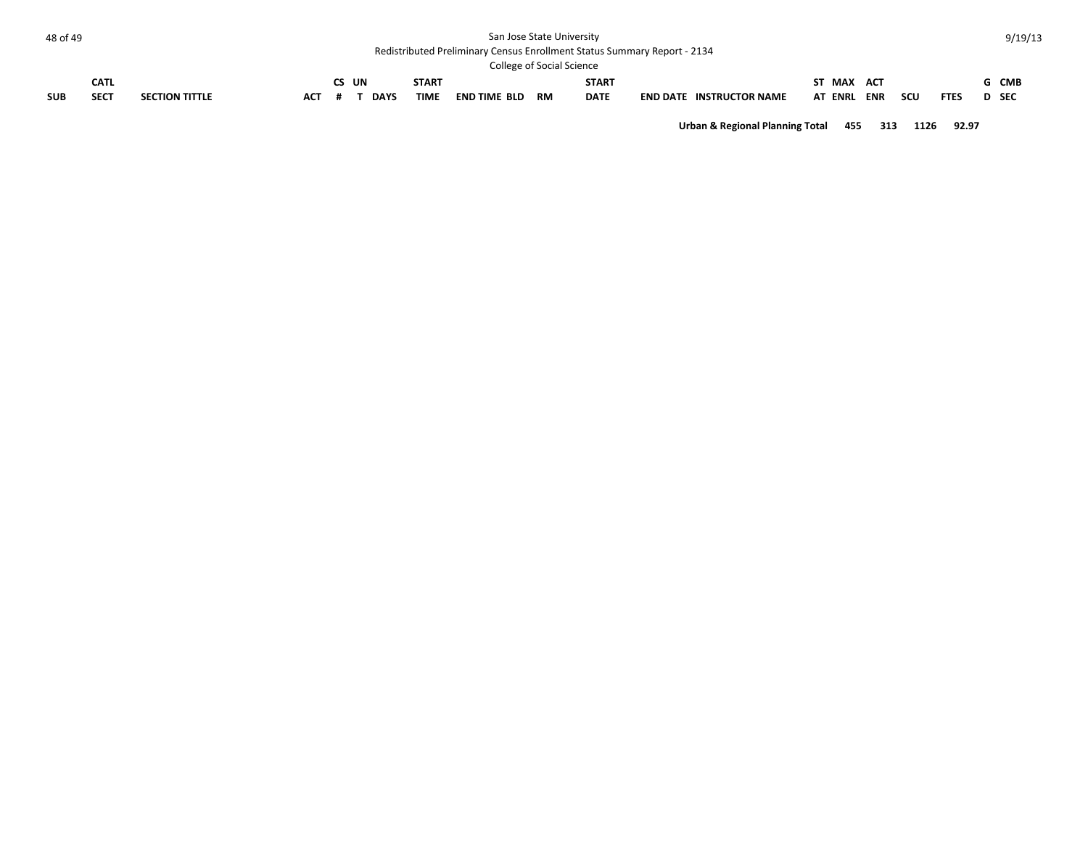#### Redistributed Preliminary Census Enrollment Status Summary Report - 2134

| <b>College of Social Science</b> |             |                       |     |  |             |             |                     |           |              |                 |                        |             |            |     |             |              |            |
|----------------------------------|-------------|-----------------------|-----|--|-------------|-------------|---------------------|-----------|--------------|-----------------|------------------------|-------------|------------|-----|-------------|--------------|------------|
|                                  | <b>CATL</b> |                       |     |  | UN          | START       |                     |           | <b>START</b> |                 |                        | ST MAX      | <b>ACT</b> |     |             |              | <b>CMB</b> |
| <b>SUB</b>                       | <b>SECT</b> | <b>SECTION TITTLE</b> | АСТ |  | <b>DAYS</b> | <b>TIME</b> | <b>END TIME BLD</b> | <b>RM</b> | <b>DATE</b>  | <b>END DATE</b> | <b>INSTRUCTOR NAME</b> | AT ENRL ENR |            | scu | <b>FTES</b> | <b>D</b> SEC |            |

**Urban & Regional Planning Total 455 313 1126 92.97**